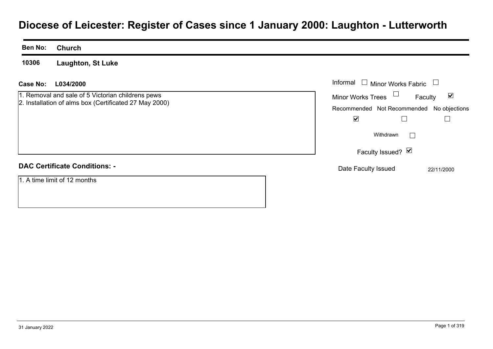# **Diocese of Leicester: Register of Cases since 1 January 2000: Laughton - Lutterworth**

### **Ben No: Church10306Laughton, St Luke L034/2000Case No:** Informal Minor Works Fabric 1. Removal and sale of 5 Victorian childrens pews  $\blacktriangledown$ Faculty Minor Works Trees 2. Installation of alms box (Certificated 27 May 2000) Recommended Not Recommended No objections  $\overline{\mathbf{v}}$  $\Box$  $\Box$ Withdrawn $\Box$ Faculty Issued? Ø **DAC Certificate Conditions: -** Date Faculty Issued 22/11/2000 1. A time limit of 12 months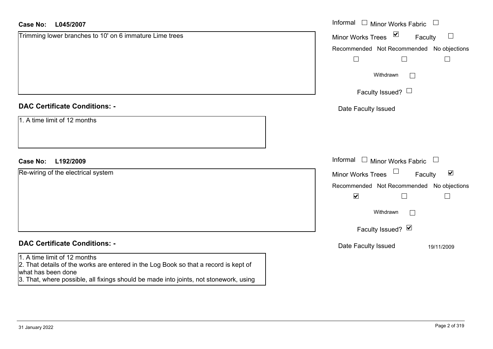| <b>Case No:</b><br>L045/2007                                                                                                                                                                                                        | Informal □ Minor Works Fabric<br>$\overline{\phantom{a}}$ |
|-------------------------------------------------------------------------------------------------------------------------------------------------------------------------------------------------------------------------------------|-----------------------------------------------------------|
| Trimming lower branches to 10' on 6 immature Lime trees                                                                                                                                                                             | Minor Works Trees ⊠<br>Faculty<br>$\Box$                  |
|                                                                                                                                                                                                                                     | Recommended Not Recommended No objections                 |
|                                                                                                                                                                                                                                     | $\Box$<br>$\Box$<br>$\Box$                                |
|                                                                                                                                                                                                                                     | Withdrawn<br>$\Box$                                       |
|                                                                                                                                                                                                                                     | Faculty Issued? $\Box$                                    |
| <b>DAC Certificate Conditions: -</b>                                                                                                                                                                                                | Date Faculty Issued                                       |
| 1. A time limit of 12 months                                                                                                                                                                                                        |                                                           |
| <b>Case No:</b><br>L192/2009                                                                                                                                                                                                        | Informal $\square$<br>Minor Works Fabric<br>$\Box$        |
| Re-wiring of the electrical system                                                                                                                                                                                                  | Minor Works Trees<br>$\blacktriangledown$<br>Faculty      |
|                                                                                                                                                                                                                                     | Recommended Not Recommended No objections                 |
|                                                                                                                                                                                                                                     | $\blacktriangledown$<br>$\Box$<br>$\mathbb{L}$            |
|                                                                                                                                                                                                                                     | Withdrawn                                                 |
|                                                                                                                                                                                                                                     | Faculty Issued? Ø                                         |
| <b>DAC Certificate Conditions: -</b>                                                                                                                                                                                                | Date Faculty Issued<br>19/11/2009                         |
| 1. A time limit of 12 months<br>2. That details of the works are entered in the Log Book so that a record is kept of<br>what has been done<br>3. That, where possible, all fixings should be made into joints, not stonework, using |                                                           |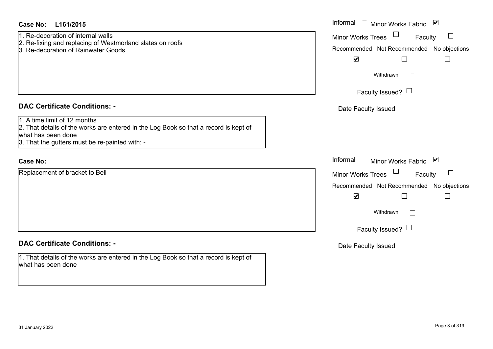| <b>Case No:</b><br>L161/2015                                                                                                                                                                 | Informal □ Minor Works Fabric ⊠                                                                                                          |
|----------------------------------------------------------------------------------------------------------------------------------------------------------------------------------------------|------------------------------------------------------------------------------------------------------------------------------------------|
| 1. Re-decoration of internal walls<br>2. Re-fixing and replacing of Westmorland slates on roofs<br>3. Re-decoration of Rainwater Goods                                                       | $\overline{\phantom{a}}$<br>Minor Works Trees<br>Faculty<br>Recommended Not Recommended No objections<br>$\blacktriangleright$<br>$\Box$ |
|                                                                                                                                                                                              | Withdrawn                                                                                                                                |
|                                                                                                                                                                                              | Faculty Issued? $\Box$                                                                                                                   |
| <b>DAC Certificate Conditions: -</b>                                                                                                                                                         | Date Faculty Issued                                                                                                                      |
| 1. A time limit of 12 months<br>2. That details of the works are entered in the Log Book so that a record is kept of<br>what has been done<br>3. That the gutters must be re-painted with: - |                                                                                                                                          |
| <b>Case No:</b>                                                                                                                                                                              | Informal $\Box$ Minor Works Fabric $\Box$                                                                                                |
| Replacement of bracket to Bell                                                                                                                                                               | Minor Works Trees<br>$\Box$<br>Faculty                                                                                                   |
|                                                                                                                                                                                              | Recommended Not Recommended No objections                                                                                                |
|                                                                                                                                                                                              | $\blacktriangledown$<br>$\Box$                                                                                                           |
|                                                                                                                                                                                              | Withdrawn<br>$\mathbf{L}$                                                                                                                |
|                                                                                                                                                                                              | Faculty Issued? $\Box$                                                                                                                   |
| <b>DAC Certificate Conditions: -</b>                                                                                                                                                         | Date Faculty Issued                                                                                                                      |
| 1. That details of the works are entered in the Log Book so that a record is kept of<br>what has been done                                                                                   |                                                                                                                                          |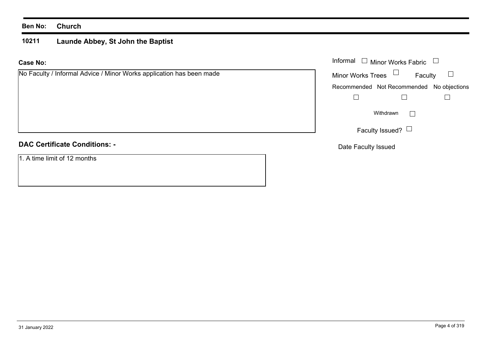#### **10211 Launde Abbey, St John the Baptist**

#### **Case No:**Informal

| No Faculty / Informal Advice / Minor Works application has been made | <b>Minor Works Trees</b> | Faculty                                   | $\Box$ |
|----------------------------------------------------------------------|--------------------------|-------------------------------------------|--------|
|                                                                      |                          | Recommended Not Recommended No objections |        |
|                                                                      |                          |                                           |        |
|                                                                      |                          | Withdrawn                                 |        |
|                                                                      |                          | Faculty Issued? $\Box$                    |        |
| <b>DAC Certificate Conditions: -</b>                                 | Date Faculty Issued      |                                           |        |

1. A time limit of 12 months

Minor Works Fabric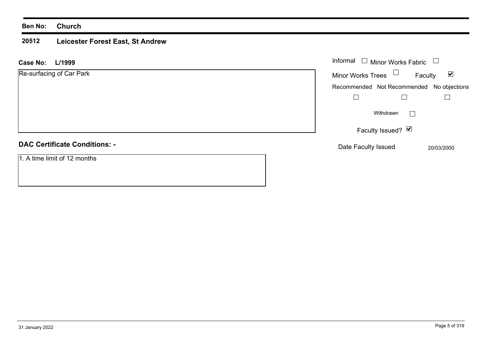#### **20512 Leicester Forest East, St Andrew**

| L/1999<br><b>Case No:</b>            | Informal $\Box$ Minor Works Fabric                          |
|--------------------------------------|-------------------------------------------------------------|
| Re-surfacing of Car Park             | Minor Works Trees $\Box$<br>$\blacktriangledown$<br>Faculty |
|                                      | Recommended Not Recommended No objections                   |
|                                      |                                                             |
|                                      | Withdrawn<br>$\mathbb{R}^n$                                 |
|                                      | Faculty Issued? $\boxed{\triangledown}$                     |
| <b>DAC Certificate Conditions: -</b> | Date Faculty Issued<br>20/03/2000                           |
| 1. A time limit of 12 months         |                                                             |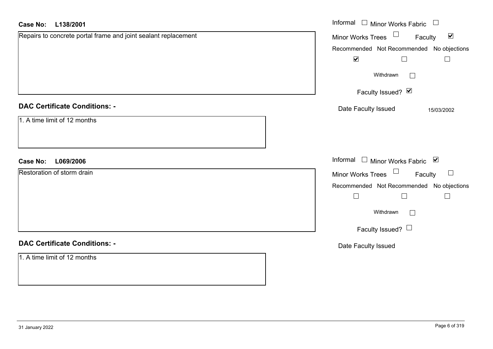| <b>Case No:</b><br>L138/2001                                   | Informal $\Box$ Minor Works Fabric $\Box$                   |
|----------------------------------------------------------------|-------------------------------------------------------------|
| Repairs to concrete portal frame and joint sealant replacement | Minor Works Trees $\Box$<br>$\blacktriangledown$<br>Faculty |
|                                                                | Recommended Not Recommended No objections                   |
|                                                                | $\blacktriangledown$<br>$\Box$<br>$\Box$                    |
|                                                                | Withdrawn<br>$\Box$                                         |
|                                                                | Faculty Issued? Ø                                           |
| <b>DAC Certificate Conditions: -</b>                           | Date Faculty Issued<br>15/03/2002                           |
| 1. A time limit of 12 months                                   |                                                             |
|                                                                |                                                             |
| L069/2006<br><b>Case No:</b>                                   | Informal □ Minor Works Fabric ⊠                             |
| Restoration of storm drain                                     | Minor Works Trees $\Box$<br>Faculty<br>$\Box$               |
|                                                                | Recommended Not Recommended No objections                   |
|                                                                | $\Box$<br>$\Box$<br>$\Box$                                  |
|                                                                | Withdrawn<br>$\Box$                                         |
|                                                                | Faculty Issued?                                             |
| <b>DAC Certificate Conditions: -</b>                           | Date Faculty Issued                                         |
| 1. A time limit of 12 months                                   |                                                             |
|                                                                |                                                             |
|                                                                |                                                             |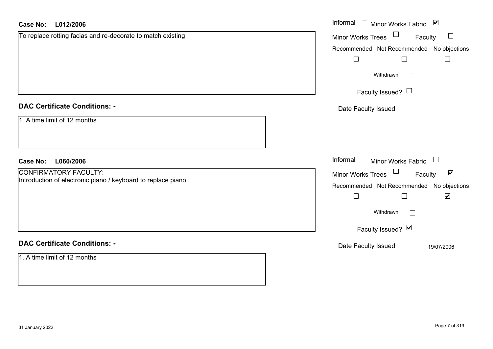| L012/2006<br><b>Case No:</b>                                 | Informal □ Minor Works Fabric ⊠                      |  |
|--------------------------------------------------------------|------------------------------------------------------|--|
| To replace rotting facias and re-decorate to match existing  | Minor Works Trees<br>Faculty<br>$\Box$               |  |
|                                                              | Recommended Not Recommended No objections            |  |
|                                                              | $\Box$<br>$\Box$<br>$\Box$                           |  |
|                                                              | Withdrawn<br>$\Box$                                  |  |
|                                                              | Faculty Issued?                                      |  |
| <b>DAC Certificate Conditions: -</b>                         | Date Faculty Issued                                  |  |
| 1. A time limit of 12 months                                 |                                                      |  |
| <b>Case No:</b><br>L060/2006                                 | Informal $\Box$ Minor Works Fabric $\Box$            |  |
| <b>CONFIRMATORY FACULTY: -</b>                               | Minor Works Trees<br>$\blacktriangledown$<br>Faculty |  |
| Introduction of electronic piano / keyboard to replace piano | Recommended Not Recommended No objections            |  |
|                                                              | $\Box$<br>$\Box$<br>$\blacktriangledown$             |  |
|                                                              | Withdrawn<br>$\Box$                                  |  |
|                                                              | Faculty Issued? Ø                                    |  |
| <b>DAC Certificate Conditions: -</b>                         | Date Faculty Issued<br>19/07/2006                    |  |
| 1. A time limit of 12 months                                 |                                                      |  |
|                                                              |                                                      |  |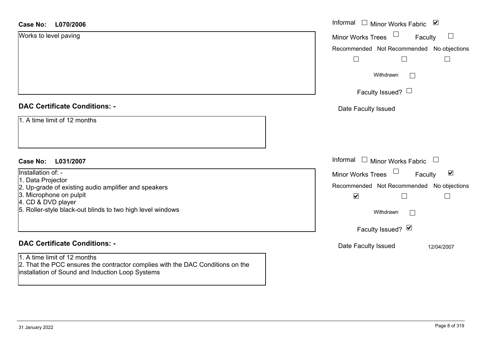| <b>Case No:</b><br>L070/2006                                                                                                                                       | Informal □ Minor Works Fabric ⊠                            |
|--------------------------------------------------------------------------------------------------------------------------------------------------------------------|------------------------------------------------------------|
| Works to level paving                                                                                                                                              | Minor Works Trees<br>$\Box$<br>Faculty                     |
|                                                                                                                                                                    | Recommended Not Recommended No objections                  |
|                                                                                                                                                                    | $\Box$<br>$\Box$                                           |
|                                                                                                                                                                    | Withdrawn<br>$\Box$                                        |
|                                                                                                                                                                    | Faculty Issued? $\Box$                                     |
| <b>DAC Certificate Conditions: -</b>                                                                                                                               | Date Faculty Issued                                        |
| 1. A time limit of 12 months                                                                                                                                       |                                                            |
|                                                                                                                                                                    |                                                            |
|                                                                                                                                                                    |                                                            |
| L031/2007<br><b>Case No:</b>                                                                                                                                       | Informal $\Box$ Minor Works Fabric $\Box$                  |
| Installation of: -                                                                                                                                                 | Minor Works Trees<br>$\blacktriangledown$<br>Faculty       |
| 1. Data Projector<br>2. Up-grade of existing audio amplifier and speakers                                                                                          | Recommended Not Recommended No objections                  |
| 3. Microphone on pulpit<br>4. CD & DVD player                                                                                                                      | $\blacktriangledown$<br>$\Box$<br>$\overline{\phantom{a}}$ |
| 5. Roller-style black-out blinds to two high level windows                                                                                                         | Withdrawn<br>$\Box$                                        |
|                                                                                                                                                                    | Faculty Issued? Ø                                          |
| <b>DAC Certificate Conditions: -</b>                                                                                                                               | Date Faculty Issued<br>12/04/2007                          |
| 1. A time limit of 12 months<br>2. That the PCC ensures the contractor complies with the DAC Conditions on the<br>installation of Sound and Induction Loop Systems |                                                            |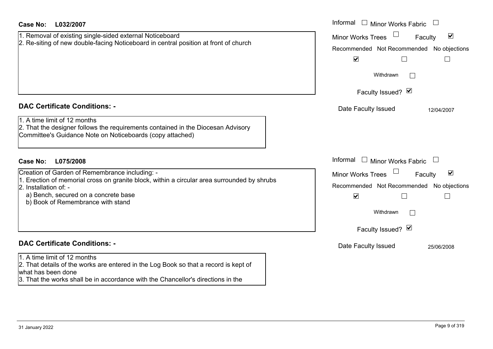| Case No:<br>L032/2007                                                                                                                                                                                                                                                               | Informal $\Box$ Minor Works Fabric                                                                                                                                                                          |
|-------------------------------------------------------------------------------------------------------------------------------------------------------------------------------------------------------------------------------------------------------------------------------------|-------------------------------------------------------------------------------------------------------------------------------------------------------------------------------------------------------------|
| 1. Removal of existing single-sided external Noticeboard<br>2. Re-siting of new double-facing Noticeboard in central position at front of church                                                                                                                                    | $\blacktriangledown$<br><b>Minor Works Trees</b><br>Faculty<br>Recommended Not Recommended No objections<br>$\blacktriangledown$<br>Withdrawn<br>$\mathbb{R}^n$<br>Faculty Issued? Ø                        |
| <b>DAC Certificate Conditions: -</b><br>$\overline{1. A}$ time limit of 12 months<br>2. That the designer follows the requirements contained in the Diocesan Advisory<br>Committee's Guidance Note on Noticeboards (copy attached)                                                  | Date Faculty Issued<br>12/04/2007                                                                                                                                                                           |
| <b>Case No:</b><br>L075/2008<br>Creation of Garden of Remembrance including: -<br>1. Erection of memorial cross on granite block, within a circular area surrounded by shrubs<br>2. Installation of: -<br>a) Bench, secured on a concrete base<br>b) Book of Remembrance with stand | Informal<br>$\Box$ Minor Works Fabric<br>$\blacktriangledown$<br><b>Minor Works Trees</b><br>Faculty<br>Recommended Not Recommended No objections<br>$\blacktriangledown$<br>Withdrawn<br>Faculty Issued? Ø |
| <b>DAC Certificate Conditions: -</b><br>1. A time limit of 12 months<br>2. That details of the works are entered in the Log Book so that a record is kept of<br>what has been done<br>3. That the works shall be in accordance with the Chancellor's directions in the              | Date Faculty Issued<br>25/06/2008                                                                                                                                                                           |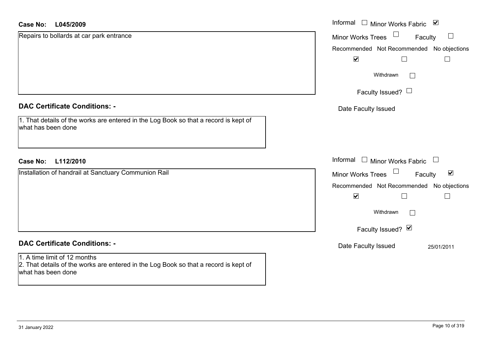| <b>Case No:</b><br>L045/2009                                                                                                               | Informal □ Minor Works Fabric ☑                      |
|--------------------------------------------------------------------------------------------------------------------------------------------|------------------------------------------------------|
| Repairs to bollards at car park entrance                                                                                                   | <b>Minor Works Trees</b><br>Faculty<br>ப             |
|                                                                                                                                            | Recommended Not Recommended No objections            |
|                                                                                                                                            | $\blacktriangledown$                                 |
|                                                                                                                                            | Withdrawn<br>$\overline{\phantom{a}}$                |
|                                                                                                                                            | Faculty Issued? $\Box$                               |
| <b>DAC Certificate Conditions: -</b>                                                                                                       | Date Faculty Issued                                  |
| 1. That details of the works are entered in the Log Book so that a record is kept of<br>what has been done                                 |                                                      |
|                                                                                                                                            |                                                      |
| <b>Case No:</b><br>L112/2010                                                                                                               | Informal $\Box$ Minor Works Fabric $\Box$            |
| Installation of handrail at Sanctuary Communion Rail                                                                                       | Minor Works Trees<br>$\blacktriangledown$<br>Faculty |
|                                                                                                                                            | Recommended Not Recommended No objections            |
|                                                                                                                                            | $\blacktriangledown$                                 |
|                                                                                                                                            | Withdrawn<br>$\Box$                                  |
|                                                                                                                                            | Faculty Issued? Ø                                    |
| <b>DAC Certificate Conditions: -</b>                                                                                                       | Date Faculty Issued<br>25/01/2011                    |
| 1. A time limit of 12 months<br>2. That details of the works are entered in the Log Book so that a record is kept of<br>what has been done |                                                      |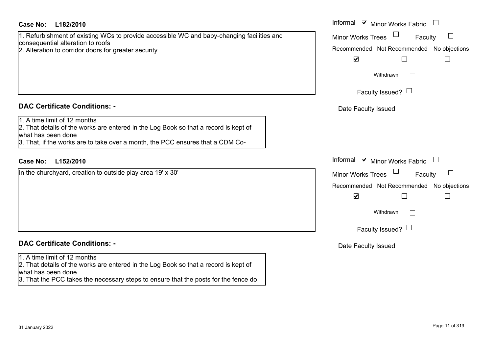### **L182/2010Case No:** Informal

1. Refurbishment of existing WCs to provide accessible WC and baby-changing facilities and consequential alteration to roofs 2. Alteration to corridor doors for greater security

## **DAC Certificate Conditions: -**

1. A time limit of 12 months

2. That details of the works are entered in the Log Book so that a record is kept of what has been done

3. That, if the works are to take over a month, the PCC ensures that a CDM Co-

### **L152/2010Case No:** Informal

In the churchyard, creation to outside play area 19' x 30'

## **DAC Certificate Conditions: -**

### 1. A time limit of 12 months

2. That details of the works are entered in the Log Book so that a record is kept of what has been done

3. That the PCC takes the necessary steps to ensure that the posts for the fence do

| Informal ☑ Minor Works Fabric             |
|-------------------------------------------|
| <b>Minor Works Trees</b><br>Faculty       |
| Recommended Not Recommended No objections |
| $\blacktriangledown$                      |
| Withdrawn                                 |
| Faculty Issued? $\Box$                    |
| Date Faculty Issued                       |
|                                           |
|                                           |
|                                           |
| Informal ☑ Minor Works Fabric             |
| <b>Minor Works Trees</b><br>Faculty       |
| Recommended Not Recommended No objections |
| $\blacktriangledown$                      |
| Withdrawn                                 |
| Faculty Issued?                           |
| Date Faculty Issued                       |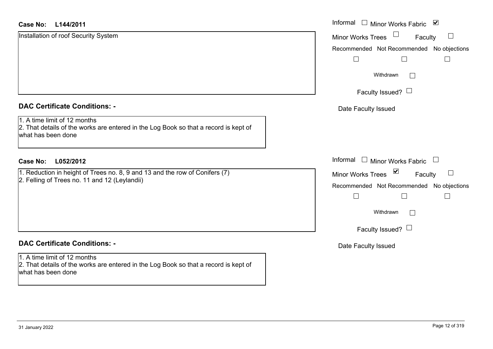| <b>Case No:</b><br>L144/2011                                                                                                               | Informal $\square$<br>⊻<br>Minor Works Fabric             |
|--------------------------------------------------------------------------------------------------------------------------------------------|-----------------------------------------------------------|
| Installation of roof Security System                                                                                                       | <b>Minor Works Trees</b><br>Faculty                       |
|                                                                                                                                            | Recommended Not Recommended No objections                 |
|                                                                                                                                            | $\Box$<br>П<br>$\Box$                                     |
|                                                                                                                                            | Withdrawn<br>$\mathbb{R}^n$                               |
|                                                                                                                                            | Faculty Issued? $\Box$                                    |
| <b>DAC Certificate Conditions: -</b>                                                                                                       | Date Faculty Issued                                       |
| 1. A time limit of 12 months<br>2. That details of the works are entered in the Log Book so that a record is kept of<br>what has been done |                                                           |
| <b>Case No:</b><br>L052/2012                                                                                                               | Informal $\Box$ Minor Works Fabric                        |
| 1. Reduction in height of Trees no. 8, 9 and 13 and the row of Conifers (7)                                                                | $\blacktriangledown$<br>Minor Works Trees<br>ப<br>Faculty |
| 2. Felling of Trees no. 11 and 12 (Leylandii)                                                                                              | Recommended Not Recommended No objections                 |
|                                                                                                                                            | Г<br>$\Box$                                               |
|                                                                                                                                            | Withdrawn<br>$\Box$                                       |
|                                                                                                                                            | Faculty Issued? $\Box$                                    |
| <b>DAC Certificate Conditions: -</b>                                                                                                       | Date Faculty Issued                                       |
| 1. A time limit of 12 months<br>2. That details of the works are entered in the Log Book so that a record is kept of                       |                                                           |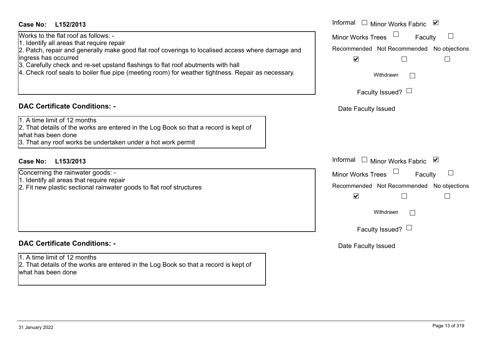### **L152/2013Case No:** Informal

Works to the flat roof as follows: -

1. Identify all areas that require repair

2. Patch, repair and generally make good flat roof coverings to localised access where damage and ingress has occurred

- 3. Carefully check and re-set upstand flashings to flat roof abutments with hall
- 4. Check roof seals to boiler flue pipe (meeting room) for weather tightness. Repair as necessary.

### **DAC Certificate Conditions: -**

1. A time limit of 12 months

2. That details of the works are entered in the Log Book so that a record is kept of what has been done

3. That any roof works be undertaken under a hot work permit

## **L153/2013Case No:** Informal

Concerning the rainwater goods: -

1. Identify all areas that require repair

2. Fit new plastic sectional rainwater goods to flat roof structures

### **DAC Certificate Conditions: -**

1. A time limit of 12 months2. That details of the works are entered in the Log Book so that a record is kept of what has been done

| Informal<br>⊻<br>$\Box$ Minor Works Fabric |
|--------------------------------------------|
| <b>Minor Works Trees</b><br>Faculty        |
| Recommended Not Recommended No objections  |
| $\blacktriangledown$                       |
| Withdrawn                                  |
| Faculty Issued?                            |
| Date Faculty Issued                        |
|                                            |
|                                            |
| Informal<br>⊻<br><b>Minor Works Fabric</b> |
| <b>Minor Works Trees</b><br>Faculty        |
| Recommended Not Recommended No objections  |
| $\blacktriangledown$                       |
| Withdrawn                                  |
| Faculty Issued?                            |
| Date Faculty Issued                        |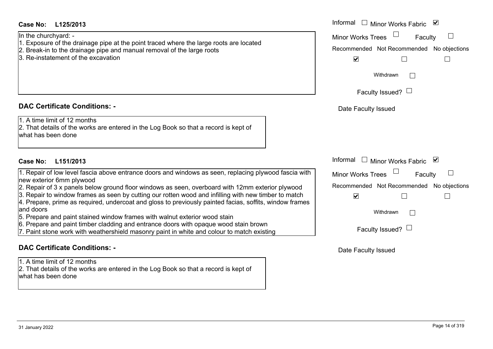### **L125/2013Case No:** Informal

### In the churchyard: -

- 1. Exposure of the drainage pipe at the point traced where the large roots are located
- 2. Break-in to the drainage pipe and manual removal of the large roots
- 3. Re-instatement of the excavation

### **DAC Certificate Conditions: -**

1. A time limit of 12 months

2. That details of the works are entered in the Log Book so that a record is kept of what has been done

## **L151/2013Case No:** Informal

1. Repair of low level fascia above entrance doors and windows as seen, replacing plywood fascia with new exterior 6mm plywood

2. Repair of 3 x panels below ground floor windows as seen, overboard with 12mm exterior plywood

3. Repair to window frames as seen by cutting our rotten wood and infilling with new timber to match 4. Prepare, prime as required, undercoat and gloss to previously painted facias, soffits, window frames

and doors

- 5. Prepare and paint stained window frames with walnut exterior wood stain
- 6. Prepare and paint timber cladding and entrance doors with opaque wood stain brown

7. Paint stone work with weathershield masonry paint in white and colour to match existing

## **DAC Certificate Conditions: -**

1. A time limit of 12 months

2. That details of the works are entered in the Log Book so that a record is kept of what has been done

| Informal<br><b>Minor Works Fabric</b>     | $\overline{\mathbf{v}}$ |
|-------------------------------------------|-------------------------|
| <b>Minor Works Trees</b><br>Faculty       |                         |
| Recommended Not Recommended No objections |                         |
| $\blacktriangledown$                      |                         |
| Withdrawn                                 |                         |
| Faculty Issued? $\Box$                    |                         |
| Date Faculty Issued                       |                         |
|                                           |                         |
|                                           |                         |
|                                           |                         |
| Informal<br>Minor Works Fabric            | ⊻                       |
| <b>Minor Works Trees</b><br>Faculty       |                         |
| Recommended Not Recommended No objections |                         |
| $\blacktriangledown$                      |                         |
| Withdrawn                                 |                         |
| Faculty Issued? $\Box$                    |                         |
| Date Faculty Issued                       |                         |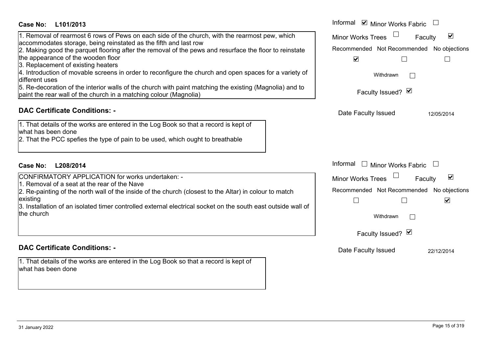| <b>Case No:</b><br>L101/2013                                                                                                                                                                                                                                                                                                                                                                                                                                                                                                                                                                                                                                         | Informal <b>☑</b> Minor Works Fabric                                                                                                                                                           |
|----------------------------------------------------------------------------------------------------------------------------------------------------------------------------------------------------------------------------------------------------------------------------------------------------------------------------------------------------------------------------------------------------------------------------------------------------------------------------------------------------------------------------------------------------------------------------------------------------------------------------------------------------------------------|------------------------------------------------------------------------------------------------------------------------------------------------------------------------------------------------|
| 1. Removal of rearmost 6 rows of Pews on each side of the church, with the rearmost pew, which<br>accommodates storage, being reinstated as the fifth and last row<br>2. Making good the parquet flooring after the removal of the pews and resurface the floor to reinstate<br>the appearance of the wooden floor<br>3. Replacement of existing heaters<br>4. Introduction of movable screens in order to reconfigure the church and open spaces for a variety of<br>different uses<br>5. Re-decoration of the interior walls of the church with paint matching the existing (Magnolia) and to<br>paint the rear wall of the church in a matching colour (Magnolia) | $\blacktriangledown$<br><b>Minor Works Trees</b><br>Faculty<br>Recommended Not Recommended No objections<br>$\blacktriangledown$<br>Withdrawn<br>Faculty Issued? Ø                             |
| <b>DAC Certificate Conditions: -</b><br>1. That details of the works are entered in the Log Book so that a record is kept of                                                                                                                                                                                                                                                                                                                                                                                                                                                                                                                                         | Date Faculty Issued<br>12/05/2014                                                                                                                                                              |
| what has been done<br>2. That the PCC spefies the type of pain to be used, which ought to breathable                                                                                                                                                                                                                                                                                                                                                                                                                                                                                                                                                                 |                                                                                                                                                                                                |
| <b>Case No:</b><br>L208/2014                                                                                                                                                                                                                                                                                                                                                                                                                                                                                                                                                                                                                                         | Informal<br><b>Minor Works Fabric</b>                                                                                                                                                          |
| CONFIRMATORY APPLICATION for works undertaken: -<br>1. Removal of a seat at the rear of the Nave<br>2. Re-painting of the north wall of the inside of the church (closest to the Altar) in colour to match<br>existing<br>3. Installation of an isolated timer controlled external electrical socket on the south east outside wall of<br>the church                                                                                                                                                                                                                                                                                                                 | $\blacktriangledown$<br><b>Minor Works Trees</b><br>Faculty<br>Recommended Not Recommended No objections<br>$\blacktriangledown$<br>$\overline{\phantom{a}}$<br>Withdrawn<br>Faculty Issued? Ø |
| <b>DAC Certificate Conditions: -</b>                                                                                                                                                                                                                                                                                                                                                                                                                                                                                                                                                                                                                                 | Date Faculty Issued<br>22/12/2014                                                                                                                                                              |
| 1. That details of the works are entered in the Log Book so that a record is kept of<br>what has been done                                                                                                                                                                                                                                                                                                                                                                                                                                                                                                                                                           |                                                                                                                                                                                                |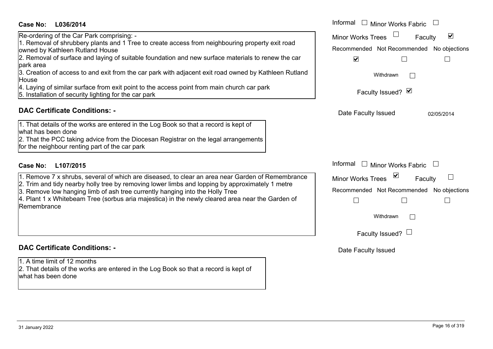### **L036/2014Case No:** Informal

Re-ordering of the Car Park comprising: -

1. Removal of shrubbery plants and 1 Tree to create access from neighbouring property exit road owned by Kathleen Rutland House

2. Removal of surface and laying of suitable foundation and new surface materials to renew the car park area

3. Creation of access to and exit from the car park with adjacent exit road owned by Kathleen Rutland **House** 

- 4. Laying of similar surface from exit point to the access point from main church car park
- 5. Installation of security lighting for the car park

### **DAC Certificate Conditions: -**

1. That details of the works are entered in the Log Book so that a record is kept of what has been done

2. That the PCC taking advice from the Diocesan Registrar on the legal arrangements for the neighbour renting part of the car park

### **L107/2015Case No:** Informal

1. Remove 7 x shrubs, several of which are diseased, to clear an area near Garden of Remembrance

- 2. Trim and tidy nearby holly tree by removing lower limbs and lopping by approximately 1 metre
- 3. Remove low hanging limb of ash tree currently hanging into the Holly Tree

4. Plant 1 x Whitebeam Tree (sorbus aria majestica) in the newly cleared area near the Garden of Remembrance

### **DAC Certificate Conditions: -**

1. A time limit of 12 months

2. That details of the works are entered in the Log Book so that a record is kept of what has been done

| Informal<br><b>Minor Works Fabric</b>     |
|-------------------------------------------|
| ⊻<br><b>Minor Works Trees</b><br>Faculty  |
| Recommended Not Recommended No objections |
| $\blacktriangledown$                      |
| Withdrawn                                 |
| Faculty Issued? Ø                         |
| Date Faculty Issued<br>02/05/2014         |
|                                           |
|                                           |
| Informal<br><b>Minor Works Fabric</b>     |
| ⊻<br><b>Minor Works Trees</b><br>Faculty  |
| Recommended Not Recommended No objections |
|                                           |
| Withdrawn                                 |
| Faculty Issued? I                         |
| Date Faculty Issued                       |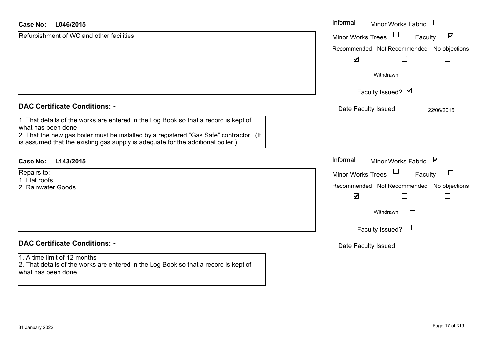#### **L046/2015Case No:**

| <b>Case No:</b><br>L046/2015                                                                                                                                               | Informal<br>$\overline{\phantom{a}}$<br><b>Minor Works Fabric</b> |
|----------------------------------------------------------------------------------------------------------------------------------------------------------------------------|-------------------------------------------------------------------|
| Refurbishment of WC and other facilities                                                                                                                                   | $\blacktriangledown$<br><b>Minor Works Trees</b><br>Faculty       |
|                                                                                                                                                                            | Recommended Not Recommended No objections                         |
|                                                                                                                                                                            | $\blacktriangledown$                                              |
|                                                                                                                                                                            | Withdrawn<br>$\mathbb{R}^n$                                       |
|                                                                                                                                                                            | Faculty Issued? Ø                                                 |
| <b>DAC Certificate Conditions: -</b>                                                                                                                                       | Date Faculty Issued<br>22/06/2015                                 |
| 1. That details of the works are entered in the Log Book so that a record is kept of<br>what has been done                                                                 |                                                                   |
| 2. That the new gas boiler must be installed by a registered "Gas Safe" contractor. (It<br>is assumed that the existing gas supply is adequate for the additional boiler.) |                                                                   |
| Case No:<br>L143/2015                                                                                                                                                      | Informal<br>□ Minor Works Fabric $\vert \mathbf{v} \vert$         |
| Repairs to: -                                                                                                                                                              | <b>Minor Works Trees</b><br>ப<br>Faculty                          |
| 1. Flat roofs<br>2. Rainwater Goods                                                                                                                                        | Recommended Not Recommended No objections                         |
|                                                                                                                                                                            | $\blacktriangledown$<br>$\Box$                                    |
|                                                                                                                                                                            | Withdrawn<br>$\Box$                                               |
|                                                                                                                                                                            | Faculty Issued? $\Box$                                            |
| <b>DAC Certificate Conditions: -</b>                                                                                                                                       | Date Faculty Issued                                               |
| 1. A time limit of 12 months                                                                                                                                               |                                                                   |
| 2. That details of the works are entered in the Log Book so that a record is kept of<br>what has been done                                                                 |                                                                   |
|                                                                                                                                                                            |                                                                   |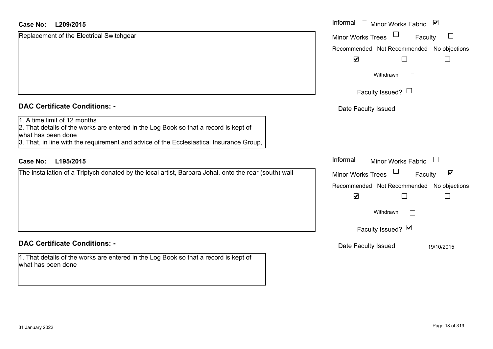#### **L209/2015Case No:**

| <b>Case No:</b><br>L209/2015                                                                                                                                                                                                          | Informal $\square$<br>Minor Works Fabric ⊠           |
|---------------------------------------------------------------------------------------------------------------------------------------------------------------------------------------------------------------------------------------|------------------------------------------------------|
| Replacement of the Electrical Switchgear                                                                                                                                                                                              | <b>Minor Works Trees</b><br>ப<br>Faculty             |
|                                                                                                                                                                                                                                       | Recommended Not Recommended No objections            |
|                                                                                                                                                                                                                                       | $\blacktriangledown$                                 |
|                                                                                                                                                                                                                                       | Withdrawn<br>$\mathbf{1}$                            |
|                                                                                                                                                                                                                                       | Faculty Issued? $\Box$                               |
| <b>DAC Certificate Conditions: -</b>                                                                                                                                                                                                  | Date Faculty Issued                                  |
| 1. A time limit of 12 months<br>2. That details of the works are entered in the Log Book so that a record is kept of<br>what has been done<br>3. That, in line with the requirement and advice of the Ecclesiastical Insurance Group, |                                                      |
| L195/2015<br><b>Case No:</b>                                                                                                                                                                                                          | Informal $\Box$ Minor Works Fabric $\Box$            |
| The installation of a Triptych donated by the local artist, Barbara Johal, onto the rear (south) wall                                                                                                                                 | Minor Works Trees<br>$\blacktriangledown$<br>Faculty |
|                                                                                                                                                                                                                                       | Recommended Not Recommended No objections            |
|                                                                                                                                                                                                                                       | $\blacktriangledown$                                 |
|                                                                                                                                                                                                                                       | Withdrawn<br>$\Box$                                  |
|                                                                                                                                                                                                                                       | Faculty Issued? Ø                                    |
| <b>DAC Certificate Conditions: -</b>                                                                                                                                                                                                  | Date Faculty Issued<br>19/10/2015                    |
| 1. That details of the works are entered in the Log Book so that a record is kept of<br>what has been done                                                                                                                            |                                                      |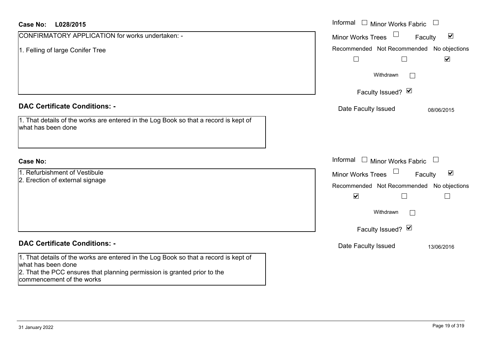| Case No:<br>L028/2015                                                                                                                                                                                               | Informal $\Box$ Minor Works Fabric<br>$\Box$                                                                                                                              |
|---------------------------------------------------------------------------------------------------------------------------------------------------------------------------------------------------------------------|---------------------------------------------------------------------------------------------------------------------------------------------------------------------------|
| CONFIRMATORY APPLICATION for works undertaken: -                                                                                                                                                                    | $\blacktriangledown$<br><b>Minor Works Trees</b><br>Faculty                                                                                                               |
| 1. Felling of large Conifer Tree                                                                                                                                                                                    | Recommended Not Recommended No objections<br>$\blacktriangledown$<br>$\Box$<br>$\Box$                                                                                     |
|                                                                                                                                                                                                                     | Withdrawn<br>$\mathbf{L}$                                                                                                                                                 |
|                                                                                                                                                                                                                     | Faculty Issued? Ø                                                                                                                                                         |
| <b>DAC Certificate Conditions: -</b><br>1. That details of the works are entered in the Log Book so that a record is kept of<br>what has been done                                                                  | Date Faculty Issued<br>08/06/2015                                                                                                                                         |
| <b>Case No:</b>                                                                                                                                                                                                     | Informal<br>$\Box$<br><b>Minor Works Fabric</b>                                                                                                                           |
| 1. Refurbishment of Vestibule<br>2. Erection of external signage                                                                                                                                                    | $\blacktriangledown$<br><b>Minor Works Trees</b><br>Faculty<br>Recommended Not Recommended No objections<br>$\blacktriangledown$<br>$\Box$<br>$\mathbb{R}^n$<br>Withdrawn |
| <b>DAC Certificate Conditions: -</b>                                                                                                                                                                                | Faculty Issued? Ø                                                                                                                                                         |
| 1. That details of the works are entered in the Log Book so that a record is kept of<br>what has been done<br>2. That the PCC ensures that planning permission is granted prior to the<br>commencement of the works | Date Faculty Issued<br>13/06/2016                                                                                                                                         |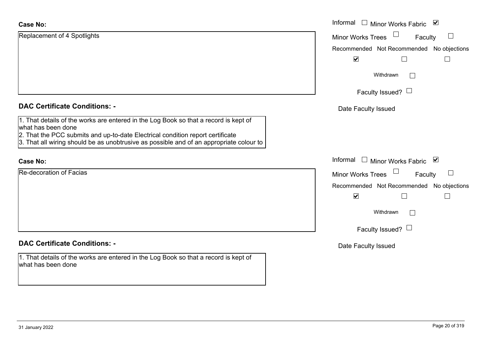| <b>Case No:</b>                                                                                                                                                                                                                                                                         | Informal □ Minor Works Fabric<br>$\overline{\mathbf{v}}$ |
|-----------------------------------------------------------------------------------------------------------------------------------------------------------------------------------------------------------------------------------------------------------------------------------------|----------------------------------------------------------|
| Replacement of 4 Spotlights                                                                                                                                                                                                                                                             | Minor Works Trees<br>$\Box$<br>Faculty                   |
|                                                                                                                                                                                                                                                                                         | Recommended Not Recommended No objections                |
|                                                                                                                                                                                                                                                                                         | $\blacktriangledown$                                     |
|                                                                                                                                                                                                                                                                                         | Withdrawn                                                |
|                                                                                                                                                                                                                                                                                         | Faculty Issued? $\Box$                                   |
| <b>DAC Certificate Conditions: -</b>                                                                                                                                                                                                                                                    | Date Faculty Issued                                      |
| 1. That details of the works are entered in the Log Book so that a record is kept of<br>what has been done<br>2. That the PCC submits and up-to-date Electrical condition report certificate<br>3. That all wiring should be as unobtrusive as possible and of an appropriate colour to |                                                          |
| <b>Case No:</b>                                                                                                                                                                                                                                                                         | Informal<br>Minor Works Fabric ⊠<br>$\perp$              |
| Re-decoration of Facias                                                                                                                                                                                                                                                                 | <b>Minor Works Trees</b><br>$\Box$<br>Faculty            |
|                                                                                                                                                                                                                                                                                         | Recommended Not Recommended No objections                |
|                                                                                                                                                                                                                                                                                         | $\blacktriangledown$<br>$\mathsf{L}$                     |
|                                                                                                                                                                                                                                                                                         | Withdrawn                                                |
|                                                                                                                                                                                                                                                                                         | Faculty Issued? $\Box$                                   |
| <b>DAC Certificate Conditions: -</b>                                                                                                                                                                                                                                                    | Date Faculty Issued                                      |
| 1. That details of the works are entered in the Log Book so that a record is kept of<br>what has been done                                                                                                                                                                              |                                                          |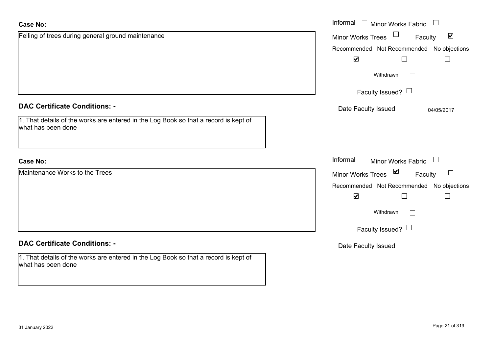| <b>Case No:</b>                                                                                            | Informal<br>Minor Works Fabric                                                  |
|------------------------------------------------------------------------------------------------------------|---------------------------------------------------------------------------------|
| Felling of trees during general ground maintenance                                                         | $\blacktriangledown$<br><b>Minor Works Trees</b><br>Faculty                     |
|                                                                                                            | Recommended Not Recommended No objections                                       |
|                                                                                                            | $\blacktriangledown$<br>Г                                                       |
|                                                                                                            | Withdrawn<br>$\vert \ \ \vert$                                                  |
|                                                                                                            | Faculty Issued? $\Box$                                                          |
| <b>DAC Certificate Conditions: -</b>                                                                       | Date Faculty Issued<br>04/05/2017                                               |
| 1. That details of the works are entered in the Log Book so that a record is kept of<br>what has been done |                                                                                 |
| <b>Case No:</b>                                                                                            | Informal<br>$\Box$ Minor Works Fabric<br>$\begin{array}{c} \square \end{array}$ |
| Maintenance Works to the Trees                                                                             | $\blacktriangledown$<br><b>Minor Works Trees</b><br>Faculty<br>$\Box$           |
|                                                                                                            | Recommended Not Recommended No objections                                       |
|                                                                                                            | $\blacktriangledown$<br>$\Box$                                                  |
|                                                                                                            | Withdrawn<br>$\vert \ \ \vert$                                                  |
|                                                                                                            | Faculty Issued? $\Box$                                                          |
| <b>DAC Certificate Conditions: -</b>                                                                       | Date Faculty Issued                                                             |
| 1. That details of the works are entered in the Log Book so that a record is kept of<br>what has been done |                                                                                 |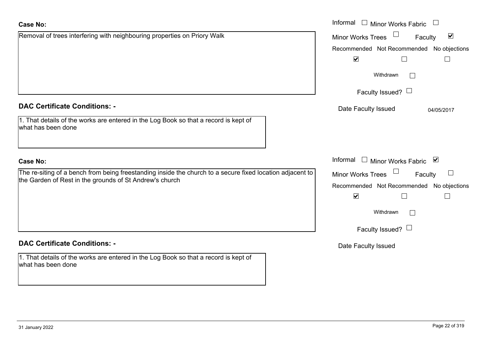# Case No

| <b>Case No:</b>                                                                                            | Informal $\Box$ Minor Works Fabric $\Box$                             |
|------------------------------------------------------------------------------------------------------------|-----------------------------------------------------------------------|
| Removal of trees interfering with neighbouring properties on Priory Walk                                   | $\Box$<br>$\blacktriangledown$<br><b>Minor Works Trees</b><br>Faculty |
|                                                                                                            | Recommended Not Recommended No objections                             |
|                                                                                                            | $\overline{\mathbf{v}}$                                               |
|                                                                                                            | Withdrawn                                                             |
|                                                                                                            | Faculty Issued? $\Box$                                                |
| <b>DAC Certificate Conditions: -</b>                                                                       | Date Faculty Issued<br>04/05/2017                                     |
| 1. That details of the works are entered in the Log Book so that a record is kept of<br>what has been done |                                                                       |
| <b>Case No:</b>                                                                                            | Informal<br>□ Minor Works Fabric 凶                                    |
| The re-siting of a bench from being freestanding inside the church to a secure fixed location adjacent to  | Minor Works Trees <sup>1</sup><br>Faculty<br>$\Box$                   |
| the Garden of Rest in the grounds of St Andrew's church                                                    | Recommended Not Recommended No objections                             |
|                                                                                                            | $\blacktriangledown$<br>$\perp$<br>$\mathbf{I}$                       |
|                                                                                                            | Withdrawn<br>$\mathbf{I}$                                             |
|                                                                                                            | Faculty Issued? $\Box$                                                |
| <b>DAC Certificate Conditions: -</b>                                                                       | Date Faculty Issued                                                   |
| 1. That details of the works are entered in the Log Book so that a record is kept of<br>what has been done |                                                                       |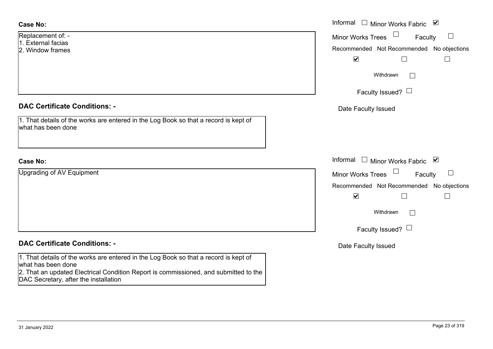| Case No:                                                                                                   | Informal $\Box$ Minor Works Fabric<br>⊻   |
|------------------------------------------------------------------------------------------------------------|-------------------------------------------|
| Replacement of: -<br>. External facias                                                                     | Minor Works Trees $\Box$<br>Faculty       |
| 2. Window frames                                                                                           | Recommended Not Recommended No objections |
|                                                                                                            | $\blacktriangleright$                     |
|                                                                                                            | Withdrawn<br>l I                          |
|                                                                                                            | Faculty Issued? $\Box$                    |
| <b>DAC Certificate Conditions: -</b>                                                                       | Date Faculty Issued                       |
| 1. That details of the works are entered in the Log Book so that a record is kept of<br>what has been done |                                           |

## **Case No:**

Upgrading of AV Equipment

## **DAC Certificate Conditions: -**

1. That details of the works are entered in the Log Book so that a record is kept of what has been done

2. That an updated Electrical Condition Report is commissioned, and submitted to the DAC Secretary, after the installation

|                                                                                          | aculty issueu :                                              |
|------------------------------------------------------------------------------------------|--------------------------------------------------------------|
| rtificate Conditions: -                                                                  | Date Faculty Issued                                          |
| etails of the works are entered in the Log Book so that a record is kept of<br>been done |                                                              |
|                                                                                          |                                                              |
|                                                                                          | Informal<br>□ Minor Works Fabric $\vert \blacktriangleright$ |
| g of AV Equipment                                                                        | Minor Works Trees $\Box$<br>Faculty                          |
|                                                                                          | Recommended Not Recommended No objections                    |
|                                                                                          | $\blacktriangledown$                                         |
|                                                                                          |                                                              |

 $\Box$ Withdrawn

Faculty Issued?  $\Box$ 

Date Faculty Issued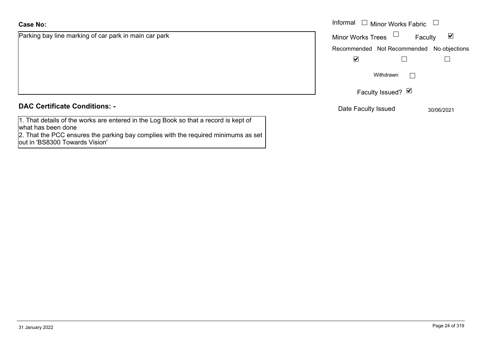## **Case No:**

Parking bay line marking of car park in main car park

|  |  | <b>DAC Certificate Conditions: -</b> |
|--|--|--------------------------------------|
|--|--|--------------------------------------|

1. That details of the works are entered in the Log Book so that a record is kept of what has been done 2. That the PCC ensures the parking bay complies with the required minimums as set

out in 'BS8300 Towards Vision'

|                                               | Informal $\Box$ Minor Works Fabric $\Box$                   |
|-----------------------------------------------|-------------------------------------------------------------|
| bay line marking of car park in main car park | $\blacktriangledown$<br><b>Minor Works Trees</b><br>Faculty |
|                                               | Recommended Not Recommended No objections                   |
|                                               | $\blacktriangledown$                                        |
|                                               | Withdrawn                                                   |
|                                               | Faculty Issued? Ø                                           |
| rtificate Conditions: -                       | Date Faculty Issued<br>30/06/2021                           |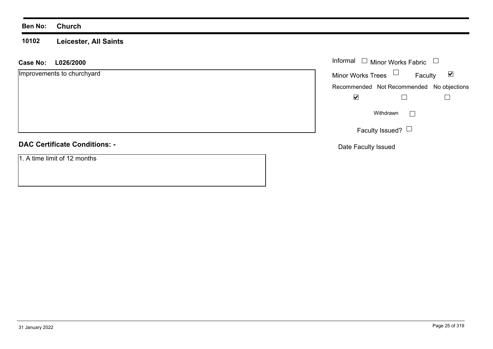#### **10102 Leicester, All Saints**

### **L026/2000 Case No:** Informal

| Improvements to churchyard |  |  |  |
|----------------------------|--|--|--|
|----------------------------|--|--|--|

### **DAC Certificate Conditions: -**

1. A time limit of 12 months

| Informal<br>$\Box$ Minor Works Fabric |                                           |   |  |  |
|---------------------------------------|-------------------------------------------|---|--|--|
| <b>Minor Works Trees</b>              | Faculty                                   | M |  |  |
|                                       | Recommended Not Recommended No objections |   |  |  |
|                                       |                                           |   |  |  |
|                                       | Withdrawn                                 |   |  |  |
|                                       | Faculty Issued? $\Box$                    |   |  |  |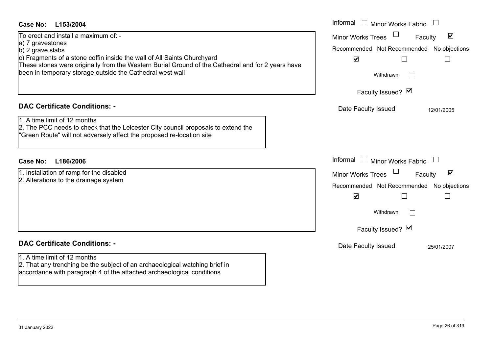| Case No:<br>L153/2004                                                                                                                                                                                                                                                                                                                                                                             | Informal<br>Minor Works Fabric                                                                                                                                                                                          |
|---------------------------------------------------------------------------------------------------------------------------------------------------------------------------------------------------------------------------------------------------------------------------------------------------------------------------------------------------------------------------------------------------|-------------------------------------------------------------------------------------------------------------------------------------------------------------------------------------------------------------------------|
| To erect and install a maximum of: -<br>a) 7 gravestones<br>b) 2 grave slabs<br>c) Fragments of a stone coffin inside the wall of All Saints Churchyard<br>These stones were originally from the Western Burial Ground of the Cathedral and for 2 years have<br>been in temporary storage outside the Cathedral west wall<br><b>DAC Certificate Conditions: -</b><br>1. A time limit of 12 months | $\blacktriangledown$<br><b>Minor Works Trees</b><br>Faculty<br>Recommended Not Recommended No objections<br>$\blacktriangledown$<br>Withdrawn<br>$\mathbf{1}$<br>Faculty Issued? Ø<br>Date Faculty Issued<br>12/01/2005 |
| 2. The PCC needs to check that the Leicester City council proposals to extend the<br>"Green Route" will not adversely affect the proposed re-location site                                                                                                                                                                                                                                        |                                                                                                                                                                                                                         |
| <b>Case No:</b><br>L186/2006                                                                                                                                                                                                                                                                                                                                                                      | Informal $\square$<br><b>Minor Works Fabric</b>                                                                                                                                                                         |
| 1. Installation of ramp for the disabled<br>2. Alterations to the drainage system                                                                                                                                                                                                                                                                                                                 | $\blacktriangledown$<br>Minor Works Trees<br>Faculty<br>Recommended Not Recommended No objections<br>$\blacktriangledown$<br>Withdrawn<br>$\mathbf{L}$<br>Faculty Issued? Ø                                             |
| <b>DAC Certificate Conditions: -</b>                                                                                                                                                                                                                                                                                                                                                              | Date Faculty Issued<br>25/01/2007                                                                                                                                                                                       |
| 1. A time limit of 12 months<br>2. That any trenching be the subject of an archaeological watching brief in<br>accordance with paragraph 4 of the attached archaeological conditions                                                                                                                                                                                                              |                                                                                                                                                                                                                         |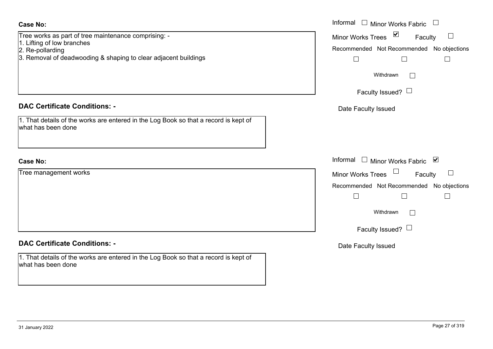| <b>Case No:</b>                                                                                            | Informal<br>$\Box$ Minor Works Fabric                                                 |
|------------------------------------------------------------------------------------------------------------|---------------------------------------------------------------------------------------|
| Tree works as part of tree maintenance comprising: -<br>1. Lifting of low branches<br>2. Re-pollarding     | Minor Works Trees ⊠<br>Faculty<br>$\Box$<br>Recommended Not Recommended No objections |
| 3. Removal of deadwooding & shaping to clear adjacent buildings                                            | $\Box$<br>$\Box$<br>$\Box$                                                            |
|                                                                                                            | Withdrawn<br>$\perp$                                                                  |
|                                                                                                            | Faculty Issued? $\Box$                                                                |
| <b>DAC Certificate Conditions: -</b>                                                                       | Date Faculty Issued                                                                   |
| 1. That details of the works are entered in the Log Book so that a record is kept of<br>what has been done |                                                                                       |
| <b>Case No:</b>                                                                                            | Informal<br>$\Box$ Minor Works Fabric $\lvert \blacktriangleright$                    |
| Tree management works                                                                                      | Minor Works Trees $\Box$<br>Faculty<br>$\Box$                                         |
|                                                                                                            | Recommended Not Recommended No objections<br>$\Box$<br>$\Box$<br>$\Box$               |
|                                                                                                            | Withdrawn                                                                             |
|                                                                                                            | Faculty Issued? $\Box$                                                                |
| <b>DAC Certificate Conditions: -</b>                                                                       | Date Faculty Issued                                                                   |
| 1. That details of the works are entered in the Log Book so that a record is kept of<br>what has been done |                                                                                       |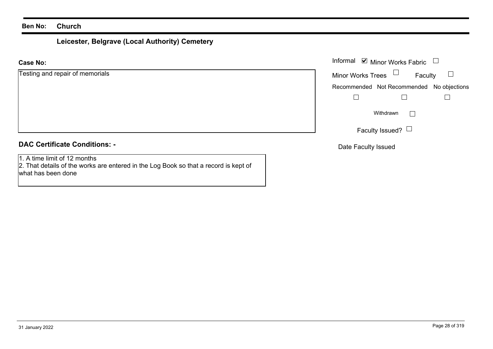# **Leicester, Belgrave (Local Authority) Cemetery**

### **Case No:**

| Testing and repair of memorials |
|---------------------------------|
|---------------------------------|

## **DAC Certificate Conditions: -**

1. A time limit of 12 months

2. That details of the works are entered in the Log Book so that a record is kept of what has been done

|                        | Informal Ø Minor Works Fabric □           |  |  |
|------------------------|-------------------------------------------|--|--|
| nd repair of memorials | Faculty $\square$<br>Minor Works Trees    |  |  |
|                        | Recommended Not Recommended No objections |  |  |
|                        |                                           |  |  |
|                        | Withdrawn                                 |  |  |
|                        | Faculty Issued? $\Box$                    |  |  |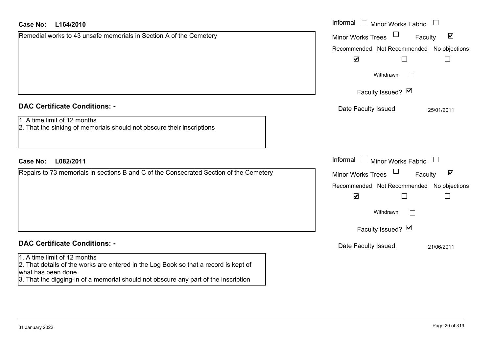| <b>Case No:</b><br>L164/2010                                                                                                                                                                                                      | Informal $\Box$ Minor Works Fabric $\Box$                   |  |  |  |
|-----------------------------------------------------------------------------------------------------------------------------------------------------------------------------------------------------------------------------------|-------------------------------------------------------------|--|--|--|
| Remedial works to 43 unsafe memorials in Section A of the Cemetery                                                                                                                                                                | $\blacktriangledown$<br><b>Minor Works Trees</b><br>Faculty |  |  |  |
|                                                                                                                                                                                                                                   | Recommended Not Recommended No objections                   |  |  |  |
|                                                                                                                                                                                                                                   | $\blacktriangledown$                                        |  |  |  |
|                                                                                                                                                                                                                                   | Withdrawn<br>$\mathbf{L}$                                   |  |  |  |
|                                                                                                                                                                                                                                   | Faculty Issued? Ø                                           |  |  |  |
| <b>DAC Certificate Conditions: -</b>                                                                                                                                                                                              | Date Faculty Issued<br>25/01/2011                           |  |  |  |
| 1. A time limit of 12 months<br>2. That the sinking of memorials should not obscure their inscriptions                                                                                                                            |                                                             |  |  |  |
| <b>Case No:</b><br>L082/2011                                                                                                                                                                                                      | Informal<br>$\Box$ Minor Works Fabric                       |  |  |  |
| Repairs to 73 memorials in sections B and C of the Consecrated Section of the Cemetery                                                                                                                                            | $\blacktriangledown$<br><b>Minor Works Trees</b><br>Faculty |  |  |  |
|                                                                                                                                                                                                                                   | Recommended Not Recommended No objections                   |  |  |  |
|                                                                                                                                                                                                                                   | $\blacktriangledown$                                        |  |  |  |
|                                                                                                                                                                                                                                   | Withdrawn                                                   |  |  |  |
|                                                                                                                                                                                                                                   | Faculty Issued? Ø                                           |  |  |  |
| <b>DAC Certificate Conditions: -</b>                                                                                                                                                                                              | Date Faculty Issued<br>21/06/2011                           |  |  |  |
| 1. A time limit of 12 months<br>2. That details of the works are entered in the Log Book so that a record is kept of<br>what has been done<br>3. That the digging-in of a memorial should not obscure any part of the inscription |                                                             |  |  |  |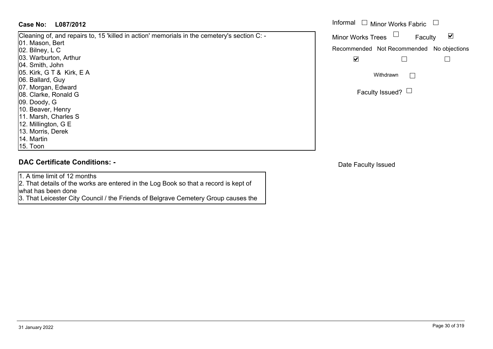### **L087/2012Case No:** Informal

Cleaning of, and repairs to, 15 'killed in action' memorials in the cemetery's section C: - 01. Mason, Bert 02. Bilney, L C 03. Warburton, Arthur 04. Smith, John 05. Kirk, G T & Kirk, E A 06. Ballard, Guy 07. Morgan, Edward 08. Clarke, Ronald G 09. Doody, G 10. Beaver, Henry 11. Marsh, Charles S 12. Millington, G E 13. Morris, Derek 14. Martin15. Toon

| Informal<br>$\Box$ Minor Works Fabric |                                           |   |  |  |
|---------------------------------------|-------------------------------------------|---|--|--|
| <b>Minor Works Trees</b>              | Faculty                                   | V |  |  |
|                                       | Recommended Not Recommended No objections |   |  |  |
|                                       |                                           |   |  |  |
|                                       | Withdrawn                                 |   |  |  |
|                                       | Faculty Issued?                           |   |  |  |

**DAC Certificate Conditions: -**

1. A time limit of 12 months

2. That details of the works are entered in the Log Book so that a record is kept of what has been done

3. That Leicester City Council / the Friends of Belgrave Cemetery Group causes the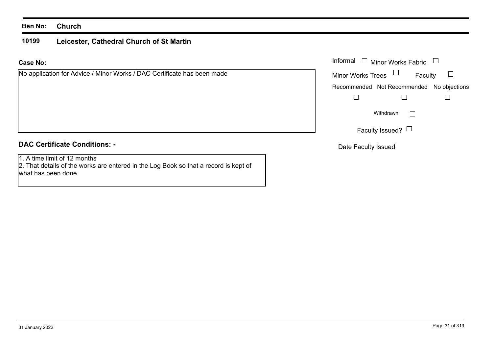#### **10199Leicester, Cathedral Church of St Martin**

#### **Case No:**Informal

| No application for Advice / Minor Works / DAC Certificate has been made | <b>Minor Works Trees</b> | Faculty                                   |  |
|-------------------------------------------------------------------------|--------------------------|-------------------------------------------|--|
|                                                                         |                          | Recommended Not Recommended No objections |  |
|                                                                         |                          |                                           |  |
|                                                                         |                          | Withdrawn                                 |  |
|                                                                         |                          | Faculty Issued? $\Box$                    |  |
| <b>DAC Certificate Conditions: -</b>                                    | Date Faculty Issued      |                                           |  |

1. A time limit of 12 months

2. That details of the works are entered in the Log Book so that a record is kept of what has been done

Minor Works Fabric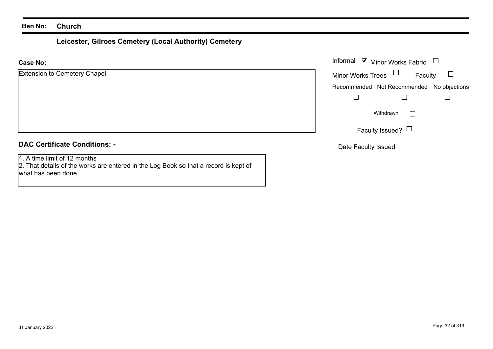# **Leicester, Gilroes Cemetery (Local Authority) Cemetery**

|  |  | Extension to Cemetery Chapel |  |  |
|--|--|------------------------------|--|--|
|--|--|------------------------------|--|--|

## **DAC Certificate Conditions: -**

1. A time limit of 12 months

2. That details of the works are entered in the Log Book so that a record is kept of what has been done

|                      | Informal ⊠ Minor Works Fabric □           |
|----------------------|-------------------------------------------|
| n to Cemetery Chapel | Faculty<br>Minor Works Trees              |
|                      | Recommended Not Recommended No objections |
|                      |                                           |
|                      | Withdrawn                                 |
|                      | Faculty Issued? $\Box$                    |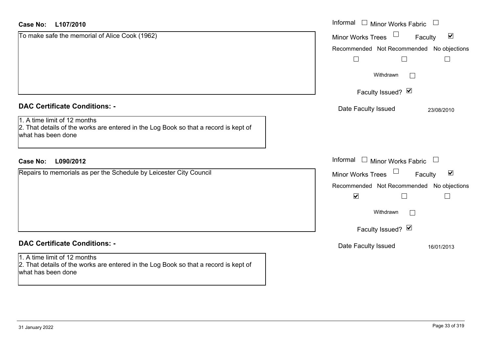| <b>Case No:</b><br>L107/2010                                                                                                               | Informal □ Minor Works Fabric                                 |
|--------------------------------------------------------------------------------------------------------------------------------------------|---------------------------------------------------------------|
| To make safe the memorial of Alice Cook (1962)                                                                                             | $\blacktriangledown$<br>Minor Works Trees<br>Faculty          |
|                                                                                                                                            | Recommended Not Recommended No objec                          |
|                                                                                                                                            |                                                               |
|                                                                                                                                            | Withdrawn<br>$\mathbb{R}^n$                                   |
|                                                                                                                                            | Faculty Issued? Ø                                             |
| <b>DAC Certificate Conditions: -</b>                                                                                                       | Date Faculty Issued<br>23/08/2010                             |
| 1. A time limit of 12 months<br>2. That details of the works are entered in the Log Book so that a record is kept of<br>what has been done |                                                               |
| L090/2012<br><b>Case No:</b>                                                                                                               | Informal □ Minor Works Fabric                                 |
| Repairs to memorials as per the Schedule by Leicester City Council                                                                         | Minor Works Trees<br>$\blacktriangledown$<br>Faculty          |
|                                                                                                                                            | Recommended Not Recommended No object<br>$\blacktriangledown$ |
|                                                                                                                                            | Withdrawn<br>$\mathbf{L}$                                     |
|                                                                                                                                            | Faculty Issued? Ø                                             |
| <b>DAC Certificate Conditions: -</b>                                                                                                       | Date Faculty Issued<br>16/01/2013                             |
| 1. A time limit of 12 months<br>2. That details of the works are entered in the Log Book so that a record is kept of<br>what has been done |                                                               |

No objections

No objections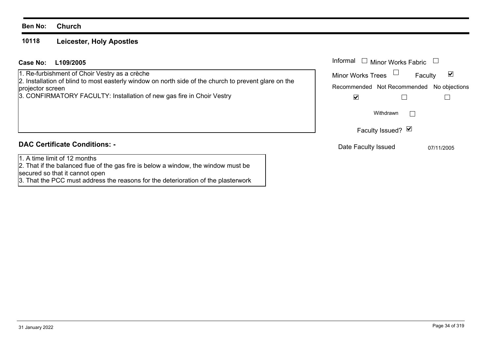#### **10118Leicester, Holy Apostles**

| Case No: L109/2005 | Informal |
|--------------------|----------|
|                    |          |

1. Re-furbishment of Choir Vestry as a crèche

2. Installation of blind to most easterly window on north side of the church to prevent glare on the projector screen

3. CONFIRMATORY FACULTY: Installation of new gas fire in Choir Vestry

## **DAC Certificate Conditions: -**

1. A time limit of 12 months

2. That if the balanced flue of the gas fire is below a window, the window must be secured so that it cannot open

3. That the PCC must address the reasons for the deterioration of the plasterwork

| Informal                                  | $\Box$ Minor Works Fabric |         |            |
|-------------------------------------------|---------------------------|---------|------------|
| <b>Minor Works Trees</b>                  |                           | Faculty |            |
| Recommended Not Recommended No objections |                           |         |            |
|                                           |                           |         |            |
| Withdrawn                                 |                           |         |            |
|                                           | Faculty Issued? Ø         |         |            |
| Date Faculty Issued                       |                           |         | 07/11/2005 |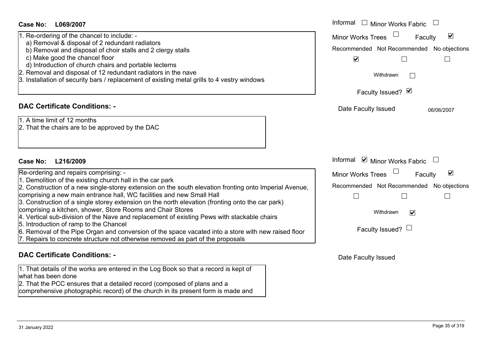| Case No:<br>L069/2007                                                                                                                                                                                                                                                                                                                                                                                                                                                                                                                                                                                                                                                                                                                                                                      | Informal □ Minor Works Fabric                                                                                                                                                      |
|--------------------------------------------------------------------------------------------------------------------------------------------------------------------------------------------------------------------------------------------------------------------------------------------------------------------------------------------------------------------------------------------------------------------------------------------------------------------------------------------------------------------------------------------------------------------------------------------------------------------------------------------------------------------------------------------------------------------------------------------------------------------------------------------|------------------------------------------------------------------------------------------------------------------------------------------------------------------------------------|
| 1. Re-ordering of the chancel to include: -<br>a) Removal & disposal of 2 redundant radiators<br>b) Removal and disposal of choir stalls and 2 clergy stalls<br>c) Make good the chancel floor<br>d) Introduction of church chairs and portable lecterns<br>2. Removal and disposal of 12 redundant radiators in the nave<br>3. Installation of security bars / replacement of existing metal grills to 4 vestry windows                                                                                                                                                                                                                                                                                                                                                                   | $\blacktriangledown$<br><b>Minor Works Trees</b><br>Faculty<br>Recommended Not Recommended No objections<br>$\blacktriangledown$<br>Withdrawn<br>Faculty Issued? Ø                 |
| <b>DAC Certificate Conditions: -</b>                                                                                                                                                                                                                                                                                                                                                                                                                                                                                                                                                                                                                                                                                                                                                       | Date Faculty Issued<br>06/06/2007                                                                                                                                                  |
| 1. A time limit of 12 months<br>2. That the chairs are to be approved by the DAC                                                                                                                                                                                                                                                                                                                                                                                                                                                                                                                                                                                                                                                                                                           |                                                                                                                                                                                    |
| L216/2009<br><b>Case No:</b>                                                                                                                                                                                                                                                                                                                                                                                                                                                                                                                                                                                                                                                                                                                                                               | Informal <b>v</b> Minor Works Fabric                                                                                                                                               |
| Re-ordering and repairs comprising: -<br>1. Demolition of the existing church hall in the car park<br>2. Construction of a new single-storey extension on the south elevation fronting onto Imperial Avenue,<br>comprising a new main entrance hall, WC facilities and new Small Hall<br>3. Construction of a single storey extension on the north elevation (fronting onto the car park)<br>comprising a kitchen, shower, Store Rooms and Chair Stores<br>4. Vertical sub-division of the Nave and replacement of existing Pews with stackable chairs<br>5. Introduction of ramp to the Chancel<br>6. Removal of the Pipe Organ and conversion of the space vacated into a store with new raised floor<br>7. Repairs to concrete structure not otherwise removed as part of the proposals | $\blacktriangledown$<br><b>Minor Works Trees</b><br>Faculty<br>Recommended Not Recommended No objections<br>$\perp$<br>$\blacktriangledown$<br>Withdrawn<br>Faculty Issued? $\Box$ |
| <b>DAC Certificate Conditions: -</b>                                                                                                                                                                                                                                                                                                                                                                                                                                                                                                                                                                                                                                                                                                                                                       | Date Faculty Issued                                                                                                                                                                |

1. That details of the works are entered in the Log Book so that a record is kept of what has been done

2. That the PCC ensures that a detailed record (composed of plans and a comprehensive photographic record) of the church in its present form is made and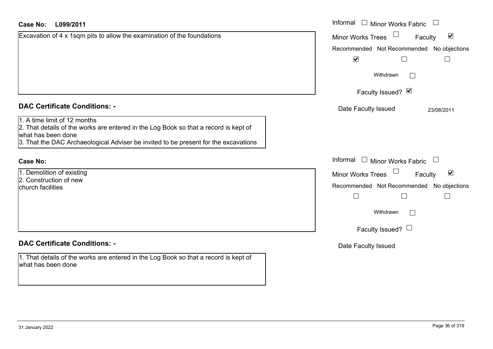| L099/2011<br>Case No:                                                                                                                                                                                                             | Informal $\Box$ Minor Works Fabric $\Box$                      |  |
|-----------------------------------------------------------------------------------------------------------------------------------------------------------------------------------------------------------------------------------|----------------------------------------------------------------|--|
| Excavation of 4 x 1sqm pits to allow the examination of the foundations                                                                                                                                                           | $\blacktriangledown$<br>Minor Works Trees<br>Faculty           |  |
|                                                                                                                                                                                                                                   | Recommended Not Recommended No objections                      |  |
|                                                                                                                                                                                                                                   | $\blacktriangledown$<br>$\mathcal{L}_{\mathcal{A}}$<br>$\perp$ |  |
|                                                                                                                                                                                                                                   | Withdrawn<br>$\mathbb{R}^n$                                    |  |
|                                                                                                                                                                                                                                   | Faculty Issued? Ø                                              |  |
| <b>DAC Certificate Conditions: -</b>                                                                                                                                                                                              | Date Faculty Issued<br>23/08/2011                              |  |
| 1. A time limit of 12 months<br>2. That details of the works are entered in the Log Book so that a record is kept of<br>what has been done<br>3. That the DAC Archaeological Adviser be invited to be present for the excavations |                                                                |  |
| <b>Case No:</b>                                                                                                                                                                                                                   | Informal $\Box$ Minor Works Fabric $\Box$                      |  |
| 1. Demolition of existing                                                                                                                                                                                                         | $\blacktriangledown$<br>Minor Works Trees<br>Faculty           |  |
| 2. Construction of new<br>church facilities                                                                                                                                                                                       | Recommended Not Recommended No objections                      |  |
|                                                                                                                                                                                                                                   | $\overline{\phantom{a}}$<br>$\Box$<br>$\Box$                   |  |
|                                                                                                                                                                                                                                   | Withdrawn                                                      |  |
|                                                                                                                                                                                                                                   | Faculty Issued? $\Box$                                         |  |
| <b>DAC Certificate Conditions: -</b>                                                                                                                                                                                              | Date Faculty Issued                                            |  |
| 1. That details of the works are entered in the Log Book so that a record is kept of<br>what has been done                                                                                                                        |                                                                |  |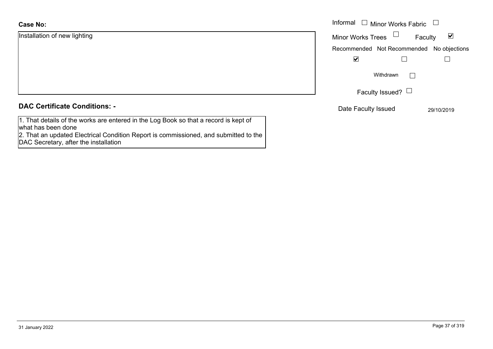#### **Case No:**

| <b>Case No:</b>              | Informal<br><b>Minor Works Fabric</b>                |
|------------------------------|------------------------------------------------------|
| Installation of new lighting | $\blacktriangledown$<br>Minor Works Trees<br>Faculty |
|                              | Recommended Not Recommended No objections            |
|                              | ⊻                                                    |
|                              | Withdrawn                                            |
|                              | Faculty Issued? $\Box$                               |

## **DAC Certificate Conditions: -**

1. That details of the works are entered in the Log Book so that a record is kept of what has been done

2. That an updated Electrical Condition Report is commissioned, and submitted to the DAC Secretary, after the installation

Date Faculty Issued 29/10/2019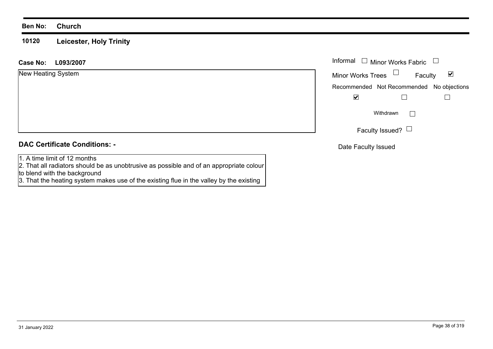#### **10120Leicester, Holy Trinity**

| <b>Case No:</b><br>L093/2007         | Informal $\Box$ Minor Works Fabric $\Box$                   |
|--------------------------------------|-------------------------------------------------------------|
| New Heating System                   | Minor Works Trees $\Box$<br>$\blacktriangledown$<br>Faculty |
|                                      | Recommended Not Recommended No objections                   |
|                                      | $\blacktriangledown$                                        |
|                                      | Withdrawn<br>$\mathbb{R}^n$                                 |
|                                      | Faculty Issued? $\Box$                                      |
| <b>DAC Certificate Conditions: -</b> | Date Faculty Issued                                         |

1. A time limit of 12 months

2. That all radiators should be as unobtrusive as possible and of an appropriate colour

to blend with the background

3. That the heating system makes use of the existing flue in the valley by the existing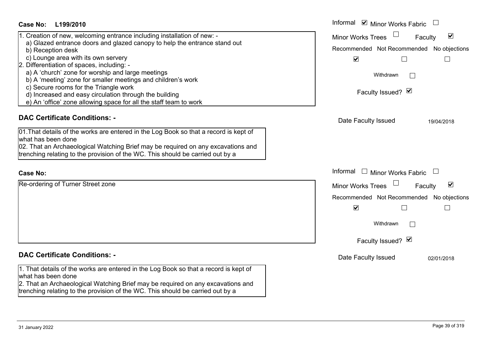| <b>Case No:</b><br>L199/2010                                                                                                                                                                                                                                                                                                                                                                                                                                                                                                                                | Informal ☑ Minor Works Fabric                                                                                                                                         |
|-------------------------------------------------------------------------------------------------------------------------------------------------------------------------------------------------------------------------------------------------------------------------------------------------------------------------------------------------------------------------------------------------------------------------------------------------------------------------------------------------------------------------------------------------------------|-----------------------------------------------------------------------------------------------------------------------------------------------------------------------|
| 1. Creation of new, welcoming entrance including installation of new: -<br>a) Glazed entrance doors and glazed canopy to help the entrance stand out<br>b) Reception desk<br>c) Lounge area with its own servery<br>2. Differentiation of spaces, including: -<br>a) A 'church' zone for worship and large meetings<br>b) A 'meeting' zone for smaller meetings and children's work<br>c) Secure rooms for the Triangle work<br>d) Increased and easy circulation through the building<br>e) An 'office' zone allowing space for all the staff team to work | Minor Works Trees<br>$\blacktriangledown$<br>Faculty<br>Recommended Not Recommended No objections<br>$\blacktriangledown$<br>Withdrawn<br>$\sim$<br>Faculty Issued? Ø |
| <b>DAC Certificate Conditions: -</b><br>01. That details of the works are entered in the Log Book so that a record is kept of<br>what has been done<br>02. That an Archaeological Watching Brief may be required on any excavations and<br>trenching relating to the provision of the WC. This should be carried out by a                                                                                                                                                                                                                                   | Date Faculty Issued<br>19/04/2018                                                                                                                                     |
| <b>Case No:</b>                                                                                                                                                                                                                                                                                                                                                                                                                                                                                                                                             | Informal □ Minor Works Fabric                                                                                                                                         |
| Re-ordering of Turner Street zone                                                                                                                                                                                                                                                                                                                                                                                                                                                                                                                           | ☑<br>Minor Works Trees<br>Faculty<br>Recommended Not Recommended No objections<br>$\blacktriangledown$<br>Withdrawn<br>Faculty Issued? Ø                              |
| <b>DAC Certificate Conditions: -</b>                                                                                                                                                                                                                                                                                                                                                                                                                                                                                                                        | Date Faculty Issued<br>02/01/2018                                                                                                                                     |
| 1. That details of the works are entered in the Log Book so that a record is kept of<br>what has been done<br>2. That an Archaeological Watching Brief may be required on any excavations and<br>trenching relating to the provision of the WC. This should be carried out by a                                                                                                                                                                                                                                                                             |                                                                                                                                                                       |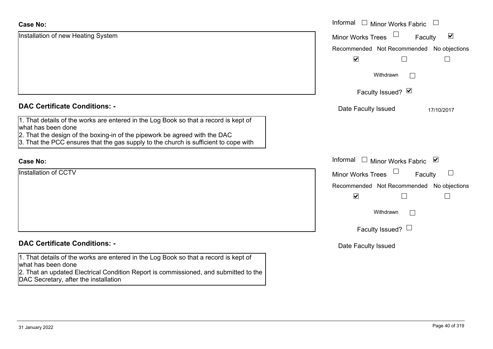| <b>Case No:</b>                                                                                                               | Informal<br>$\mathbb{Z}$<br>Minor Works Fabric              |
|-------------------------------------------------------------------------------------------------------------------------------|-------------------------------------------------------------|
| Installation of new Heating System                                                                                            | $\blacktriangledown$<br><b>Minor Works Trees</b><br>Faculty |
|                                                                                                                               | Recommended Not Recommended No objections                   |
|                                                                                                                               | $\blacktriangledown$<br>П                                   |
|                                                                                                                               | Withdrawn<br>$\Box$                                         |
|                                                                                                                               | Faculty Issued? Ø                                           |
| <b>DAC Certificate Conditions: -</b>                                                                                          | Date Faculty Issued<br>17/10/2017                           |
| 1. That details of the works are entered in the Log Book so that a record is kept of                                          |                                                             |
| what has been done<br>2. That the design of the boxing-in of the pipework be agreed with the DAC                              |                                                             |
| 3. That the PCC ensures that the gas supply to the church is sufficient to cope with                                          |                                                             |
|                                                                                                                               | Informal $\square$<br>⊻                                     |
| <b>Case No:</b>                                                                                                               | Minor Works Fabric                                          |
| Installation of CCTV                                                                                                          | <b>Minor Works Trees</b><br>Faculty                         |
|                                                                                                                               | Recommended Not Recommended No objections                   |
|                                                                                                                               | $\blacktriangledown$                                        |
|                                                                                                                               | Withdrawn<br>$\Box$                                         |
|                                                                                                                               | Faculty Issued? $\Box$                                      |
| <b>DAC Certificate Conditions: -</b>                                                                                          | Date Faculty Issued                                         |
| 1. That details of the works are entered in the Log Book so that a record is kept of                                          |                                                             |
| what has been done                                                                                                            |                                                             |
| 2. That an updated Electrical Condition Report is commissioned, and submitted to the<br>DAC Secretary, after the installation |                                                             |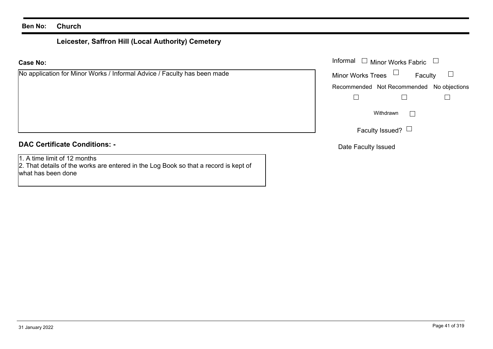# **Leicester, Saffron Hill (Local Authority) Cemetery**

#### **Case No:**Informal

| No application for Minor Works / Informal Advice / Faculty has been made | <b>Minor Works Trees</b><br>Faculty       |
|--------------------------------------------------------------------------|-------------------------------------------|
|                                                                          | Recommended Not Recommended No objections |
|                                                                          |                                           |
|                                                                          | Withdrawn                                 |
|                                                                          | Faculty Issued? $\Box$                    |
| <b>DAC Certificate Conditions: -</b>                                     | Data Faaulku laaugal                      |

1. A time limit of 12 months

2. That details of the works are entered in the Log Book so that a record is kept of what has been done

Date Faculty Issued culty Issued?  $\Box$ 

Informal  $\Box$  Minor Works Fabric  $\Box$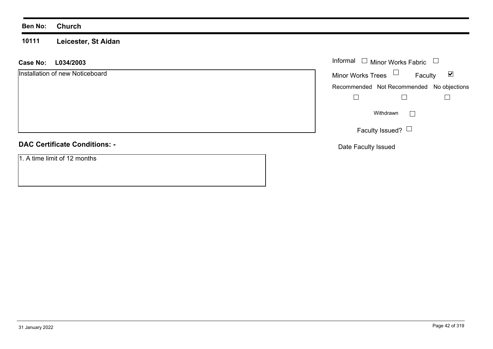#### **10111 Leicester, St Aidan**

## **L034/2003 Case No:** Informal

| Installation of new Noticeboard |  |
|---------------------------------|--|
|---------------------------------|--|

## **DAC Certificate Conditions: -**

1. A time limit of 12 months

| Informal<br>$\Box$ Minor Works Fabric |                                           |   |
|---------------------------------------|-------------------------------------------|---|
| <b>Minor Works Trees</b>              | Faculty                                   | V |
|                                       | Recommended Not Recommended No objections |   |
|                                       |                                           |   |
|                                       | Withdrawn                                 |   |
|                                       | Faculty Issued?                           |   |

Date Faculty Issued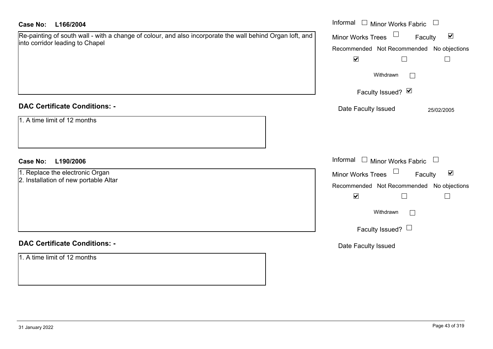| <b>Case No:</b><br>L166/2004                                                                                                                 | Informal $\Box$ Minor Works Fabric $\Box$                                                                                                                                         |
|----------------------------------------------------------------------------------------------------------------------------------------------|-----------------------------------------------------------------------------------------------------------------------------------------------------------------------------------|
| Re-painting of south wall - with a change of colour, and also incorporate the wall behind Organ loft, and<br>into corridor leading to Chapel | Minor Works Trees $\Box$<br>$\blacktriangledown$<br>Faculty<br>Recommended Not Recommended No objections<br>$\blacktriangledown$<br>$\Box$<br>$\Box$                              |
|                                                                                                                                              | Withdrawn<br>$\Box$<br>Faculty Issued? Ø                                                                                                                                          |
| <b>DAC Certificate Conditions: -</b>                                                                                                         | Date Faculty Issued<br>25/02/2005                                                                                                                                                 |
| 1. A time limit of 12 months                                                                                                                 |                                                                                                                                                                                   |
| <b>Case No:</b><br>L190/2006                                                                                                                 | Informal<br>$\Box$ Minor Works Fabric $\;\cup\;$                                                                                                                                  |
| 1. Replace the electronic Organ<br>2. Installation of new portable Altar                                                                     | Minor Works Trees $\Box$<br>$\blacktriangledown$<br>Faculty<br>Recommended Not Recommended No objections<br>$\blacktriangledown$<br>$\Box$<br>Withdrawn<br>Faculty Issued? $\Box$ |
| <b>DAC Certificate Conditions: -</b>                                                                                                         | Date Faculty Issued                                                                                                                                                               |
| 1. A time limit of 12 months                                                                                                                 |                                                                                                                                                                                   |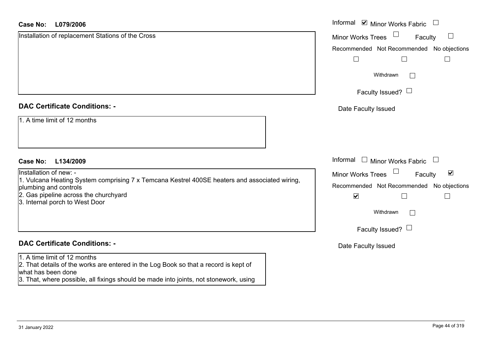| <b>Case No:</b><br>L079/2006                                                                                                                                                                                                        | Informal $\blacksquare$ Minor Works Fabric $\blacksquare$   |
|-------------------------------------------------------------------------------------------------------------------------------------------------------------------------------------------------------------------------------------|-------------------------------------------------------------|
| Installation of replacement Stations of the Cross                                                                                                                                                                                   | $\Box$<br><b>Minor Works Trees</b><br>Faculty               |
|                                                                                                                                                                                                                                     | Recommended Not Recommended No objections                   |
|                                                                                                                                                                                                                                     |                                                             |
|                                                                                                                                                                                                                                     | Withdrawn<br>$\vert \ \ \vert$                              |
|                                                                                                                                                                                                                                     | Faculty Issued? $\Box$                                      |
| <b>DAC Certificate Conditions: -</b>                                                                                                                                                                                                | Date Faculty Issued                                         |
| 1. A time limit of 12 months                                                                                                                                                                                                        |                                                             |
| L134/2009<br><b>Case No:</b>                                                                                                                                                                                                        | Informal<br>$\Box$ Minor Works Fabric $\Box$                |
| Installation of new: -                                                                                                                                                                                                              | $\blacktriangledown$<br>Faculty<br><b>Minor Works Trees</b> |
| 1. Vulcana Heating System comprising 7 x Temcana Kestrel 400SE heaters and associated wiring,<br>plumbing and controls                                                                                                              | Recommended Not Recommended No objections                   |
| 2. Gas pipeline across the churchyard<br>3. Internal porch to West Door                                                                                                                                                             | $\blacktriangledown$                                        |
|                                                                                                                                                                                                                                     | Withdrawn<br>$\Box$                                         |
|                                                                                                                                                                                                                                     | Faculty Issued? $\Box$                                      |
| <b>DAC Certificate Conditions: -</b>                                                                                                                                                                                                | Date Faculty Issued                                         |
| 1. A time limit of 12 months<br>2. That details of the works are entered in the Log Book so that a record is kept of<br>what has been done<br>3. That, where possible, all fixings should be made into joints, not stonework, using |                                                             |
|                                                                                                                                                                                                                                     |                                                             |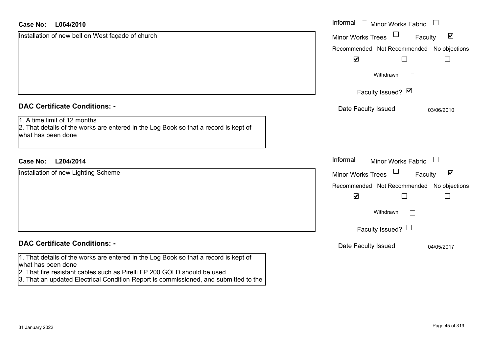| <b>Case No:</b><br>L064/2010                                                                                                                                                                                                                                                   | Informal □ Minor Works Fabric                                          |
|--------------------------------------------------------------------------------------------------------------------------------------------------------------------------------------------------------------------------------------------------------------------------------|------------------------------------------------------------------------|
| Installation of new bell on West façade of church                                                                                                                                                                                                                              | $\blacktriangledown$<br><b>Minor Works Trees</b><br>Faculty            |
|                                                                                                                                                                                                                                                                                | Recommended Not Recommended No objections                              |
|                                                                                                                                                                                                                                                                                | $\blacktriangledown$                                                   |
|                                                                                                                                                                                                                                                                                | Withdrawn<br>$\mathbf{I}$                                              |
|                                                                                                                                                                                                                                                                                | Faculty Issued? Ø                                                      |
| <b>DAC Certificate Conditions: -</b>                                                                                                                                                                                                                                           | Date Faculty Issued<br>03/06/2010                                      |
| 1. A time limit of 12 months<br>2. That details of the works are entered in the Log Book so that a record is kept of<br>what has been done                                                                                                                                     |                                                                        |
| <b>Case No:</b><br>L204/2014                                                                                                                                                                                                                                                   | Informal<br>$\Box$ Minor Works Fabric                                  |
| Installation of new Lighting Scheme                                                                                                                                                                                                                                            | $\Box$<br>$\blacktriangleright$<br><b>Minor Works Trees</b><br>Faculty |
|                                                                                                                                                                                                                                                                                | Recommended Not Recommended No objections                              |
|                                                                                                                                                                                                                                                                                | $\blacktriangledown$                                                   |
|                                                                                                                                                                                                                                                                                | Withdrawn                                                              |
|                                                                                                                                                                                                                                                                                | Faculty Issued? $\Box$                                                 |
| <b>DAC Certificate Conditions: -</b>                                                                                                                                                                                                                                           | Date Faculty Issued<br>04/05/2017                                      |
| 1. That details of the works are entered in the Log Book so that a record is kept of<br>what has been done<br>2. That fire resistant cables such as Pirelli FP 200 GOLD should be used<br>3. That an updated Electrical Condition Report is commissioned, and submitted to the |                                                                        |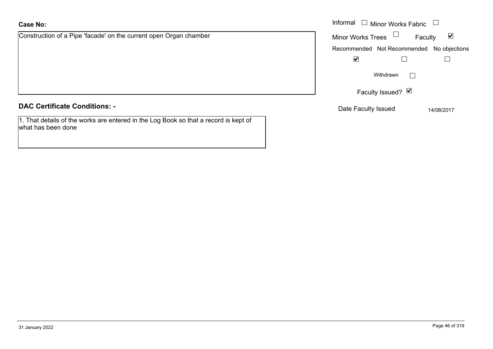## **Case No:**

Construction of a Pipe 'facade' on the current open Organ chamber

## **DAC Certificate Conditions: -**

1. That details of the works are entered in the Log Book so that a record is kept of what has been done

|                                                           | Informal $\Box$ Minor Works Fabric $\Box$                   |
|-----------------------------------------------------------|-------------------------------------------------------------|
| tion of a Pipe 'facade' on the current open Organ chamber | Minor Works Trees $\Box$<br>$\blacktriangledown$<br>Faculty |
|                                                           | Recommended Not Recommended No objections                   |
|                                                           | $\blacktriangledown$                                        |
|                                                           | Withdrawn                                                   |
|                                                           | Faculty Issued? Ø                                           |
| rtificate Conditions: -                                   | Date Faculty Issued<br>14/08/2017                           |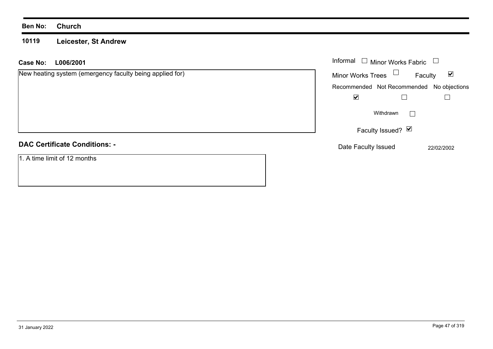#### **10119 Leicester, St Andrew**

| L006/2001<br>Case No:                                    | Informal<br>$\!$ Minor Works Fabric                         |
|----------------------------------------------------------|-------------------------------------------------------------|
| New heating system (emergency faculty being applied for) | Minor Works Trees $\Box$<br>$\blacktriangledown$<br>Faculty |
|                                                          | Recommended Not Recommended No objections                   |
|                                                          | $\blacktriangledown$                                        |
|                                                          | Withdrawn                                                   |
|                                                          | Faculty Issued? Ø                                           |
| <b>DAC Certificate Conditions: -</b>                     | Date Faculty Issued<br>22/02/2002                           |
| 1. A time limit of 12 months                             |                                                             |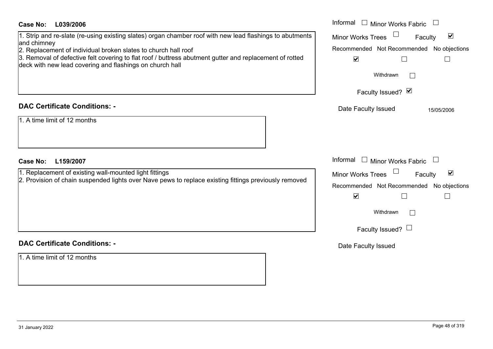| <b>Case No:</b><br>L039/2006                                                                                                                                                                                                                                                                                                                                     | Informal<br>$\Box$ Minor Works Fabric                                                                                                                                                  |
|------------------------------------------------------------------------------------------------------------------------------------------------------------------------------------------------------------------------------------------------------------------------------------------------------------------------------------------------------------------|----------------------------------------------------------------------------------------------------------------------------------------------------------------------------------------|
| 1. Strip and re-slate (re-using existing slates) organ chamber roof with new lead flashings to abutments<br>and chimney<br>2. Replacement of individual broken slates to church hall roof<br>3. Removal of defective felt covering to flat roof / buttress abutment gutter and replacement of rotted<br>deck with new lead covering and flashings on church hall | $\Box$<br>$\blacktriangledown$<br><b>Minor Works Trees</b><br>Faculty<br>Recommended Not Recommended No objections<br>$\blacktriangledown$<br>$\Box$<br>Withdrawn<br>Faculty Issued? Ø |
| <b>DAC Certificate Conditions: -</b>                                                                                                                                                                                                                                                                                                                             | Date Faculty Issued<br>15/05/2006                                                                                                                                                      |
| 1. A time limit of 12 months                                                                                                                                                                                                                                                                                                                                     |                                                                                                                                                                                        |
| <b>Case No:</b><br>L159/2007                                                                                                                                                                                                                                                                                                                                     | Informal<br>$\Box$ Minor Works Fabric<br>$\overline{\phantom{a}}$                                                                                                                      |
| 1. Replacement of existing wall-mounted light fittings<br>2. Provision of chain suspended lights over Nave pews to replace existing fittings previously removed                                                                                                                                                                                                  | $\Box$<br>$\blacktriangledown$<br><b>Minor Works Trees</b><br>Faculty<br>Recommended Not Recommended No objections<br>$\blacktriangledown$<br>$\Box$                                   |
|                                                                                                                                                                                                                                                                                                                                                                  | Withdrawn                                                                                                                                                                              |
|                                                                                                                                                                                                                                                                                                                                                                  | Faculty Issued? $\Box$                                                                                                                                                                 |
| <b>DAC Certificate Conditions: -</b>                                                                                                                                                                                                                                                                                                                             | Date Faculty Issued                                                                                                                                                                    |
| 1. A time limit of 12 months                                                                                                                                                                                                                                                                                                                                     |                                                                                                                                                                                        |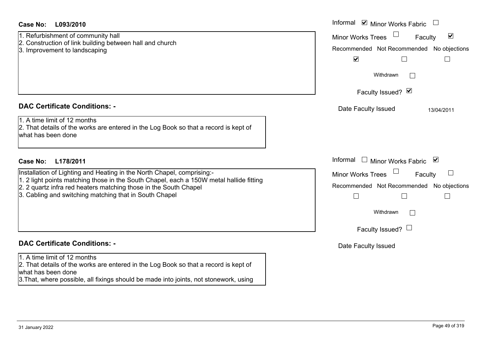| Case No:<br>L093/2010                                                                                                                                       | Informal ⊠ Minor Works Fabric                                                                                                                                      |
|-------------------------------------------------------------------------------------------------------------------------------------------------------------|--------------------------------------------------------------------------------------------------------------------------------------------------------------------|
| 1. Refurbishment of community hall<br>2. Construction of link building between hall and church<br>3. Improvement to landscaping                             | $\blacktriangledown$<br><b>Minor Works Trees</b><br>Faculty<br>Recommended Not Recommended No objections<br>$\blacktriangledown$<br>Withdrawn<br>Faculty Issued? Ø |
| <b>DAC Certificate Conditions: -</b>                                                                                                                        | Date Faculty Issued<br>13/04/2011                                                                                                                                  |
| 1. A time limit of 12 months<br>2. That details of the works are entered in the Log Book so that a record is kept of<br>what has been done                  |                                                                                                                                                                    |
| <b>Case No:</b><br>L178/2011                                                                                                                                | Informal<br>$\Box$ Minor Works Fabric<br>⊻                                                                                                                         |
| Installation of Lighting and Heating in the North Chapel, comprising:-                                                                                      | Minor Works Trees<br>Faculty                                                                                                                                       |
|                                                                                                                                                             |                                                                                                                                                                    |
| 1. 2 light points matching those in the South Chapel, each a 150W metal hallide fitting<br>2. 2 quartz infra red heaters matching those in the South Chapel | Recommended Not Recommended No objections                                                                                                                          |
| 3. Cabling and switching matching that in South Chapel                                                                                                      | $\Box$<br>$\Box$<br>$\Box$                                                                                                                                         |
|                                                                                                                                                             | Withdrawn<br>$\mathbb{R}^n$                                                                                                                                        |
|                                                                                                                                                             | Faculty Issued? $\Box$                                                                                                                                             |
| <b>DAC Certificate Conditions: -</b>                                                                                                                        | Date Faculty Issued                                                                                                                                                |
| 1. A time limit of 12 months                                                                                                                                |                                                                                                                                                                    |
| 2. That details of the works are entered in the Log Book so that a record is kept of<br>what has been done                                                  |                                                                                                                                                                    |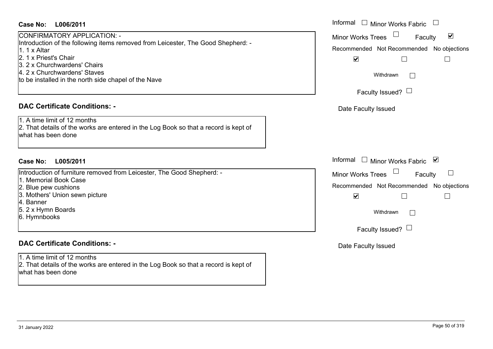## **L006/2011Case No:** Informal

CONFIRMATORY APPLICATION: -Introduction of the following items removed from Leicester, The Good Shepherd: -1. 1 x Altar2. 1 x Priest's Chair 3. 2 x Churchwardens' Chairs 4. 2 x Churchwardens' Stavesto be installed in the north side chapel of the Nave

## **DAC Certificate Conditions: -**

1. A time limit of 12 months2. That details of the works are entered in the Log Book so that a record is kept of what has been done

## **L005/2011Case No:** Informal

Introduction of furniture removed from Leicester, The Good Shepherd: -

- 1. Memorial Book Case
- 2. Blue pew cushions
- 3. Mothers' Union sewn picture
- 4. Banner
- 5. 2 x Hymn Boards
- 6. Hymnbooks

# **DAC Certificate Conditions: -**

1. A time limit of 12 months2. That details of the works are entered in the Log Book so that a record is kept of what has been done

| Informal<br><b>Minor Works Fabric</b>                                              |
|------------------------------------------------------------------------------------|
| $\blacktriangledown$<br><b>Minor Works Trees</b><br>Faculty                        |
| Recommended Not Recommended No objections                                          |
| V                                                                                  |
| Withdrawn                                                                          |
| Faculty Issued? $\Box$                                                             |
| Date Faculty Issued                                                                |
|                                                                                    |
|                                                                                    |
|                                                                                    |
| Informal<br>$\overline{\blacktriangledown}$<br>$\Box$<br><b>Minor Works Fabric</b> |
| <b>Minor Works Trees</b><br>Faculty                                                |
| Recommended Not Recommended No objections                                          |
| $\blacktriangledown$                                                               |
| Withdrawn                                                                          |
| Faculty Issued?                                                                    |
| Date Faculty Issued                                                                |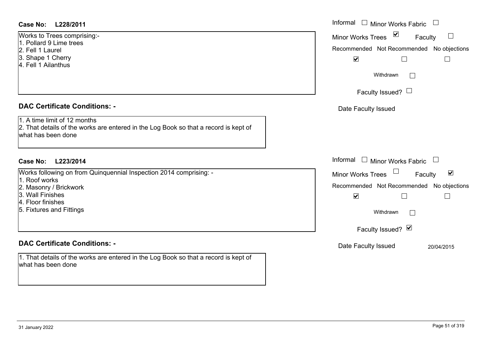## **L228/2011Case No:** Informal

Works to Trees comprising:- 1. Pollard 9 Lime trees2. Fell 1 Laurel3. Shape 1 Cherry

4. Fell 1 Ailanthus

## **DAC Certificate Conditions: -**

1. A time limit of 12 months

2. That details of the works are entered in the Log Book so that a record is kept of what has been done

## **L223/2014Case No:** Informal

Works following on from Quinquennial Inspection 2014 comprising: - 1. Roof works

- 
- 2. Masonry / Brickwork
- 3. Wall Finishes
- 4. Floor finishes
- 5. Fixtures and Fittings

# **DAC Certificate Conditions: -**

1. That details of the works are entered in the Log Book so that a record is kept of what has been done

| Informal<br>Minor Works Fabric            |
|-------------------------------------------|
| ⊻<br><b>Minor Works Trees</b><br>Faculty  |
| Recommended Not Recommended No objections |
| $\blacktriangledown$                      |
| Withdrawn                                 |
| Faculty Issued? $\Box$                    |
| Date Faculty Issued                       |
|                                           |
|                                           |
|                                           |
| Informal<br>Minor Works Fabric            |
| V<br><b>Minor Works Trees</b><br>Faculty  |
| Recommended Not Recommended No objections |
| $\blacktriangledown$                      |
| Withdrawn                                 |
| Faculty Issued? Ø                         |
| Date Faculty Issued<br>20/04/2015         |
|                                           |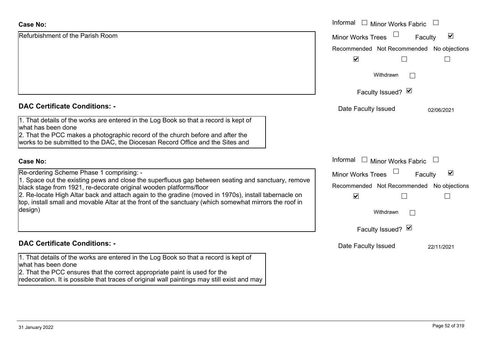| <b>Case No:</b>                                                                                                                                                                                                                                                                         | Informal<br><b>Minor Works Fabric</b>     |                                 |
|-----------------------------------------------------------------------------------------------------------------------------------------------------------------------------------------------------------------------------------------------------------------------------------------|-------------------------------------------|---------------------------------|
| Refurbishment of the Parish Room                                                                                                                                                                                                                                                        | <b>Minor Works Trees</b>                  | $\blacktriangledown$<br>Faculty |
|                                                                                                                                                                                                                                                                                         | Recommended Not Recommended No objections |                                 |
|                                                                                                                                                                                                                                                                                         | $\blacktriangledown$                      |                                 |
|                                                                                                                                                                                                                                                                                         | Withdrawn                                 |                                 |
|                                                                                                                                                                                                                                                                                         | Faculty Issued? Ø                         |                                 |
| <b>DAC Certificate Conditions: -</b>                                                                                                                                                                                                                                                    | Date Faculty Issued                       | 02/06/2021                      |
| 1. That details of the works are entered in the Log Book so that a record is kept of<br>what has been done<br>2. That the PCC makes a photographic record of the church before and after the<br>works to be submitted to the DAC, the Diocesan Record Office and the Sites and          |                                           |                                 |
| <b>Case No:</b>                                                                                                                                                                                                                                                                         | Informal<br>$\Box$ Minor Works Fabric     |                                 |
| Re-ordering Scheme Phase 1 comprising: -                                                                                                                                                                                                                                                | <b>Minor Works Trees</b>                  | $\blacktriangledown$<br>Faculty |
| 1. Space out the existing pews and close the superfluous gap between seating and sanctuary, remove<br>black stage from 1921, re-decorate original wooden platforms/floor                                                                                                                | Recommended Not Recommended No objections |                                 |
| 2. Re-locate High Altar back and attach again to the gradine (moved in 1970s), install tabernacle on<br>top, install small and movable Altar at the front of the sanctuary (which somewhat mirrors the roof in                                                                          | $\blacktriangledown$                      |                                 |
| design)                                                                                                                                                                                                                                                                                 | Withdrawn                                 |                                 |
|                                                                                                                                                                                                                                                                                         | Faculty Issued? Ø                         |                                 |
| <b>DAC Certificate Conditions: -</b>                                                                                                                                                                                                                                                    | Date Faculty Issued                       | 22/11/2021                      |
| 1. That details of the works are entered in the Log Book so that a record is kept of<br>what has been done<br>2. That the PCC ensures that the correct appropriate paint is used for the<br>redecoration. It is possible that traces of original wall paintings may still exist and may |                                           |                                 |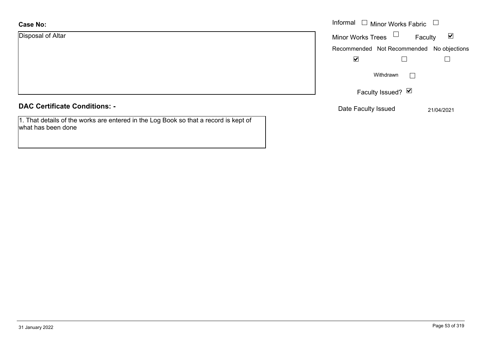## **Case No:**

| <b>Case No:</b>   | Informal<br>Minor \      |
|-------------------|--------------------------|
| Disposal of Altar | <b>Minor Works Trees</b> |
|                   | Recommended Not F        |
|                   | $\blacktriangledown$     |
|                   | Withdra                  |
|                   | <b>Faculty Issu</b>      |

## **DAC Certificate Conditions: -**

1. That details of the works are entered in the Log Book so that a record is kept of what has been done

|                          | Informal □ Minor Works Fabric             |   |
|--------------------------|-------------------------------------------|---|
| <b>Minor Works Trees</b> | Faculty                                   | V |
|                          | Recommended Not Recommended No objections |   |
|                          |                                           |   |
|                          | Withdrawn                                 |   |
|                          | Faculty Issued? Ø                         |   |

Date Faculty Issued 21/04/2021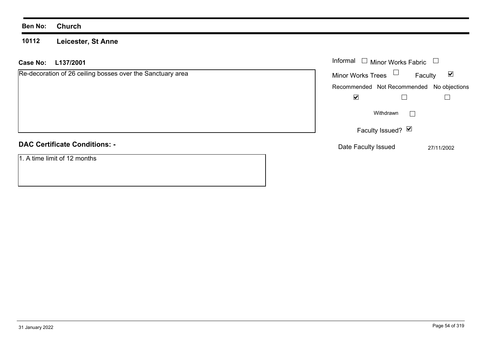**10112 Leicester, St Anne**

| L137/2001<br>Case No:                                      | Informal             | <b>Minor Works Fabric</b>   |                |
|------------------------------------------------------------|----------------------|-----------------------------|----------------|
| Re-decoration of 26 ceiling bosses over the Sanctuary area | Minor Works Trees    | $\Box$                      | ⊻<br>Faculty   |
|                                                            |                      | Recommended Not Recommended | No objections  |
|                                                            | $\blacktriangledown$ |                             |                |
|                                                            |                      | Withdrawn                   | $\blacksquare$ |
|                                                            |                      | Faculty Issued? Ø           |                |
| <b>DAC Certificate Conditions: -</b>                       |                      | Date Faculty Issued         | 27/11/2002     |
| 1. A time limit of 12 months                               |                      |                             |                |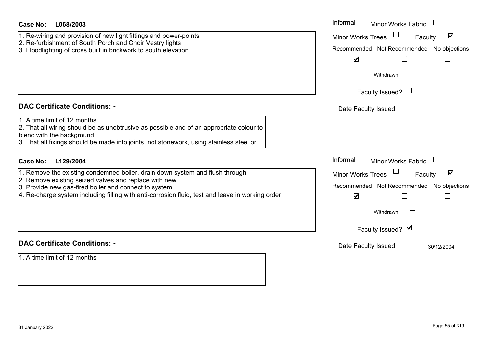| <b>Case No:</b><br>L068/2003                                                                                                                                                                                                                    | Informal<br>$\Box$ Minor Works Fabric                                                                                            |
|-------------------------------------------------------------------------------------------------------------------------------------------------------------------------------------------------------------------------------------------------|----------------------------------------------------------------------------------------------------------------------------------|
| 1. Re-wiring and provision of new light fittings and power-points<br>2. Re-furbishment of South Porch and Choir Vestry lights<br>3. Floodlighting of cross built in brickwork to south elevation                                                | $\blacktriangledown$<br><b>Minor Works Trees</b><br>Faculty<br>Recommended Not Recommended No objections<br>$\blacktriangledown$ |
|                                                                                                                                                                                                                                                 | Withdrawn<br>Faculty Issued? $\Box$                                                                                              |
|                                                                                                                                                                                                                                                 |                                                                                                                                  |
| <b>DAC Certificate Conditions: -</b>                                                                                                                                                                                                            | Date Faculty Issued                                                                                                              |
| 1. A time limit of 12 months<br>2. That all wiring should be as unobtrusive as possible and of an appropriate colour to<br>blend with the background<br>3. That all fixings should be made into joints, not stonework, using stainless steel or |                                                                                                                                  |
| <b>Case No:</b><br>L129/2004                                                                                                                                                                                                                    | Informal<br>$\Box$ Minor Works Fabric                                                                                            |
| 1. Remove the existing condemned boiler, drain down system and flush through<br>2. Remove existing seized valves and replace with new                                                                                                           | $\blacktriangledown$<br><b>Minor Works Trees</b><br>Faculty                                                                      |
| 3. Provide new gas-fired boiler and connect to system                                                                                                                                                                                           | Recommended Not Recommended No objections                                                                                        |
| 4. Re-charge system including filling with anti-corrosion fluid, test and leave in working order                                                                                                                                                | $\blacktriangledown$                                                                                                             |
|                                                                                                                                                                                                                                                 | Withdrawn                                                                                                                        |
|                                                                                                                                                                                                                                                 | Faculty Issued? Ø                                                                                                                |
| <b>DAC Certificate Conditions: -</b>                                                                                                                                                                                                            | Date Faculty Issued<br>30/12/2004                                                                                                |
| 1. A time limit of 12 months                                                                                                                                                                                                                    |                                                                                                                                  |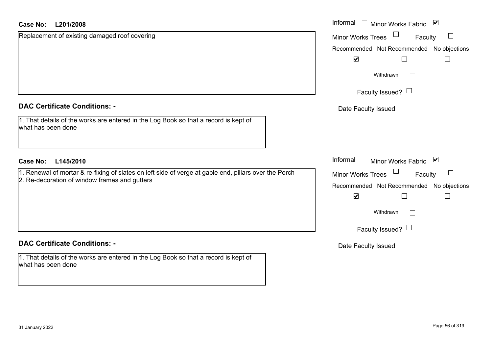| <b>Case No:</b><br>L201/2008                                                                               | Informal<br>$\overline{\phantom{a}}$<br><b>Minor Works Fabric</b> |
|------------------------------------------------------------------------------------------------------------|-------------------------------------------------------------------|
| Replacement of existing damaged roof covering                                                              | <b>Minor Works Trees</b><br>Fac                                   |
|                                                                                                            | Recommended Not Recommended                                       |
|                                                                                                            | $\blacktriangledown$                                              |
|                                                                                                            | Withdrawn                                                         |
|                                                                                                            | Faculty Issued? $\Box$                                            |
| <b>DAC Certificate Conditions: -</b>                                                                       | Date Faculty Issued                                               |
| 1. That details of the works are entered in the Log Book so that a record is kept of<br>what has been done |                                                                   |
| <b>Case No:</b><br>L145/2010                                                                               | Informal<br>$\mathbf{I}$<br>Minor Works Fabric                    |
| 1. Renewal of mortar & re-fixing of slates on left side of verge at gable end, pillars over the Porch      | <b>Minor Works Trees</b><br>Fac                                   |
| 2. Re-decoration of window frames and gutters                                                              | Recommended Not Recommended                                       |
|                                                                                                            | $\blacktriangledown$                                              |
|                                                                                                            | Withdrawn                                                         |
|                                                                                                            | Faculty Issued? $\Box$                                            |
| <b>DAC Certificate Conditions: -</b>                                                                       | Date Faculty Issued                                               |
| 1. That details of the works are entered in the Log Book so that a record is kept of<br>what has been done |                                                                   |
|                                                                                                            |                                                                   |

|                          | Recommended Not Recommended No objections |   |
|--------------------------|-------------------------------------------|---|
| V                        |                                           |   |
|                          | Withdrawn                                 |   |
|                          | Faculty Issued? $\Box$                    |   |
| Date Faculty Issued      |                                           |   |
|                          |                                           |   |
| Informal                 | <b>Minor Works Fabric</b>                 | ⊻ |
| <b>Minor Works Trees</b> | Faculty                                   |   |
|                          | Recommended Not Recommended No objections |   |
| V                        |                                           |   |
|                          | Withdrawn                                 |   |
|                          | Faculty Issued?                           |   |

Faculty  $\square$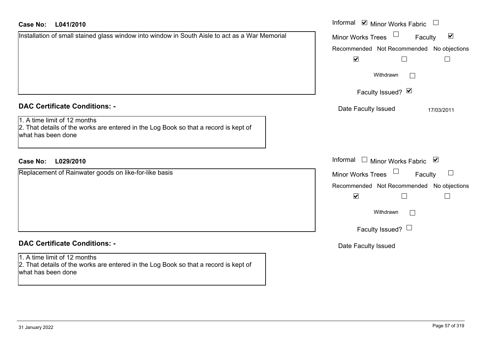| <b>Case No:</b><br>L041/2010                                                                                                               | Informal ⊠ Minor Works Fabric                               |
|--------------------------------------------------------------------------------------------------------------------------------------------|-------------------------------------------------------------|
| Installation of small stained glass window into window in South Aisle to act as a War Memorial                                             | $\blacktriangledown$<br><b>Minor Works Trees</b><br>Faculty |
|                                                                                                                                            | Recommended Not Recommended No objections                   |
|                                                                                                                                            | $\blacktriangledown$<br>$\Box$                              |
|                                                                                                                                            | Withdrawn                                                   |
|                                                                                                                                            | Faculty Issued? Ø                                           |
| <b>DAC Certificate Conditions: -</b>                                                                                                       | Date Faculty Issued<br>17/03/2011                           |
| 1. A time limit of 12 months<br>2. That details of the works are entered in the Log Book so that a record is kept of<br>what has been done |                                                             |
| <b>Case No:</b><br>L029/2010                                                                                                               | Informal $\Box$ Minor Works Fabric $\Box$                   |
| Replacement of Rainwater goods on like-for-like basis                                                                                      | <b>Minor Works Trees</b><br>Faculty                         |
|                                                                                                                                            | Recommended Not Recommended No objections                   |
|                                                                                                                                            | $\blacktriangledown$<br>$\Box$<br>$\Box$                    |
|                                                                                                                                            | Withdrawn                                                   |
|                                                                                                                                            | Faculty Issued? $\Box$                                      |
| <b>DAC Certificate Conditions: -</b>                                                                                                       | Date Faculty Issued                                         |
| 1. A time limit of 12 months<br>2. That details of the works are entered in the Log Book so that a record is kept of<br>what has been done |                                                             |
|                                                                                                                                            |                                                             |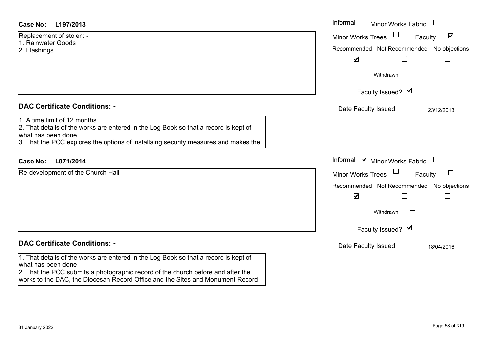Replacement of stolen: - 1. Rainwater Goods2. Flashings

## **DAC Certificate Conditions: -**

1. A time limit of 12 months

2. That details of the works are entered in the Log Book so that a record is kept of what has been done

3. That the PCC explores the options of installaing security measures and makes the

## **L071/2014Case No:** Informal

Re-development of the Church Hall

# **DAC Certificate Conditions: -**

1. That details of the works are entered in the Log Book so that a record is kept of what has been done

2. That the PCC submits a photographic record of the church before and after the works to the DAC, the Diocesan Record Office and the Sites and Monument Record

| L197/2013                                                                                                                                                                                                              | Informal<br>$\Box$<br><b>Minor Works Fabric</b>                                                                                                                                                                            |
|------------------------------------------------------------------------------------------------------------------------------------------------------------------------------------------------------------------------|----------------------------------------------------------------------------------------------------------------------------------------------------------------------------------------------------------------------------|
| nent of stolen: -<br>ater Goods<br>าgs                                                                                                                                                                                 | $\blacktriangledown$<br><b>Minor Works Trees</b><br>Faculty<br>Recommended Not Recommended No objections<br>$\blacktriangledown$<br>$\Box$<br>Withdrawn                                                                    |
| rtificate Conditions: -<br>limit of 12 months<br>etails of the works are entered in the Log Book so that a record is kept of<br>been done<br>e PCC explores the options of installaing security measures and makes the | Faculty Issued? Ø<br>Date Faculty Issued<br>23/12/2013                                                                                                                                                                     |
| L071/2014<br>opment of the Church Hall                                                                                                                                                                                 | Informal $\blacksquare$ Minor Works Fabric $\blacksquare$<br>Minor Works Trees<br>$\Box$<br>Faculty<br>Recommended Not Recommended No objections<br>$\blacktriangledown$<br>$\mathbf{L}$<br>Withdrawn<br>Faculty Issued? Ø |
| rtificate Conditions: -                                                                                                                                                                                                | Date Faculty Issued<br>18/04/2016                                                                                                                                                                                          |
| etails of the works are entered in the Log Book so that a record is kept of<br>been done                                                                                                                               |                                                                                                                                                                                                                            |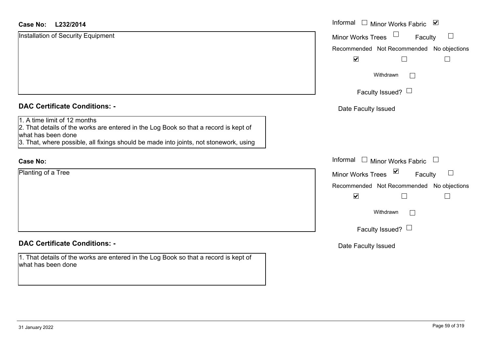## **L232/2014 Case No:** Informal

| Installation of Security Equipment                                                                                                                                                                                                  | <b>Minor Works Trees</b><br>Faculty                                      |
|-------------------------------------------------------------------------------------------------------------------------------------------------------------------------------------------------------------------------------------|--------------------------------------------------------------------------|
|                                                                                                                                                                                                                                     | Recommended Not Recommended No objections                                |
|                                                                                                                                                                                                                                     | $\blacktriangledown$                                                     |
|                                                                                                                                                                                                                                     | Withdrawn                                                                |
|                                                                                                                                                                                                                                     | Faculty Issued? $\Box$                                                   |
| <b>DAC Certificate Conditions: -</b>                                                                                                                                                                                                | Date Faculty Issued                                                      |
| 1. A time limit of 12 months<br>2. That details of the works are entered in the Log Book so that a record is kept of<br>what has been done<br>3. That, where possible, all fixings should be made into joints, not stonework, using |                                                                          |
| <b>Case No:</b>                                                                                                                                                                                                                     | Informal<br>Minor Works Fabric $\Box$                                    |
| Planting of a Tree                                                                                                                                                                                                                  | $\overline{\mathbf{v}}$<br>$\Box$<br><b>Minor Works Trees</b><br>Faculty |
|                                                                                                                                                                                                                                     | Recommended Not Recommended No objections                                |
|                                                                                                                                                                                                                                     | $\blacktriangledown$                                                     |
|                                                                                                                                                                                                                                     | Withdrawn                                                                |
|                                                                                                                                                                                                                                     | Faculty Issued? $\Box$                                                   |
| <b>DAC Certificate Conditions: -</b>                                                                                                                                                                                                | Date Faculty Issued                                                      |
| 1. That details of the works are entered in the Log Book so that a record is kept of                                                                                                                                                |                                                                          |

Minor Works Fabric

what has been done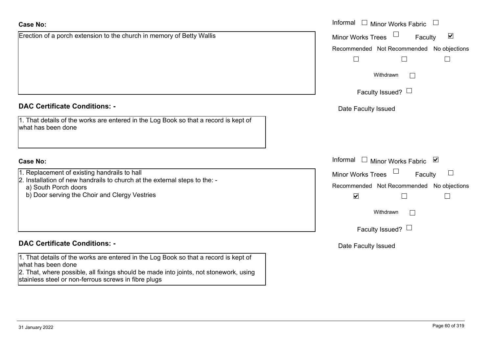## **Case No:**

**DAC Certificate Conditions: -**

1. That details of the works are entered in the Log Book so that a record is kept of what has been done

#### **Case No:**

- 1. Replacement of existing handrails to hall
- 2. Installation of new handrails to church at the external steps to the: -

Erection of a porch extension to the church in memory of Betty Wallis

- a) South Porch doors
- b) Door serving the Choir and Clergy Vestries

## **DAC Certificate Conditions: -**

1. That details of the works are entered in the Log Book so that a record is kept of what has been done

2. That, where possible, all fixings should be made into joints, not stonework, using stainless steel or non-ferrous screws in fibre plugs

|                                                                                          | Informal □ Minor Works Fabric                        |
|------------------------------------------------------------------------------------------|------------------------------------------------------|
| of a porch extension to the church in memory of Betty Wallis                             | $\blacktriangledown$<br>Minor Works Trees<br>Faculty |
|                                                                                          | Recommended Not Recommended No objections            |
|                                                                                          |                                                      |
|                                                                                          | Withdrawn                                            |
|                                                                                          | Faculty Issued? $\Box$                               |
| rtificate Conditions: -                                                                  | Date Faculty Issued                                  |
| etails of the works are entered in the Log Book so that a record is kept of<br>been done |                                                      |
|                                                                                          | Informal □ Minor Works Fabric ⊠                      |
| cement of existing handrails to hall                                                     | Minor Works Trees<br>Faculty<br>$\Box$               |
| ation of new handrails to church at the external steps to the: -<br>th Porch doors       | Recommended Not Recommended No objections            |
| or serving the Choir and Clergy Vestries                                                 | $\blacktriangledown$                                 |
|                                                                                          | Withdrawn                                            |
|                                                                                          | Faculty Issued? $\Box$                               |
|                                                                                          |                                                      |

Date Faculty Issued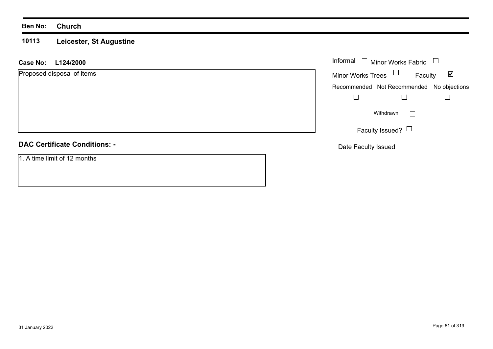#### **10113Leicester, St Augustine**

## **L124/2000 Case No:** Informal

Proposed disposal of items

## **DAC Certificate Conditions: -**

1. A time limit of 12 months

| Informal<br>□ Minor Works Fabric |                                           |  |  |
|----------------------------------|-------------------------------------------|--|--|
| <b>Minor Works Trees</b>         | Faculty                                   |  |  |
|                                  | Recommended Not Recommended No objections |  |  |
|                                  |                                           |  |  |
|                                  | Withdrawn                                 |  |  |
|                                  | Faculty Issued?                           |  |  |

Date Faculty Issued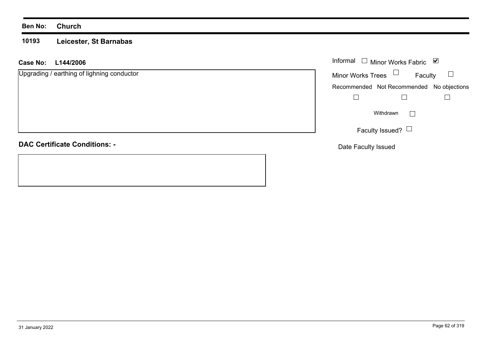#### **10193 Leicester, St Barnabas**

## **L144/2006 Case No:** Informal

| Upgrading / earthing of lighning conductor |  |
|--------------------------------------------|--|
|                                            |  |
|                                            |  |
|                                            |  |
|                                            |  |
|                                            |  |
|                                            |  |
|                                            |  |
|                                            |  |
|                                            |  |
|                                            |  |
|                                            |  |

| Informal<br>$\Box$ Minor Works Fabric<br>M |                                           |  |  |
|--------------------------------------------|-------------------------------------------|--|--|
| <b>Minor Works Trees</b>                   | Faculty                                   |  |  |
|                                            | Recommended Not Recommended No objections |  |  |
|                                            |                                           |  |  |
| Withdrawn                                  |                                           |  |  |
|                                            | Faculty Issued? $\Box$                    |  |  |

**DAC Certificate Conditions: -**

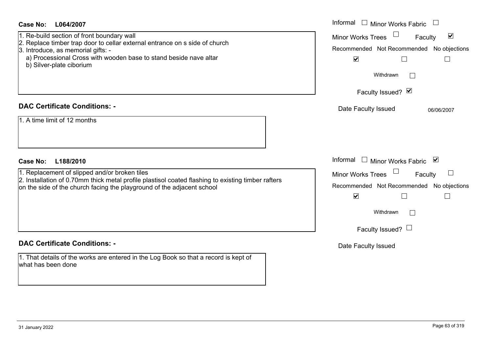| <b>Case No:</b><br>L064/2007<br>1. Re-build section of front boundary wall<br>2. Replace timber trap door to cellar external entrance on s side of church<br>3. Introduce, as memorial gifts: -<br>a) Processional Cross with wooden base to stand beside nave altar<br>b) Silver-plate ciborium | Informal<br>$\pm$<br>Minor Works Fabric<br>$\blacktriangledown$<br><b>Minor Works Trees</b><br>Faculty<br>Recommended Not Recommended No objections<br>$\blacktriangledown$<br>$\Box$<br>$\mathbb{L}$<br>Withdrawn<br>Faculty Issued? Ø |
|--------------------------------------------------------------------------------------------------------------------------------------------------------------------------------------------------------------------------------------------------------------------------------------------------|-----------------------------------------------------------------------------------------------------------------------------------------------------------------------------------------------------------------------------------------|
| <b>DAC Certificate Conditions: -</b><br>1. A time limit of 12 months                                                                                                                                                                                                                             | Date Faculty Issued<br>06/06/2007                                                                                                                                                                                                       |
| L188/2010<br><b>Case No:</b><br>1. Replacement of slipped and/or broken tiles<br>2. Installation of 0.70mm thick metal profile plastisol coated flashing to existing timber rafters<br>on the side of the church facing the playground of the adjacent school                                    | Informal $\Box$ Minor Works Fabric $\Box$<br>Minor Works Trees<br>ப<br>Faculty<br>Recommended Not Recommended No objections<br>$\blacktriangledown$<br>Withdrawn<br>Faculty Issued? $\Box$                                              |
| <b>DAC Certificate Conditions: -</b><br>1. That details of the works are entered in the Log Book so that a record is kept of<br>what has been done                                                                                                                                               | Date Faculty Issued                                                                                                                                                                                                                     |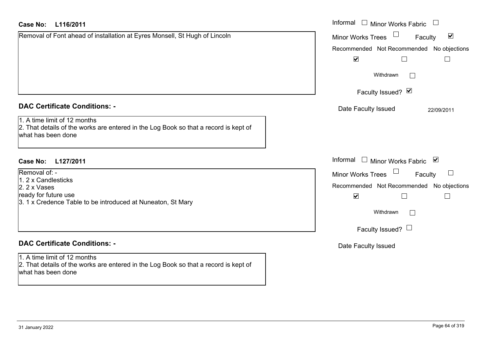| <b>Case No:</b><br>L116/2011                                                                                                               | Informal<br>$\Box$ Minor Works Fabric                       |
|--------------------------------------------------------------------------------------------------------------------------------------------|-------------------------------------------------------------|
| Removal of Font ahead of installation at Eyres Monsell, St Hugh of Lincoln                                                                 | $\blacktriangledown$<br><b>Minor Works Trees</b><br>Faculty |
|                                                                                                                                            | Recommended Not Recommended No objections                   |
|                                                                                                                                            | $\blacktriangledown$<br>$\Box$                              |
|                                                                                                                                            | Withdrawn<br>$\mathbf{L}$                                   |
|                                                                                                                                            | Faculty Issued? Ø                                           |
| <b>DAC Certificate Conditions: -</b>                                                                                                       | Date Faculty Issued<br>22/09/2011                           |
| 1. A time limit of 12 months<br>2. That details of the works are entered in the Log Book so that a record is kept of<br>what has been done |                                                             |
| <b>Case No:</b><br>L127/2011                                                                                                               | Informal<br>$\Box$ Minor Works Fabric $\Box$                |
| Removal of: -                                                                                                                              | <b>Minor Works Trees</b><br>Faculty<br>$\sqcup$             |
| 1. 2 x Candlesticks<br>2. 2 x Vases                                                                                                        | Recommended Not Recommended No objections                   |
| ready for future use                                                                                                                       | $\blacktriangledown$<br>$\Box$                              |
| 3. 1 x Credence Table to be introduced at Nuneaton, St Mary                                                                                |                                                             |
|                                                                                                                                            | Withdrawn<br>$\vert \ \ \vert$                              |
|                                                                                                                                            | Faculty Issued? $\Box$                                      |
| <b>DAC Certificate Conditions: -</b>                                                                                                       | Date Faculty Issued                                         |
| 1. A time limit of 12 months                                                                                                               |                                                             |
| 2. That details of the works are entered in the Log Book so that a record is kept of<br>what has been done                                 |                                                             |
|                                                                                                                                            |                                                             |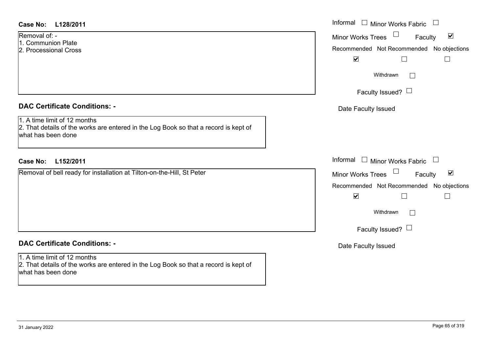| Case No: L128/2011                                                                                                                         | Informal $\Box$ Minor Works Fabric $\Box$                                                                                                  |
|--------------------------------------------------------------------------------------------------------------------------------------------|--------------------------------------------------------------------------------------------------------------------------------------------|
| Removal of: -<br>1. Communion Plate<br>2. Processional Cross                                                                               | $\blacktriangledown$<br><b>Minor Works Trees</b><br>Faculty<br>Recommended Not Recommended No objections<br>$\blacktriangledown$<br>$\Box$ |
|                                                                                                                                            | Withdrawn                                                                                                                                  |
|                                                                                                                                            | Faculty Issued? $\Box$                                                                                                                     |
| <b>DAC Certificate Conditions: -</b>                                                                                                       | Date Faculty Issued                                                                                                                        |
| 1. A time limit of 12 months<br>2. That details of the works are entered in the Log Book so that a record is kept of<br>what has been done |                                                                                                                                            |
| <b>Case No:</b><br>L152/2011                                                                                                               | Informal $\Box$ Minor Works Fabric $\Box$                                                                                                  |
| Removal of bell ready for installation at Tilton-on-the-Hill, St Peter                                                                     | Minor Works Trees<br>$\blacktriangledown$<br>Faculty                                                                                       |
|                                                                                                                                            |                                                                                                                                            |
|                                                                                                                                            | Recommended Not Recommended No objections                                                                                                  |
|                                                                                                                                            | $\blacktriangledown$<br>$\Box$                                                                                                             |
|                                                                                                                                            | Withdrawn                                                                                                                                  |
|                                                                                                                                            | Faculty Issued? $\Box$                                                                                                                     |
| <b>DAC Certificate Conditions: -</b>                                                                                                       | Date Faculty Issued                                                                                                                        |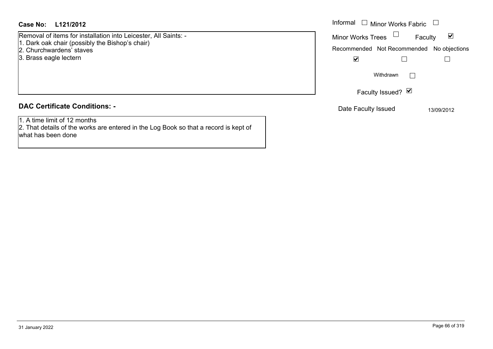Removal of items for installation into Leicester, All Saints: -

- 1. Dark oak chair (possibly the Bishop's chair)
- 2. Churchwardens' staves
- 3. Brass eagle lectern

## **DAC Certificate Conditions: -**

1. A time limit of 12 months

2. That details of the works are entered in the Log Book so that a record is kept of what has been done

| Informal<br>Minor Works Fabric            |              |  |
|-------------------------------------------|--------------|--|
| <b>Minor Works Trees</b>                  | M<br>Faculty |  |
| Recommended Not Recommended No objections |              |  |
|                                           |              |  |
| Withdrawn                                 |              |  |
| Faculty Issued? Ø                         |              |  |
| Date Faculty Issued                       | 13/09/2012   |  |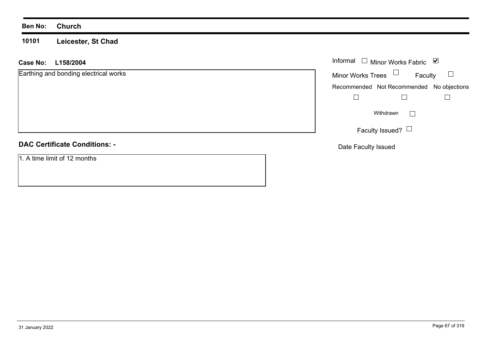**10101 Leicester, St Chad**

## **L158/2004 Case No:** Informal

| Earthing and bonding electrical works |  |  |
|---------------------------------------|--|--|
|                                       |  |  |

**DAC Certificate Conditions: -**

1. A time limit of 12 months

| Informal                 | $\Box$ Minor Works Fabric                 | M |
|--------------------------|-------------------------------------------|---|
| <b>Minor Works Trees</b> | Faculty                                   |   |
|                          | Recommended Not Recommended No objections |   |
|                          |                                           |   |
|                          | Withdrawn                                 |   |
|                          | Faculty Issued?                           |   |

Date Faculty Issued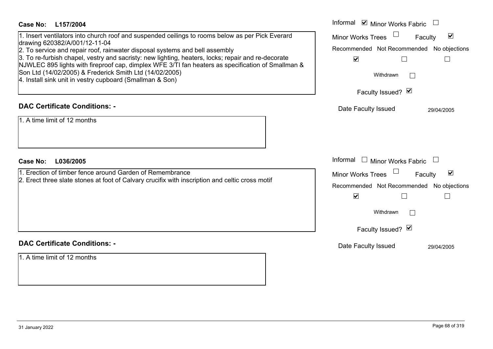| Case No: L157/2004                                                                                                                                           | Informal ⊠ Minor Works Fabric $\Box$                 |  |  |
|--------------------------------------------------------------------------------------------------------------------------------------------------------------|------------------------------------------------------|--|--|
| 1. Insert ventilators into church roof and suspended ceilings to rooms below as per Pick Everard                                                             | Minor Works Trees<br>$\blacktriangledown$<br>Faculty |  |  |
| drawing 620382/A/001/12-11-04<br>2. To service and repair roof, rainwater disposal systems and bell assembly                                                 | Recommended Not Recommended No objections            |  |  |
| 3. To re-furbish chapel, vestry and sacristy: new lighting, heaters, locks; repair and re-decorate                                                           | $\blacktriangledown$                                 |  |  |
| NJWLEC 895 lights with fireproof cap, dimplex WFE 3/TI fan heaters as specification of Smallman &<br>Son Ltd (14/02/2005) & Frederick Smith Ltd (14/02/2005) | Withdrawn<br>Faculty Issued? Ø                       |  |  |
| 4. Install sink unit in vestry cupboard (Smallman & Son)                                                                                                     |                                                      |  |  |
|                                                                                                                                                              |                                                      |  |  |
| <b>DAC Certificate Conditions: -</b>                                                                                                                         | Date Faculty Issued<br>29/04/2005                    |  |  |
| 1. A time limit of 12 months                                                                                                                                 |                                                      |  |  |
|                                                                                                                                                              |                                                      |  |  |
|                                                                                                                                                              |                                                      |  |  |
|                                                                                                                                                              |                                                      |  |  |
| L036/2005<br><b>Case No:</b>                                                                                                                                 | Informal $\Box$ Minor Works Fabric $\Box$            |  |  |
| 1. Erection of timber fence around Garden of Remembrance                                                                                                     | Minor Works Trees<br>$\blacktriangledown$<br>Faculty |  |  |
| 2. Erect three slate stones at foot of Calvary crucifix with inscription and celtic cross motif                                                              | Recommended Not Recommended No objections            |  |  |
|                                                                                                                                                              | $\blacktriangledown$                                 |  |  |
|                                                                                                                                                              | Withdrawn                                            |  |  |
|                                                                                                                                                              |                                                      |  |  |
|                                                                                                                                                              | Faculty Issued? Ø                                    |  |  |
| <b>DAC Certificate Conditions: -</b>                                                                                                                         | Date Faculty Issued                                  |  |  |
|                                                                                                                                                              | 29/04/2005                                           |  |  |
| 1. A time limit of 12 months                                                                                                                                 |                                                      |  |  |
|                                                                                                                                                              |                                                      |  |  |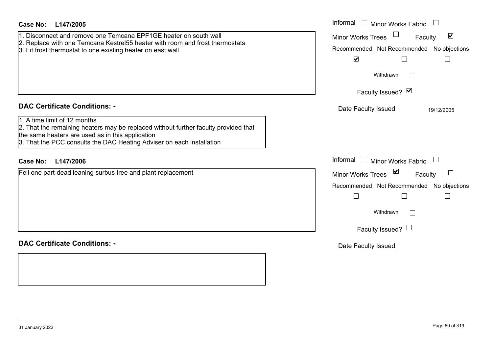| <b>Case No:</b><br>L147/2005                                                                                                                                            | Informal<br>$\Box$ Minor Works Fabric $\Box$                |
|-------------------------------------------------------------------------------------------------------------------------------------------------------------------------|-------------------------------------------------------------|
| 1. Disconnect and remove one Temcana EPF1GE heater on south wall                                                                                                        | <b>Minor Works Trees</b><br>$\blacktriangledown$<br>Faculty |
| 2. Replace with one Temcana Kestrel55 heater with room and frost thermostats<br>3. Fit frost thermostat to one existing heater on east wall                             | Recommended Not Recommended No objections                   |
|                                                                                                                                                                         | $\blacktriangledown$<br>$\mathsf{L}$<br>$\Box$              |
|                                                                                                                                                                         | Withdrawn                                                   |
|                                                                                                                                                                         | Faculty Issued? Ø                                           |
| <b>DAC Certificate Conditions: -</b>                                                                                                                                    | Date Faculty Issued<br>19/12/2005                           |
| 1. A time limit of 12 months<br>2. That the remaining heaters may be replaced without further faculty provided that<br>the same heaters are used as in this application |                                                             |
| 3. That the PCC consults the DAC Heating Adviser on each installation                                                                                                   |                                                             |
| L147/2006<br><b>Case No:</b>                                                                                                                                            | Informal<br>$\Box$ Minor Works Fabric                       |
| Fell one part-dead leaning surbus tree and plant replacement                                                                                                            | ⊻<br>Minor Works Trees<br>Faculty                           |
|                                                                                                                                                                         | Recommended Not Recommended No objections                   |
|                                                                                                                                                                         | $\Box$<br>$\vert \ \ \vert$                                 |
|                                                                                                                                                                         | Withdrawn<br>$\sim$                                         |
|                                                                                                                                                                         | Faculty Issued? $\Box$                                      |
| <b>DAC Certificate Conditions: -</b>                                                                                                                                    | Date Faculty Issued                                         |
|                                                                                                                                                                         |                                                             |
|                                                                                                                                                                         |                                                             |
|                                                                                                                                                                         |                                                             |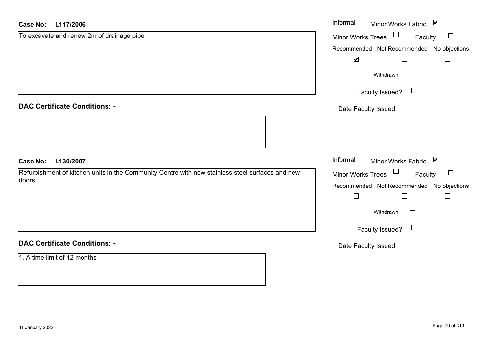#### **L117/2006Case No:**

| L117/2006<br><b>Case No:</b>                                                                              | Informal □ Minor Works Fabric ☑              |  |  |
|-----------------------------------------------------------------------------------------------------------|----------------------------------------------|--|--|
| To excavate and renew 2m of drainage pipe                                                                 | Minor Works Trees<br>$\Box$<br>Faculty       |  |  |
|                                                                                                           | Recommended Not Recommended No objections    |  |  |
|                                                                                                           | $\blacktriangledown$<br>$\Box$               |  |  |
|                                                                                                           | Withdrawn<br>$\mathbf{I}$<br>Faculty Issued? |  |  |
|                                                                                                           |                                              |  |  |
| <b>DAC Certificate Conditions: -</b>                                                                      | Date Faculty Issued                          |  |  |
|                                                                                                           |                                              |  |  |
| <b>Case No:</b><br>L130/2007                                                                              | Informal<br>$\Box$ Minor Works Fabric $\Box$ |  |  |
| Refurbishment of kitchen units in the Community Centre with new stainless steel surfaces and new<br>doors | Minor Works Trees<br>Faculty<br>$\sqcup$     |  |  |
|                                                                                                           | Recommended Not Recommended No objections    |  |  |
|                                                                                                           | $\Box$<br>$\mathbf{L}$                       |  |  |
|                                                                                                           | Withdrawn                                    |  |  |
|                                                                                                           | Faculty Issued? $\Box$                       |  |  |
| <b>DAC Certificate Conditions: -</b>                                                                      | Date Faculty Issued                          |  |  |
| 1. A time limit of 12 months                                                                              |                                              |  |  |
|                                                                                                           |                                              |  |  |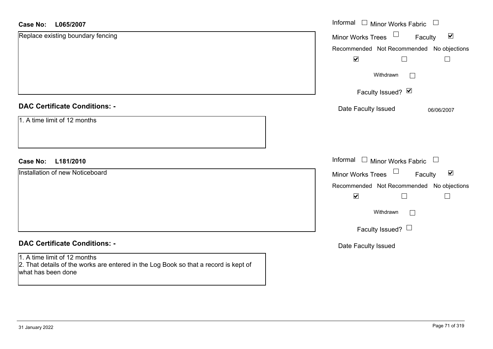| <b>Case No:</b><br>L065/2007                                                                                                               | Informal $\square$<br>Minor Works Fabric                    |
|--------------------------------------------------------------------------------------------------------------------------------------------|-------------------------------------------------------------|
| Replace existing boundary fencing                                                                                                          | $\blacktriangledown$<br><b>Minor Works Trees</b><br>Faculty |
|                                                                                                                                            | Recommended Not Recommended No objections                   |
|                                                                                                                                            | $\blacktriangledown$<br>Г                                   |
|                                                                                                                                            | Withdrawn                                                   |
|                                                                                                                                            | Faculty Issued? Ø                                           |
| <b>DAC Certificate Conditions: -</b>                                                                                                       | Date Faculty Issued<br>06/06/2007                           |
| 1. A time limit of 12 months                                                                                                               |                                                             |
| L181/2010<br><b>Case No:</b>                                                                                                               | Informal<br>$\Box$<br>Minor Works Fabric<br>$\Box$          |
| Installation of new Noticeboard                                                                                                            | $\blacktriangledown$<br>Minor Works Trees<br>Faculty        |
|                                                                                                                                            | Recommended Not Recommended No objections                   |
|                                                                                                                                            | $\blacktriangledown$<br>Г                                   |
|                                                                                                                                            | Withdrawn                                                   |
|                                                                                                                                            | Faculty Issued? $\Box$                                      |
| <b>DAC Certificate Conditions: -</b>                                                                                                       | Date Faculty Issued                                         |
| 1. A time limit of 12 months<br>2. That details of the works are entered in the Log Book so that a record is kept of<br>what has been done |                                                             |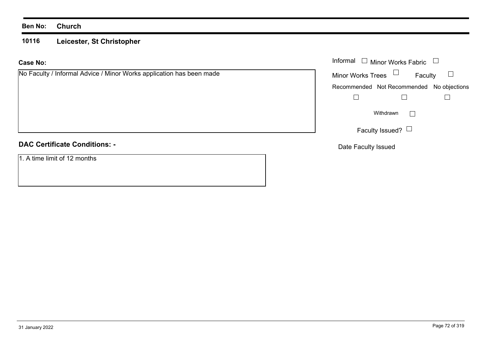#### **10116 Leicester, St Christopher**

#### **Case No:**Informal

| No Faculty / Informal Advice / Minor Works application has been made | <b>Minor Works Trees</b> |                                           | Faculty |  |
|----------------------------------------------------------------------|--------------------------|-------------------------------------------|---------|--|
|                                                                      |                          | Recommended Not Recommended No objections |         |  |
|                                                                      |                          |                                           |         |  |
|                                                                      | Withdrawn                |                                           |         |  |
|                                                                      |                          | Faculty Issued? $\Box$                    |         |  |
| <b>DAC Certificate Conditions: -</b>                                 | Date Faculty Issued      |                                           |         |  |

### 1. A time limit of 12 months

Minor Works Fabric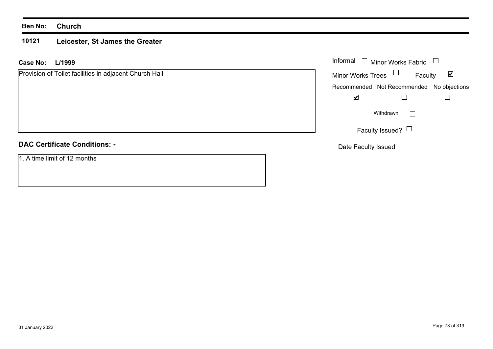#### **10121Leicester, St James the Greater**

#### **L/1999 Case No:** Informal

Provision of Toilet facilities in adjacent Church Hall

# **DAC Certificate Conditions: -**

1. A time limit of 12 months

| Informal $\Box$ Minor Works Fabric |                                           |   |  |
|------------------------------------|-------------------------------------------|---|--|
| <b>Minor Works Trees</b>           | Faculty                                   | M |  |
|                                    | Recommended Not Recommended No objections |   |  |
|                                    |                                           |   |  |
|                                    | Withdrawn                                 |   |  |
|                                    | Faculty Issued?                           |   |  |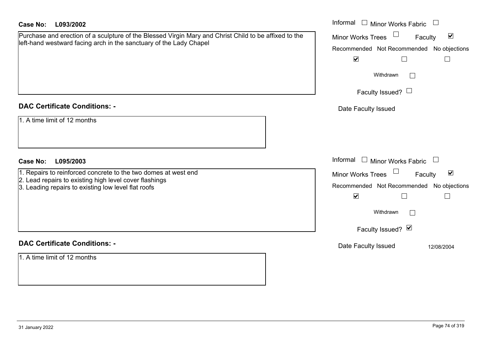| Case No:<br>L093/2002                                                                                                                                                           | Informal $\Box$ Minor Works Fabric                                                                                                                                                     |
|---------------------------------------------------------------------------------------------------------------------------------------------------------------------------------|----------------------------------------------------------------------------------------------------------------------------------------------------------------------------------------|
| Purchase and erection of a sculpture of the Blessed Virgin Mary and Christ Child to be affixed to the<br>left-hand westward facing arch in the sanctuary of the Lady Chapel     | Minor Works Trees<br>$\blacktriangledown$<br>Faculty<br>Recommended Not Recommended No objections<br>$\blacktriangledown$<br>$\Box$<br>$\Box$<br>Withdrawn<br>Faculty Issued? $\Box$   |
| <b>DAC Certificate Conditions: -</b>                                                                                                                                            | Date Faculty Issued                                                                                                                                                                    |
| 1. A time limit of 12 months                                                                                                                                                    |                                                                                                                                                                                        |
| <b>Case No:</b><br>L095/2003                                                                                                                                                    | Informal<br>$\Box$ Minor Works Fabric<br>$\Box$                                                                                                                                        |
| 1. Repairs to reinforced concrete to the two domes at west end<br>2. Lead repairs to existing high level cover flashings<br>3. Leading repairs to existing low level flat roofs | Minor Works Trees $\Box$<br>$\blacktriangledown$<br>Faculty<br>Recommended Not Recommended No objections<br>$\blacktriangledown$<br>$\Box$<br>$\Box$<br>Withdrawn<br>Faculty Issued? Ø |
| <b>DAC Certificate Conditions: -</b>                                                                                                                                            | Date Faculty Issued<br>12/08/2004                                                                                                                                                      |
| 1. A time limit of 12 months                                                                                                                                                    |                                                                                                                                                                                        |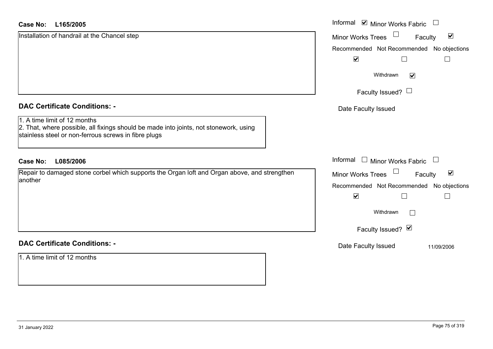| L165/2005<br><b>Case No:</b>                                                                                                                                                  | Informal ⊠ Minor Works Fabric<br>$\Box$                     |
|-------------------------------------------------------------------------------------------------------------------------------------------------------------------------------|-------------------------------------------------------------|
| Installation of handrail at the Chancel step                                                                                                                                  | $\blacktriangledown$<br><b>Minor Works Trees</b><br>Faculty |
|                                                                                                                                                                               | Recommended Not Recommended No objections                   |
|                                                                                                                                                                               | $\blacktriangledown$                                        |
|                                                                                                                                                                               | Withdrawn<br>$\blacktriangledown$                           |
|                                                                                                                                                                               | Faculty Issued? $\Box$                                      |
| <b>DAC Certificate Conditions: -</b>                                                                                                                                          | Date Faculty Issued                                         |
| 1. A time limit of 12 months<br>2. That, where possible, all fixings should be made into joints, not stonework, using<br>stainless steel or non-ferrous screws in fibre plugs |                                                             |
| L085/2006<br><b>Case No:</b>                                                                                                                                                  | Informal $\Box$ Minor Works Fabric<br>$\Box$                |
| Repair to damaged stone corbel which supports the Organ loft and Organ above, and strengthen                                                                                  | $\blacktriangledown$<br><b>Minor Works Trees</b><br>Faculty |
| another                                                                                                                                                                       | Recommended Not Recommended No objections                   |
|                                                                                                                                                                               | $\blacktriangledown$                                        |
|                                                                                                                                                                               | Withdrawn<br>$\mathbf{1}$                                   |
|                                                                                                                                                                               | Faculty Issued? Ø                                           |
| <b>DAC Certificate Conditions: -</b>                                                                                                                                          | Date Faculty Issued<br>11/09/2006                           |
| 1. A time limit of 12 months                                                                                                                                                  |                                                             |
|                                                                                                                                                                               |                                                             |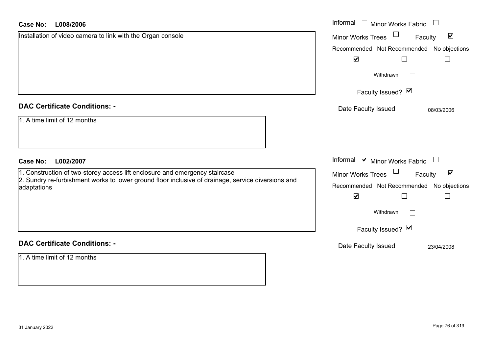| <b>Case No:</b><br>L008/2006                                                                                                                                                      | Informal □ Minor Works Fabric                               |
|-----------------------------------------------------------------------------------------------------------------------------------------------------------------------------------|-------------------------------------------------------------|
| Installation of video camera to link with the Organ console                                                                                                                       | $\blacktriangledown$<br><b>Minor Works Trees</b><br>Faculty |
|                                                                                                                                                                                   | Recommended Not Recommended No objections                   |
|                                                                                                                                                                                   | $\blacktriangledown$<br>$\Box$<br>$\Box$                    |
|                                                                                                                                                                                   | Withdrawn                                                   |
|                                                                                                                                                                                   | Faculty Issued? Ø                                           |
| <b>DAC Certificate Conditions: -</b>                                                                                                                                              | Date Faculty Issued<br>08/03/2006                           |
| 1. A time limit of 12 months                                                                                                                                                      |                                                             |
| <b>Case No:</b><br>L002/2007                                                                                                                                                      | Informal ⊠ Minor Works Fabric □                             |
| 1. Construction of two-storey access lift enclosure and emergency staircase<br>2. Sundry re-furbishment works to lower ground floor inclusive of drainage, service diversions and | Minor Works Trees<br>$\blacktriangledown$<br>Faculty        |
| adaptations                                                                                                                                                                       | Recommended Not Recommended No objections                   |
|                                                                                                                                                                                   | $\blacktriangledown$<br>$\Box$                              |
|                                                                                                                                                                                   | Withdrawn                                                   |
|                                                                                                                                                                                   | Faculty Issued? Ø                                           |
| <b>DAC Certificate Conditions: -</b>                                                                                                                                              | Date Faculty Issued<br>23/04/2008                           |
| 1. A time limit of 12 months                                                                                                                                                      |                                                             |
|                                                                                                                                                                                   |                                                             |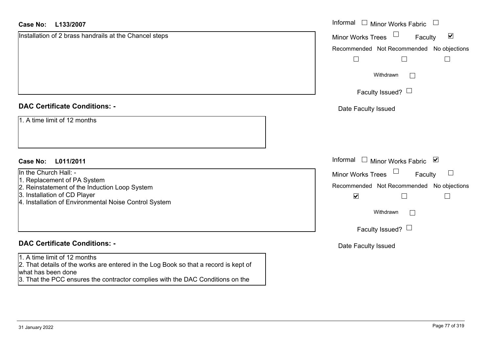| Case No:<br>L133/2007                                                                                                                      | Informal □ Minor Works Fabric                               |
|--------------------------------------------------------------------------------------------------------------------------------------------|-------------------------------------------------------------|
| Installation of 2 brass handrails at the Chancel steps                                                                                     | $\blacktriangledown$<br><b>Minor Works Trees</b><br>Faculty |
|                                                                                                                                            | Recommended Not Recommended No objections                   |
|                                                                                                                                            | $\Box$<br>$\Box$<br>$\Box$                                  |
|                                                                                                                                            | Withdrawn<br>$\Box$                                         |
|                                                                                                                                            | Faculty Issued? $\Box$                                      |
| <b>DAC Certificate Conditions: -</b>                                                                                                       | Date Faculty Issued                                         |
| 1. A time limit of 12 months                                                                                                               |                                                             |
| <b>Case No:</b><br>L011/2011                                                                                                               | Informal $\Box$<br>Minor Works Fabric ⊠                     |
| In the Church Hall: -                                                                                                                      | <b>Minor Works Trees</b><br>Faculty<br>$\Box$               |
| 1. Replacement of PA System                                                                                                                | Recommended Not Recommended No objections                   |
| 2. Reinstatement of the Induction Loop System<br>3. Installation of CD Player                                                              | $\blacktriangledown$<br>$\Box$                              |
| 4. Installation of Environmental Noise Control System                                                                                      |                                                             |
|                                                                                                                                            | Withdrawn<br>$\perp$                                        |
|                                                                                                                                            | Faculty Issued?                                             |
| <b>DAC Certificate Conditions: -</b>                                                                                                       | Date Faculty Issued                                         |
| 1. A time limit of 12 months<br>2. That details of the works are entered in the Log Book so that a record is kept of<br>what has been done |                                                             |
| 3. That the PCC ensures the contractor complies with the DAC Conditions on the                                                             |                                                             |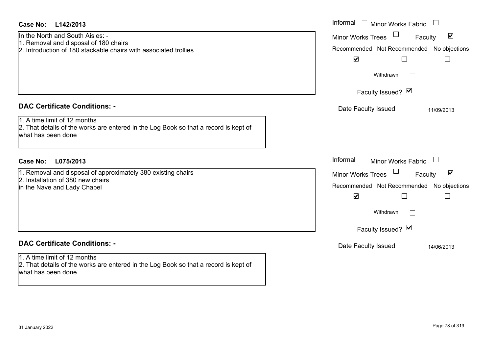| <b>Case No:</b><br>L142/2013                                                                                                               | Informal<br>$\Box$ Minor Works Fabric                                 |
|--------------------------------------------------------------------------------------------------------------------------------------------|-----------------------------------------------------------------------|
| In the North and South Aisles: -                                                                                                           | $\blacktriangledown$<br><b>Minor Works Trees</b><br>Faculty           |
| 1. Removal and disposal of 180 chairs<br>2. Introduction of 180 stackable chairs with associated trollies                                  | Recommended Not Recommended No objections                             |
|                                                                                                                                            | $\blacktriangledown$<br>$\Box$<br>$\Box$                              |
|                                                                                                                                            | Withdrawn                                                             |
|                                                                                                                                            | Faculty Issued? Ø                                                     |
| <b>DAC Certificate Conditions: -</b>                                                                                                       | Date Faculty Issued<br>11/09/2013                                     |
| 1. A time limit of 12 months<br>2. That details of the works are entered in the Log Book so that a record is kept of<br>what has been done |                                                                       |
| Case No:<br>L075/2013                                                                                                                      | Informal<br>$\Box$ Minor Works Fabric $\Box$                          |
| 1. Removal and disposal of approximately 380 existing chairs                                                                               | $\Box$<br>$\blacktriangledown$<br><b>Minor Works Trees</b><br>Faculty |
| 2. Installation of 380 new chairs<br>in the Nave and Lady Chapel                                                                           | Recommended Not Recommended No objections                             |
|                                                                                                                                            | $\blacktriangledown$<br>$\Box$<br>$\overline{\phantom{a}}$            |
|                                                                                                                                            | Withdrawn<br>$\Box$                                                   |
|                                                                                                                                            | Faculty Issued? Ø                                                     |
| <b>DAC Certificate Conditions: -</b>                                                                                                       | Date Faculty Issued<br>14/06/2013                                     |
| 1. A time limit of 12 months<br>2. That details of the works are entered in the Log Book so that a record is kept of<br>what has been done |                                                                       |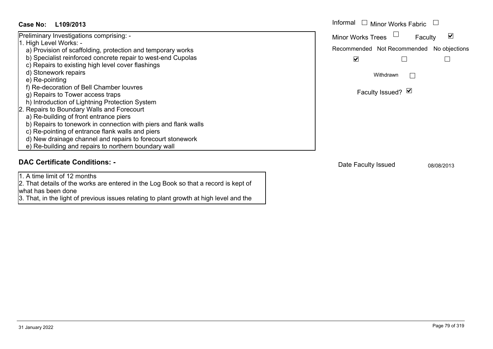#### Informal  $\Box$  Minor Works Fabric  $\Box$ **L109/2013Case No:** Informal Preliminary Investigations comprising: -  $\blacktriangledown$ Faculty Minor Works Trees 1. High Level Works: a) Provision of scaffolding, protection and temporary works Recommended Not Recommended No objections b) Specialist reinforced concrete repair to west-end Cupolas  $\overline{\mathbf{v}}$  $\Box$  $\Box$  c) Repairs to existing high level cover flashings d) Stonework repairs Withdrawn $\Box$  e) Re-pointing f) Re-decoration of Bell Chamber louvres Faculty Issued? Ø g) Repairs to Tower access traps h) Introduction of Lightning Protection System 2. Repairs to Boundary Walls and Forecourt a) Re-building of front entrance piers b) Repairs to tonework in connection with piers and flank walls c) Re-pointing of entrance flank walls and piers d) New drainage channel and repairs to forecourt stonework e) Re-building and repairs to northern boundary wall **DAC Certificate Conditions: -**

1. A time limit of 12 months

2. That details of the works are entered in the Log Book so that a record is kept of what has been done

3. That, in the light of previous issues relating to plant growth at high level and the

Date Faculty Issued 08/08/2013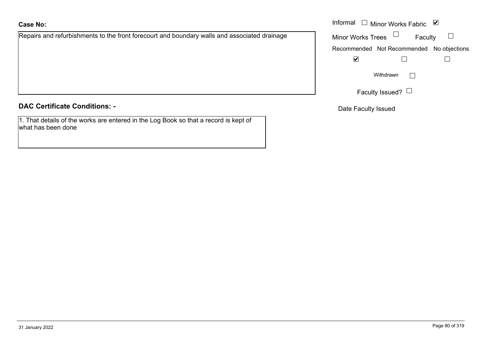| Repairs and refurbishments to the front forecourt and boundary walls and associated drainage |
|----------------------------------------------------------------------------------------------|
|----------------------------------------------------------------------------------------------|

| <b>DAC Certificate Conditions: -</b> |  |
|--------------------------------------|--|
|--------------------------------------|--|

1. That details of the works are entered in the Log Book so that a record is kept of what has been done

|                                                                                      | Informal $\Box$ Minor Works Fabric $\Box$ |
|--------------------------------------------------------------------------------------|-------------------------------------------|
| and refurbishments to the front forecourt and boundary walls and associated drainage | Minor Works Trees<br>Faculty              |
|                                                                                      | Recommended Not Recommended No objections |
|                                                                                      | ⊻                                         |
|                                                                                      | Withdrawn                                 |
|                                                                                      | Faculty Issued? $\Box$                    |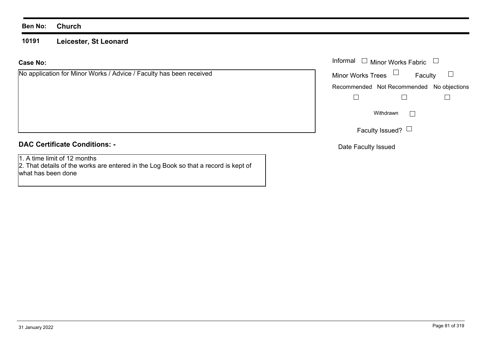**10191Leicester, St Leonard**

#### **Case No:**

| No application for Minor Works / Advice / Faculty has been received | M            |
|---------------------------------------------------------------------|--------------|
|                                                                     | $\mathsf{R}$ |
|                                                                     |              |
|                                                                     |              |
|                                                                     |              |
|                                                                     |              |
|                                                                     |              |

# **DAC Certificate Conditions: -**

1. A time limit of 12 months

 2. That details of the works are entered in the Log Book so that a record is kept of what has been done

|                                                             |                          | Informal $\Box$ Minor Works Fabric $\Box$ |  |
|-------------------------------------------------------------|--------------------------|-------------------------------------------|--|
| cation for Minor Works / Advice / Faculty has been received | Minor Works Trees $\Box$ | Faculty                                   |  |
|                                                             |                          | Recommended Not Recommended No objections |  |
|                                                             |                          |                                           |  |
|                                                             |                          | Withdrawn                                 |  |
|                                                             |                          | Faculty Issued? $\Box$                    |  |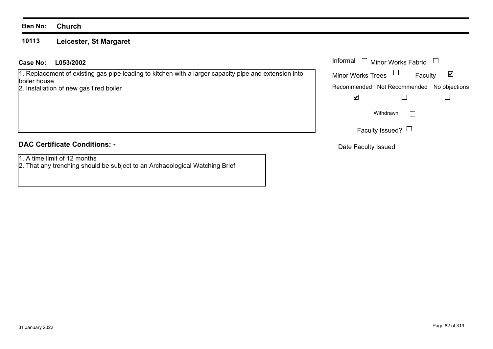#### **10113Leicester, St Margaret**

#### **L053/2002Case No:** Informal

1. Replacement of existing gas pipe leading to kitchen with a larger capacity pipe and extension into boiler house

2. Installation of new gas fired boiler

# **DAC Certificate Conditions: -**

- 1. A time limit of 12 months
- 2. That any trenching should be subject to an Archaeological Watching Brief

| Informal                 | Minor Works Fabric                        |              |
|--------------------------|-------------------------------------------|--------------|
| <b>Minor Works Trees</b> |                                           | M<br>Faculty |
|                          | Recommended Not Recommended No objections |              |
|                          |                                           |              |
| Withdrawn                |                                           |              |
|                          | Faculty Issued?                           |              |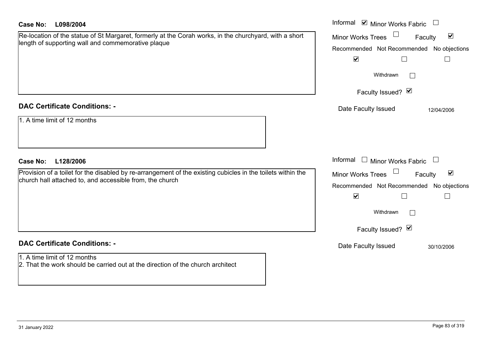| Case No:<br>L098/2004                                                                                                                                                   | Informal ⊠ Minor Works Fabric □                                                                                                                                                         |
|-------------------------------------------------------------------------------------------------------------------------------------------------------------------------|-----------------------------------------------------------------------------------------------------------------------------------------------------------------------------------------|
| Re-location of the statue of St Margaret, formerly at the Corah works, in the churchyard, with a short<br>length of supporting wall and commemorative plaque            | $\blacktriangledown$<br><b>Minor Works Trees</b><br>Faculty<br>Recommended Not Recommended No objections<br>$\blacktriangledown$<br>⊔<br>$\mathbf{L}$<br>Withdrawn<br>Faculty Issued? Ø |
| <b>DAC Certificate Conditions: -</b><br>1. A time limit of 12 months                                                                                                    | Date Faculty Issued<br>12/04/2006                                                                                                                                                       |
| <b>Case No:</b><br>L128/2006                                                                                                                                            | Informal $\Box$ Minor Works Fabric $\Box$                                                                                                                                               |
| Provision of a toilet for the disabled by re-arrangement of the existing cubicles in the toilets within the<br>church hall attached to, and accessible from, the church | $\Box$<br>$\blacktriangledown$<br>Minor Works Trees<br>Faculty<br>Recommended Not Recommended No objections<br>$\blacktriangledown$<br>П<br>Withdrawn<br>Faculty Issued? Ø              |
| <b>DAC Certificate Conditions: -</b>                                                                                                                                    | Date Faculty Issued<br>30/10/2006                                                                                                                                                       |
| 1. A time limit of 12 months<br>2. That the work should be carried out at the direction of the church architect                                                         |                                                                                                                                                                                         |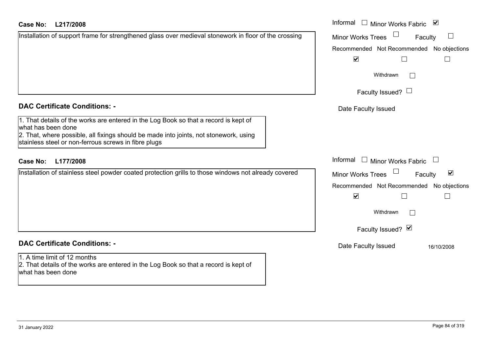### **L217/2008Case No:** Informal

| Installation of support frame for strengthened glass over medieval stonework in floor of the crossing |
|-------------------------------------------------------------------------------------------------------|
|                                                                                                       |
|                                                                                                       |
|                                                                                                       |
|                                                                                                       |
|                                                                                                       |
|                                                                                                       |

#### **DAC Certificate Conditions: -**

| 1. That details of the works are entered in the Log Book so that a record is kept of  |
|---------------------------------------------------------------------------------------|
| what has been done                                                                    |
| 2. That, where possible, all fixings should be made into joints, not stonework, using |

stainless steel or non-ferrous screws in fibre plugs

# **L177/2008Case No:** Informal

Installation of stainless steel powder coated protection grills to those windows not already covered

#### **DAC Certificate Conditions: -**

#### 1. A time limit of 12 months 2. That details of the works are entered in the Log Book so that a record is kept of what has been done

| Informal<br>$\blacktriangledown$<br><b>Minor Works Fabric</b>                                                                                                                       |
|-------------------------------------------------------------------------------------------------------------------------------------------------------------------------------------|
| <b>Minor Works Trees</b><br>Faculty<br>Recommended Not Recommended No objections                                                                                                    |
| ☑<br>Withdrawn<br>Faculty Issued? L<br>Date Faculty Issued                                                                                                                          |
| Informal<br>$\mathbf{I}$<br><b>Minor Works Fabric</b><br>☑<br><b>Minor Works Trees</b><br>Faculty<br>Recommended Not Recommended No objections<br>$\blacktriangledown$<br>Withdrawn |
| Faculty Issued? Ø<br>Date Faculty Issued<br>16/10/2008                                                                                                                              |
|                                                                                                                                                                                     |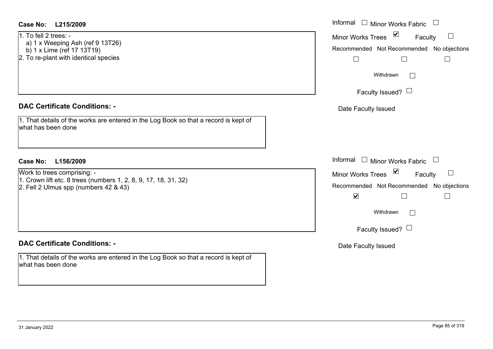- 1. To fell 2 trees: -
- a) 1 x Weeping Ash (ref 9 13T26)
- b) 1 x Lime (ref 17 13T19)
- $2.$  To re-plant with identical species

#### **DAC Certificate Conditions: -**

| 1. That details of the works are entered in the Log Book so that a record is kept of |  |
|--------------------------------------------------------------------------------------|--|
| what has been done                                                                   |  |

# **L156/2009Case No:** Informal

Work to trees comprising: - 1. Crown lift etc. 8 trees (numbers 1, 2, 8, 9, 17, 18, 31, 32) 2. Fell 2 Ulmus spp (numbers 42 & 43)

#### **DAC Certificate Conditions: -**

1. That details of the works are entered in the Log Book so that a record is kept of what has been done

| L215/2009                                                                                                   | Informal $\Box$ Minor Works Fabric $\Box$                                                                                                            |
|-------------------------------------------------------------------------------------------------------------|------------------------------------------------------------------------------------------------------------------------------------------------------|
| $2$ trees: -<br>Weeping Ash (ref 9 13T26)<br>Lime (ref 17 13T19)<br>blant with identical species            | Minor Works Trees ⊠<br>$\Box$<br>Faculty<br>Recommended Not Recommended No objections                                                                |
|                                                                                                             | Withdrawn<br>Faculty Issued? $\Box$                                                                                                                  |
| rtificate Conditions: -                                                                                     | Date Faculty Issued                                                                                                                                  |
| etails of the works are entered in the Log Book so that a record is kept of<br>been done                    |                                                                                                                                                      |
| L156/2009                                                                                                   | Informal $\Box$ Minor Works Fabric $\Box$                                                                                                            |
| rees comprising: -<br>lift etc. 8 trees (numbers 1, 2, 8, 9, 17, 18, 31, 32)<br>Ulmus spp (numbers 42 & 43) | Minor Works Trees ⊠<br>$\Box$<br>Faculty<br>Recommended Not Recommended No objections<br>$\blacktriangledown$<br>Withdrawn<br>Faculty Issued? $\Box$ |
| rtificate Conditions: -                                                                                     | Date Faculty Issued                                                                                                                                  |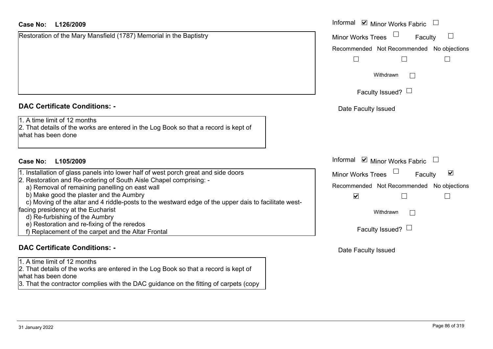Restoration of the Mary Mansfield (1787) Memorial in the Baptistry

### **DAC Certificate Conditions: -**

1. A time limit of 12 months

2. That details of the works are entered in the Log Book so that a record is kept of what has been done

# **L105/2009Case No:** Informal

1. Installation of glass panels into lower half of west porch great and side doors

- 2. Restoration and Re-ordering of South Aisle Chapel comprising: -
- a) Removal of remaining panelling on east wall
- b) Make good the plaster and the Aumbry
- c) Moving of the altar and 4 riddle-posts to the westward edge of the upper dais to facilitate west-
- facing presidency at the Eucharist
	- d) Re-furbishing of the Aumbry
	- e) Restoration and re-fixing of the reredos
	- f) Replacement of the carpet and the Altar Frontal

### **DAC Certificate Conditions: -**

1. A time limit of 12 months

2. That details of the works are entered in the Log Book so that a record is kept of what has been done

3. That the contractor complies with the DAC guidance on the fitting of carpets (copy

| Informal <b>☑</b> Minor Works Fabric            |
|-------------------------------------------------|
| <b>Minor Works Trees</b><br>Faculty             |
| Recommended Not Recommended No objections       |
|                                                 |
| Withdrawn                                       |
| Faculty Issued? L                               |
| Date Faculty Issued                             |
|                                                 |
|                                                 |
|                                                 |
| Informal<br>$\triangleright$ Minor Works Fabric |
| ☑<br><b>Minor Works Trees</b><br>Faculty        |
| Recommended Not Recommended No objections       |
| V                                               |
| Withdrawn                                       |
| Faculty Issued?                                 |
|                                                 |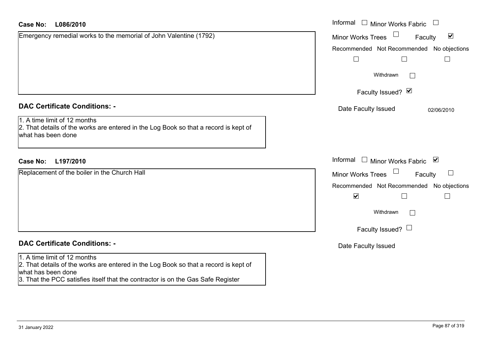| <b>Case No:</b><br>L086/2010                                                                                                                                                                                                   | Informal $\Box$ Minor Works Fabric $\Box$                   |
|--------------------------------------------------------------------------------------------------------------------------------------------------------------------------------------------------------------------------------|-------------------------------------------------------------|
| Emergency remedial works to the memorial of John Valentine (1792)                                                                                                                                                              | $\blacktriangledown$<br><b>Minor Works Trees</b><br>Faculty |
|                                                                                                                                                                                                                                | Recommended Not Recommended No objections                   |
|                                                                                                                                                                                                                                | $\Box$<br>П                                                 |
|                                                                                                                                                                                                                                | Withdrawn                                                   |
|                                                                                                                                                                                                                                | Faculty Issued? Ø                                           |
| <b>DAC Certificate Conditions: -</b>                                                                                                                                                                                           | Date Faculty Issued<br>02/06/2010                           |
| 1. A time limit of 12 months<br>2. That details of the works are entered in the Log Book so that a record is kept of<br>what has been done                                                                                     |                                                             |
| <b>Case No:</b><br>L197/2010                                                                                                                                                                                                   | Informal<br>$\Box$ Minor Works Fabric $\Box$                |
| Replacement of the boiler in the Church Hall                                                                                                                                                                                   | Minor Works Trees<br>Faculty                                |
|                                                                                                                                                                                                                                | Recommended Not Recommended No objections                   |
|                                                                                                                                                                                                                                | $\blacktriangledown$<br>$\mathsf{L}$<br>$\mathbf{L}$        |
|                                                                                                                                                                                                                                | Withdrawn                                                   |
|                                                                                                                                                                                                                                | Faculty Issued? $\Box$                                      |
| <b>DAC Certificate Conditions: -</b>                                                                                                                                                                                           | Date Faculty Issued                                         |
| 1. A time limit of 12 months<br>2. That details of the works are entered in the Log Book so that a record is kept of<br>what has been done<br>3. That the PCC satisfies itself that the contractor is on the Gas Safe Register |                                                             |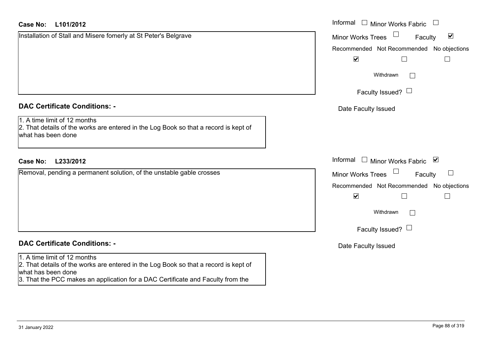| Case No: | L101/2012 |
|----------|-----------|
|----------|-----------|

Installation of Stall and Misere fomerly at St Peter's Belgrave

# **DAC Certificate Conditions: -**

1. A time limit of 12 months

2. That details of the works are entered in the Log Book so that a record is kept of what has been done

# **L233/2012Case No:** Informal

Removal, pending a permanent solution, of the unstable gable crosses

# **DAC Certificate Conditions: -**

#### 1. A time limit of 12 months

2. That details of the works are entered in the Log Book so that a record is kept of what has been done

3. That the PCC makes an application for a DAC Certificate and Faculty from the

| L101/2012                                                                                                                                 | Informal $\Box$ Minor Works Fabric $\Box$                                                                                                                  |
|-------------------------------------------------------------------------------------------------------------------------------------------|------------------------------------------------------------------------------------------------------------------------------------------------------------|
| on of Stall and Misere fomerly at St Peter's Belgrave                                                                                     | $\blacktriangledown$<br><b>Minor Works Trees</b><br>Faculty<br>Recommended Not Recommended No objections<br>$\blacktriangledown$                           |
|                                                                                                                                           | Withdrawn<br>$\Box$<br>Faculty Issued? $\Box$                                                                                                              |
| rtificate Conditions: -<br>limit of 12 months<br>etails of the works are entered in the Log Book so that a record is kept of<br>been done | Date Faculty Issued                                                                                                                                        |
| L233/2012                                                                                                                                 | Informal □ Minor Works Fabric ⊠                                                                                                                            |
| pending a permanent solution, of the unstable gable crosses                                                                               | Minor Works Trees<br>Faculty<br>Recommended Not Recommended No objections<br>$\blacktriangledown$<br>Withdrawn<br>$\mathbb{R}^n$<br>Faculty Issued? $\Box$ |
| rtificate Conditions: -                                                                                                                   | Date Faculty Issued                                                                                                                                        |
|                                                                                                                                           |                                                                                                                                                            |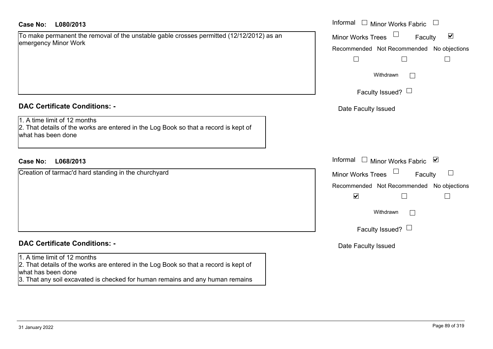#### **L080/2013Case No:** Informal

To make permanent the removal of the unstable gable crosses permitted (12/12/2012) as an emergency Minor Work

# **DAC Certificate Conditions: -**

# 1. A time limit of 12 months

2. That details of the works are entered in the Log Book so that a record is kept of what has been done

# **L068/2013Case No:** Informal

Creation of tarmac'd hard standing in the churchyard

# **DAC Certificate Conditions: -**

#### 1. A time limit of 12 months

2. That details of the works are entered in the Log Book so that a record is kept of what has been done

3. That any soil excavated is checked for human remains and any human remains

| Informal<br><b>Minor Works Fabric</b>                         |
|---------------------------------------------------------------|
| $\blacktriangledown$<br><b>Minor Works Trees</b><br>Faculty   |
| Recommended Not Recommended No objections                     |
| Withdrawn                                                     |
| Faculty Issued?                                               |
| Date Faculty Issued                                           |
|                                                               |
| Informal<br>$\blacktriangledown$<br><b>Minor Works Fabric</b> |
| <b>Minor Works Trees</b><br>Faculty                           |
| Recommended Not Recommended No objections                     |
| $\blacktriangledown$                                          |
| Withdrawn                                                     |
| Faculty Issued?                                               |
| Date Faculty Issued                                           |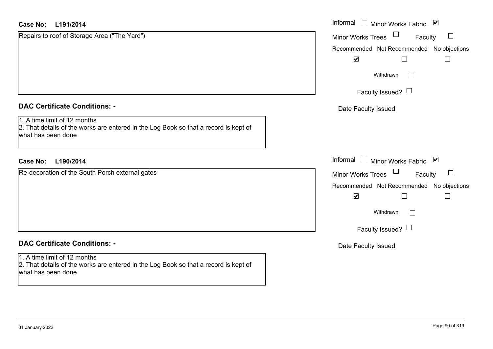| <b>Case No:</b><br>L191/2014                                                                                                               | Informal □ Minor Works Fabric<br>⊻            |
|--------------------------------------------------------------------------------------------------------------------------------------------|-----------------------------------------------|
| Repairs to roof of Storage Area ("The Yard")                                                                                               | $\Box$<br><b>Minor Works Trees</b><br>Faculty |
|                                                                                                                                            | Recommended Not Recommended No objections     |
|                                                                                                                                            | $\blacktriangledown$                          |
|                                                                                                                                            | Withdrawn<br>$\Box$                           |
|                                                                                                                                            | Faculty Issued? $\Box$                        |
| <b>DAC Certificate Conditions: -</b>                                                                                                       | Date Faculty Issued                           |
| 1. A time limit of 12 months<br>2. That details of the works are entered in the Log Book so that a record is kept of<br>what has been done |                                               |
| <b>Case No:</b><br>L190/2014                                                                                                               | Informal □ Minor Works Fabric ⊠               |
| Re-decoration of the South Porch external gates                                                                                            | $\Box$<br>Faculty<br><b>Minor Works Trees</b> |
|                                                                                                                                            | Recommended Not Recommended No objections     |
|                                                                                                                                            | $\blacktriangledown$                          |
|                                                                                                                                            | Withdrawn<br>$\Box$                           |
|                                                                                                                                            | Faculty Issued? $\Box$                        |
| <b>DAC Certificate Conditions: -</b>                                                                                                       | Date Faculty Issued                           |
| 1. A time limit of 12 months<br>2. That details of the works are entered in the Log Book so that a record is kept of<br>what has been done |                                               |
|                                                                                                                                            |                                               |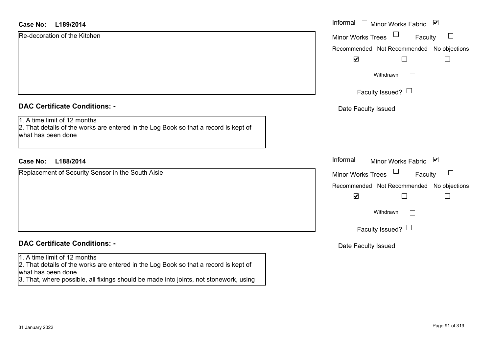| <b>Case No:</b><br>L189/2014                                                                                                               | Informal $\quad \Box$ Minor Works Fabric<br>⊻ |
|--------------------------------------------------------------------------------------------------------------------------------------------|-----------------------------------------------|
| Re-decoration of the Kitchen                                                                                                               | $\Box$<br><b>Minor Works Trees</b><br>Faculty |
|                                                                                                                                            | Recommended Not Recommended No objections     |
|                                                                                                                                            | $\blacktriangledown$                          |
|                                                                                                                                            | Withdrawn<br>$\Box$                           |
|                                                                                                                                            | Faculty Issued? $\Box$                        |
| <b>DAC Certificate Conditions: -</b>                                                                                                       | Date Faculty Issued                           |
| 1. A time limit of 12 months<br>2. That details of the works are entered in the Log Book so that a record is kept of<br>what has been done |                                               |
| <b>Case No:</b><br>L188/2014                                                                                                               | Informal □ Minor Works Fabric 凶               |
| Replacement of Security Sensor in the South Aisle                                                                                          | $\Box$<br><b>Minor Works Trees</b><br>Faculty |
|                                                                                                                                            | Recommended Not Recommended No objections     |
|                                                                                                                                            | $\blacktriangledown$<br>$\Box$<br>$\Box$      |
|                                                                                                                                            | Withdrawn<br>$\Box$                           |
|                                                                                                                                            | Faculty Issued? $\Box$                        |
| <b>DAC Certificate Conditions: -</b>                                                                                                       | Date Faculty Issued                           |
| 1. A time limit of 12 months<br>2. That details of the works are entered in the Log Book so that a record is kept of<br>what has been done |                                               |
| 3. That, where possible, all fixings should be made into joints, not stonework, using                                                      |                                               |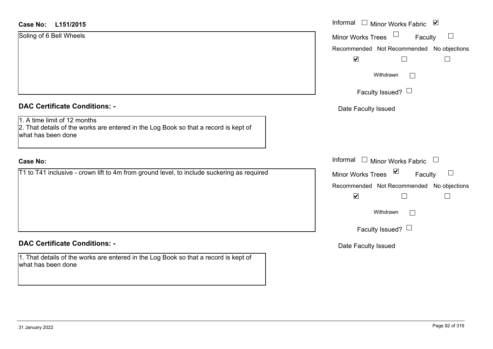|  |  | Soling of 6 Bell Wheels |  |
|--|--|-------------------------|--|
|  |  |                         |  |

#### **DAC Certificate Conditions: -**

### **Case No:**

### **DAC Certificate Conditions: -**

1. That details of the works are entered in the Log Book so that a record is kept of what has been done

| Case No:<br>L151/2015                                                                                                                                                              | Informal <u>I</u> Minor Works Fabric <b>⊻</b>                                                                                |
|------------------------------------------------------------------------------------------------------------------------------------------------------------------------------------|------------------------------------------------------------------------------------------------------------------------------|
| Soling of 6 Bell Wheels                                                                                                                                                            | $\Box$<br>$\Box$<br><b>Minor Works Trees</b><br>Faculty<br>Recommended Not Recommended No objections<br>$\blacktriangledown$ |
|                                                                                                                                                                                    | Withdrawn<br>$\mathbb{R}^n$<br>Faculty Issued? $\Box$                                                                        |
| <b>DAC Certificate Conditions: -</b><br>1. A time limit of 12 months<br>2. That details of the works are entered in the Log Book so that a record is kept of<br>what has been done | Date Faculty Issued                                                                                                          |
| <b>Case No:</b>                                                                                                                                                                    | Informal $\Box$ Minor Works Fabric $\Box$                                                                                    |
| T1 to T41 inclusive - crown lift to 4m from ground level, to include suckering as required                                                                                         | Minor Works Trees ⊠<br>Faculty<br>$\Box$<br>Recommended Not Recommended No objections<br>$\blacktriangledown$<br>П           |
|                                                                                                                                                                                    | Withdrawn<br>$\Box$<br>Faculty Issued? $\Box$                                                                                |
| <b>DAC Certificate Conditions: -</b>                                                                                                                                               | Date Faculty Issued                                                                                                          |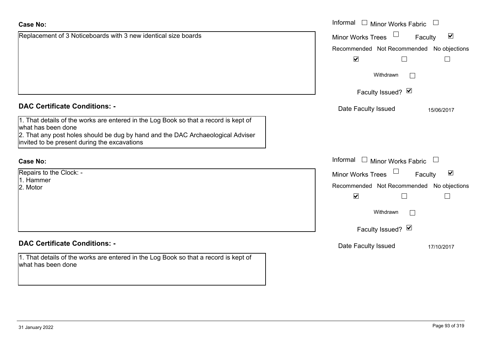|                                                                                                                                                                                                                                               | $\blacktriangledown$                                                                  |                                                  |
|-----------------------------------------------------------------------------------------------------------------------------------------------------------------------------------------------------------------------------------------------|---------------------------------------------------------------------------------------|--------------------------------------------------|
|                                                                                                                                                                                                                                               | Withdrawn                                                                             |                                                  |
|                                                                                                                                                                                                                                               | Faculty Issued? Ø                                                                     |                                                  |
| <b>DAC Certificate Conditions: -</b>                                                                                                                                                                                                          | Date Faculty Issued                                                                   | 15/06/2017                                       |
| 1. That details of the works are entered in the Log Book so that a record is kept of<br>what has been done<br>2. That any post holes should be dug by hand and the DAC Archaeological Adviser<br>invited to be present during the excavations |                                                                                       |                                                  |
| Case No:                                                                                                                                                                                                                                      | Informal<br>└                                                                         | Minor Works Fabric                               |
| Repairs to the Clock: -<br>1. Hammer<br>2. Motor                                                                                                                                                                                              | Minor Works Trees<br>Recommended Not Recommended<br>$\blacktriangledown$<br>Withdrawn | $\blacktriangledown$<br>Faculty<br>No objections |

Informal

### **DAC Certificate Conditions: -**

1. That details of the works are entered in the Log Book so that a record is kept of what has been done

Replacement of 3 Noticeboards with 3 new identical size boards

Faculty

 $\blacktriangledown$ 

Recommended Not Recommended No objections

Date Faculty Issued 17/10/2017

Faculty Issued? Ø

Informal  $\Box$  Minor Works Fabric  $\Box$ 

Minor Works Trees

# **Case No:**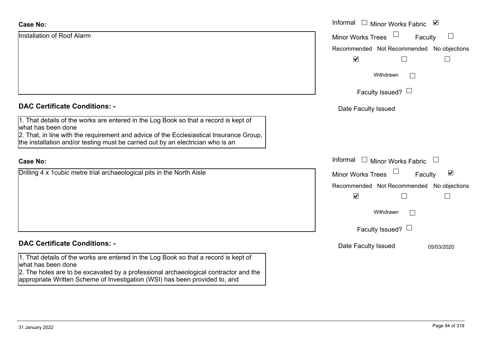| <b>Case No:</b>                                                                                                                                                            | Informal □ Minor Works Fabric ☑                             |
|----------------------------------------------------------------------------------------------------------------------------------------------------------------------------|-------------------------------------------------------------|
| Installation of Roof Alarm                                                                                                                                                 | ப<br><b>Minor Works Trees</b><br>Faculty                    |
|                                                                                                                                                                            | Recommended Not Recommended No objections                   |
|                                                                                                                                                                            | $\blacktriangledown$                                        |
|                                                                                                                                                                            | Withdrawn                                                   |
|                                                                                                                                                                            | Faculty Issued? $\Box$                                      |
| <b>DAC Certificate Conditions: -</b>                                                                                                                                       | Date Faculty Issued                                         |
| 1. That details of the works are entered in the Log Book so that a record is kept of<br>what has been done                                                                 |                                                             |
| 2. That, in line with the requirement and advice of the Ecclesiastical Insurance Group,<br>the installation and/or testing must be carried out by an electrician who is an |                                                             |
| <b>Case No:</b>                                                                                                                                                            | Informal<br>$\Box$ Minor Works Fabric                       |
| Drilling 4 x 1 cubic metre trial archaeological pits in the North Aisle                                                                                                    | $\blacktriangledown$<br>Faculty<br><b>Minor Works Trees</b> |
|                                                                                                                                                                            | Recommended Not Recommended No objections                   |
|                                                                                                                                                                            | $\blacktriangledown$                                        |
|                                                                                                                                                                            | Withdrawn                                                   |
|                                                                                                                                                                            | Faculty Issued? $\Box$                                      |
| <b>DAC Certificate Conditions: -</b>                                                                                                                                       | Date Faculty Issued<br>05/03/2020                           |
| 1. That details of the works are entered in the Log Book so that a record is kept of<br>what has been done                                                                 |                                                             |
| 2. The holes are to be excavated by a professional archaeological contractor and the<br>appropriate Written Scheme of Investigation (WSI) has been provided to, and        |                                                             |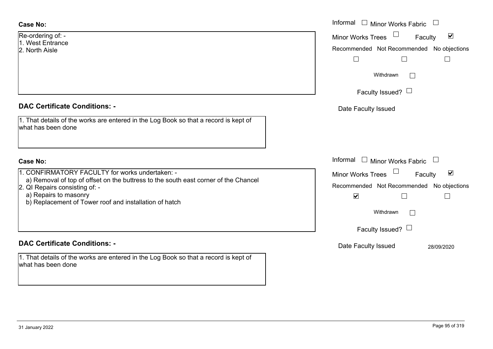#### **Case No:**

| Re-ordering of: - |
|-------------------|
| 1. West Entrance  |
| 2. North Aisle    |
|                   |

#### **DAC Certificate Conditions: -**

| 1. That details of the works are entered in the Log Book so that a record is kept of |
|--------------------------------------------------------------------------------------|
| what has been done                                                                   |

### **Case No:**

1. CONFIRMATORY FACULTY for works undertaken: -

a) Removal of top of offset on the buttress to the south east corner of the Chancel

2. QI Repairs consisting of: -

a) Repairs to masonry

b) Replacement of Tower roof and installation of hatch

### **DAC Certificate Conditions: -**

1. That details of the works are entered in the Log Book so that a record is kept of what has been done

|                                                                                                                                                                                                                                    | Informal<br>$\Box$<br>Minor Works Fabric                                                                                                                                            |
|------------------------------------------------------------------------------------------------------------------------------------------------------------------------------------------------------------------------------------|-------------------------------------------------------------------------------------------------------------------------------------------------------------------------------------|
| ing of: -<br>Entrance<br>Aisle                                                                                                                                                                                                     | $\blacktriangledown$<br>Minor Works Trees<br>Faculty<br>Recommended Not Recommended No objections<br>$\Box$                                                                         |
|                                                                                                                                                                                                                                    | Withdrawn<br>Г<br>Faculty Issued? $\Box$                                                                                                                                            |
| rtificate Conditions: -<br>etails of the works are entered in the Log Book so that a record is kept of<br>been done                                                                                                                | Date Faculty Issued                                                                                                                                                                 |
| <b>IRMATORY FACULTY for works undertaken: -</b><br>noval of top of offset on the buttress to the south east corner of the Chancel<br>pairs consisting of: -<br>airs to masonry<br>lacement of Tower roof and installation of hatch | Informal □ Minor Works Fabric<br>$\blacktriangledown$<br><b>Minor Works Trees</b><br>Faculty<br>Recommended Not Recommended No objections<br>$\blacktriangledown$<br>Withdrawn<br>П |
| rtificate Conditions: -                                                                                                                                                                                                            | Faculty Issued? $\Box$<br>Date Faculty Issued<br>28/09/2020                                                                                                                         |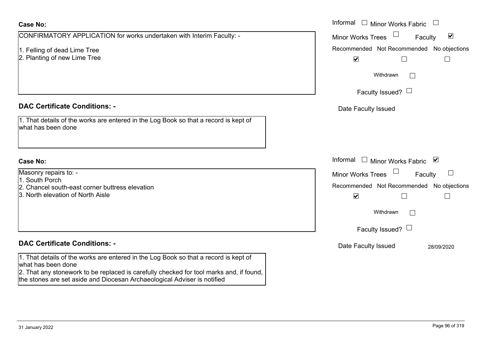| <b>Case No:</b>                                                                                                                                                                                       | Informal<br>$\Box$<br><b>Minor Works Fabric</b><br>$\Box$                   |
|-------------------------------------------------------------------------------------------------------------------------------------------------------------------------------------------------------|-----------------------------------------------------------------------------|
| CONFIRMATORY APPLICATION for works undertaken with Interim Faculty: -                                                                                                                                 | $\blacktriangledown$<br><b>Minor Works Trees</b><br>Faculty                 |
| 1. Felling of dead Lime Tree<br>2. Planting of new Lime Tree                                                                                                                                          | Recommended Not Recommended No objections<br>$\blacktriangledown$<br>$\Box$ |
|                                                                                                                                                                                                       | Withdrawn<br>$\Box$                                                         |
|                                                                                                                                                                                                       | Faculty Issued? $\Box$                                                      |
| <b>DAC Certificate Conditions: -</b>                                                                                                                                                                  | Date Faculty Issued                                                         |
| 1. That details of the works are entered in the Log Book so that a record is kept of<br>what has been done                                                                                            |                                                                             |
| <b>Case No:</b>                                                                                                                                                                                       | Informal $\square$<br>Minor Works Fabric ⊠                                  |
| Masonry repairs to: -<br>1. South Porch                                                                                                                                                               | <b>Minor Works Trees</b><br>$\Box$<br>Faculty                               |
| 2. Chancel south-east corner buttress elevation<br>3. North elevation of North Aisle                                                                                                                  | Recommended Not Recommended No objections<br>$\blacktriangledown$<br>$\Box$ |
|                                                                                                                                                                                                       | Withdrawn<br>$\perp$                                                        |
|                                                                                                                                                                                                       | Faculty Issued? $\Box$                                                      |
| <b>DAC Certificate Conditions: -</b>                                                                                                                                                                  | Date Faculty Issued<br>28/09/2020                                           |
| 1. That details of the works are entered in the Log Book so that a record is kept of<br>what has been done<br>2. That any stonework to be replaced is carefully checked for tool marks and, if found, |                                                                             |
| the stones are set aside and Diocesan Archaeological Adviser is notified                                                                                                                              |                                                                             |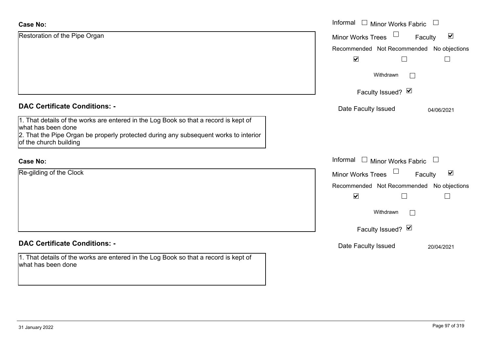| <b>Case No:</b>                                                                                                                                                                                    | Informal □ Minor Works Fabric             | $\Box$                                |
|----------------------------------------------------------------------------------------------------------------------------------------------------------------------------------------------------|-------------------------------------------|---------------------------------------|
| Restoration of the Pipe Organ                                                                                                                                                                      | Minor Works Trees                         | $\blacktriangledown$<br>Faculty       |
|                                                                                                                                                                                                    | Recommended Not Recommended No objections |                                       |
|                                                                                                                                                                                                    | $\blacktriangledown$<br>$\perp$           |                                       |
|                                                                                                                                                                                                    | Withdrawn                                 | $\Box$                                |
|                                                                                                                                                                                                    | Faculty Issued? Ø                         |                                       |
| <b>DAC Certificate Conditions: -</b>                                                                                                                                                               | Date Faculty Issued                       | 04/06/2021                            |
| 1. That details of the works are entered in the Log Book so that a record is kept of<br>what has been done<br>2. That the Pipe Organ be properly protected during any subsequent works to interior |                                           |                                       |
| of the church building                                                                                                                                                                             |                                           |                                       |
| <b>Case No:</b>                                                                                                                                                                                    | Informal $\Box$ Minor Works Fabric        | $\begin{array}{c} \hline \end{array}$ |
| Re-gilding of the Clock                                                                                                                                                                            | <b>Minor Works Trees</b>                  | $\blacktriangledown$<br>Faculty       |
|                                                                                                                                                                                                    | Recommended Not Recommended No objections |                                       |
|                                                                                                                                                                                                    | $\blacktriangledown$                      |                                       |
|                                                                                                                                                                                                    | Withdrawn                                 | $\vert \ \ \vert$                     |
|                                                                                                                                                                                                    | Faculty Issued? Ø                         |                                       |
| <b>DAC Certificate Conditions: -</b>                                                                                                                                                               | Date Faculty Issued                       | 20/04/2021                            |
| 1. That details of the works are entered in the Log Book so that a record is kept of<br>what has been done                                                                                         |                                           |                                       |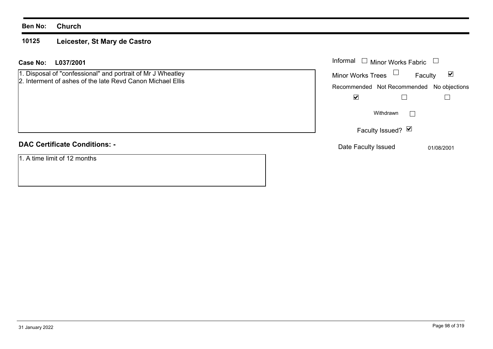#### **10125Leicester, St Mary de Castro**

## **L037/2001Case No:** Informal

1. Disposal of "confessional" and portrait of Mr J Wheatley 2. Interment of ashes of the late Revd Canon Michael Ellis

# **DAC Certificate Conditions: -**

1. A time limit of 12 months

| Informal                 | $\Box$ Minor Works Fabric |                                           |
|--------------------------|---------------------------|-------------------------------------------|
| <b>Minor Works Trees</b> |                           | M<br>Faculty                              |
|                          |                           | Recommended Not Recommended No objections |
|                          |                           |                                           |
|                          | Withdrawn                 |                                           |
|                          | Faculty Issued? M         |                                           |
| Date Faculty Issued      |                           | 01/08/2001                                |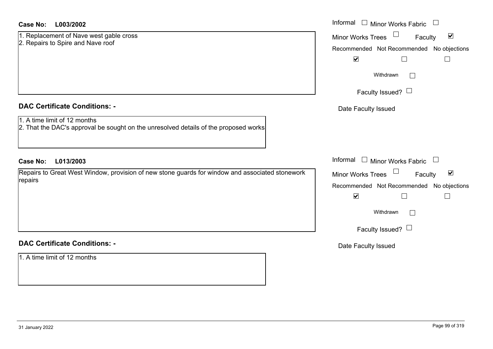#### **DAC Certificate Conditions: -**

- 1. A time limit of 12 months
- 2. That the DAC's approval be sought on the unresolved details of the proposed works

# **DAC Certificate Conditions: -**

1. A time limit of 12 months

| <b>Case No:</b><br>L003/2002                                                                                                                                 | Informal $\Box$ Minor Works Fabric                                                                                                                          |
|--------------------------------------------------------------------------------------------------------------------------------------------------------------|-------------------------------------------------------------------------------------------------------------------------------------------------------------|
| 1. Replacement of Nave west gable cross<br>2. Repairs to Spire and Nave roof                                                                                 | $\Box$<br>$\blacktriangledown$<br>Minor Works Trees<br>Faculty<br>Recommended Not Recommended No objections<br>$\blacktriangledown$                         |
|                                                                                                                                                              | Withdrawn<br>Faculty Issued? $\Box$                                                                                                                         |
| <b>DAC Certificate Conditions: -</b><br>1. A time limit of 12 months<br>2. That the DAC's approval be sought on the unresolved details of the proposed works | Date Faculty Issued                                                                                                                                         |
| <b>Case No:</b><br>L013/2003                                                                                                                                 | Informal $\Box$ Minor Works Fabric                                                                                                                          |
| Repairs to Great West Window, provision of new stone guards for window and associated stonework<br>repairs                                                   | Minor Works Trees<br>$\blacktriangledown$<br>Faculty<br>Recommended Not Recommended No objections<br>$\blacktriangledown$<br>Withdrawn<br>$\vert \ \ \vert$ |
| <b>DAC Certificate Conditions: -</b>                                                                                                                         | Faculty Issued? $\Box$<br>Date Faculty Issued                                                                                                               |
| $\frac{1}{2}$ A time limit of 10 months                                                                                                                      |                                                                                                                                                             |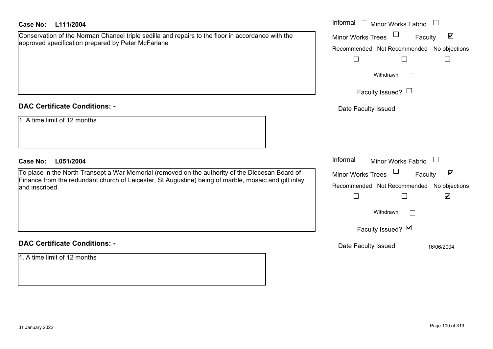| Case No:<br>L111/2004                                                                                                                                                                                                     | Informal $\Box$ Minor Works Fabric $\Box$                                                                                                                  |
|---------------------------------------------------------------------------------------------------------------------------------------------------------------------------------------------------------------------------|------------------------------------------------------------------------------------------------------------------------------------------------------------|
| Conservation of the Norman Chancel triple sedilla and repairs to the floor in accordance with the<br>approved specification prepared by Peter McFarlane                                                                   | $\blacktriangledown$<br><b>Minor Works Trees</b><br>Faculty<br>Recommended Not Recommended No objections<br>$\overline{\phantom{a}}$<br>$\Box$             |
|                                                                                                                                                                                                                           | Withdrawn<br>Faculty Issued? $\Box$                                                                                                                        |
| <b>DAC Certificate Conditions: -</b>                                                                                                                                                                                      | Date Faculty Issued                                                                                                                                        |
| 1. A time limit of 12 months                                                                                                                                                                                              |                                                                                                                                                            |
| <b>Case No:</b><br>L051/2004                                                                                                                                                                                              | Informal $\Box$ Minor Works Fabric $\Box$                                                                                                                  |
| To place in the North Transept a War Memorial (removed on the authority of the Diocesan Board of<br>Finance from the redundant church of Leicester, St Augustine) being of marble, mosaic and gilt inlay<br>and inscribed | $\Box$<br>$\blacktriangledown$<br>Minor Works Trees<br>Faculty<br>Recommended Not Recommended No objections<br>$\blacktriangledown$<br>$\Box$<br>Withdrawn |
|                                                                                                                                                                                                                           | Faculty Issued? Ø                                                                                                                                          |
| <b>DAC Certificate Conditions: -</b>                                                                                                                                                                                      | Date Faculty Issued<br>16/06/2004                                                                                                                          |
| 1. A time limit of 12 months                                                                                                                                                                                              |                                                                                                                                                            |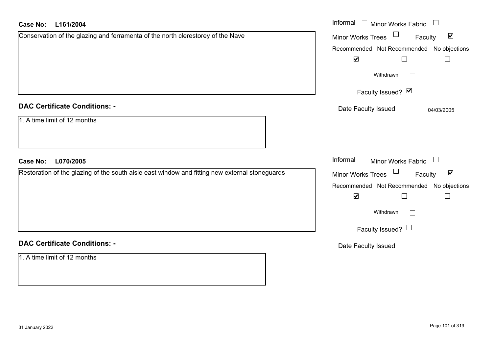| <b>Case No:</b><br>L161/2004                                                                   | Informal □ Minor Works Fabric<br>$\Box$              |
|------------------------------------------------------------------------------------------------|------------------------------------------------------|
| Conservation of the glazing and ferramenta of the north clerestorey of the Nave                | Minor Works Trees<br>$\blacktriangledown$<br>Faculty |
|                                                                                                | Recommended Not Recommended No object                |
|                                                                                                | $\blacktriangledown$                                 |
|                                                                                                | Withdrawn                                            |
|                                                                                                | Faculty Issued? Ø                                    |
| <b>DAC Certificate Conditions: -</b>                                                           | Date Faculty Issued<br>04/03/2005                    |
| 1. A time limit of 12 months                                                                   |                                                      |
| L070/2005<br><b>Case No:</b>                                                                   | Informal $\Box$ Minor Works Fabric $\Box$            |
| Restoration of the glazing of the south aisle east window and fitting new external stoneguards | Minor Works Trees<br>$\blacktriangledown$<br>Faculty |
|                                                                                                | Recommended Not Recommended No objec                 |
|                                                                                                | $\blacktriangledown$                                 |
|                                                                                                | Withdrawn<br>$\mathbf{1}$                            |
|                                                                                                | Faculty Issued? $\Box$                               |
| <b>DAC Certificate Conditions: -</b>                                                           | Date Faculty Issued                                  |
| 1. A time limit of 12 months                                                                   |                                                      |

No objections

No objections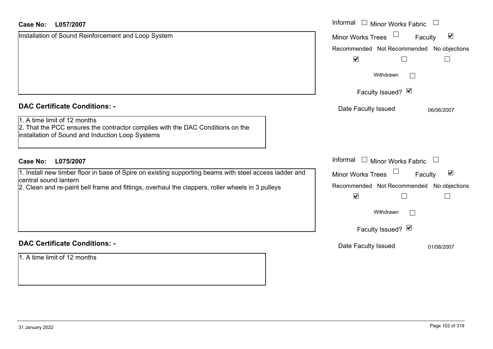| Case No:<br>L057/2007                                                                                                                                              | Informal $\Box$ Minor Works Fabric $\Box$            |
|--------------------------------------------------------------------------------------------------------------------------------------------------------------------|------------------------------------------------------|
| Installation of Sound Reinforcement and Loop System                                                                                                                | $\blacktriangledown$<br>Minor Works Trees<br>Faculty |
|                                                                                                                                                                    | Recommended Not Recommended No objections            |
|                                                                                                                                                                    | $\blacktriangledown$                                 |
|                                                                                                                                                                    | Withdrawn                                            |
|                                                                                                                                                                    | Faculty Issued? Ø                                    |
| <b>DAC Certificate Conditions: -</b>                                                                                                                               | Date Faculty Issued<br>06/06/2007                    |
| 1. A time limit of 12 months<br>2. That the PCC ensures the contractor complies with the DAC Conditions on the<br>installation of Sound and Induction Loop Systems |                                                      |
| L075/2007<br><b>Case No:</b>                                                                                                                                       | Informal $\Box$ Minor Works Fabric $\Box$            |
| 1. Install new timber floor in base of Spire on existing supporting beams with steel access ladder and<br>central sound lantern                                    | Minor Works Trees<br>$\blacktriangledown$<br>Faculty |
| 2. Clean and re-paint bell frame and fittings, overhaul the clappers, roller wheels in 3 pulleys                                                                   | Recommended Not Recommended No objections            |
|                                                                                                                                                                    | $\blacktriangledown$<br>$\perp$<br>$\mathbb{L}$      |
|                                                                                                                                                                    | Withdrawn                                            |
|                                                                                                                                                                    | Faculty Issued? Ø                                    |
| <b>DAC Certificate Conditions: -</b>                                                                                                                               | Date Faculty Issued<br>01/08/2007                    |
| 1. A time limit of 12 months                                                                                                                                       |                                                      |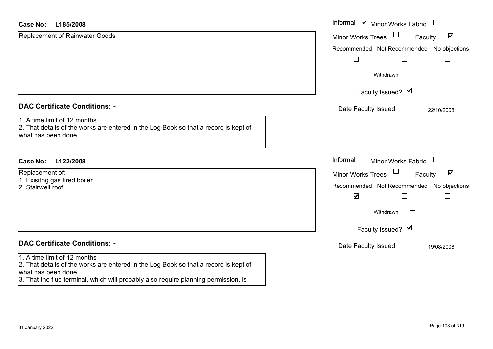| <b>Case No:</b><br>L185/2008                                                                                                               | Informal ⊠ Minor Works Fabric                                           |
|--------------------------------------------------------------------------------------------------------------------------------------------|-------------------------------------------------------------------------|
| Replacement of Rainwater Goods                                                                                                             | $\blacktriangledown$<br><b>Minor Works Trees</b><br>Faculty             |
|                                                                                                                                            | Recommended Not Recommended No objections                               |
|                                                                                                                                            |                                                                         |
|                                                                                                                                            | Withdrawn<br>$\mathbf{L}$                                               |
|                                                                                                                                            | Faculty Issued? Ø                                                       |
| <b>DAC Certificate Conditions: -</b>                                                                                                       | Date Faculty Issued<br>22/10/2008                                       |
| 1. A time limit of 12 months<br>2. That details of the works are entered in the Log Book so that a record is kept of<br>what has been done |                                                                         |
| <b>Case No:</b><br>L122/2008                                                                                                               | Informal □ Minor Works Fabric<br>$\begin{array}{c} \square \end{array}$ |
| Replacement of: -                                                                                                                          | $\blacktriangledown$<br><b>Minor Works Trees</b><br>Faculty             |
| 1. Exisitng gas fired boiler<br>2. Stairwell roof                                                                                          | Recommended Not Recommended No objections                               |
|                                                                                                                                            | $\blacktriangledown$                                                    |
|                                                                                                                                            | Withdrawn<br>$\overline{\phantom{a}}$                                   |
|                                                                                                                                            | Faculty Issued? Ø                                                       |
| <b>DAC Certificate Conditions: -</b>                                                                                                       | Date Faculty Issued<br>19/08/2008                                       |
| 1. A time limit of 12 months                                                                                                               |                                                                         |
| 2. That details of the works are entered in the Log Book so that a record is kept of                                                       |                                                                         |
| what has been done<br>3. That the flue terminal, which will probably also require planning permission, is                                  |                                                                         |
|                                                                                                                                            |                                                                         |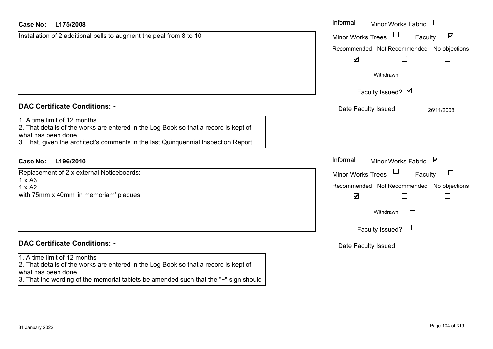| <b>Case No:</b><br>L175/2008                                                                                                                                                                                                       | Informal $\Box$ Minor Works Fabric $\Box$                   |
|------------------------------------------------------------------------------------------------------------------------------------------------------------------------------------------------------------------------------------|-------------------------------------------------------------|
| Installation of 2 additional bells to augment the peal from 8 to 10                                                                                                                                                                | $\blacktriangledown$<br><b>Minor Works Trees</b><br>Faculty |
|                                                                                                                                                                                                                                    | Recommended Not Recommended No objections                   |
|                                                                                                                                                                                                                                    | $\blacktriangledown$<br>$\Box$                              |
|                                                                                                                                                                                                                                    | Withdrawn                                                   |
|                                                                                                                                                                                                                                    | Faculty Issued? Ø                                           |
| <b>DAC Certificate Conditions: -</b>                                                                                                                                                                                               | Date Faculty Issued<br>26/11/2008                           |
| 1. A time limit of 12 months<br>2. That details of the works are entered in the Log Book so that a record is kept of<br>what has been done<br>3. That, given the architect's comments in the last Quinquennial Inspection Report,  |                                                             |
| <b>Case No:</b><br>L196/2010                                                                                                                                                                                                       | Informal<br>$\Box$ Minor Works Fabric $\boxtimes$           |
| Replacement of 2 x external Noticeboards: -                                                                                                                                                                                        | <b>Minor Works Trees</b><br>Faculty                         |
| $1 \times A3$<br>$1 \times A2$                                                                                                                                                                                                     | Recommended Not Recommended No objections                   |
| with 75mm x 40mm 'in memoriam' plaques                                                                                                                                                                                             | $\blacktriangledown$<br>$\Box$                              |
|                                                                                                                                                                                                                                    | Withdrawn                                                   |
|                                                                                                                                                                                                                                    | Faculty Issued? $\Box$                                      |
| <b>DAC Certificate Conditions: -</b>                                                                                                                                                                                               | Date Faculty Issued                                         |
| 1. A time limit of 12 months<br>2. That details of the works are entered in the Log Book so that a record is kept of<br>what has been done<br>3. That the wording of the memorial tablets be amended such that the "+" sign should |                                                             |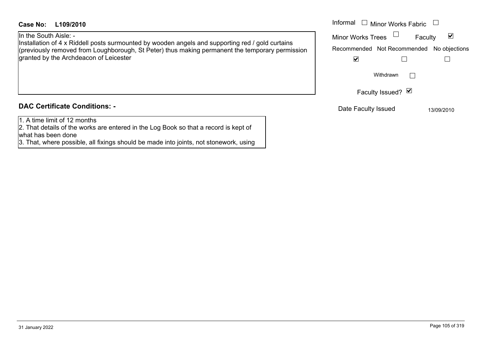## **L109/2010Case No:** Informal

In the South Aisle: -

Installation of 4 x Riddell posts surmounted by wooden angels and supporting red / gold curtains (previously removed from Loughborough, St Peter) thus making permanent the temporary permission granted by the Archdeacon of Leicester

# **DAC Certificate Conditions: -**

1. A time limit of 12 months

2. That details of the works are entered in the Log Book so that a record is kept of what has been done

3. That, where possible, all fixings should be made into joints, not stonework, using

| Informal<br>$\Box$ Minor Works Fabric     |            |
|-------------------------------------------|------------|
| <b>Minor Works Trees</b><br>Faculty       |            |
| Recommended Not Recommended No objections |            |
| V                                         |            |
| Withdrawn                                 |            |
| Faculty Issued? Ø                         |            |
| Date Faculty Issued                       | 13/09/2010 |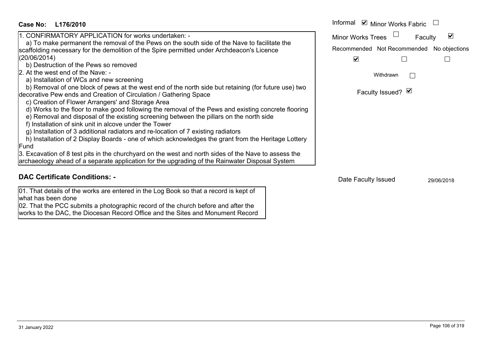| Case No:<br>L176/2010                                                                                                                                                                                                                                                                                                                                                                                                                                                                                                                                                                                                                                                                                                                                                                                                                                                                                                                                                                                                                                                                                                                                                                                 | Informal ⊠ Minor Works Fabric $\Box$                                                                                                     |
|-------------------------------------------------------------------------------------------------------------------------------------------------------------------------------------------------------------------------------------------------------------------------------------------------------------------------------------------------------------------------------------------------------------------------------------------------------------------------------------------------------------------------------------------------------------------------------------------------------------------------------------------------------------------------------------------------------------------------------------------------------------------------------------------------------------------------------------------------------------------------------------------------------------------------------------------------------------------------------------------------------------------------------------------------------------------------------------------------------------------------------------------------------------------------------------------------------|------------------------------------------------------------------------------------------------------------------------------------------|
| 1. CONFIRMATORY APPLICATION for works undertaken: -<br>a) To make permanent the removal of the Pews on the south side of the Nave to facilitate the<br>scaffolding necessary for the demolition of the Spire permitted under Archdeacon's Licence<br>(20/06/2014)<br>b) Destruction of the Pews so removed<br>2. At the west end of the Nave: -<br>a) Installation of WCs and new screening<br>b) Removal of one block of pews at the west end of the north side but retaining (for future use) two<br>decorative Pew ends and Creation of Circulation / Gathering Space<br>c) Creation of Flower Arrangers' and Storage Area<br>d) Works to the floor to make good following the removal of the Pews and existing concrete flooring<br>e) Removal and disposal of the existing screening between the pillars on the north side<br>f) Installation of sink unit in alcove under the Tower<br>g) Installation of 3 additional radiators and re-location of 7 existing radiators<br>h) Installation of 2 Display Boards - one of which acknowledges the grant from the Heritage Lottery<br>Fund<br>3. Excavation of 8 test pits in the churchyard on the west and north sides of the Nave to assess the | Minor Works Trees<br>V<br>Faculty<br>Recommended Not Recommended No objections<br>$\blacktriangledown$<br>Withdrawn<br>Faculty Issued? Ø |
| archaeology ahead of a separate application for the upgrading of the Rainwater Disposal System<br><b>DAC Certificate Conditions: -</b>                                                                                                                                                                                                                                                                                                                                                                                                                                                                                                                                                                                                                                                                                                                                                                                                                                                                                                                                                                                                                                                                | Date Faculty Issued<br>29/06/2018                                                                                                        |

01. That details of the works are entered in the Log Book so that a record is kept of

02. That the PCC submits a photographic record of the church before and after the works to the DAC, the Diocesan Record Office and the Sites and Monument Record

what has been done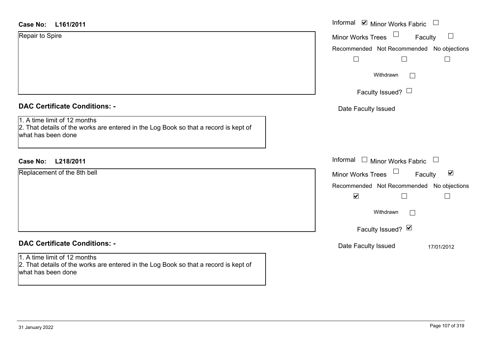| <b>Case No:</b><br>L161/2011                                                                                                               | Informal ⊠ Minor Works Fabric<br>$\frac{1}{2}$                                  |
|--------------------------------------------------------------------------------------------------------------------------------------------|---------------------------------------------------------------------------------|
| Repair to Spire                                                                                                                            | $\Box$<br><b>Minor Works Trees</b><br>Faculty                                   |
|                                                                                                                                            | Recommended Not Recommended No objections                                       |
|                                                                                                                                            | $\vert \ \ \vert$                                                               |
|                                                                                                                                            | Withdrawn<br>$\mathbf{L}$                                                       |
|                                                                                                                                            | Faculty Issued? $\Box$                                                          |
| <b>DAC Certificate Conditions: -</b>                                                                                                       | Date Faculty Issued                                                             |
| 1. A time limit of 12 months<br>2. That details of the works are entered in the Log Book so that a record is kept of<br>what has been done |                                                                                 |
| <b>Case No:</b><br>L218/2011                                                                                                               | Informal<br>$\Box$ Minor Works Fabric<br>$\begin{array}{c} \square \end{array}$ |
| Replacement of the 8th bell                                                                                                                | $\blacktriangledown$<br><b>Minor Works Trees</b><br>Faculty                     |
|                                                                                                                                            | Recommended Not Recommended No objections                                       |
|                                                                                                                                            | $\blacktriangledown$                                                            |
|                                                                                                                                            | Withdrawn<br>$\mathbf{L}$                                                       |
|                                                                                                                                            | Faculty Issued? Ø                                                               |
| <b>DAC Certificate Conditions: -</b>                                                                                                       | Date Faculty Issued<br>17/01/2012                                               |
| 1. A time limit of 12 months<br>2. That details of the works are entered in the Log Book so that a record is kept of<br>what has been done |                                                                                 |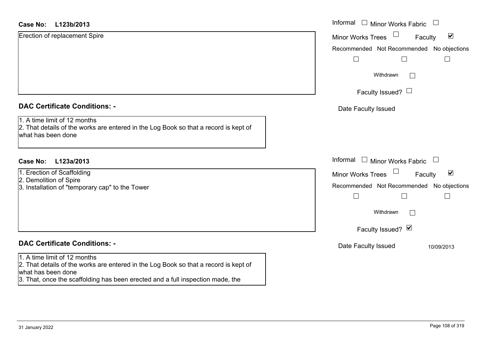| <b>Case No:</b><br>L123b/2013                                                                                                                                                                                                | Informal<br>$\Box$<br><b>Minor Works Fabric</b>             |
|------------------------------------------------------------------------------------------------------------------------------------------------------------------------------------------------------------------------------|-------------------------------------------------------------|
| Erection of replacement Spire                                                                                                                                                                                                | $\blacktriangledown$<br>Minor Works Trees<br>Faculty        |
|                                                                                                                                                                                                                              | Recommended Not Recommended No objections                   |
|                                                                                                                                                                                                                              |                                                             |
|                                                                                                                                                                                                                              | Withdrawn<br>$\mathcal{L}^{\mathcal{A}}$                    |
|                                                                                                                                                                                                                              | Faculty Issued? $\Box$                                      |
| <b>DAC Certificate Conditions: -</b>                                                                                                                                                                                         | Date Faculty Issued                                         |
| 1. A time limit of 12 months<br>2. That details of the works are entered in the Log Book so that a record is kept of<br>what has been done                                                                                   |                                                             |
| <b>Case No:</b><br>L123a/2013                                                                                                                                                                                                | Informal<br>$\Box$ Minor Works Fabric $\Box$                |
| 1. Erection of Scaffolding                                                                                                                                                                                                   | $\blacktriangledown$<br><b>Minor Works Trees</b><br>Faculty |
| 2. Demolition of Spire<br>3. Installation of "temporary cap" to the Tower                                                                                                                                                    | Recommended Not Recommended No objections                   |
|                                                                                                                                                                                                                              | $\mathbf{L}$                                                |
|                                                                                                                                                                                                                              | Withdrawn<br>$\Box$                                         |
|                                                                                                                                                                                                                              | Faculty Issued? $\blacksquare$                              |
| <b>DAC Certificate Conditions: -</b>                                                                                                                                                                                         | Date Faculty Issued<br>10/09/2013                           |
| 1. A time limit of 12 months<br>2. That details of the works are entered in the Log Book so that a record is kept of<br>what has been done<br>3. That, once the scaffolding has been erected and a full inspection made, the |                                                             |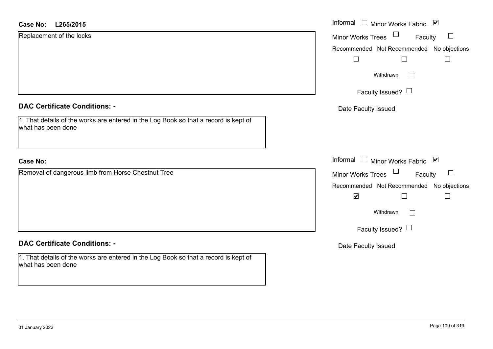| <b>Case No:</b><br>L265/2015                                                                               | Informal □ Minor Works Fabric<br>$\blacktriangledown$ |
|------------------------------------------------------------------------------------------------------------|-------------------------------------------------------|
| Replacement of the locks                                                                                   | Minor Works Trees<br>Faculty<br>$\Box$                |
|                                                                                                            | Recommended Not Recommended No objections             |
|                                                                                                            | $\Box$<br>$\mathcal{L}_{\mathcal{A}}$                 |
|                                                                                                            | Withdrawn                                             |
|                                                                                                            | Faculty Issued? $\Box$                                |
| <b>DAC Certificate Conditions: -</b>                                                                       | Date Faculty Issued                                   |
| 1. That details of the works are entered in the Log Book so that a record is kept of<br>what has been done |                                                       |
| <b>Case No:</b>                                                                                            | Informal □ Minor Works Fabric ⊠                       |
| Removal of dangerous limb from Horse Chestnut Tree                                                         | <b>Minor Works Trees</b><br>Faculty<br>$\Box$         |
|                                                                                                            | Recommended Not Recommended No objections             |
|                                                                                                            | $\blacktriangledown$                                  |
|                                                                                                            | Withdrawn<br>$\mathbf{1}$                             |
|                                                                                                            | Faculty Issued? $\Box$                                |
| <b>DAC Certificate Conditions: -</b>                                                                       | Date Faculty Issued                                   |
| 1. That details of the works are entered in the Log Book so that a record is kept of<br>what has been done |                                                       |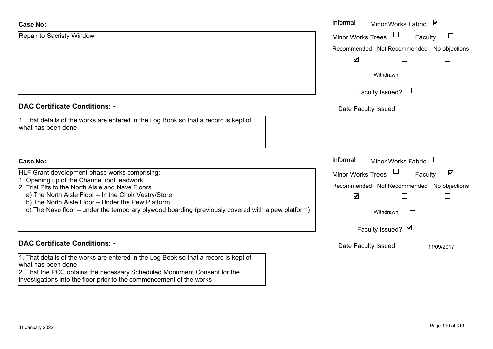| <b>Case No:</b>                                                                                                                                  | Informal $\Box$<br>$\blacktriangledown$<br><b>Minor Works Fabric</b> |
|--------------------------------------------------------------------------------------------------------------------------------------------------|----------------------------------------------------------------------|
| Repair to Sacristy Window                                                                                                                        | <b>Minor Works Trees</b><br>$\Box$<br>Faculty                        |
|                                                                                                                                                  | Recommended Not Recommended No objections                            |
|                                                                                                                                                  | $\blacktriangledown$                                                 |
|                                                                                                                                                  | Withdrawn                                                            |
|                                                                                                                                                  | Faculty Issued? $\Box$                                               |
| <b>DAC Certificate Conditions: -</b>                                                                                                             | Date Faculty Issued                                                  |
| 1. That details of the works are entered in the Log Book so that a record is kept of<br>what has been done                                       |                                                                      |
| <b>Case No:</b>                                                                                                                                  | Informal<br>$\perp$<br>Minor Works Fabric                            |
| HLF Grant development phase works comprising: -                                                                                                  | $\blacktriangledown$<br><b>Minor Works Trees</b><br>Faculty          |
| 1. Opening up of the Chancel roof leadwork<br>2. Trial Pits to the North Aisle and Nave Floors                                                   | Recommended Not Recommended No objections                            |
| a) The North Aisle Floor - In the Choir Vestry/Store<br>b) The North Aisle Floor - Under the Pew Platform                                        | $\blacktriangledown$                                                 |
| c) The Nave floor – under the temporary plywood boarding (previously covered with a pew platform)                                                | Withdrawn                                                            |
|                                                                                                                                                  | Faculty Issued? Ø                                                    |
| <b>DAC Certificate Conditions: -</b>                                                                                                             | Date Faculty Issued<br>11/09/2017                                    |
| 1. That details of the works are entered in the Log Book so that a record is kept of<br>what has been done                                       |                                                                      |
| 2. That the PCC obtains the necessary Scheduled Monument Consent for the<br>investigations into the floor prior to the commencement of the works |                                                                      |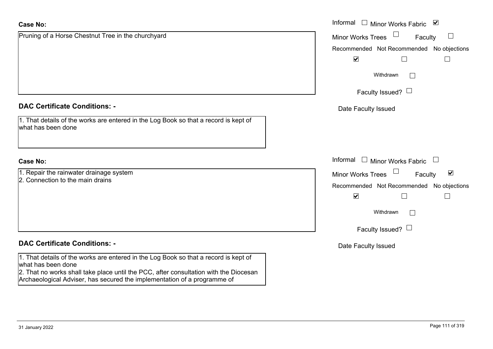| <b>Case No:</b>                                                                                                                                                   | Informal <u>I</u> Minor Works Fabric <b>⊻</b>               |
|-------------------------------------------------------------------------------------------------------------------------------------------------------------------|-------------------------------------------------------------|
| Pruning of a Horse Chestnut Tree in the churchyard                                                                                                                | $\Box$<br><b>Minor Works Trees</b><br>Faculty               |
|                                                                                                                                                                   | Recommended Not Recommended No objections                   |
|                                                                                                                                                                   | $\blacktriangledown$                                        |
|                                                                                                                                                                   | Withdrawn<br>$\mathbb{R}^n$                                 |
|                                                                                                                                                                   | Faculty Issued? $\Box$                                      |
| <b>DAC Certificate Conditions: -</b>                                                                                                                              | Date Faculty Issued                                         |
| 1. That details of the works are entered in the Log Book so that a record is kept of<br>what has been done                                                        |                                                             |
| <b>Case No:</b>                                                                                                                                                   | Informal □ Minor Works Fabric                               |
| 1. Repair the rainwater drainage system<br>2. Connection to the main drains                                                                                       | $\blacktriangledown$<br><b>Minor Works Trees</b><br>Faculty |
|                                                                                                                                                                   | Recommended Not Recommended No objections                   |
|                                                                                                                                                                   | $\blacktriangledown$                                        |
|                                                                                                                                                                   | Withdrawn<br>$\Box$                                         |
|                                                                                                                                                                   | Faculty Issued? $\Box$                                      |
| <b>DAC Certificate Conditions: -</b>                                                                                                                              | Date Faculty Issued                                         |
| 1. That details of the works are entered in the Log Book so that a record is kept of<br>what has been done                                                        |                                                             |
| 2. That no works shall take place until the PCC, after consultation with the Diocesan<br>Archaeological Adviser, has secured the implementation of a programme of |                                                             |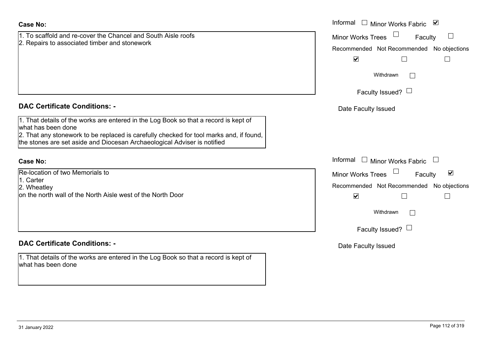| <b>Case No:</b>                                                                                                                                                                                                                                                                   | Informal $\Box$ Minor Works Fabric $\Box$                                                                   |
|-----------------------------------------------------------------------------------------------------------------------------------------------------------------------------------------------------------------------------------------------------------------------------------|-------------------------------------------------------------------------------------------------------------|
| 1. To scaffold and re-cover the Chancel and South Aisle roofs                                                                                                                                                                                                                     | <b>Minor Works Trees</b><br>$\mathbf{L}$<br>Faculty                                                         |
| 2. Repairs to associated timber and stonework                                                                                                                                                                                                                                     | Recommended Not Recommended No objections                                                                   |
|                                                                                                                                                                                                                                                                                   | $\blacktriangledown$<br>$\Box$                                                                              |
|                                                                                                                                                                                                                                                                                   | Withdrawn<br>$\mathbf{1}$                                                                                   |
|                                                                                                                                                                                                                                                                                   | Faculty Issued? $\Box$                                                                                      |
| <b>DAC Certificate Conditions: -</b>                                                                                                                                                                                                                                              | Date Faculty Issued                                                                                         |
| 1. That details of the works are entered in the Log Book so that a record is kept of<br>what has been done<br>2. That any stonework to be replaced is carefully checked for tool marks and, if found,<br>the stones are set aside and Diocesan Archaeological Adviser is notified |                                                                                                             |
| <b>Case No:</b>                                                                                                                                                                                                                                                                   | Informal $\Box$ Minor Works Fabric                                                                          |
| Re-location of two Memorials to<br>1. Carter<br>2. Wheatley                                                                                                                                                                                                                       | $\blacktriangledown$<br><b>Minor Works Trees</b><br>Faculty<br>No objections<br>Recommended Not Recommended |
| on the north wall of the North Aisle west of the North Door                                                                                                                                                                                                                       | $\blacktriangledown$                                                                                        |
|                                                                                                                                                                                                                                                                                   | Withdrawn<br>$\mathbb{R}^n$                                                                                 |
|                                                                                                                                                                                                                                                                                   | Faculty Issued? $\Box$                                                                                      |
| <b>DAC Certificate Conditions: -</b>                                                                                                                                                                                                                                              | Date Faculty Issued                                                                                         |
| 1. That details of the works are entered in the Log Book so that a record is kept of<br>what has been done                                                                                                                                                                        |                                                                                                             |
|                                                                                                                                                                                                                                                                                   |                                                                                                             |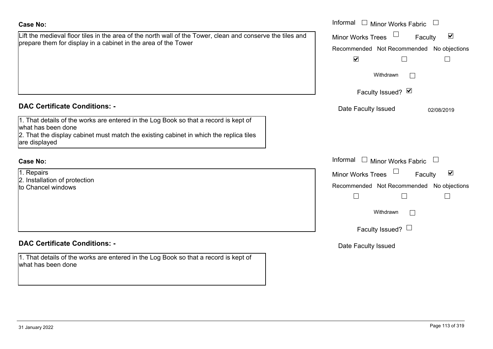| <b>Case No:</b>                                                                                                                                                                                                                                               | Informal □ Minor Works Fabric                                                                                                                                                       |
|---------------------------------------------------------------------------------------------------------------------------------------------------------------------------------------------------------------------------------------------------------------|-------------------------------------------------------------------------------------------------------------------------------------------------------------------------------------|
| Lift the medieval floor tiles in the area of the north wall of the Tower, clean and conserve the tiles and<br>prepare them for display in a cabinet in the area of the Tower                                                                                  | $\blacktriangledown$<br><b>Minor Works Trees</b><br>Faculty<br>Recommended Not Recommended No objections<br>$\blacktriangledown$<br>$\Box$<br>$\vert \ \ \vert$<br>Withdrawn        |
|                                                                                                                                                                                                                                                               | Faculty Issued? Ø                                                                                                                                                                   |
| <b>DAC Certificate Conditions: -</b><br>1. That details of the works are entered in the Log Book so that a record is kept of<br>what has been done<br>2. That the display cabinet must match the existing cabinet in which the replica tiles<br>are displayed | Date Faculty Issued<br>02/08/2019                                                                                                                                                   |
| <b>Case No:</b>                                                                                                                                                                                                                                               | Informal<br>$\Box$ Minor Works Fabric                                                                                                                                               |
| 1. Repairs<br>2. Installation of protection<br>to Chancel windows                                                                                                                                                                                             | $\blacktriangledown$<br><b>Minor Works Trees</b><br>Faculty<br>Recommended Not Recommended No objections<br>$\Box$<br>$\Box$<br>$\mathbf{I}$<br>Withdrawn<br>Faculty Issued? $\Box$ |
| <b>DAC Certificate Conditions: -</b>                                                                                                                                                                                                                          | Date Faculty Issued                                                                                                                                                                 |
| 1. That details of the works are entered in the Log Book so that a record is kept of<br>what has been done                                                                                                                                                    |                                                                                                                                                                                     |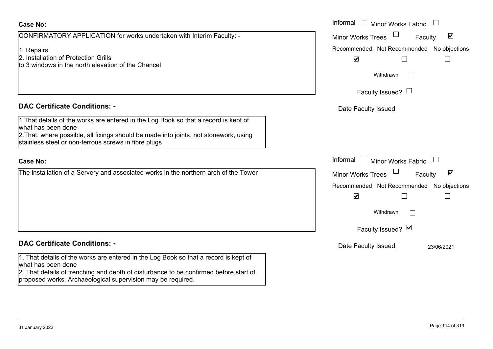CONFIRMATORY APPLICATION for works undertaken with Interim Faculty: -

1. Repairs

2. Installation of Protection Grills

to 3 windows in the north elevation of the Chancel

## **DAC Certificate Conditions: -**

1.That details of the works are entered in the Log Book so that a record is kept of what has been done 2.That, where possible, all fixings should be made into joints, not stonework, using stainless steel or non-ferrous screws in fibre plugs

#### **Case No:**

The installation of a Servery and associated works in the northern arch of the Tower

## **DAC Certificate Conditions: -**

1. That details of the works are entered in the Log Book so that a record is kept of what has been done

2. That details of trenching and depth of disturbance to be confirmed before start of proposed works. Archaeological supervision may be required.

|                                                                                                                                                                                                                       | Informal<br>$\Box$ Minor Works Fabric                                                          |
|-----------------------------------------------------------------------------------------------------------------------------------------------------------------------------------------------------------------------|------------------------------------------------------------------------------------------------|
| MATORY APPLICATION for works undertaken with Interim Faculty: -                                                                                                                                                       | $\blacktriangledown$<br><b>Minor Works Trees</b><br>Faculty                                    |
| ation of Protection Grills<br>ows in the north elevation of the Chancel                                                                                                                                               | Recommended Not Recommended No objections<br>$\blacktriangledown$<br>$\mathbf{I}$<br>Withdrawn |
|                                                                                                                                                                                                                       | Faculty Issued? L                                                                              |
| rtificate Conditions: -                                                                                                                                                                                               | Date Faculty Issued                                                                            |
| etails of the works are entered in the Log Book so that a record is kept of<br>been done<br>here possible, all fixings should be made into joints, not stonework, using<br>steel or non-ferrous screws in fibre plugs |                                                                                                |
|                                                                                                                                                                                                                       | Informal<br>Minor Works Fabric                                                                 |
| Illation of a Servery and associated works in the northern arch of the Tower                                                                                                                                          | $\blacktriangledown$<br>Minor Works Trees<br>Faculty                                           |
|                                                                                                                                                                                                                       | Recommended Not Recommended No objections<br>$\blacktriangledown$<br>$\mathbb{L}$              |
|                                                                                                                                                                                                                       | Withdrawn<br>$\mathbf{L}$                                                                      |
|                                                                                                                                                                                                                       | Faculty Issued? Ø                                                                              |
| rtificate Conditions: -                                                                                                                                                                                               | Date Faculty Issued<br>23/06/2021                                                              |
| etails of the works are entered in the Log Book so that a record is kept of                                                                                                                                           |                                                                                                |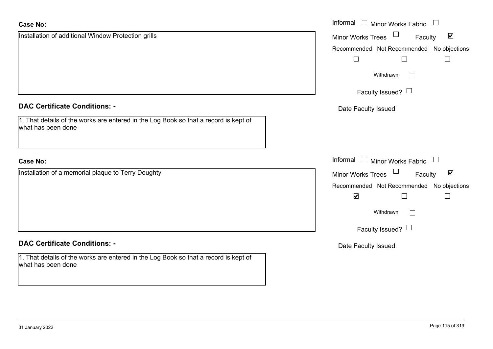| <b>Case No:</b>                                                                                            | Informal<br>$\Box$ Minor Works Fabric                |
|------------------------------------------------------------------------------------------------------------|------------------------------------------------------|
| Installation of additional Window Protection grills                                                        | $\blacktriangledown$<br>Minor Works Trees<br>Faculty |
|                                                                                                            | Recommended Not Recommended No objections            |
|                                                                                                            |                                                      |
|                                                                                                            | Withdrawn<br>$\Box$                                  |
|                                                                                                            | Faculty Issued? $\Box$                               |
| <b>DAC Certificate Conditions: -</b>                                                                       | Date Faculty Issued                                  |
| 1. That details of the works are entered in the Log Book so that a record is kept of<br>what has been done |                                                      |
| <b>Case No:</b>                                                                                            | Informal $\Box$ Minor Works Fabric $\Box$            |
| Installation of a memorial plaque to Terry Doughty                                                         | $\blacktriangledown$<br>Minor Works Trees<br>Faculty |
|                                                                                                            | Recommended Not Recommended No objections            |
|                                                                                                            | $\blacktriangledown$                                 |
|                                                                                                            | Withdrawn<br>$\vert \ \ \vert$                       |
|                                                                                                            | Faculty Issued? $\Box$                               |
| <b>DAC Certificate Conditions: -</b>                                                                       | Date Faculty Issued                                  |
| 1. That details of the works are entered in the Log Book so that a record is kept of<br>what has been done |                                                      |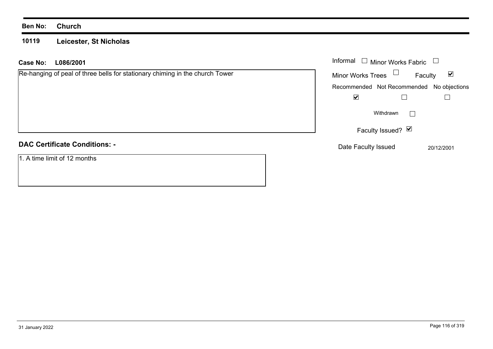#### **10119 Leicester, St Nicholas**

| Case No: | L086/2001                                                                    | Informal □ Minor Works Fabric             |                                    |
|----------|------------------------------------------------------------------------------|-------------------------------------------|------------------------------------|
|          | Re-hanging of peal of three bells for stationary chiming in the church Tower | <b>Minor Works Trees</b>                  | $\overline{\mathbf{v}}$<br>Faculty |
|          |                                                                              | Recommended Not Recommended No objections |                                    |
|          |                                                                              | $\blacktriangledown$                      |                                    |
|          |                                                                              | Withdrawn                                 |                                    |
|          |                                                                              | Faculty Issued? ⊠                         |                                    |
|          | <b>DAC Certificate Conditions: -</b>                                         | Date Faculty Issued                       | 20/12/2001                         |
|          | 1. A time limit of 12 months                                                 |                                           |                                    |
|          |                                                                              |                                           |                                    |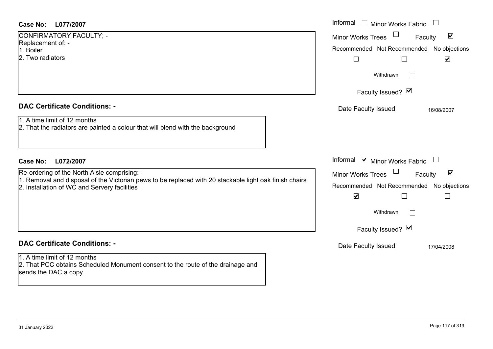| <b>Case No:</b><br>L077/2007                                                                                                                           | Informal $\Box$ Minor Works Fabric $\Box$                             |
|--------------------------------------------------------------------------------------------------------------------------------------------------------|-----------------------------------------------------------------------|
| CONFIRMATORY FACULTY; -                                                                                                                                | $\blacktriangledown$<br><b>Minor Works Trees</b><br>Faculty           |
| Replacement of: -<br>1. Boiler                                                                                                                         | Recommended Not Recommended No objections                             |
| 2. Two radiators                                                                                                                                       | $\blacktriangledown$<br>$\Box$                                        |
|                                                                                                                                                        | Withdrawn                                                             |
|                                                                                                                                                        | Faculty Issued? Ø                                                     |
| <b>DAC Certificate Conditions: -</b>                                                                                                                   | Date Faculty Issued<br>16/08/2007                                     |
| 1. A time limit of 12 months<br>2. That the radiators are painted a colour that will blend with the background                                         |                                                                       |
| L072/2007<br><b>Case No:</b>                                                                                                                           | Informal $\blacksquare$ Minor Works Fabric $\blacksquare$             |
| Re-ordering of the North Aisle comprising: -                                                                                                           | $\Box$<br>$\blacktriangledown$<br><b>Minor Works Trees</b><br>Faculty |
| 1. Removal and disposal of the Victorian pews to be replaced with 20 stackable light oak finish chairs<br>2. Installation of WC and Servery facilities | Recommended Not Recommended No objections                             |
|                                                                                                                                                        | $\blacktriangledown$<br>$\Box$<br>$\Box$                              |
|                                                                                                                                                        | Withdrawn<br>Г                                                        |
|                                                                                                                                                        | Faculty Issued? Ø                                                     |
| <b>DAC Certificate Conditions: -</b>                                                                                                                   | Date Faculty Issued<br>17/04/2008                                     |
| 1. A time limit of 12 months<br>2. That PCC obtains Scheduled Monument consent to the route of the drainage and<br>sends the DAC a copy                |                                                                       |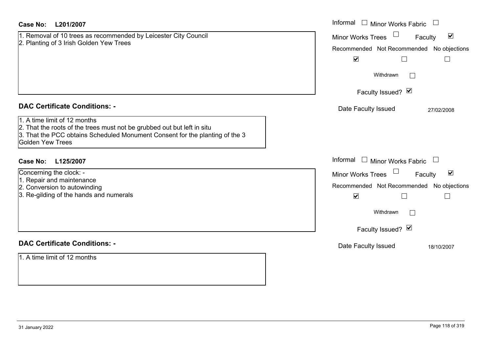| <b>Case No:</b><br>L201/2007                                                                                                                                                                                       | Informal $\Box$ Minor Works Fabric $\Box$                                                                                                                          |
|--------------------------------------------------------------------------------------------------------------------------------------------------------------------------------------------------------------------|--------------------------------------------------------------------------------------------------------------------------------------------------------------------|
| 1. Removal of 10 trees as recommended by Leicester City Council<br>2. Planting of 3 Irish Golden Yew Trees                                                                                                         | $\blacktriangledown$<br><b>Minor Works Trees</b><br>Faculty<br>Recommended Not Recommended No objections<br>$\blacktriangledown$<br>$\Box$<br>$\Box$               |
|                                                                                                                                                                                                                    | Withdrawn                                                                                                                                                          |
|                                                                                                                                                                                                                    | Faculty Issued? Ø                                                                                                                                                  |
| <b>DAC Certificate Conditions: -</b>                                                                                                                                                                               | Date Faculty Issued<br>27/02/2008                                                                                                                                  |
| 1. A time limit of 12 months<br>2. That the roots of the trees must not be grubbed out but left in situ<br>3. That the PCC obtains Scheduled Monument Consent for the planting of the 3<br><b>Golden Yew Trees</b> |                                                                                                                                                                    |
| <b>Case No:</b><br>L125/2007                                                                                                                                                                                       | Informal $\Box$ Minor Works Fabric $\Box$                                                                                                                          |
| Concerning the clock: -<br>1. Repair and maintenance<br>2. Conversion to autowinding<br>3. Re-gilding of the hands and numerals                                                                                    | Minor Works Trees<br>$\blacktriangledown$<br>Faculty<br>Recommended Not Recommended No objections<br>$\blacktriangledown$<br>$\Box$<br>$\mathbb{R}^n$<br>Withdrawn |
|                                                                                                                                                                                                                    | Faculty Issued? Ø                                                                                                                                                  |
| <b>DAC Certificate Conditions: -</b>                                                                                                                                                                               | Date Faculty Issued<br>18/10/2007                                                                                                                                  |
| 1. A time limit of 12 months                                                                                                                                                                                       |                                                                                                                                                                    |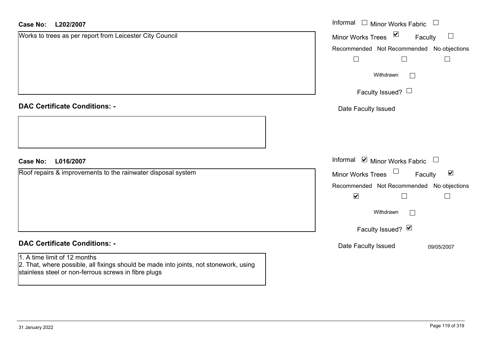| <b>Case No:</b><br>L202/2007                                                                                                                                                  | Informal $\Box$ Minor Works Fabric $\Box$            |
|-------------------------------------------------------------------------------------------------------------------------------------------------------------------------------|------------------------------------------------------|
| Works to trees as per report from Leicester City Council                                                                                                                      | Minor Works Trees $\boxed{\blacksquare}$<br>Faculty  |
|                                                                                                                                                                               | Recommended Not Recommended No objections            |
|                                                                                                                                                                               | $\Box$<br>$\Box$<br>$\Box$                           |
|                                                                                                                                                                               | Withdrawn                                            |
|                                                                                                                                                                               | Faculty Issued? $\Box$                               |
| <b>DAC Certificate Conditions: -</b>                                                                                                                                          | Date Faculty Issued                                  |
|                                                                                                                                                                               |                                                      |
| <b>Case No:</b><br>L016/2007                                                                                                                                                  | Informal ⊠ Minor Works Fabric □                      |
| Roof repairs & improvements to the rainwater disposal system                                                                                                                  | Minor Works Trees<br>$\blacktriangledown$<br>Faculty |
|                                                                                                                                                                               | Recommended Not Recommended No objections            |
|                                                                                                                                                                               | $\blacktriangledown$<br>$\Box$                       |
|                                                                                                                                                                               | Withdrawn                                            |
|                                                                                                                                                                               | Faculty Issued? Ø                                    |
| <b>DAC Certificate Conditions: -</b>                                                                                                                                          | Date Faculty Issued<br>09/05/2007                    |
| 1. A time limit of 12 months<br>2. That, where possible, all fixings should be made into joints, not stonework, using<br>stainless steel or non-ferrous screws in fibre plugs |                                                      |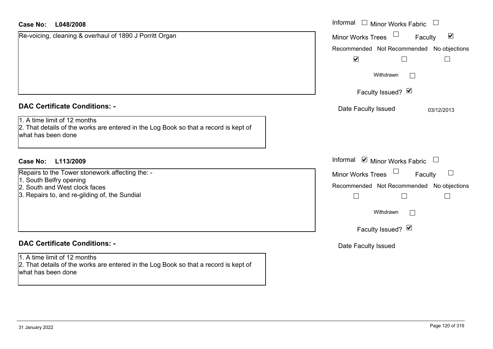| <b>Case No:</b><br>L048/2008                                                                                                                                 | Informal □ Minor Works Fabric                                                                                                                                                                  |
|--------------------------------------------------------------------------------------------------------------------------------------------------------------|------------------------------------------------------------------------------------------------------------------------------------------------------------------------------------------------|
| Re-voicing, cleaning & overhaul of 1890 J Porritt Organ                                                                                                      | $\blacktriangledown$<br><b>Minor Works Trees</b><br>Faculty<br>Recommended Not Recommended No objections<br>$\blacktriangledown$<br>$\Box$<br>$\vert \ \ \vert$<br>Withdrawn<br>$\mathbb{R}^n$ |
|                                                                                                                                                              | Faculty Issued? Ø                                                                                                                                                                              |
| <b>DAC Certificate Conditions: -</b>                                                                                                                         | Date Faculty Issued<br>03/12/2013                                                                                                                                                              |
| 1. A time limit of 12 months<br>2. That details of the works are entered in the Log Book so that a record is kept of<br>what has been done                   |                                                                                                                                                                                                |
| L113/2009<br>Case No:                                                                                                                                        | Informal ☑ Minor Works Fabric                                                                                                                                                                  |
| Repairs to the Tower stonework affecting the: -<br>1. South Belfry opening<br>2. South and West clock faces<br>3. Repairs to, and re-gilding of, the Sundial | Minor Works Trees<br>Faculty<br>Recommended Not Recommended No objections<br>$\Box$<br>$\Box$<br>$\Box$<br>Withdrawn<br>$\Box$<br>Faculty Issued? Ø                                            |
| <b>DAC Certificate Conditions: -</b>                                                                                                                         | Date Faculty Issued                                                                                                                                                                            |
| 1. A time limit of 12 months<br>2. That details of the works are entered in the Log Book so that a record is kept of<br>what has been done                   |                                                                                                                                                                                                |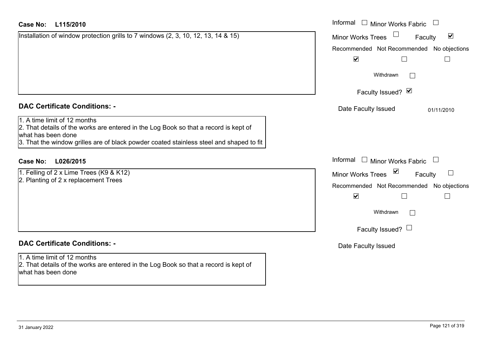| <b>Case No:</b><br>L115/2010                                                                                                                                                                                                          | Informal $\Box$ Minor Works Fabric $\Box$                         |
|---------------------------------------------------------------------------------------------------------------------------------------------------------------------------------------------------------------------------------------|-------------------------------------------------------------------|
| Installation of window protection grills to 7 windows (2, 3, 10, 12, 13, 14 & 15)                                                                                                                                                     | $\blacktriangledown$<br><b>Minor Works Trees</b><br>Faculty       |
|                                                                                                                                                                                                                                       | Recommended Not Recommended No objections                         |
|                                                                                                                                                                                                                                       | $\blacktriangledown$<br>$\Box$                                    |
|                                                                                                                                                                                                                                       | Withdrawn                                                         |
|                                                                                                                                                                                                                                       | Faculty Issued? Ø                                                 |
| <b>DAC Certificate Conditions: -</b>                                                                                                                                                                                                  | Date Faculty Issued<br>01/11/2010                                 |
| 1. A time limit of 12 months<br>2. That details of the works are entered in the Log Book so that a record is kept of<br>what has been done<br>3. That the window grilles are of black powder coated stainless steel and shaped to fit |                                                                   |
| <b>Case No:</b><br>L026/2015                                                                                                                                                                                                          | Informal<br>$\Box$ Minor Works Fabric<br>$\overline{\phantom{a}}$ |
| 1. Felling of 2 x Lime Trees (K9 & K12)                                                                                                                                                                                               | $\vee$<br><b>Minor Works Trees</b><br>Faculty                     |
| 2. Planting of 2 x replacement Trees                                                                                                                                                                                                  | Recommended Not Recommended No objections                         |
|                                                                                                                                                                                                                                       | $\blacktriangledown$<br>$\Box$                                    |
|                                                                                                                                                                                                                                       | Withdrawn                                                         |
|                                                                                                                                                                                                                                       | Faculty Issued? $\Box$                                            |
| <b>DAC Certificate Conditions: -</b>                                                                                                                                                                                                  | Date Faculty Issued                                               |
| 1. A time limit of 12 months<br>2. That details of the works are entered in the Log Book so that a record is kept of<br>what has been done                                                                                            |                                                                   |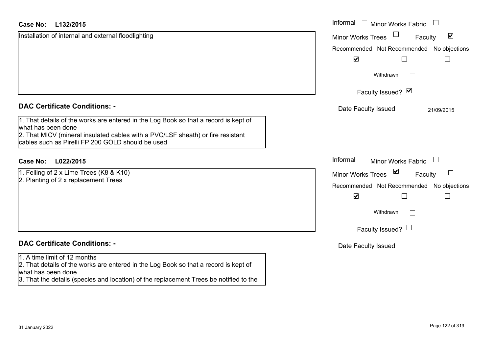| <b>Case No:</b><br>L132/2015                                                                                                                                                                  | Informal<br>$\Box$ Minor Works Fabric                          |
|-----------------------------------------------------------------------------------------------------------------------------------------------------------------------------------------------|----------------------------------------------------------------|
| Installation of internal and external floodlighting                                                                                                                                           | $\blacktriangledown$<br><b>Minor Works Trees</b><br>Faculty    |
|                                                                                                                                                                                               | Recommended Not Recommended No objections                      |
|                                                                                                                                                                                               | $\blacktriangledown$                                           |
|                                                                                                                                                                                               | Withdrawn<br>$\mathbf{I}$                                      |
|                                                                                                                                                                                               | Faculty Issued? Ø                                              |
| <b>DAC Certificate Conditions: -</b>                                                                                                                                                          | Date Faculty Issued<br>21/09/2015                              |
| 1. That details of the works are entered in the Log Book so that a record is kept of<br>what has been done<br>2. That MICV (mineral insulated cables with a PVC/LSF sheath) or fire resistant |                                                                |
| cables such as Pirelli FP 200 GOLD should be used                                                                                                                                             |                                                                |
| <b>Case No:</b><br>L022/2015                                                                                                                                                                  | Informal $\Box$ Minor Works Fabric<br>$\overline{\phantom{a}}$ |
| 1. Felling of 2 x Lime Trees (K8 & K10)                                                                                                                                                       | $\sum$<br>$\Box$<br><b>Minor Works Trees</b><br>Faculty        |
| 2. Planting of 2 x replacement Trees                                                                                                                                                          | Recommended Not Recommended No objections                      |
|                                                                                                                                                                                               | $\blacktriangledown$<br>$\Box$                                 |
|                                                                                                                                                                                               | Withdrawn<br>$\Box$                                            |
|                                                                                                                                                                                               | Faculty Issued? $\Box$                                         |
| <b>DAC Certificate Conditions: -</b>                                                                                                                                                          | Date Faculty Issued                                            |
| 1. A time limit of 12 months<br>2. That details of the works are entered in the Log Book so that a record is kept of<br>what has been done                                                    |                                                                |
| 3. That the details (species and location) of the replacement Trees be notified to the                                                                                                        |                                                                |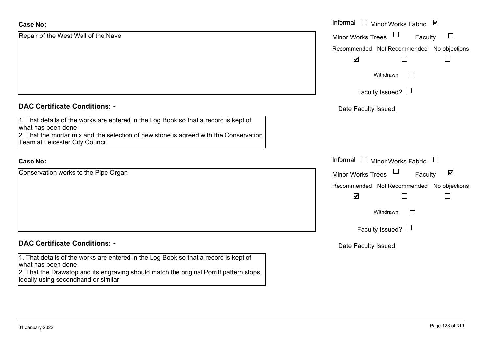| <b>Case No:</b>                                                                                                                                                                                                                              | Informal<br>$\begin{array}{c} \hline \end{array}$<br>⊻<br>Minor Works Fabric |
|----------------------------------------------------------------------------------------------------------------------------------------------------------------------------------------------------------------------------------------------|------------------------------------------------------------------------------|
| Repair of the West Wall of the Nave                                                                                                                                                                                                          | $\Box$<br><b>Minor Works Trees</b><br>Faculty                                |
|                                                                                                                                                                                                                                              | Recommended Not Recommended No objections                                    |
|                                                                                                                                                                                                                                              | $\blacktriangledown$                                                         |
|                                                                                                                                                                                                                                              | Withdrawn                                                                    |
|                                                                                                                                                                                                                                              | Faculty Issued? $\Box$                                                       |
| <b>DAC Certificate Conditions: -</b>                                                                                                                                                                                                         | Date Faculty Issued                                                          |
| 1. That details of the works are entered in the Log Book so that a record is kept of<br>what has been done<br>2. That the mortar mix and the selection of new stone is agreed with the Conservation<br><b>Team at Leicester City Council</b> |                                                                              |
| <b>Case No:</b>                                                                                                                                                                                                                              | Informal $\Box$ Minor Works Fabric<br>$\Box$                                 |
| Conservation works to the Pipe Organ                                                                                                                                                                                                         | $\blacktriangledown$<br><b>Minor Works Trees</b><br>Faculty                  |
|                                                                                                                                                                                                                                              | Recommended Not Recommended No objections                                    |
|                                                                                                                                                                                                                                              | $\blacktriangledown$<br>$\perp$                                              |
|                                                                                                                                                                                                                                              | Withdrawn<br>$\Box$                                                          |
|                                                                                                                                                                                                                                              | Faculty Issued? $\Box$                                                       |
| <b>DAC Certificate Conditions: -</b>                                                                                                                                                                                                         | Date Faculty Issued                                                          |
| 1. That details of the works are entered in the Log Book so that a record is kept of<br>what has been done<br>2. That the Drawstop and its engraving should match the original Porritt pattern stops,<br>ideally using secondhand or similar |                                                                              |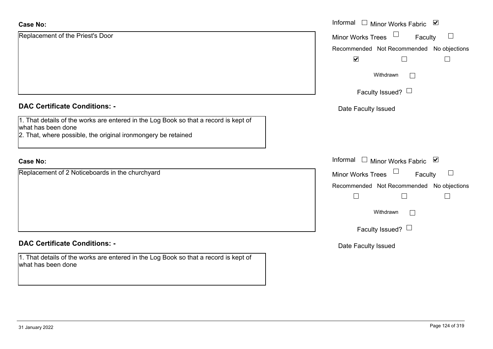| <b>Case No:</b>                                                                                                                                                             | Informal □ Minor Works Fabric ⊠              |
|-----------------------------------------------------------------------------------------------------------------------------------------------------------------------------|----------------------------------------------|
| Replacement of the Priest's Door                                                                                                                                            | Minor Works Trees<br>Faculty                 |
|                                                                                                                                                                             | Recommended Not Recommended<br>No objections |
|                                                                                                                                                                             | $\blacktriangledown$<br>H                    |
|                                                                                                                                                                             | Withdrawn<br>$\mathbb{R}^n$                  |
|                                                                                                                                                                             | Faculty Issued? $\Box$                       |
| <b>DAC Certificate Conditions: -</b>                                                                                                                                        | Date Faculty Issued                          |
| 1. That details of the works are entered in the Log Book so that a record is kept of<br>what has been done<br>2. That, where possible, the original ironmongery be retained |                                              |
| <b>Case No:</b>                                                                                                                                                             | Informal<br>Minor Works Fabric ⊠             |
| Replacement of 2 Noticeboards in the churchyard                                                                                                                             | Minor Works Trees<br>Faculty                 |
|                                                                                                                                                                             | Recommended Not Recommended No objections    |
|                                                                                                                                                                             | $\Box$                                       |
|                                                                                                                                                                             | Withdrawn                                    |
|                                                                                                                                                                             | Faculty Issued? $\Box$                       |
| <b>DAC Certificate Conditions: -</b>                                                                                                                                        | Date Faculty Issued                          |
| 1. That details of the works are entered in the Log Book so that a record is kept of<br>what has been done                                                                  |                                              |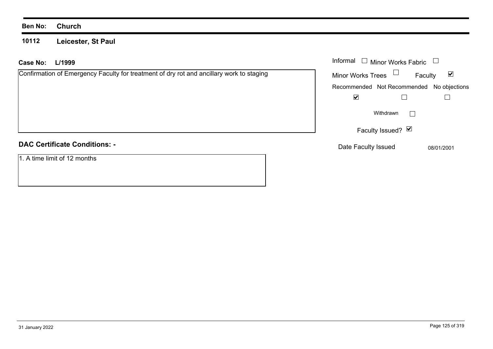**10112 Leicester, St Paul**

| <b>Case No:</b><br>L/1999                                                                | Informal $\Box$ Minor Works Fabric        |                                 |
|------------------------------------------------------------------------------------------|-------------------------------------------|---------------------------------|
| Confirmation of Emergency Faculty for treatment of dry rot and ancillary work to staging | $\Box$<br><b>Minor Works Trees</b>        | $\blacktriangledown$<br>Faculty |
|                                                                                          | Recommended Not Recommended No objections |                                 |
|                                                                                          | $\blacktriangledown$                      |                                 |
|                                                                                          | Withdrawn                                 |                                 |
|                                                                                          | Faculty Issued? $\boxed{\triangledown}$   |                                 |
| <b>DAC Certificate Conditions: -</b>                                                     | Date Faculty Issued                       | 08/01/2001                      |
| 1. A time limit of 12 months                                                             |                                           |                                 |
|                                                                                          |                                           |                                 |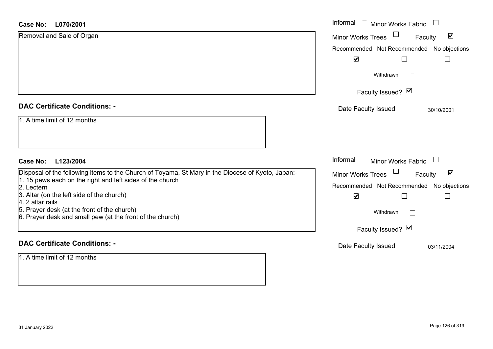## **L070/2001 Case No:** Informal

| Removal and Sale of Organ                                                                                                                                                                                                                                                                                                                                 | $\blacktriangledown$<br><b>Minor Works Trees</b><br>Faculty                                                                            |
|-----------------------------------------------------------------------------------------------------------------------------------------------------------------------------------------------------------------------------------------------------------------------------------------------------------------------------------------------------------|----------------------------------------------------------------------------------------------------------------------------------------|
|                                                                                                                                                                                                                                                                                                                                                           | Recommended Not Recommended No objections                                                                                              |
|                                                                                                                                                                                                                                                                                                                                                           | $\blacktriangledown$                                                                                                                   |
|                                                                                                                                                                                                                                                                                                                                                           | Withdrawn                                                                                                                              |
|                                                                                                                                                                                                                                                                                                                                                           | Faculty Issued? Ø                                                                                                                      |
| <b>DAC Certificate Conditions: -</b>                                                                                                                                                                                                                                                                                                                      | Date Faculty Issued<br>30/10/2001                                                                                                      |
| 1. A time limit of 12 months                                                                                                                                                                                                                                                                                                                              |                                                                                                                                        |
| <b>Case No:</b><br>L123/2004                                                                                                                                                                                                                                                                                                                              | Informal<br><b>Minor Works Fabric</b>                                                                                                  |
| Disposal of the following items to the Church of Toyama, St Mary in the Diocese of Kyoto, Japan:-<br>1. 15 pews each on the right and left sides of the church<br>2. Lectern<br>3. Altar (on the left side of the church)<br>4. 2 altar rails<br>5. Prayer desk (at the front of the church)<br>6. Prayer desk and small pew (at the front of the church) | Minor Works Trees<br>$\blacktriangledown$<br>Faculty<br>Recommended Not Recommended No objections<br>$\blacktriangledown$<br>Withdrawn |
|                                                                                                                                                                                                                                                                                                                                                           | Faculty Issued? Ø                                                                                                                      |
| <b>DAC Certificate Conditions: -</b>                                                                                                                                                                                                                                                                                                                      | Date Faculty Issued<br>03/11/2004                                                                                                      |
| 1. A time limit of 12 months                                                                                                                                                                                                                                                                                                                              |                                                                                                                                        |

Minor Works Fabric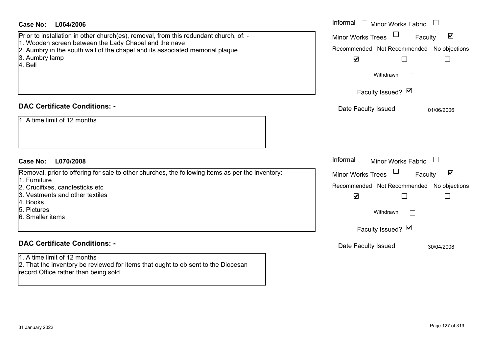| <b>Case No:</b><br>L064/2006                                                                                                          | Informal<br>$\perp$<br><b>Minor Works Fabric</b>            |
|---------------------------------------------------------------------------------------------------------------------------------------|-------------------------------------------------------------|
| Prior to installation in other church(es), removal, from this redundant church, of: -                                                 | $\blacktriangledown$<br><b>Minor Works Trees</b><br>Faculty |
| 1. Wooden screen between the Lady Chapel and the nave<br>2. Aumbry in the south wall of the chapel and its associated memorial plaque | Recommended Not Recommended No objections                   |
| 3. Aumbry lamp<br>4. Bell                                                                                                             | $\blacktriangledown$<br>П<br>$\mathbb{R}^n$                 |
|                                                                                                                                       | Withdrawn                                                   |
|                                                                                                                                       | Faculty Issued? Ø                                           |
| <b>DAC Certificate Conditions: -</b>                                                                                                  | Date Faculty Issued<br>01/06/2006                           |
| 1. A time limit of 12 months                                                                                                          |                                                             |
| <b>Case No:</b><br>L070/2008                                                                                                          | Informal □ Minor Works Fabric                               |
| Removal, prior to offering for sale to other churches, the following items as per the inventory: -                                    | Minor Works Trees<br>$\blacktriangledown$<br>Faculty        |
| 1. Furniture<br>2. Crucifixes, candlesticks etc                                                                                       | Recommended Not Recommended<br>No objections                |
| 3. Vestments and other textiles<br>4. Books                                                                                           | $\blacktriangledown$<br>$\Box$                              |
| 5. Pictures                                                                                                                           | Withdrawn                                                   |
| 6. Smaller items                                                                                                                      |                                                             |
|                                                                                                                                       | Faculty Issued? Ø                                           |
| <b>DAC Certificate Conditions: -</b>                                                                                                  | Date Faculty Issued<br>30/04/2008                           |
| 1. A time limit of 12 months                                                                                                          |                                                             |
| 2. That the inventory be reviewed for items that ought to eb sent to the Diocesan<br>record Office rather than being sold             |                                                             |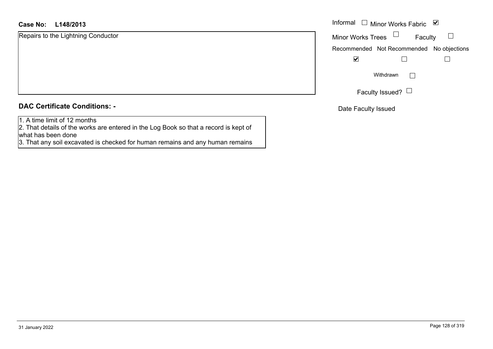## **L148/2013Case No:** Informal

Repairs to the Lightning Conductor

#### **DAC Certificate Conditions: -**

1. A time limit of 12 months

 2. That details of the works are entered in the Log Book so that a record is kept of what has been done

3. That any soil excavated is checked for human remains and any human remains

| Informal<br>$\Box$ Minor Works Fabric<br>∣V∣ |                                           |  |
|----------------------------------------------|-------------------------------------------|--|
| <b>Minor Works Trees</b>                     | Faculty                                   |  |
|                                              | Recommended Not Recommended No objections |  |
|                                              |                                           |  |
| Withdrawn                                    |                                           |  |
|                                              | Faculty Issued?                           |  |

Date Faculty Issued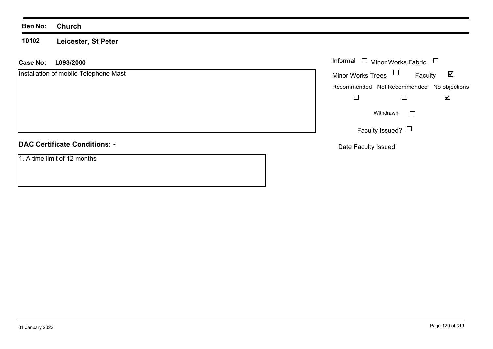#### **10102 Leicester, St Peter**

#### **L093/2000 Case No:** Informal

| Installation of mobile Telephone Mast | $\blacktriangledown$<br><b>Minor Works Trees</b><br>Faculty |
|---------------------------------------|-------------------------------------------------------------|
|                                       | Recommended Not Recommended No objections                   |
|                                       | ⊻                                                           |
|                                       | Withdrawn                                                   |
|                                       | Faculty Issued? $\Box$                                      |
| <b>DAC Certificate Conditions: -</b>  | Date Faculty Issued                                         |
| 1. A time limit of 12 months          |                                                             |

Minor Works Fabric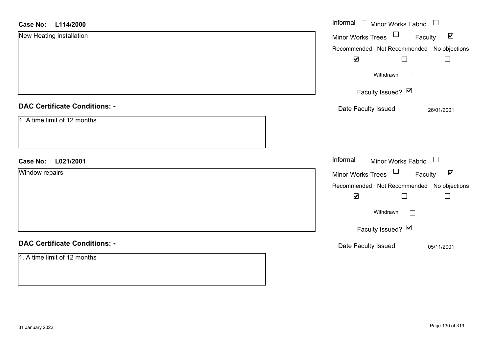# Informal  $\Box$  Minor Works Fabric  $\Box$ **L114/2000Case No:** Informal New Heating installation Faculty  $\blacktriangledown$ Minor Works Trees Recommended Not Recommended No objections  $\overline{\mathbf{v}}$  $\Box$  $\Box$  $\Box$ Withdrawn Faculty Issued? Ø **DAC Certificate Conditions: -**Date Faculty Issued 26/01/2001 1. A time limit of 12 monthsInformal  $\Box$  Minor Works Fabric  $\Box$ **L021/2001Case No:** Informal Window repairs  $\blacktriangledown$ Faculty Minor Works Trees Recommended Not Recommended No objections  $\overline{\mathbf{v}}$  $\Box$  $\Box$ Withdrawn Faculty Issued? Ø **DAC Certificate Conditions: -**Date Faculty Issued 05/11/2001 1. A time limit of 12 months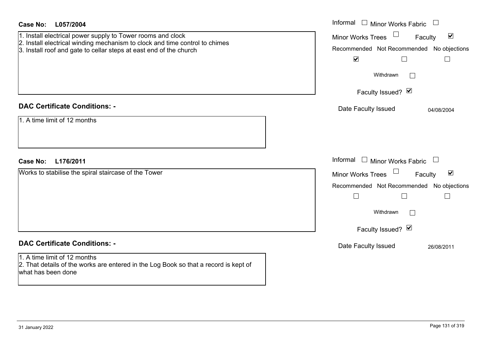| <b>Case No:</b><br>L057/2004                                                                                                                                                                                     | Informal $\Box$ Minor Works Fabric $\Box$                                                                                                                                |
|------------------------------------------------------------------------------------------------------------------------------------------------------------------------------------------------------------------|--------------------------------------------------------------------------------------------------------------------------------------------------------------------------|
| 1. Install electrical power supply to Tower rooms and clock<br>2. Install electrical winding mechanism to clock and time control to chimes<br>3. Install roof and gate to cellar steps at east end of the church | $\blacktriangledown$<br><b>Minor Works Trees</b><br>Faculty<br>Recommended Not Recommended No objections<br>$\blacktriangledown$<br>$\Box$<br>$\Box$                     |
|                                                                                                                                                                                                                  | Withdrawn                                                                                                                                                                |
|                                                                                                                                                                                                                  | Faculty Issued? Ø                                                                                                                                                        |
| <b>DAC Certificate Conditions: -</b>                                                                                                                                                                             | Date Faculty Issued<br>04/08/2004                                                                                                                                        |
| 1. A time limit of 12 months                                                                                                                                                                                     |                                                                                                                                                                          |
| <b>Case No:</b><br>L176/2011                                                                                                                                                                                     | Informal $\Box$ Minor Works Fabric $\Box$                                                                                                                                |
| Works to stabilise the spiral staircase of the Tower                                                                                                                                                             | $\blacktriangledown$<br><b>Minor Works Trees</b><br>Faculty<br>Recommended Not Recommended No objections<br>$\Box$<br>$\Box$<br>$\Box$<br>Withdrawn<br>Faculty Issued? Ø |
| <b>DAC Certificate Conditions: -</b>                                                                                                                                                                             | Date Faculty Issued<br>26/08/2011                                                                                                                                        |
| 1. A time limit of 12 months<br>2. That details of the works are entered in the Log Book so that a record is kept of<br>what has been done                                                                       |                                                                                                                                                                          |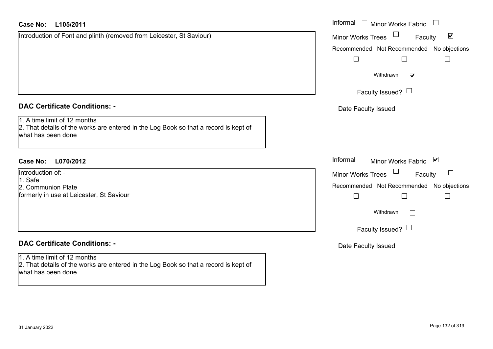| <b>Case No:</b><br>L105/2011                                                                                                               | Informal $\Box$ Minor Works Fabric                          |
|--------------------------------------------------------------------------------------------------------------------------------------------|-------------------------------------------------------------|
| Introduction of Font and plinth (removed from Leicester, St Saviour)                                                                       | $\blacktriangledown$<br><b>Minor Works Trees</b><br>Faculty |
|                                                                                                                                            | Recommended Not Recommended No objections                   |
|                                                                                                                                            | $\Box$<br>$\Box$                                            |
|                                                                                                                                            | Withdrawn<br>$\blacktriangledown$                           |
|                                                                                                                                            | Faculty Issued? $\Box$                                      |
| <b>DAC Certificate Conditions: -</b>                                                                                                       | Date Faculty Issued                                         |
| 1. A time limit of 12 months<br>2. That details of the works are entered in the Log Book so that a record is kept of<br>what has been done |                                                             |
| <b>Case No:</b><br>L070/2012                                                                                                               | Informal $\Box$ Minor Works Fabric $\Box$                   |
| Introduction of: -                                                                                                                         | Minor Works Trees<br>Faculty                                |
| 1. Safe<br>2. Communion Plate                                                                                                              | Recommended Not Recommended No objections                   |
| formerly in use at Leicester, St Saviour                                                                                                   | $\Box$<br>$\Box$                                            |
|                                                                                                                                            | Withdrawn                                                   |
|                                                                                                                                            | Faculty Issued? $\Box$                                      |
| <b>DAC Certificate Conditions: -</b>                                                                                                       | Date Faculty Issued                                         |
| 1. A time limit of 12 months<br>2. That details of the works are entered in the Log Book so that a record is kept of<br>what has been done |                                                             |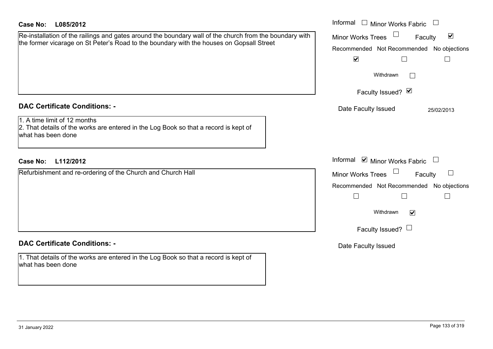| <b>Case No:</b><br>L085/2012                                                                                                                                                                        | Informal $\Box$ Minor Works Fabric $\Box$                                                                                                                              |
|-----------------------------------------------------------------------------------------------------------------------------------------------------------------------------------------------------|------------------------------------------------------------------------------------------------------------------------------------------------------------------------|
| Re-installation of the railings and gates around the boundary wall of the church from the boundary with<br>the former vicarage on St Peter's Road to the boundary with the houses on Gopsall Street | Minor Works Trees<br>$\blacktriangledown$<br>Faculty<br>Recommended Not Recommended No objections<br>$\blacktriangledown$<br>Withdrawn<br>$\mathbf{L}$                 |
| <b>DAC Certificate Conditions: -</b>                                                                                                                                                                | Faculty Issued? Ø                                                                                                                                                      |
| 1. A time limit of 12 months<br>2. That details of the works are entered in the Log Book so that a record is kept of<br>what has been done                                                          | Date Faculty Issued<br>25/02/2013                                                                                                                                      |
| L112/2012<br><b>Case No:</b>                                                                                                                                                                        | Informal $\blacksquare$ Minor Works Fabric $\blacksquare$                                                                                                              |
| Refurbishment and re-ordering of the Church and Church Hall                                                                                                                                         | Minor Works Trees<br>Faculty<br>Recommended Not Recommended No objections<br>$\Box$<br>$\Box$<br>$\Box$<br>Withdrawn<br>$\blacktriangledown$<br>Faculty Issued? $\Box$ |
| <b>DAC Certificate Conditions: -</b>                                                                                                                                                                | Date Faculty Issued                                                                                                                                                    |
| 1. That details of the works are entered in the Log Book so that a record is kept of<br>what has been done                                                                                          |                                                                                                                                                                        |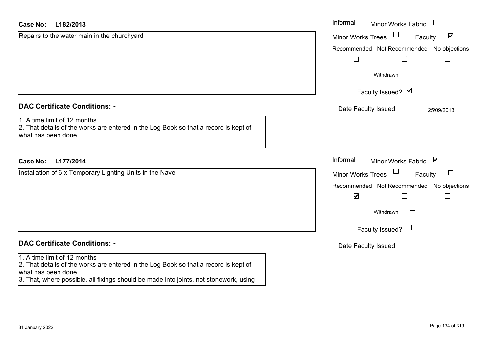| <b>Case No:</b><br>L182/2013                                                                                                               | Informal $\Box$ Minor Works Fabric<br>$\overline{\phantom{a}}$ |
|--------------------------------------------------------------------------------------------------------------------------------------------|----------------------------------------------------------------|
| Repairs to the water main in the churchyard                                                                                                | $\blacktriangledown$<br><b>Minor Works Trees</b><br>Faculty    |
|                                                                                                                                            | Recommended Not Recommended No objections                      |
|                                                                                                                                            |                                                                |
|                                                                                                                                            | Withdrawn                                                      |
|                                                                                                                                            | Faculty Issued? Ø                                              |
| <b>DAC Certificate Conditions: -</b>                                                                                                       | Date Faculty Issued<br>25/09/2013                              |
| 1. A time limit of 12 months<br>2. That details of the works are entered in the Log Book so that a record is kept of<br>what has been done |                                                                |
| L177/2014<br><b>Case No:</b>                                                                                                               | Informal<br>□ Minor Works Fabric $\vert \mathbf{v} \vert$      |
| Installation of 6 x Temporary Lighting Units in the Nave                                                                                   | ⊔<br><b>Minor Works Trees</b><br>Faculty                       |
|                                                                                                                                            | Recommended Not Recommended No objections                      |
|                                                                                                                                            | $\blacktriangledown$                                           |
|                                                                                                                                            | Withdrawn<br>$\vert \hspace{.06cm} \vert$                      |
|                                                                                                                                            | Faculty Issued? $\Box$                                         |
| <b>DAC Certificate Conditions: -</b>                                                                                                       | Date Faculty Issued                                            |
| 1. A time limit of 12 months                                                                                                               |                                                                |
| 2. That details of the works are entered in the Log Book so that a record is kept of<br>what has been done                                 |                                                                |
| 3. That, where possible, all fixings should be made into joints, not stonework, using                                                      |                                                                |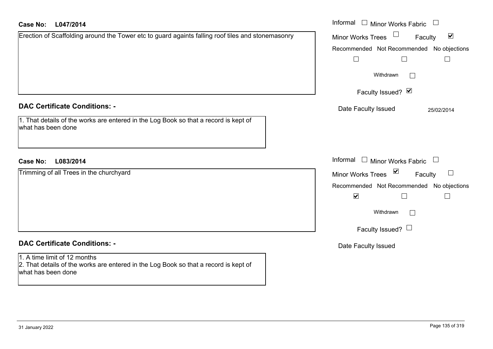| <b>Case No:</b><br>L047/2014                                                                                                               | Informal □ Minor Works Fabric                                           |
|--------------------------------------------------------------------------------------------------------------------------------------------|-------------------------------------------------------------------------|
| Erection of Scaffolding around the Tower etc to guard againts falling roof tiles and stonemasonry                                          | $\blacktriangledown$<br><b>Minor Works Trees</b><br>Faculty             |
|                                                                                                                                            | Recommended Not Recommended No objections<br>$\Box$<br>$\Box$<br>$\Box$ |
|                                                                                                                                            | Withdrawn                                                               |
|                                                                                                                                            | Faculty Issued? Ø                                                       |
| <b>DAC Certificate Conditions: -</b>                                                                                                       | Date Faculty Issued<br>25/02/2014                                       |
| 1. That details of the works are entered in the Log Book so that a record is kept of<br>what has been done                                 |                                                                         |
| L083/2014<br><b>Case No:</b>                                                                                                               | Informal $\Box$ Minor Works Fabric $\Box$                               |
| Trimming of all Trees in the churchyard                                                                                                    | Minor Works Trees $\Box$<br>Faculty                                     |
|                                                                                                                                            | Recommended Not Recommended No objections                               |
|                                                                                                                                            | $\blacktriangledown$<br>$\Box$<br>$\Box$                                |
|                                                                                                                                            | Withdrawn                                                               |
|                                                                                                                                            | Faculty Issued? $\Box$                                                  |
| <b>DAC Certificate Conditions: -</b>                                                                                                       | Date Faculty Issued                                                     |
| 1. A time limit of 12 months<br>2. That details of the works are entered in the Log Book so that a record is kept of<br>what has been done |                                                                         |
|                                                                                                                                            |                                                                         |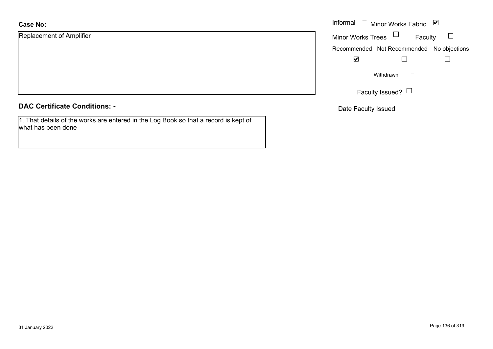Replacement of Amplifier

### **DAC Certificate Conditions: -**

1. That details of the works are entered in the Log Book so that a record is kept of what has been done

|                   | Informal $\Box$ Minor Works Fabric $\Box$ |
|-------------------|-------------------------------------------|
| nent of Amplifier | Faculty<br>Minor Works Trees              |
|                   | Recommended Not Recommended No objections |
|                   | $\blacktriangledown$                      |
|                   | Withdrawn                                 |
|                   | Faculty Issued? $\Box$                    |

Date Faculty Issued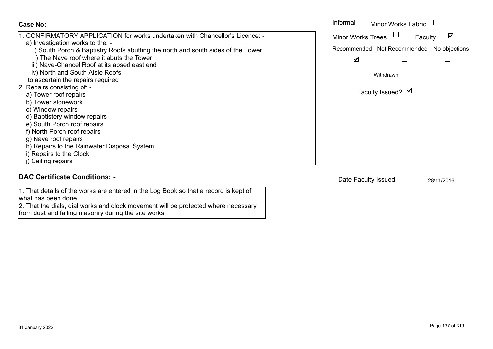Informal  $\Box$  Minor Works Fabric  $\Box$  Informal **Case No:**1. CONFIRMATORY APPLICATION for works undertaken with Chancellor's Licence: - $\blacktriangledown$ Faculty Minor Works Trees a) Investigation works to the: i) South Porch & Baptistry Roofs abutting the north and south sides of the Tower Recommended Not Recommended No objections ii) The Nave roof where it abuts the Tower  $\overline{\mathbf{v}}$  $\Box$  $\Box$  iii) Nave-Chancel Roof at its apsed east end iv) North and South Aisle Roofs Withdrawn $\Box$  to ascertain the repairs required 2. Repairs consisting of: - Faculty Issued? Ø a) Tower roof repairs b) Tower stonework c) Window repairs d) Baptistery window repairs e) South Porch roof repairs f) North Porch roof repairs g) Nave roof repairs h) Repairs to the Rainwater Disposal System i) Repairs to the Clock j) Ceiling repairs **DAC Certificate Conditions: -**Date Faculty Issued 28/11/2016 1. That details of the works are entered in the Log Book so that a record is kept of what has been done

2. That the dials, dial works and clock movement will be protected where necessary

from dust and falling masonry during the site works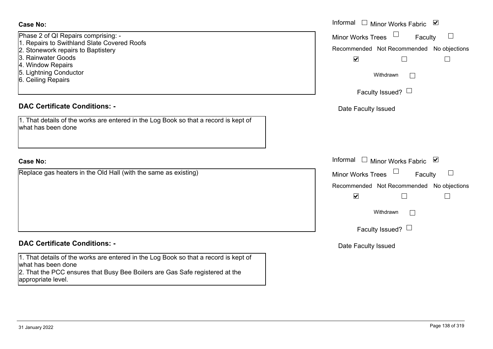| <b>Case No:</b>                                                                                                          | Informal $\Box$ Minor Works Fabric $\Box$                                        |
|--------------------------------------------------------------------------------------------------------------------------|----------------------------------------------------------------------------------|
| Phase 2 of QI Repairs comprising: -<br>1. Repairs to Swithland Slate Covered Roofs<br>2. Stonework repairs to Baptistery | <b>Minor Works Trees</b><br>Faculty<br>Recommended Not Recommended No objections |
| 3. Rainwater Goods                                                                                                       | $\blacktriangledown$<br>$\Box$                                                   |
| 4. Window Repairs                                                                                                        |                                                                                  |
| 5. Lightning Conductor<br>6. Ceiling Repairs                                                                             | Withdrawn                                                                        |
|                                                                                                                          | Faculty Issued? $\Box$                                                           |
| <b>DAC Certificate Conditions: -</b>                                                                                     | Date Faculty Issued                                                              |
| 1. That details of the works are entered in the Log Book so that a record is kept of<br>what has been done               |                                                                                  |
|                                                                                                                          |                                                                                  |
| <b>Case No:</b>                                                                                                          | Informal □ Minor Works Fabric ⊠                                                  |
| Replace gas heaters in the Old Hall (with the same as existing)                                                          | <b>Minor Works Trees</b><br>Faculty                                              |
|                                                                                                                          | Recommended Not Recommended No objections                                        |
|                                                                                                                          | $\blacktriangledown$<br>$\Box$<br>$\mathbb{R}^n$                                 |
|                                                                                                                          | Withdrawn                                                                        |
|                                                                                                                          | Faculty Issued? $\Box$                                                           |
| <b>DAC Certificate Conditions: -</b>                                                                                     | Date Faculty Issued                                                              |
| 1. That details of the works are entered in the Log Book so that a record is kept of                                     |                                                                                  |
| what has been done<br>2. That the PCC ensures that Busy Bee Boilers are Gas Safe registered at the                       |                                                                                  |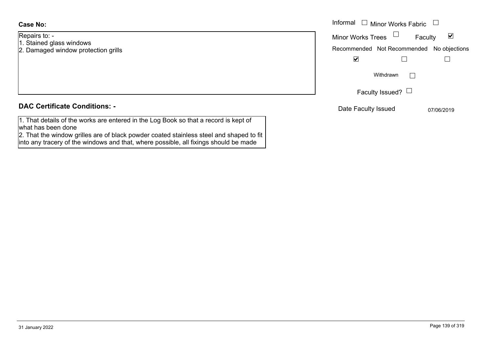Repairs to: -

- 1. Stained glass windows
- 2. Damaged window protection grills

# **DAC Certificate Conditions: -**

1. That details of the works are entered in the Log Book so that a record is kept of what has been done

2. That the window grilles are of black powder coated stainless steel and shaped to fit into any tracery of the windows and that, where possible, all fixings should be made

|                                                         | Informal $\Box$ Minor Works Fabric $\Box$                                                                     |
|---------------------------------------------------------|---------------------------------------------------------------------------------------------------------------|
| O. -<br>d glass windows<br>ged window protection grills | <b>Minor Works Trees</b><br>⊻<br>Faculty<br>Recommended Not Recommended No objections<br>$\blacktriangledown$ |
|                                                         | Withdrawn                                                                                                     |
| rtificate Conditions: -                                 | Faculty Issued? $\Box$<br>Date Faculty Issued<br>07/06/2019                                                   |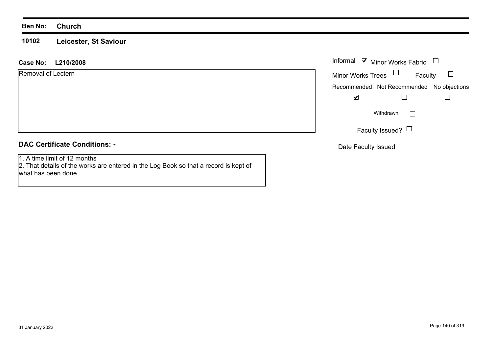#### **10102Leicester, St Saviour**

### **L210/2008 Case No:** Informal

|  | Removal of Lectern |  |
|--|--------------------|--|
|--|--------------------|--|

# **DAC Certificate Conditions: -**

1. A time limit of 12 months

 2. That details of the works are entered in the Log Book so that a record is kept of what has been done

|                   | Informal ⊻ Minor Works Fabric             |  |
|-------------------|-------------------------------------------|--|
| Minor Works Trees | Faculty                                   |  |
|                   | Recommended Not Recommended No objections |  |
|                   |                                           |  |
|                   | Withdrawn                                 |  |
|                   | Faculty Issued? $\Box$                    |  |

Date Faculty Issued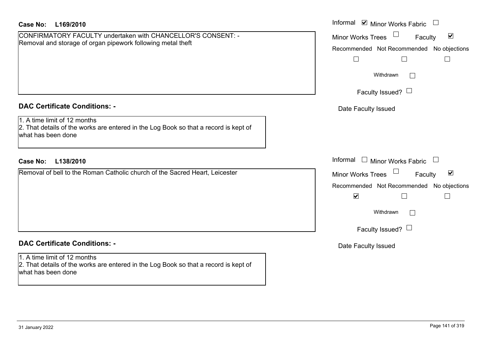| <b>Case No:</b><br>L169/2010                                                                                                               | Informal Ø Minor Works Fabric □                                                                                                                                                                        |
|--------------------------------------------------------------------------------------------------------------------------------------------|--------------------------------------------------------------------------------------------------------------------------------------------------------------------------------------------------------|
| CONFIRMATORY FACULTY undertaken with CHANCELLOR'S CONSENT: -<br>Removal and storage of organ pipework following metal theft                | $\Box$<br>$\blacktriangledown$<br><b>Minor Works Trees</b><br>Faculty<br>Recommended Not Recommended No objections<br>$\Box$<br>$\Box$<br>Withdrawn<br>Faculty Issued? $\Box$                          |
| <b>DAC Certificate Conditions: -</b>                                                                                                       | Date Faculty Issued                                                                                                                                                                                    |
| 1. A time limit of 12 months<br>2. That details of the works are entered in the Log Book so that a record is kept of<br>what has been done |                                                                                                                                                                                                        |
| L138/2010<br><b>Case No:</b>                                                                                                               | Informal $\Box$ Minor Works Fabric $\Box$                                                                                                                                                              |
| Removal of bell to the Roman Catholic church of the Sacred Heart, Leicester                                                                |                                                                                                                                                                                                        |
|                                                                                                                                            | $\Box$<br>$\blacktriangledown$<br><b>Minor Works Trees</b><br>Faculty<br>Recommended Not Recommended No objections<br>$\blacktriangledown$<br>$\Box$<br>Withdrawn<br>$\perp$<br>Faculty Issued? $\Box$ |
| <b>DAC Certificate Conditions: -</b>                                                                                                       | Date Faculty Issued                                                                                                                                                                                    |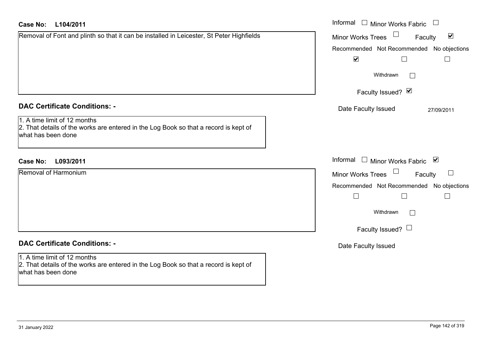| <b>Case No:</b><br>L104/2011                                                                                                               | Informal □ Minor Works Fabric                                       |
|--------------------------------------------------------------------------------------------------------------------------------------------|---------------------------------------------------------------------|
| Removal of Font and plinth so that it can be installed in Leicester, St Peter Highfields                                                   | $\Box$<br>$\blacktriangledown$<br>Minor Works Trees<br>Faculty      |
|                                                                                                                                            | Recommended Not Recommended No objections<br>$\blacktriangledown$   |
|                                                                                                                                            | Withdrawn<br>$\mathbf{L}$                                           |
|                                                                                                                                            | Faculty Issued? Ø                                                   |
| <b>DAC Certificate Conditions: -</b>                                                                                                       | Date Faculty Issued<br>27/09/2011                                   |
| 1. A time limit of 12 months<br>2. That details of the works are entered in the Log Book so that a record is kept of<br>what has been done |                                                                     |
| <b>Case No:</b><br>L093/2011                                                                                                               | Informal<br>$\Box$ Minor Works Fabric $\boxtimes$                   |
| Removal of Harmonium                                                                                                                       | Minor Works Trees<br>Faculty                                        |
|                                                                                                                                            | Recommended Not Recommended No objections<br>$\Box$<br>$\mathbf{I}$ |
|                                                                                                                                            | Withdrawn<br>$\mathbf{L}$                                           |
|                                                                                                                                            | Faculty Issued? $\Box$                                              |
| <b>DAC Certificate Conditions: -</b>                                                                                                       | Date Faculty Issued                                                 |
| 1. A time limit of 12 months<br>2. That details of the works are entered in the Log Book so that a record is kept of<br>what has been done |                                                                     |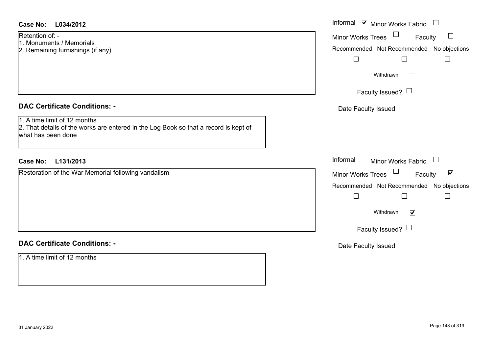| <b>Case No:</b><br>L034/2012<br>Retention of: -<br>1. Monuments / Memorials<br>2. Remaining furnishings (if any)                                                                   | Informal $\blacksquare$ Minor Works Fabric $\blacksquare$<br>Minor Works Trees<br>Faculty<br>$\Box$<br>Recommended Not Recommended No objections<br>$\Box$<br>$\Box$<br>$\Box$<br>Withdrawn<br>$\Box$<br>Faculty Issued? $\Box$          |
|------------------------------------------------------------------------------------------------------------------------------------------------------------------------------------|------------------------------------------------------------------------------------------------------------------------------------------------------------------------------------------------------------------------------------------|
| <b>DAC Certificate Conditions: -</b><br>1. A time limit of 12 months<br>2. That details of the works are entered in the Log Book so that a record is kept of<br>what has been done | Date Faculty Issued                                                                                                                                                                                                                      |
| <b>Case No:</b><br>L131/2013<br>Restoration of the War Memorial following vandalism                                                                                                | Informal □ Minor Works Fabric □<br>Minor Works Trees $\Box$<br>$\blacktriangledown$<br>Faculty<br>Recommended Not Recommended No objections<br>$\Box$<br>$\Box$<br>$\Box$<br>Withdrawn<br>$\blacktriangledown$<br>Faculty Issued? $\Box$ |
| <b>DAC Certificate Conditions: -</b><br>1. A time limit of 12 months                                                                                                               | Date Faculty Issued                                                                                                                                                                                                                      |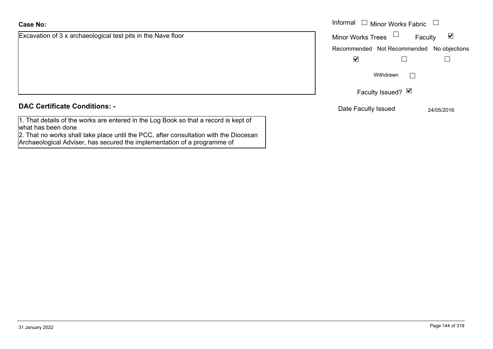# **DAC Certificate Conditions: -**

Excavation of 3 x archaeological test pits in the Nave floor

1. That details of the works are entered in the Log Book so that a record is kept of what has been done

2. That no works shall take place until the PCC, after consultation with the Diocesan Archaeological Adviser, has secured the implementation of a programme of

|                                                      | Informal<br>$\Box$ Minor Works Fabric                       |  |
|------------------------------------------------------|-------------------------------------------------------------|--|
| on of 3 x archaeological test pits in the Nave floor | Minor Works Trees $\Box$<br>Faculty<br>$\blacktriangledown$ |  |
|                                                      | Recommended Not Recommended No objections                   |  |
|                                                      | $\blacktriangledown$                                        |  |
|                                                      | Withdrawn                                                   |  |
|                                                      | Faculty Issued? $\Box$                                      |  |
| rtificate Conditions: -                              | Date Faculty Issued<br>24/05/2016                           |  |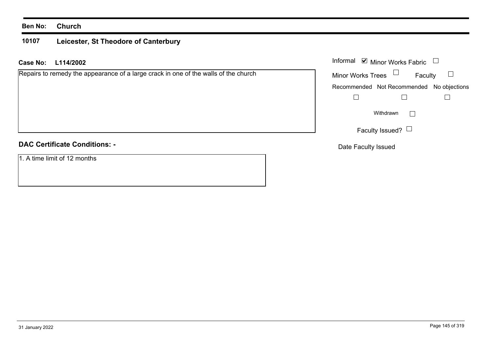### **10107 Leicester, St Theodore of Canterbury**

| <b>Case No:</b><br>L114/2002                                                        | Informal $\blacksquare$ Minor Works Fabric $\Box$ |  |  |
|-------------------------------------------------------------------------------------|---------------------------------------------------|--|--|
| Repairs to remedy the appearance of a large crack in one of the walls of the church | Minor Works Trees $\Box$<br>Faculty               |  |  |
|                                                                                     | Recommended Not Recommended No objections         |  |  |
|                                                                                     |                                                   |  |  |
|                                                                                     | Withdrawn<br>$\mathbf{1}$                         |  |  |
|                                                                                     | Faculty Issued? $\Box$                            |  |  |
| <b>DAC Certificate Conditions: -</b>                                                | Date Faculty Issued                               |  |  |
| 1. A time limit of 12 months                                                        |                                                   |  |  |
|                                                                                     |                                                   |  |  |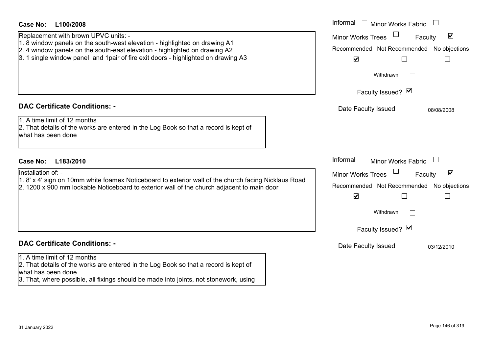| <b>Case No:</b><br>L100/2008<br>Replacement with brown UPVC units: -<br>1. 8 window panels on the south-west elevation - highlighted on drawing A1<br>2. 4 window panels on the south-east elevation - highlighted on drawing A2<br>3. 1 single window panel and 1 pair of fire exit doors - highlighted on drawing A3 | Informal $\Box$ Minor Works Fabric<br>$\blacktriangledown$<br><b>Minor Works Trees</b><br>Faculty<br>Recommended Not Recommended No objections<br>$\blacktriangledown$ |
|------------------------------------------------------------------------------------------------------------------------------------------------------------------------------------------------------------------------------------------------------------------------------------------------------------------------|------------------------------------------------------------------------------------------------------------------------------------------------------------------------|
|                                                                                                                                                                                                                                                                                                                        | Withdrawn<br>$\mathbf{L}$<br>Faculty Issued? Ø                                                                                                                         |
| <b>DAC Certificate Conditions: -</b>                                                                                                                                                                                                                                                                                   | Date Faculty Issued<br>08/08/2008                                                                                                                                      |
| 1. A time limit of 12 months<br>2. That details of the works are entered in the Log Book so that a record is kept of<br>what has been done                                                                                                                                                                             |                                                                                                                                                                        |
| <b>Case No:</b><br>L183/2010                                                                                                                                                                                                                                                                                           | Informal $\Box$<br><b>Minor Works Fabric</b><br>$\Box$                                                                                                                 |
| Installation of: -<br>1. 8' x 4' sign on 10mm white foamex Noticeboard to exterior wall of the church facing Nicklaus Road<br>2. 1200 x 900 mm lockable Noticeboard to exterior wall of the church adjacent to main door                                                                                               | $\blacktriangledown$<br><b>Minor Works Trees</b><br>Faculty<br>Recommended Not Recommended No objections<br>$\blacktriangledown$<br>Withdrawn<br>$\mathbf{L}$          |
|                                                                                                                                                                                                                                                                                                                        | Faculty Issued? Ø                                                                                                                                                      |
| <b>DAC Certificate Conditions: -</b>                                                                                                                                                                                                                                                                                   | Date Faculty Issued<br>03/12/2010                                                                                                                                      |
| 1. A time limit of 12 months<br>2. That details of the works are entered in the Log Book so that a record is kept of<br>what has been done<br>3. That, where possible, all fixings should be made into joints, not stonework, using                                                                                    |                                                                                                                                                                        |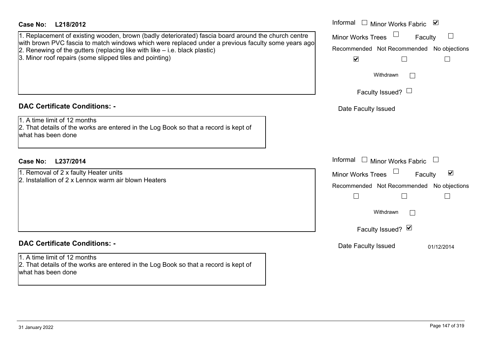| <b>Case No:</b><br>L218/2012                                                                                                                                                                              | Informal<br>□ Minor Works Fabric                                                                                                                                 |
|-----------------------------------------------------------------------------------------------------------------------------------------------------------------------------------------------------------|------------------------------------------------------------------------------------------------------------------------------------------------------------------|
| 1. Replacement of existing wooden, brown (badly deteriorated) fascia board around the church centre<br>with brown PVC fascia to match windows which were replaced under a previous faculty some years ago | <b>Minor Works Trees</b><br>Faculty<br>Recommended Not Recommended No objections                                                                                 |
| 2. Renewing of the gutters (replacing like with like $-$ i.e. black plastic)<br>3. Minor roof repairs (some slipped tiles and pointing)                                                                   | $\blacktriangledown$                                                                                                                                             |
|                                                                                                                                                                                                           | Withdrawn<br>$\sim$                                                                                                                                              |
|                                                                                                                                                                                                           | Faculty Issued? $\Box$                                                                                                                                           |
| <b>DAC Certificate Conditions: -</b>                                                                                                                                                                      | Date Faculty Issued                                                                                                                                              |
| 1. A time limit of 12 months<br>2. That details of the works are entered in the Log Book so that a record is kept of<br>what has been done                                                                |                                                                                                                                                                  |
| L237/2014<br>Case No:                                                                                                                                                                                     | Informal<br>$\Box$ Minor Works Fabric<br>$\overline{\phantom{a}}$                                                                                                |
| 1. Removal of 2 x faulty Heater units<br>2. Instalallion of 2 x Lennox warm air blown Heaters                                                                                                             | $\blacktriangledown$<br>Faculty<br><b>Minor Works Trees</b><br>Recommended Not Recommended No objections<br>$\Box$<br>$\Box$<br>⊔<br>Withdrawn<br>$\mathbb{R}^n$ |
|                                                                                                                                                                                                           | Faculty Issued? Ø                                                                                                                                                |
| <b>DAC Certificate Conditions: -</b>                                                                                                                                                                      | Date Faculty Issued<br>01/12/2014                                                                                                                                |
| 1. A time limit of 12 months<br>2. That details of the works are entered in the Log Book so that a record is kept of<br>what has been done                                                                |                                                                                                                                                                  |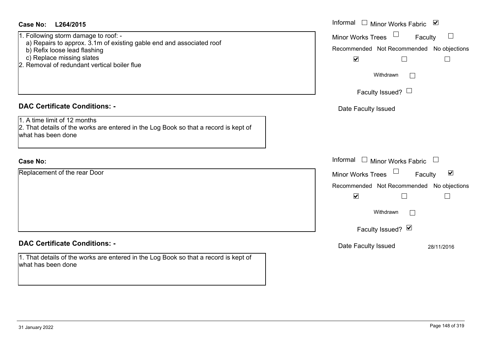| <b>Case No:</b><br>L264/2015                                                                                                                                                                                              | Informal<br>$\blacktriangledown$<br>Minor Works Fabric                                                                                                                                                  |
|---------------------------------------------------------------------------------------------------------------------------------------------------------------------------------------------------------------------------|---------------------------------------------------------------------------------------------------------------------------------------------------------------------------------------------------------|
| 1. Following storm damage to roof: -<br>a) Repairs to approx. 3.1m of existing gable end and associated roof<br>b) Refix loose lead flashing<br>c) Replace missing slates<br>2. Removal of redundant vertical boiler flue | $\Box$<br>Minor Works Trees<br>$\Box$<br>Faculty<br>Recommended Not Recommended No objections<br>$\blacktriangledown$<br>$\Box$<br>$\Box$<br>Withdrawn<br>Faculty Issued? $\Box$                        |
| <b>DAC Certificate Conditions: -</b>                                                                                                                                                                                      | Date Faculty Issued                                                                                                                                                                                     |
| 1. A time limit of 12 months<br>2. That details of the works are entered in the Log Book so that a record is kept of<br>what has been done                                                                                |                                                                                                                                                                                                         |
| <b>Case No:</b>                                                                                                                                                                                                           | Informal<br><b>Minor Works Fabric</b>                                                                                                                                                                   |
| Replacement of the rear Door                                                                                                                                                                                              | Minor Works Trees<br>$\blacktriangledown$<br>Faculty<br>Recommended Not Recommended No objections<br>$\blacktriangledown$<br>$\overline{\phantom{a}}$<br>Withdrawn<br>$\mathbf{L}$<br>Faculty Issued? Ø |
| <b>DAC Certificate Conditions: -</b>                                                                                                                                                                                      | Date Faculty Issued<br>28/11/2016                                                                                                                                                                       |
| 1. That details of the works are entered in the Log Book so that a record is kept of<br>what has been done                                                                                                                |                                                                                                                                                                                                         |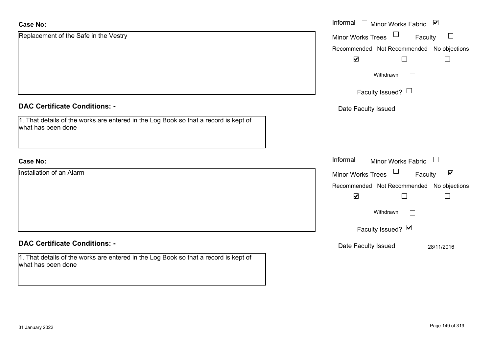| <b>Case No:</b>                                                                                            | Informal □ Minor Works Fabric ☑                      |
|------------------------------------------------------------------------------------------------------------|------------------------------------------------------|
| Replacement of the Safe in the Vestry                                                                      | Minor Works Trees<br>Faculty<br>$\Box$               |
|                                                                                                            | Recommended Not Recommended No objections            |
|                                                                                                            | $\blacktriangleright$<br>$\Box$<br>$\Box$            |
|                                                                                                            | Withdrawn<br>$\sqrt{2}$                              |
|                                                                                                            | Faculty Issued? $\Box$                               |
| <b>DAC Certificate Conditions: -</b>                                                                       | Date Faculty Issued                                  |
| 1. That details of the works are entered in the Log Book so that a record is kept of<br>what has been done |                                                      |
| <b>Case No:</b>                                                                                            | Informal $\Box$ Minor Works Fabric $\Box$            |
| Installation of an Alarm                                                                                   | Minor Works Trees<br>$\blacktriangledown$<br>Faculty |
|                                                                                                            | Recommended Not Recommended No objections            |
|                                                                                                            | $\blacktriangledown$<br>П<br>$\Box$                  |
|                                                                                                            | Withdrawn<br>$\mathbf{L}$                            |
|                                                                                                            | Faculty Issued? Ø                                    |
| <b>DAC Certificate Conditions: -</b>                                                                       | Date Faculty Issued<br>28/11/2016                    |
| 1. That details of the works are entered in the Log Book so that a record is kept of<br>what has been done |                                                      |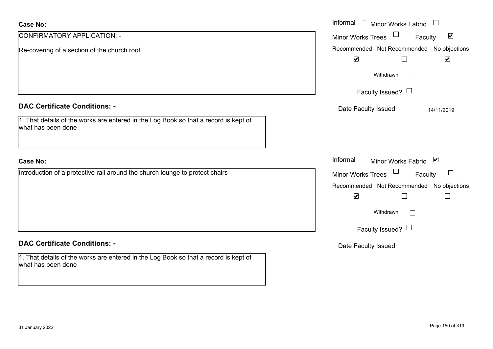| <b>Case No:</b>                                                                                            | Informal $\Box$ Minor Works Fabric $\Box$              |  |  |
|------------------------------------------------------------------------------------------------------------|--------------------------------------------------------|--|--|
| CONFIRMATORY APPLICATION: -                                                                                | $\blacktriangledown$<br>Minor Works Trees<br>Faculty   |  |  |
| Re-covering of a section of the church roof                                                                | Recommended Not Recommended No objections              |  |  |
|                                                                                                            | $\blacktriangledown$<br>$\blacktriangledown$<br>$\Box$ |  |  |
|                                                                                                            | Withdrawn<br>$\mathbb{R}^n$                            |  |  |
|                                                                                                            | Faculty Issued? $\Box$                                 |  |  |
| <b>DAC Certificate Conditions: -</b>                                                                       | Date Faculty Issued<br>14/11/2019                      |  |  |
| 1. That details of the works are entered in the Log Book so that a record is kept of<br>what has been done |                                                        |  |  |
| <b>Case No:</b>                                                                                            | Informal $\Box$ Minor Works Fabric $\Box$              |  |  |
| Introduction of a protective rail around the church lounge to protect chairs                               | Minor Works Trees<br>$\Box$<br>Faculty                 |  |  |
|                                                                                                            | Recommended Not Recommended No objections              |  |  |
|                                                                                                            | $\blacktriangledown$                                   |  |  |
|                                                                                                            | Withdrawn<br>$\Box$                                    |  |  |
|                                                                                                            | Faculty Issued? $\Box$                                 |  |  |
| <b>DAC Certificate Conditions: -</b>                                                                       | Date Faculty Issued                                    |  |  |
| 1. That details of the works are entered in the Log Book so that a record is kept of<br>what has been done |                                                        |  |  |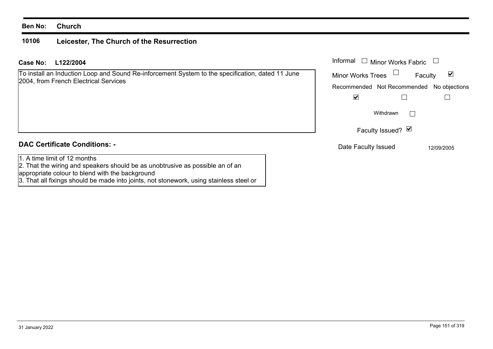#### **10106 Leicester, The Church of the Resurrection**

| Case No:<br>L122/2004                                                                                                                                            | Informal<br><b>Minor Works Fabric</b>     |              |
|------------------------------------------------------------------------------------------------------------------------------------------------------------------|-------------------------------------------|--------------|
| To install an Induction Loop and Sound Re-inforcement System to the specification, dated 11 June<br>2004, from French Electrical Services                        | Minor Works Trees                         | ☑<br>Faculty |
|                                                                                                                                                                  | Recommended Not Recommended No objections |              |
|                                                                                                                                                                  | M                                         |              |
|                                                                                                                                                                  | Withdrawn                                 |              |
|                                                                                                                                                                  | Faculty Issued? Ø                         |              |
| <b>DAC Certificate Conditions: -</b>                                                                                                                             | Date Faculty Issued                       | 12/09/2005   |
| 1. A time limit of 12 months<br>2. That the wiring and speakers should be as unobtrusive as possible an of an<br>appropriate colour to blend with the background |                                           |              |

3. That all fixings should be made into joints, not stonework, using stainless steel or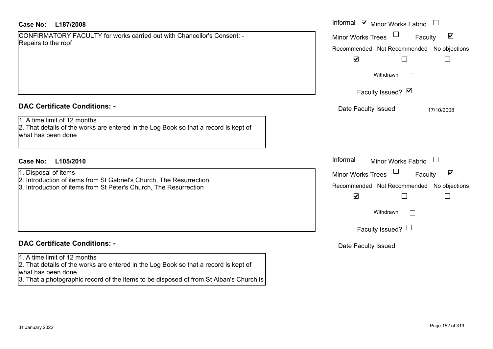## **L187/2008Case No:** Informal

| CONFIRMATORY FACULTY for works carried out with Chancellor's Consent: - |  |
|-------------------------------------------------------------------------|--|
| Repairs to the roof                                                     |  |

## **DAC Certificate Conditions: -**

1. A time limit of 12 months

2. That details of the works are entered in the Log Book so that a record is kept of what has been done

## **L105/2010Case No:** Informal

1. Disposal of items 2. Introduction of items from St Gabriel's Church, The Resurrection 3. Introduction of items from St Peter's Church, The Resurrection

## **DAC Certificate Conditions: -**

### 1. A time limit of 12 months

2. That details of the works are entered in the Log Book so that a record is kept of what has been done

3. That a photographic record of the items to be disposed of from St Alban's Church is

| Informal ⊠ Minor Works Fabric                                     |
|-------------------------------------------------------------------|
| $\blacktriangledown$<br><b>Minor Works Trees</b><br>Faculty       |
| Recommended Not Recommended No objections<br>$\blacktriangledown$ |
| Withdrawn                                                         |
| Faculty Issued? Ø                                                 |
| Date Faculty Issued<br>17/10/2008                                 |
|                                                                   |
| Informal<br>Minor Works Fabric                                    |
| ⊻<br><b>Minor Works Trees</b><br>Faculty                          |
| Recommended Not Recommended No objections<br>V                    |
| Withdrawn                                                         |
| Faculty Issued? $\Box$                                            |
| Date Faculty Issued                                               |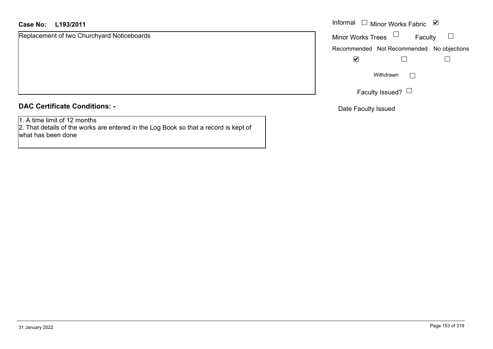## **L193/2011Case No:** Informal

Replacement of two Churchyard Noticeboards

## **DAC Certificate Conditions: -**

1. A time limit of 12 months

 2. That details of the works are entered in the Log Book so that a record is kept of what has been done

| Informal                 | □ Minor Works Fabric                      | ⊻ |
|--------------------------|-------------------------------------------|---|
| <b>Minor Works Trees</b> | Faculty                                   |   |
|                          | Recommended Not Recommended No objections |   |
|                          |                                           |   |
|                          | Withdrawn                                 |   |
|                          | Faculty Issued?                           |   |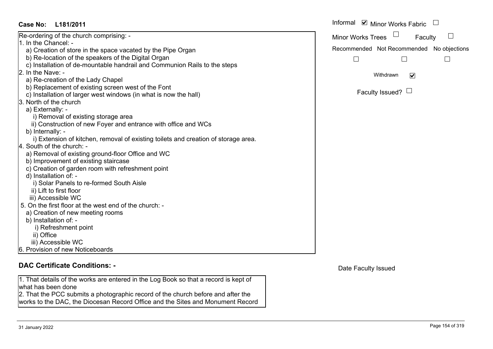## **L181/2011Case No:** Informal

| Re-ordering of the church comprising: -                                            |
|------------------------------------------------------------------------------------|
| 1. In the Chancel: -                                                               |
| a) Creation of store in the space vacated by the Pipe Organ                        |
| b) Re-location of the speakers of the Digital Organ                                |
| c) Installation of de-mountable handrail and Communion Rails to the steps          |
| 2. In the Nave: -                                                                  |
| a) Re-creation of the Lady Chapel                                                  |
| b) Replacement of existing screen west of the Font                                 |
| c) Installation of larger west windows (in what is now the hall)                   |
| 3. North of the church                                                             |
| a) Externally: -                                                                   |
| i) Removal of existing storage area                                                |
| ii) Construction of new Foyer and entrance with office and WCs                     |
| b) Internally: -                                                                   |
| i) Extension of kitchen, removal of existing toilets and creation of storage area. |
| 4. South of the church: -                                                          |
| a) Removal of existing ground-floor Office and WC                                  |
| b) Improvement of existing staircase                                               |
| c) Creation of garden room with refreshment point                                  |
| d) Installation of: -                                                              |
| i) Solar Panels to re-formed South Aisle                                           |
| ii) Lift to first floor                                                            |
| iii) Accessible WC                                                                 |
| 5. On the first floor at the west end of the church: -                             |
| a) Creation of new meeting rooms                                                   |
| b) Installation of: -                                                              |
| i) Refreshment point                                                               |
| ii) Office                                                                         |
| iii) Accessible WC                                                                 |
| 6. Provision of new Noticeboards                                                   |
|                                                                                    |

## **DAC Certificate Conditions: -**

1. That details of the works are entered in the Log Book so that a record is kept of what has been done

2. That the PCC submits a photographic record of the church before and after the works to the DAC, the Diocesan Record Office and the Sites and Monument Record

| Informal ☑ Minor Works Fabric             |                 |         |  |
|-------------------------------------------|-----------------|---------|--|
| <b>Minor Works Trees</b>                  |                 | Faculty |  |
| Recommended Not Recommended No objections |                 |         |  |
|                                           |                 |         |  |
|                                           | Withdrawn       |         |  |
|                                           | Faculty Issued? |         |  |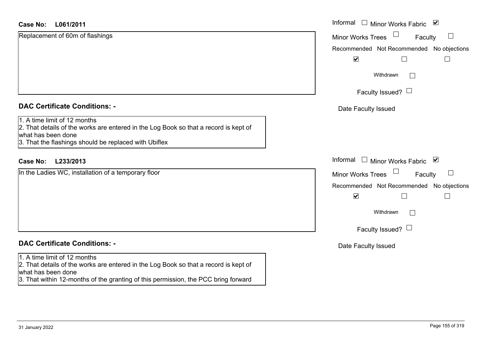| <b>Case No:</b><br>L061/2011                                                                                                                                                                                                     | Informal □ Minor Works Fabric ⊠                     |
|----------------------------------------------------------------------------------------------------------------------------------------------------------------------------------------------------------------------------------|-----------------------------------------------------|
| Replacement of 60m of flashings                                                                                                                                                                                                  | $\mathbb{L}$<br><b>Minor Works Trees</b><br>Faculty |
|                                                                                                                                                                                                                                  | Recommended Not Recommended No objections           |
|                                                                                                                                                                                                                                  | $\blacktriangledown$                                |
|                                                                                                                                                                                                                                  | Withdrawn<br>$\mathbf{L}$                           |
|                                                                                                                                                                                                                                  | Faculty Issued? $\Box$                              |
| <b>DAC Certificate Conditions: -</b>                                                                                                                                                                                             | Date Faculty Issued                                 |
| 1. A time limit of 12 months<br>2. That details of the works are entered in the Log Book so that a record is kept of<br>what has been done<br>3. That the flashings should be replaced with Ubiflex                              |                                                     |
| L233/2013<br><b>Case No:</b>                                                                                                                                                                                                     | Informal $\Box$ Minor Works Fabric $\Box$           |
| In the Ladies WC, installation of a temporary floor                                                                                                                                                                              | $\Box$<br><b>Minor Works Trees</b><br>Faculty       |
|                                                                                                                                                                                                                                  | Recommended Not Recommended No objections           |
|                                                                                                                                                                                                                                  | $\blacktriangledown$                                |
|                                                                                                                                                                                                                                  | Withdrawn<br>$\Box$                                 |
|                                                                                                                                                                                                                                  | Faculty Issued? $\Box$                              |
| <b>DAC Certificate Conditions: -</b>                                                                                                                                                                                             | Date Faculty Issued                                 |
| 1. A time limit of 12 months<br>2. That details of the works are entered in the Log Book so that a record is kept of<br>what has been done<br>3. That within 12-months of the granting of this permission, the PCC bring forward |                                                     |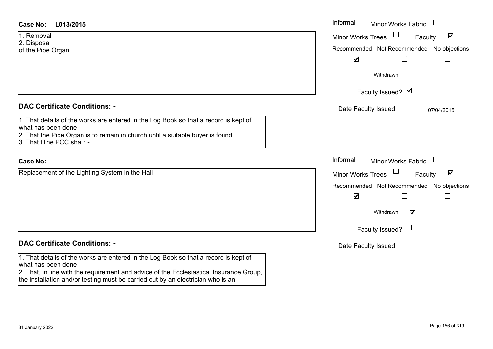| <b>Case No:</b><br>L013/2015                                                                                                                                                                                                                                                             | Informal<br>$\Box$<br>Minor Works Fabric                              |
|------------------------------------------------------------------------------------------------------------------------------------------------------------------------------------------------------------------------------------------------------------------------------------------|-----------------------------------------------------------------------|
| 1. Removal<br>2. Disposal                                                                                                                                                                                                                                                                | $\Box$<br>$\blacktriangledown$<br><b>Minor Works Trees</b><br>Faculty |
| of the Pipe Organ                                                                                                                                                                                                                                                                        | Recommended Not Recommended No objections<br>$\blacktriangledown$     |
|                                                                                                                                                                                                                                                                                          | Withdrawn                                                             |
|                                                                                                                                                                                                                                                                                          | Faculty Issued? Ø                                                     |
| <b>DAC Certificate Conditions: -</b>                                                                                                                                                                                                                                                     | Date Faculty Issued<br>07/04/2015                                     |
| 1. That details of the works are entered in the Log Book so that a record is kept of<br>what has been done<br>2. That the Pipe Organ is to remain in church until a suitable buyer is found<br>3. That tThe PCC shall: -                                                                 |                                                                       |
| <b>Case No:</b>                                                                                                                                                                                                                                                                          | Informal<br>Minor Works Fabric $\Box$<br>$\overline{\phantom{a}}$     |
| Replacement of the Lighting System in the Hall                                                                                                                                                                                                                                           | $\Box$<br>$\blacktriangledown$<br><b>Minor Works Trees</b><br>Faculty |
|                                                                                                                                                                                                                                                                                          | Recommended Not Recommended No objections                             |
|                                                                                                                                                                                                                                                                                          | $\blacktriangledown$                                                  |
|                                                                                                                                                                                                                                                                                          | Withdrawn<br>$\blacktriangledown$                                     |
|                                                                                                                                                                                                                                                                                          | Faculty Issued? $\Box$                                                |
| <b>DAC Certificate Conditions: -</b>                                                                                                                                                                                                                                                     | Date Faculty Issued                                                   |
| 1. That details of the works are entered in the Log Book so that a record is kept of<br>what has been done<br>2. That, in line with the requirement and advice of the Ecclesiastical Insurance Group,<br>the installation and/or testing must be carried out by an electrician who is an |                                                                       |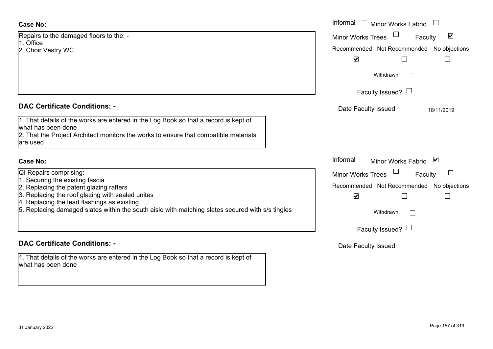| Repairs to the damaged floors to the: - |  |
|-----------------------------------------|--|
| 1. Office                               |  |
| 2. Choir Vestry WC                      |  |
|                                         |  |

## **DAC Certificate Conditions: -**

1. That details of the works are entered in the Log Book so that a record is kept of what has been done 2. That the Project Architect monitors the works to ensure that compatible materials are used

## **Case No:**

## QI Repairs comprising: -

- 1. Securing the existing fascia
- 2. Replacing the patent glazing rafters
- 3. Replacing the roof glazing with sealed unites
- 4. Replacing the lead flashings as existing
- 5. Replacing damaged slates within the south aisle with matching slates secured with s/s tingles

## **DAC Certificate Conditions: -**

1. That details of the works are entered in the Log Book so that a record is kept of what has been done

|                                                                                                                                                                                                                                                              | Informal $\Box$ Minor Works Fabric $\Box$                                                                                                            |
|--------------------------------------------------------------------------------------------------------------------------------------------------------------------------------------------------------------------------------------------------------------|------------------------------------------------------------------------------------------------------------------------------------------------------|
| o the damaged floors to the: -                                                                                                                                                                                                                               | $\blacktriangledown$<br><b>Minor Works Trees</b><br>Faculty                                                                                          |
| Vestry WC                                                                                                                                                                                                                                                    | Recommended Not Recommended No objections<br>$\blacktriangledown$                                                                                    |
|                                                                                                                                                                                                                                                              | Withdrawn<br>Faculty Issued? $\Box$                                                                                                                  |
| rtificate Conditions: -                                                                                                                                                                                                                                      | Date Faculty Issued<br>18/11/2019                                                                                                                    |
| etails of the works are entered in the Log Book so that a record is kept of<br>been done<br>e Project Architect monitors the works to ensure that compatible materials                                                                                       |                                                                                                                                                      |
|                                                                                                                                                                                                                                                              | Informal $\Box$ Minor Works Fabric $\Box$                                                                                                            |
| rs comprising: -<br>ng the existing fascia<br>cing the patent glazing rafters<br>cing the roof glazing with sealed unites<br>cing the lead flashings as existing<br>cing damaged slates within the south aisle with matching slates secured with s/s tingles | Minor Works Trees<br>Faculty<br>$\sqcup$<br>Recommended Not Recommended No objections<br>$\blacktriangledown$<br>Withdrawn<br>Faculty Issued? $\Box$ |
| rtificate Conditions: -                                                                                                                                                                                                                                      | Date Faculty Issued                                                                                                                                  |
| etails of the works are entered in the Log Book so that a record is kept of                                                                                                                                                                                  |                                                                                                                                                      |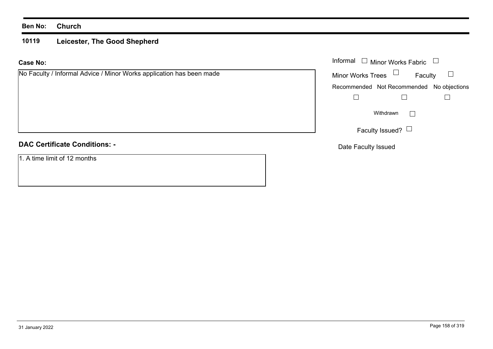#### **10119 Leicester, The Good Shepherd**

## **Case No:**

| No Faculty / Informal Advice / Minor Works application has been made | Mir       |
|----------------------------------------------------------------------|-----------|
|                                                                      | <b>Re</b> |
|                                                                      |           |
|                                                                      |           |
|                                                                      |           |
|                                                                      |           |
|                                                                      |           |

# **DAC Certificate Conditions: -**

1. A time limit of 12 months

|                                                              | Informal $\Box$ Minor Works Fabric $\Box$ |
|--------------------------------------------------------------|-------------------------------------------|
| ty / Informal Advice / Minor Works application has been made | Minor Works Trees $\Box$<br>Faculty       |
|                                                              | Recommended Not Recommended No objections |
|                                                              |                                           |
|                                                              | Withdrawn                                 |
|                                                              | Faculty Issued? $\Box$                    |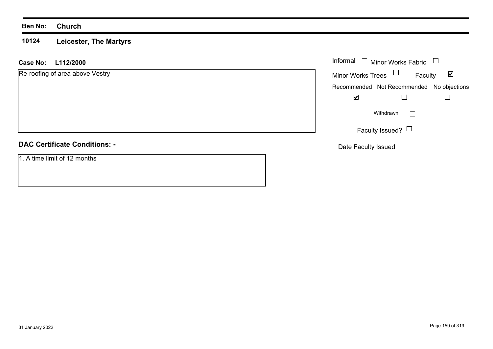#### **10124 Leicester, The Martyrs**

## **L112/2000 Case No:** Informal

| Re-roofing of area above Vestry |  |  |
|---------------------------------|--|--|
|                                 |  |  |
|                                 |  |  |
|                                 |  |  |
|                                 |  |  |

| Informal □ Minor Works Fabric             |                 |         |   |
|-------------------------------------------|-----------------|---------|---|
| <b>Minor Works Trees</b>                  |                 | Faculty | V |
| Recommended Not Recommended No objections |                 |         |   |
|                                           |                 |         |   |
|                                           | Withdrawn       |         |   |
|                                           | Faculty Issued? |         |   |

Date Faculty Issued

## **DAC Certificate Conditions: -**

1. A time limit of 12 months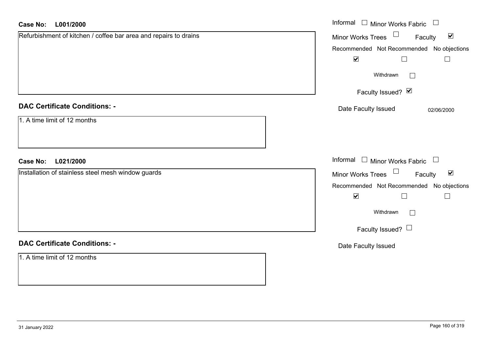| <b>Case No:</b><br>L001/2000                                     | Informal □ Minor Works Fabric □                                   |
|------------------------------------------------------------------|-------------------------------------------------------------------|
| Refurbishment of kitchen / coffee bar area and repairs to drains | Minor Works Trees <sup>1</sup><br>$\blacktriangledown$<br>Faculty |
|                                                                  | Recommended Not Recommended No objections                         |
|                                                                  | $\blacktriangledown$<br>$\Box$<br>$\Box$                          |
|                                                                  | Withdrawn<br>$\Box$                                               |
|                                                                  | Faculty Issued? Ø                                                 |
| <b>DAC Certificate Conditions: -</b>                             | Date Faculty Issued<br>02/06/2000                                 |
| 1. A time limit of 12 months                                     |                                                                   |
| <b>Case No:</b><br>L021/2000                                     | Informal $\Box$ Minor Works Fabric $\Box$                         |
| Installation of stainless steel mesh window guards               | Minor Works Trees<br>$\blacktriangledown$<br>Faculty              |
|                                                                  | Recommended Not Recommended No objections                         |
|                                                                  | $\blacktriangledown$<br>$\Box$<br>$\Box$                          |
|                                                                  | Withdrawn<br>$\Box$                                               |
|                                                                  | Faculty Issued?                                                   |
| <b>DAC Certificate Conditions: -</b>                             | Date Faculty Issued                                               |
| 1. A time limit of 12 months                                     |                                                                   |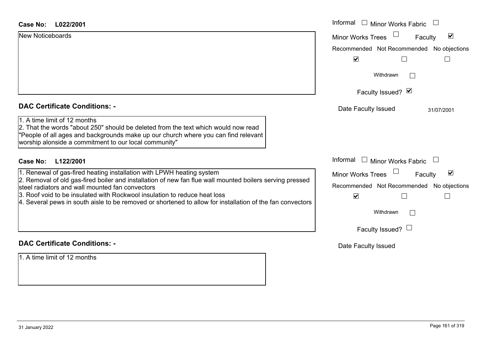| Case No: | L022/2001 |
|----------|-----------|
|----------|-----------|

| Case No:<br>L022/2001                                                                                                                                                                                                                                             | Informal<br>$\Box$<br><b>Minor Works Fabric</b>             |
|-------------------------------------------------------------------------------------------------------------------------------------------------------------------------------------------------------------------------------------------------------------------|-------------------------------------------------------------|
| <b>New Noticeboards</b>                                                                                                                                                                                                                                           | $\blacktriangledown$<br><b>Minor Works Trees</b><br>Faculty |
|                                                                                                                                                                                                                                                                   | Recommended Not Recommended No objections                   |
|                                                                                                                                                                                                                                                                   | $\blacktriangledown$                                        |
|                                                                                                                                                                                                                                                                   | Withdrawn<br>$\mathbf{L}$                                   |
|                                                                                                                                                                                                                                                                   | Faculty Issued? Ø                                           |
| <b>DAC Certificate Conditions: -</b>                                                                                                                                                                                                                              | Date Faculty Issued<br>31/07/2001                           |
| 1. A time limit of 12 months<br>2. That the words "about 250" should be deleted from the text which would now read<br>"People of all ages and backgrounds make up our church where you can find relevant<br>worship alonside a commitment to our local community" |                                                             |
| <b>Case No:</b><br>L122/2001                                                                                                                                                                                                                                      | Informal<br>$\Box$ Minor Works Fabric                       |
| 1. Renewal of gas-fired heating installation with LPWH heating system                                                                                                                                                                                             | Minor Works Trees<br>$\blacktriangledown$<br>Faculty        |
| 2. Removal of old gas-fired boiler and installation of new fan flue wall mounted boilers serving pressed<br>steel radiators and wall mounted fan convectors                                                                                                       | Recommended Not Recommended No objections                   |
| 3. Roof void to be insulated with Rockwool insulation to reduce heat loss<br>4. Several pews in south aisle to be removed or shortened to allow for installation of the fan convectors                                                                            | $\blacktriangledown$                                        |
|                                                                                                                                                                                                                                                                   | Withdrawn                                                   |
|                                                                                                                                                                                                                                                                   | Faculty Issued? $\Box$                                      |
| <b>DAC Certificate Conditions: -</b>                                                                                                                                                                                                                              | Date Faculty Issued                                         |

1. A time limit of 12 months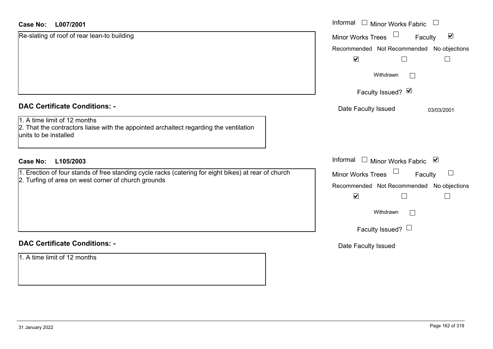| <b>Case No:</b><br>L007/2001                                                                                                                    | Informal □ Minor Works Fabric                                |
|-------------------------------------------------------------------------------------------------------------------------------------------------|--------------------------------------------------------------|
| Re-slating of roof of rear lean-to building                                                                                                     | $\blacktriangledown$<br><b>Minor Works Trees</b><br>Faculty  |
|                                                                                                                                                 | Recommended Not Recommended No objections                    |
|                                                                                                                                                 | $\blacktriangledown$<br>$\mathsf{L}$                         |
|                                                                                                                                                 | Withdrawn<br>$\perp$                                         |
|                                                                                                                                                 | Faculty Issued? Ø                                            |
| <b>DAC Certificate Conditions: -</b>                                                                                                            | Date Faculty Issued<br>03/03/2001                            |
| 1. A time limit of 12 months<br>2. That the contractors liaise with the appointed archaitect regarding the ventilation<br>units to be installed |                                                              |
| L105/2003<br><b>Case No:</b>                                                                                                                    | Informal<br>□ Minor Works Fabric $\vert \blacktriangleright$ |
| 1. Erection of four stands of free standing cycle racks (catering for eight bikes) at rear of church                                            | Minor Works Trees<br>$\vert \ \ \vert$<br>Faculty            |
| 2. Turfing of area on west corner of church grounds                                                                                             | Recommended Not Recommended No objections                    |
|                                                                                                                                                 | $\blacktriangledown$<br>$\Box$<br>$\Box$                     |
|                                                                                                                                                 | Withdrawn<br>$\Box$                                          |
|                                                                                                                                                 | Faculty Issued? $\Box$                                       |
| <b>DAC Certificate Conditions: -</b>                                                                                                            | Date Faculty Issued                                          |
| 1. A time limit of 12 months                                                                                                                    |                                                              |
|                                                                                                                                                 |                                                              |

 $\sim$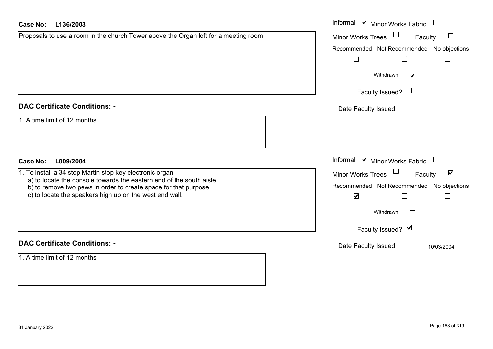#### **L136/2003Case No:**

| L136/2003<br>Case No:                                                                                                                                                                             | Informal <b>☑</b> Minor Works Fabric                              |
|---------------------------------------------------------------------------------------------------------------------------------------------------------------------------------------------------|-------------------------------------------------------------------|
| Proposals to use a room in the church Tower above the Organ loft for a meeting room                                                                                                               | Minor Works Trees<br>$\Box$<br>Faculty                            |
|                                                                                                                                                                                                   | Recommended Not Recommended No objections                         |
|                                                                                                                                                                                                   |                                                                   |
|                                                                                                                                                                                                   | Withdrawn<br>$\blacktriangledown$                                 |
|                                                                                                                                                                                                   | Faculty Issued? $\Box$                                            |
| <b>DAC Certificate Conditions: -</b>                                                                                                                                                              | Date Faculty Issued                                               |
| 1. A time limit of 12 months                                                                                                                                                                      |                                                                   |
| <b>Case No:</b><br>L009/2004                                                                                                                                                                      | Informal $\blacksquare$ Minor Works Fabric $\blacksquare$         |
| 1. To install a 34 stop Martin stop key electronic organ -                                                                                                                                        | Minor Works Trees<br>$\blacktriangledown$<br>Faculty              |
| a) to locate the console towards the eastern end of the south aisle<br>b) to remove two pews in order to create space for that purpose<br>c) to locate the speakers high up on the west end wall. | Recommended Not Recommended No objections<br>$\blacktriangledown$ |
|                                                                                                                                                                                                   | Withdrawn<br>$\mathbb{R}^n$                                       |
|                                                                                                                                                                                                   | Faculty Issued? Ø                                                 |
| <b>DAC Certificate Conditions: -</b>                                                                                                                                                              | Date Faculty Issued<br>10/03/2004                                 |
| 1. A time limit of 12 months                                                                                                                                                                      |                                                                   |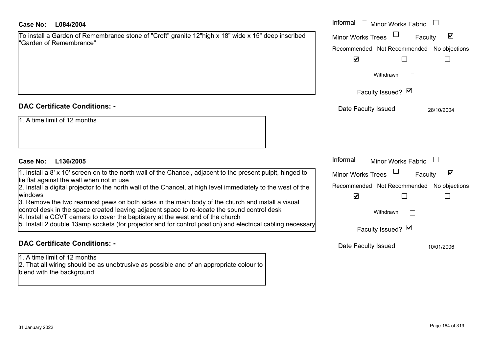| To install a Garden of Remembrance stone of "Croft" granite 12"high x 18" wide x 15" deep inscribed |  |  |  |
|-----------------------------------------------------------------------------------------------------|--|--|--|
| "Garden of Remembrance"                                                                             |  |  |  |

## **DAC Certificate Conditions: -**

|  |  |  |  |  |  | 1. A time limit of 12 months |
|--|--|--|--|--|--|------------------------------|
|--|--|--|--|--|--|------------------------------|

## **L136/2005Case No:** Informal

## **DAC Certificate Conditions: -**

1. A time limit of 12 months2. That all wiring should be as unobtrusive as possible and of an appropriate colour to blend with the background

| <b>Case No:</b><br>L084/2004                                                                                                                                                                                                                                                                                                                                                                                                                                                                                                                                                                                                                                                               | Informal $\Box$ Minor Works Fabric                                                                                                                                 |
|--------------------------------------------------------------------------------------------------------------------------------------------------------------------------------------------------------------------------------------------------------------------------------------------------------------------------------------------------------------------------------------------------------------------------------------------------------------------------------------------------------------------------------------------------------------------------------------------------------------------------------------------------------------------------------------------|--------------------------------------------------------------------------------------------------------------------------------------------------------------------|
| To install a Garden of Remembrance stone of "Croft" granite 12"high x 18" wide x 15" deep inscribed<br>"Garden of Remembrance"                                                                                                                                                                                                                                                                                                                                                                                                                                                                                                                                                             | $\blacktriangledown$<br><b>Minor Works Trees</b><br>Faculty<br>Recommended Not Recommended No objections<br>$\blacktriangledown$                                   |
|                                                                                                                                                                                                                                                                                                                                                                                                                                                                                                                                                                                                                                                                                            | Withdrawn<br>Faculty Issued? Ø                                                                                                                                     |
| <b>DAC Certificate Conditions: -</b>                                                                                                                                                                                                                                                                                                                                                                                                                                                                                                                                                                                                                                                       | Date Faculty Issued<br>28/10/2004                                                                                                                                  |
| 1. A time limit of 12 months                                                                                                                                                                                                                                                                                                                                                                                                                                                                                                                                                                                                                                                               |                                                                                                                                                                    |
| Case No:<br>L136/2005                                                                                                                                                                                                                                                                                                                                                                                                                                                                                                                                                                                                                                                                      | Informal $\Box$ Minor Works Fabric                                                                                                                                 |
| 1. Install a 8' x 10' screen on to the north wall of the Chancel, adjacent to the present pulpit, hinged to<br>lie flat against the wall when not in use<br>2. Install a digital projector to the north wall of the Chancel, at high level immediately to the west of the<br>windows<br>3. Remove the two rearmost pews on both sides in the main body of the church and install a visual<br>control desk in the space created leaving adjacent space to re-locate the sound control desk<br>4. Install a CCVT camera to cover the baptistery at the west end of the church<br>5. Install 2 double 13amp sockets (for projector and for control position) and electrical cabling necessary | $\blacktriangledown$<br><b>Minor Works Trees</b><br>Faculty<br>Recommended Not Recommended No objections<br>$\blacktriangledown$<br>Withdrawn<br>Faculty Issued? Ø |
| <b>DAC Certificate Conditions: -</b>                                                                                                                                                                                                                                                                                                                                                                                                                                                                                                                                                                                                                                                       | Date Faculty Issued<br>10/01/2006                                                                                                                                  |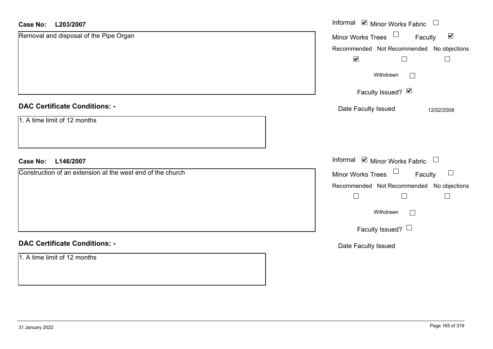#### **L203/2007Case No:**

| <b>Case No:</b><br>L203/2007                               | Informal Minor Works Fabric                          |
|------------------------------------------------------------|------------------------------------------------------|
| Removal and disposal of the Pipe Organ                     | Minor Works Trees<br>$\blacktriangledown$<br>Faculty |
|                                                            | Recommended Not Recommended No objections            |
|                                                            | $\blacktriangledown$<br>$\Box$<br>$\sqcup$           |
|                                                            | Withdrawn<br>$\Box$                                  |
|                                                            | Faculty Issued? Ø                                    |
| <b>DAC Certificate Conditions: -</b>                       | Date Faculty Issued<br>12/02/2008                    |
| 1. A time limit of 12 months                               |                                                      |
| L146/2007<br><b>Case No:</b>                               | Informal <b>☑</b> Minor Works Fabric                 |
| Construction of an extension at the west end of the church | Minor Works Trees<br>$\Box$<br>Faculty               |
|                                                            | Recommended Not Recommended No objections            |
|                                                            | $\Box$<br>$\Box$<br>$\Box$                           |
|                                                            | Withdrawn<br>$\Box$                                  |
|                                                            | Faculty Issued?                                      |
| <b>DAC Certificate Conditions: -</b>                       | Date Faculty Issued                                  |
| 1. A time limit of 12 months                               |                                                      |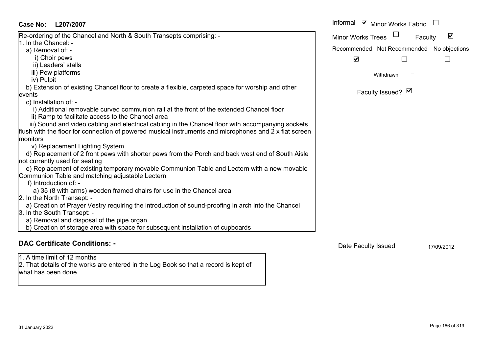| <b>Case No:</b><br>L207/2007                                                                           | Informal ☑ Minor Works Fabric             |
|--------------------------------------------------------------------------------------------------------|-------------------------------------------|
| Re-ordering of the Chancel and North & South Transepts comprising: -                                   | ☑<br><b>Minor Works Trees</b><br>Faculty  |
| 1. In the Chancel: -                                                                                   |                                           |
| a) Removal of: -                                                                                       | Recommended Not Recommended No objections |
| i) Choir pews                                                                                          | $\blacktriangledown$                      |
| ii) Leaders' stalls                                                                                    |                                           |
| iii) Pew platforms                                                                                     | Withdrawn                                 |
| iv) Pulpit                                                                                             |                                           |
| b) Extension of existing Chancel floor to create a flexible, carpeted space for worship and other      |                                           |
| levents                                                                                                | Faculty Issued? Ø                         |
| c) Installation of: -                                                                                  |                                           |
| i) Additional removable curved communion rail at the front of the extended Chancel floor               |                                           |
| ii) Ramp to facilitate access to the Chancel area                                                      |                                           |
| iii) Sound and video cabling and electrical cabling in the Chancel floor with accompanying sockets     |                                           |
| flush with the floor for connection of powered musical instruments and microphones and 2 x flat screen |                                           |
| monitors                                                                                               |                                           |
| v) Replacement Lighting System                                                                         |                                           |
| d) Replacement of 2 front pews with shorter pews from the Porch and back west end of South Aisle       |                                           |
| not currently used for seating                                                                         |                                           |
| e) Replacement of existing temporary movable Communion Table and Lectern with a new movable            |                                           |
| Communion Table and matching adjustable Lectern                                                        |                                           |
| f) Introduction of: -                                                                                  |                                           |
| a) 35 (8 with arms) wooden framed chairs for use in the Chancel area                                   |                                           |
| 2. In the North Transept: -                                                                            |                                           |
| a) Creation of Prayer Vestry requiring the introduction of sound-proofing in arch into the Chancel     |                                           |
| 3. In the South Transept: -                                                                            |                                           |
| a) Removal and disposal of the pipe organ                                                              |                                           |
| b) Creation of storage area with space for subsequent installation of cupboards                        |                                           |
| <b>DAC Certificate Conditions: -</b>                                                                   | Data Faculty Issued<br>1710010010         |

1. A time limit of 12 months

2. That details of the works are entered in the Log Book so that a record is kept of what has been done

Date Faculty Issued 17/09/2012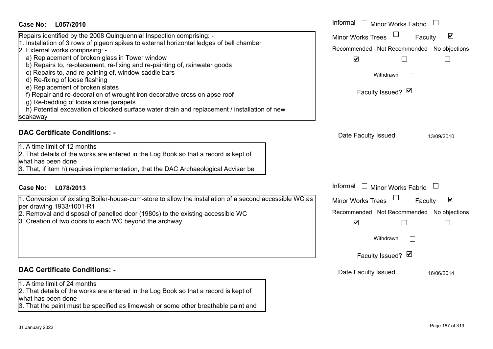| <b>Case No:</b><br>L057/2010                                                                                                                                                                                                                                                                                                                                                                                                                                                                                                                                                                                                                                                                       | Informal □ Minor Works Fabric                                                                                                                                                             |
|----------------------------------------------------------------------------------------------------------------------------------------------------------------------------------------------------------------------------------------------------------------------------------------------------------------------------------------------------------------------------------------------------------------------------------------------------------------------------------------------------------------------------------------------------------------------------------------------------------------------------------------------------------------------------------------------------|-------------------------------------------------------------------------------------------------------------------------------------------------------------------------------------------|
| Repairs identified by the 2008 Quinquennial Inspection comprising: -<br>1. Installation of 3 rows of pigeon spikes to external horizontal ledges of bell chamber<br>2. External works comprising: -<br>a) Replacement of broken glass in Tower window<br>b) Repairs to, re-placement, re-fixing and re-painting of, rainwater goods<br>c) Repairs to, and re-paining of, window saddle bars<br>d) Re-fixing of loose flashing<br>e) Replacement of broken slates<br>f) Repair and re-decoration of wrought iron decorative cross on apse roof<br>g) Re-bedding of loose stone parapets<br>h) Potential excavation of blocked surface water drain and replacement / installation of new<br>soakaway | $\Box$<br>$\blacktriangledown$<br>Minor Works Trees<br>Faculty<br>Recommended Not Recommended No objections<br>$\blacktriangledown$<br>$\Box$<br>Withdrawn<br>$\Box$<br>Faculty Issued? Ø |
| <b>DAC Certificate Conditions: -</b><br>1. A time limit of 12 months<br>2. That details of the works are entered in the Log Book so that a record is kept of<br>what has been done<br>3. That, if item h) requires implementation, that the DAC Archaeological Adviser be                                                                                                                                                                                                                                                                                                                                                                                                                          | Date Faculty Issued<br>13/09/2010                                                                                                                                                         |
| <b>Case No:</b><br>L078/2013                                                                                                                                                                                                                                                                                                                                                                                                                                                                                                                                                                                                                                                                       | Informal $\Box$ Minor Works Fabric                                                                                                                                                        |
| 1. Conversion of existing Boiler-house-cum-store to allow the installation of a second accessible WC as<br>per drawing 1933/1001-R1<br>2. Removal and disposal of panelled door (1980s) to the existing accessible WC<br>3. Creation of two doors to each WC beyond the archway                                                                                                                                                                                                                                                                                                                                                                                                                    | $\blacktriangledown$<br><b>Minor Works Trees</b><br>Faculty<br>Recommended Not Recommended No objections<br>$\blacktriangledown$<br>$\Box$<br>Withdrawn<br>Faculty Issued? Ø              |
| <b>DAC Certificate Conditions: -</b>                                                                                                                                                                                                                                                                                                                                                                                                                                                                                                                                                                                                                                                               | Date Faculty Issued<br>16/06/2014                                                                                                                                                         |
| 1. A time limit of 24 months<br>2. That details of the works are entered in the Log Book so that a record is kept of<br>what has been done<br>3. That the paint must be specified as limewash or some other breathable paint and                                                                                                                                                                                                                                                                                                                                                                                                                                                                   |                                                                                                                                                                                           |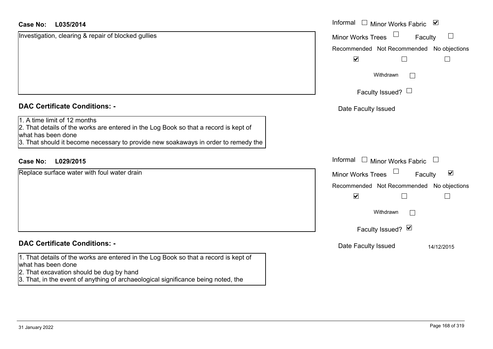#### **L035/2014Case No:**

| <b>Case No:</b><br>L035/2014                                                                                                                                                                                                                | Informal □ Minor Works Fabric ⊠                                   |
|---------------------------------------------------------------------------------------------------------------------------------------------------------------------------------------------------------------------------------------------|-------------------------------------------------------------------|
| Investigation, clearing & repair of blocked gullies                                                                                                                                                                                         | $\Box$<br>Minor Works Trees<br>Faculty                            |
|                                                                                                                                                                                                                                             | Recommended Not Recommended No objections                         |
|                                                                                                                                                                                                                                             | $\blacktriangledown$                                              |
|                                                                                                                                                                                                                                             | Withdrawn<br>$\Box$                                               |
|                                                                                                                                                                                                                                             | Faculty Issued? $\Box$                                            |
| <b>DAC Certificate Conditions: -</b>                                                                                                                                                                                                        | Date Faculty Issued                                               |
| 1. A time limit of 12 months<br>2. That details of the works are entered in the Log Book so that a record is kept of<br>what has been done<br>3. That should it become necessary to provide new soakaways in order to remedy the            |                                                                   |
| L029/2015<br><b>Case No:</b>                                                                                                                                                                                                                | Informal<br>$\Box$ Minor Works Fabric<br>$\overline{\phantom{a}}$ |
| Replace surface water with foul water drain                                                                                                                                                                                                 | $\blacktriangledown$<br><b>Minor Works Trees</b><br>Faculty       |
|                                                                                                                                                                                                                                             | Recommended Not Recommended No objections                         |
|                                                                                                                                                                                                                                             | $\blacktriangledown$                                              |
|                                                                                                                                                                                                                                             | Withdrawn                                                         |
|                                                                                                                                                                                                                                             | Faculty Issued? Ø                                                 |
| <b>DAC Certificate Conditions: -</b>                                                                                                                                                                                                        | Date Faculty Issued<br>14/12/2015                                 |
| 1. That details of the works are entered in the Log Book so that a record is kept of<br>what has been done<br>2. That excavation should be dug by hand<br>3. That, in the event of anything of archaeological significance being noted, the |                                                                   |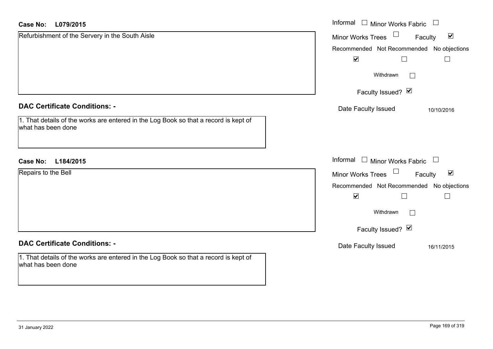#### **L079/2015Case No:**

| L079/2015<br><b>Case No:</b>                                                                               | Informal<br>$\Box$<br>Minor Works Fabric                          |
|------------------------------------------------------------------------------------------------------------|-------------------------------------------------------------------|
| Refurbishment of the Servery in the South Aisle                                                            | $\blacktriangledown$<br>Minor Works Trees<br>Faculty              |
|                                                                                                            | Recommended Not Recommended No objections                         |
|                                                                                                            | $\blacktriangledown$<br>$\Box$                                    |
|                                                                                                            | Withdrawn<br>I.                                                   |
|                                                                                                            | Faculty Issued? Ø                                                 |
| <b>DAC Certificate Conditions: -</b>                                                                       | Date Faculty Issued<br>10/10/2016                                 |
| 1. That details of the works are entered in the Log Book so that a record is kept of<br>what has been done |                                                                   |
| <b>Case No:</b><br>L184/2015                                                                               | Informal<br>$\Box$ Minor Works Fabric<br>$\overline{\phantom{a}}$ |
| Repairs to the Bell                                                                                        | $\blacktriangledown$<br>Minor Works Trees<br>Faculty              |
|                                                                                                            | Recommended Not Recommended No objections                         |
|                                                                                                            | $\blacktriangledown$<br>⊔                                         |
|                                                                                                            | Withdrawn<br>$\mathbf{L}$                                         |
|                                                                                                            | Faculty Issued? Ø                                                 |
| <b>DAC Certificate Conditions: -</b>                                                                       | Date Faculty Issued<br>16/11/2015                                 |
| 1. That details of the works are entered in the Log Book so that a record is kept of<br>what has been done |                                                                   |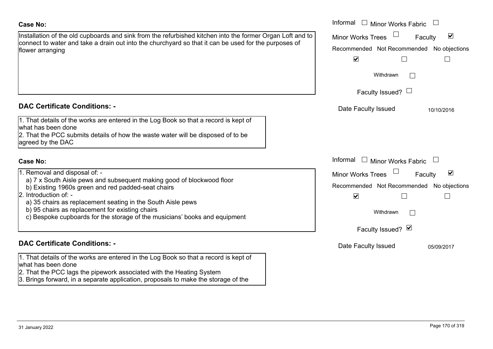| t details of the works are entered in the Log Book so that a record is kept of<br>as been done<br>t the PCC submits details of how the waste water will be disposed of to be<br>I by the DAC |                             |
|----------------------------------------------------------------------------------------------------------------------------------------------------------------------------------------------|-----------------------------|
| lo:                                                                                                                                                                                          | Informal<br>Minor Works Fab |
| - noval and disposal of:                                                                                                                                                                     | Ē<br>Minor Works Trees      |
| x South Aisle pews and subsequent making good of blockwood floor<br>xisting 1960s green and red padded-seat chairs                                                                           | Recommended Not Recommen    |
| duction of: -                                                                                                                                                                                | $\blacktriangledown$        |
| 5 chairs as replacement seating in the South Aisle pews<br>5 chairs as replacement for existing chairs<br>espoke cupboards for the storage of the musicians' books and equipment             | Withdrawn                   |
|                                                                                                                                                                                              | Faculty Issued? Ø           |
| <b>Certificate Conditions: -</b>                                                                                                                                                             | Date Faculty Issued         |
| t detaile of the werks are entered in the Leg Peak se that a recent is kent of                                                                                                               |                             |

# **DAC Certificate Conditions: -**

1. That details of the works are entered in the Log Book so that a record is kept of what ha 2. That the PCC submits details of how the waste water will be disposed of to be

agreed

## Case N

1. Rem

- a) 7 x South Aisle pews and subsequent making good of blockwood floor
- b) Existing 1960s green and red padded-seat chairs

2. Intro

- a) 35 chairs as replacement seating in the South Aisle pews
- b) 95 chairs as replacement for existing chairs
- c) Bespoke cupboards for the storage of the musicians' books and equipment

# DAC C

1. That details of the works are entered in the Log Book so that a record is kept of what has been done

- 2. That the PCC lags the pipework associated with the Heating System
- 3. Brings forward, in a separate application, proposals to make the storage of the

|                 | 170 of 319<br>Page |
|-----------------|--------------------|
| 31 January 2022 |                    |

Informal  $\Box$  Minor Works Fabric  $\Box$  Informal  $\blacktriangledown$ Faculty Minor Works Trees Recommended Not Recommended No objections  $\overline{\mathbf{v}}$  $\Box$  $\Box$ Withdrawn $\Box$ Faculty Issued?  $\Box$ Date Faculty Issued 10/10/2016 Minor Works Fabric  $\overline{\mathbf{v}}$ Faculty ded No objections  $\Box$ 

05/09/2017

Installation of the old cupboards and sink from the refurbished kitchen into the former Organ Loft and to connect to water and take a drain out into the churchyard so that it can be used for the purposes of flower arranging

## **Case No:**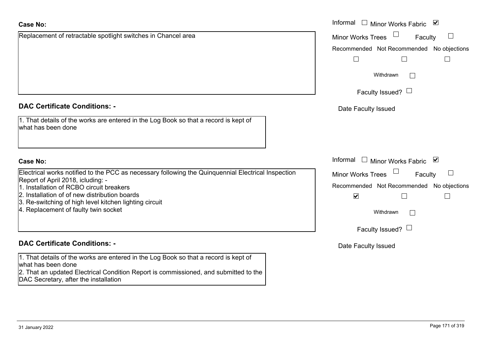Replacement of retractable spotlight switches in Chancel area

## **DAC Certificate Conditions: -**

| 1. That details of the works are entered in the Log Book so that a record is kept of |  |
|--------------------------------------------------------------------------------------|--|
| what has been done                                                                   |  |

## **Case No:**

Electrical works notified to the PCC as necessary following the Quinquennial Electrical Inspection Report of April 2018, icluding: -

- 1. Installation of RCBO circuit breakers
- 2. Installation of of new distribution boards
- 3. Re-switching of high level kitchen lighting circuit
- 4. Replacement of faulty twin socket

## **DAC Certificate Conditions: -**

1. That details of the works are entered in the Log Book so that a record is kept of what has been done

2. That an updated Electrical Condition Report is commissioned, and submitted to the DAC Secretary, after the installation

|                                                                                                                      | Informal □ Minor Works Fabric<br>$\blacktriangledown$ |
|----------------------------------------------------------------------------------------------------------------------|-------------------------------------------------------|
| nent of retractable spotlight switches in Chancel area                                                               | <b>Minor Works Trees</b><br>Faculty                   |
|                                                                                                                      | Recommended Not Recommended No objections             |
|                                                                                                                      |                                                       |
|                                                                                                                      | Withdrawn                                             |
|                                                                                                                      | Faculty Issued? $\Box$                                |
| rtificate Conditions: -                                                                                              | Date Faculty Issued                                   |
| etails of the works are entered in the Log Book so that a record is kept of<br>been done                             |                                                       |
|                                                                                                                      | Informal $\Box$ Minor Works Fabric<br>⊻               |
| works notified to the PCC as necessary following the Quinquennial Electrical Inspection<br>f April 2018, icluding: - | <b>Minor Works Trees</b><br>Faculty                   |
| ation of RCBO circuit breakers                                                                                       | Recommended Not Recommended No objections             |
| ation of of new distribution boards                                                                                  | $\blacktriangledown$                                  |
| itching of high level kitchen lighting circuit<br>cement of faulty twin socket                                       | Withdrawn<br>$\vert$ $\vert$                          |
|                                                                                                                      | Faculty Issued? L                                     |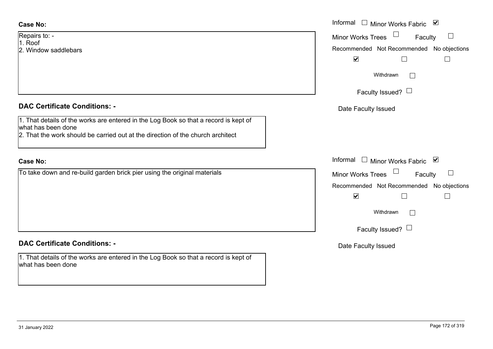| Repairs to: -        |
|----------------------|
| 1. Roof              |
| 2. Window saddlebars |
|                      |

## **DAC Certificate Conditions: -**

1. That details of the works are entered in the Log Book so that a record is kept of what has been done

2. That the work should be carried out at the direction of the church architect

## **Case No:**

To take down and re-build garden brick pier using the original materials

## **DAC Certificate Conditions: -**

1. That details of the works are entered in the Log Book so that a record is kept of what has been done

|                                                                                                                                                                   | Informal □ Minor Works Fabric ⊠                                        |
|-------------------------------------------------------------------------------------------------------------------------------------------------------------------|------------------------------------------------------------------------|
| $0. -$                                                                                                                                                            | <b>Minor Works Trees</b><br>$\Box$<br>Faculty                          |
| w saddlebars                                                                                                                                                      | Recommended Not Recommended No objections<br>$\blacktriangledown$      |
|                                                                                                                                                                   | Withdrawn                                                              |
|                                                                                                                                                                   | Faculty Issued? $\Box$                                                 |
| rtificate Conditions: -                                                                                                                                           | Date Faculty Issued                                                    |
| etails of the works are entered in the Log Book so that a record is kept of<br>been done<br>e work should be carried out at the direction of the church architect |                                                                        |
|                                                                                                                                                                   | Informal □ Minor Works Fabric ⊠                                        |
| lown and re-build garden brick pier using the original materials                                                                                                  | Minor Works Trees<br>$\Box$<br>Faculty                                 |
|                                                                                                                                                                   | Recommended Not Recommended No objections<br>$\blacktriangledown$<br>H |
|                                                                                                                                                                   | Withdrawn                                                              |
|                                                                                                                                                                   | Faculty Issued? $\Box$                                                 |
| rtificate Conditions: -                                                                                                                                           | Date Faculty Issued                                                    |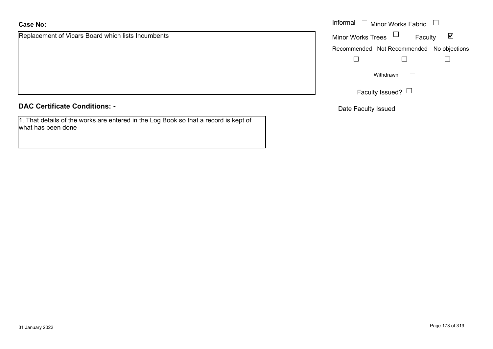Replacement of Vicars Board which lists Incumbents

**DAC Certificate Conditions: -**

1. That details of the works are entered in the Log Book so that a record is kept of what has been done

|                                             | Informal $\Box$ Minor Works Fabric $\Box$                   |
|---------------------------------------------|-------------------------------------------------------------|
| nent of Vicars Board which lists Incumbents | Minor Works Trees $\Box$<br>$\blacktriangledown$<br>Faculty |
|                                             | Recommended Not Recommended No objections                   |
|                                             |                                                             |
|                                             | Withdrawn                                                   |
|                                             | Faculty Issued? $\Box$                                      |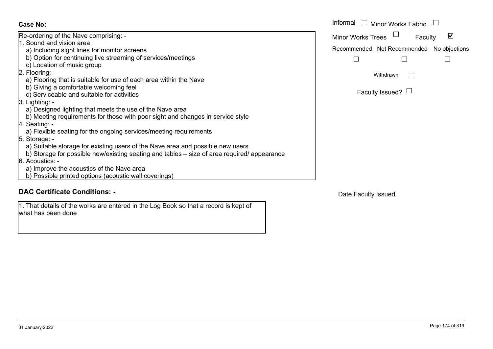| Re-ordering of the Nave comprising: -                                                       |    |
|---------------------------------------------------------------------------------------------|----|
| 1. Sound and vision area                                                                    | Mi |
| a) Including sight lines for monitor screens                                                | Re |
| b) Option for continuing live streaming of services/meetings                                |    |
| c) Location of music group                                                                  |    |
| 2. Flooring: -                                                                              |    |
| a) Flooring that is suitable for use of each area within the Nave                           |    |
| b) Giving a comfortable welcoming feel                                                      |    |
| c) Serviceable and suitable for activities                                                  |    |
| 3. Lighting: -                                                                              |    |
| a) Designed lighting that meets the use of the Nave area                                    |    |
| b) Meeting requirements for those with poor sight and changes in service style              |    |
| 4. Seating: -                                                                               |    |
| a) Flexible seating for the ongoing services/meeting requirements                           |    |
| 5. Storage: -                                                                               |    |
| a) Suitable storage for existing users of the Nave area and possible new users              |    |
| b) Storage for possible new/existing seating and tables – size of area required/ appearance |    |
| 6. Acoustics: -                                                                             |    |
| a) Improve the acoustics of the Nave area                                                   |    |
| b) Possible printed options (acoustic wall coverings)                                       |    |

## **DAC Certificate Conditions: -**

1. That details of the works are entered in the Log Book so that a record is kept of what has been done

|                                                                           | Informal<br>$\Box$ Minor Works Fabric                       |
|---------------------------------------------------------------------------|-------------------------------------------------------------|
|                                                                           |                                                             |
| ing of the Nave comprising: -                                             | $\blacktriangledown$<br><b>Minor Works Trees</b><br>Faculty |
| and vision area                                                           |                                                             |
| uding sight lines for monitor screens                                     | Recommended Not Recommended No objections                   |
| ion for continuing live streaming of services/meetings                    |                                                             |
| ation of music group                                                      |                                                             |
| າg: –                                                                     | Withdrawn                                                   |
| pring that is suitable for use of each area within the Nave               |                                                             |
| ng a comfortable welcoming feel                                           |                                                             |
| <i>r</i> iceable and suitable for activities                              | Faculty Issued? $\Box$                                      |
| .g -                                                                      |                                                             |
| igned lighting that meets the use of the Nave area                        |                                                             |
| eting requirements for those with poor sight and changes in service style |                                                             |
| g: -                                                                      |                                                             |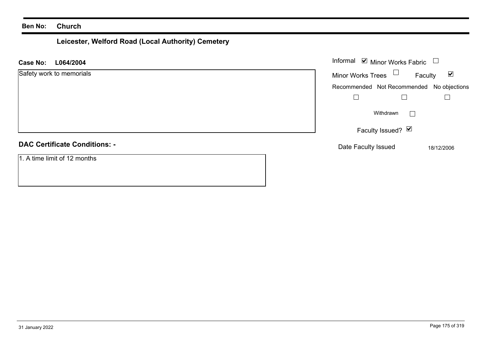# **Leicester, Welford Road (Local Authority) Cemetery**

| Informal $\blacksquare$ Minor Works Fabric $\Box$<br>L064/2004<br><b>Case No:</b> |                                                             |
|-----------------------------------------------------------------------------------|-------------------------------------------------------------|
| Safety work to memorials                                                          | Minor Works Trees $\Box$<br>$\blacktriangledown$<br>Faculty |
|                                                                                   | Recommended Not Recommended No objections                   |
|                                                                                   |                                                             |
|                                                                                   | Withdrawn<br>$\mathbf{L}$                                   |
|                                                                                   | Faculty Issued? Ø                                           |
| <b>DAC Certificate Conditions: -</b>                                              | Date Faculty Issued<br>18/12/2006                           |
| 1. A time limit of 12 months                                                      |                                                             |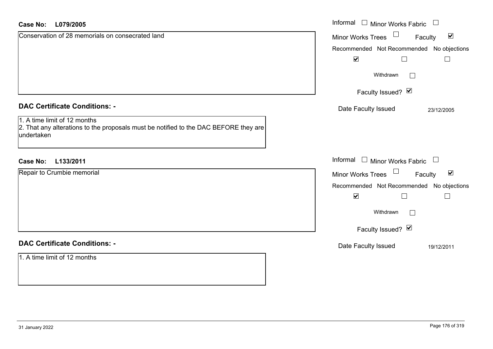| <b>Case No:</b><br>L079/2005                                                                                                       | Informal $\Box$ Minor Works Fabric $\Box$            |
|------------------------------------------------------------------------------------------------------------------------------------|------------------------------------------------------|
| Conservation of 28 memorials on consecrated land                                                                                   | $\blacktriangledown$<br>Minor Works Trees<br>Faculty |
|                                                                                                                                    | Recommended Not Recommended No objections            |
|                                                                                                                                    | $\blacktriangledown$<br>$\Box$                       |
|                                                                                                                                    | Withdrawn                                            |
|                                                                                                                                    | Faculty Issued? Ø                                    |
| <b>DAC Certificate Conditions: -</b>                                                                                               | Date Faculty Issued<br>23/12/2005                    |
| 1. A time limit of 12 months<br>2. That any alterations to the proposals must be notified to the DAC BEFORE they are<br>undertaken |                                                      |
| L133/2011<br><b>Case No:</b>                                                                                                       | Informal $\Box$ Minor Works Fabric $\Box$            |
| Repair to Crumbie memorial                                                                                                         | $\blacktriangledown$<br>Minor Works Trees<br>Faculty |
|                                                                                                                                    | Recommended Not Recommended No objections            |
|                                                                                                                                    | $\blacktriangledown$                                 |
|                                                                                                                                    | Withdrawn                                            |
|                                                                                                                                    | Faculty Issued? Ø                                    |
| <b>DAC Certificate Conditions: -</b>                                                                                               | Date Faculty Issued<br>19/12/2011                    |
| 1. A time limit of 12 months                                                                                                       |                                                      |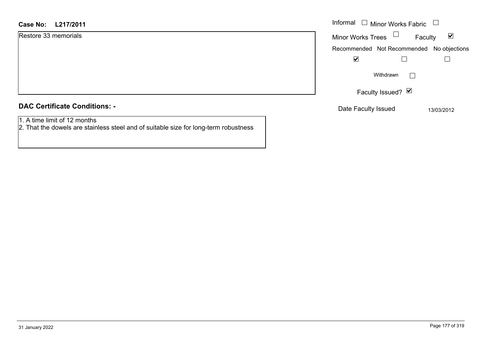| <b>Case No:</b> | L217/2011 |
|-----------------|-----------|
|-----------------|-----------|

| Restore 33 memorials |  |
|----------------------|--|
|----------------------|--|

|  |  | <b>DAC Certificate Conditions: -</b> |
|--|--|--------------------------------------|
|--|--|--------------------------------------|

1. A time limit of 12 months

2. That the dowels are stainless steel and of suitable size for long-term robustness

| L217/2011<br>. .        | Informal $\Box$ Minor Works Fabric $\Box$                   |  |
|-------------------------|-------------------------------------------------------------|--|
| 33 memorials            | Minor Works Trees $\Box$<br>Faculty<br>$\blacktriangledown$ |  |
|                         | Recommended Not Recommended No objections                   |  |
|                         | $\blacktriangledown$                                        |  |
|                         | Withdrawn<br>$\mathbf{I}$                                   |  |
|                         | Faculty Issued? Ø                                           |  |
| rtificate Conditions: - | Date Faculty Issued<br>13/03/2012                           |  |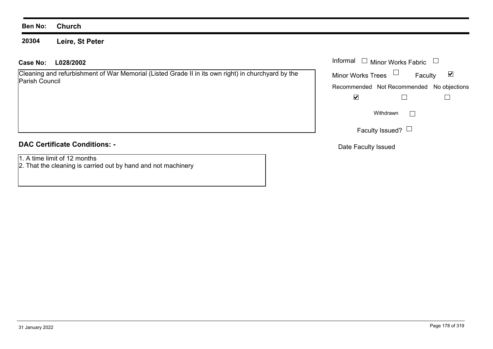#### **20304Leire, St Peter**

## **L028/2002Case No:** Informal

Cleaning and refurbishment of War Memorial (Listed Grade II in its own right) in churchyard by the Parish Council

## **DAC Certificate Conditions: -**

- 1. A time limit of 12 months
- 2. That the cleaning is carried out by hand and not machinery

| Informal                 | Minor Works Fabric                        |   |
|--------------------------|-------------------------------------------|---|
| <b>Minor Works Trees</b> | Faculty                                   | V |
|                          | Recommended Not Recommended No objections |   |
|                          |                                           |   |
|                          | Withdrawn                                 |   |
|                          | Faculty Issued?                           |   |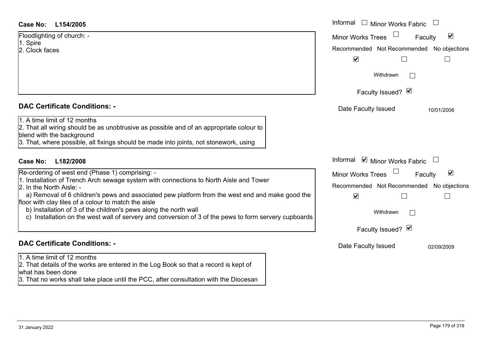| Floodlighting of church: - |  |
|----------------------------|--|
| 1. Spire                   |  |
| 2. Clock faces             |  |
|                            |  |
|                            |  |

## **DAC Certificate Conditions: -**

| 1. A time limit of 12 months |                                               |
|------------------------------|-----------------------------------------------|
|                              | ovientate all wiring should be as unobtrusive |

## **DAC Certificate Conditions: -**

1. A time limit of 12 months

2. That details of the works are entered in the Log Book so that a record is kept of what has been done

3. That no works shall take place until the PCC, after consultation with the Diocesan

| Case No:<br>L154/2005                                                                                                                                                                                                                                                                                                                                                                                                                                                                                         | Informal □ Minor Works Fabric                                                                                                          |
|---------------------------------------------------------------------------------------------------------------------------------------------------------------------------------------------------------------------------------------------------------------------------------------------------------------------------------------------------------------------------------------------------------------------------------------------------------------------------------------------------------------|----------------------------------------------------------------------------------------------------------------------------------------|
| Floodlighting of church: -<br>1. Spire                                                                                                                                                                                                                                                                                                                                                                                                                                                                        | $\blacktriangledown$<br><b>Minor Works Trees</b><br>Faculty                                                                            |
| 2. Clock faces                                                                                                                                                                                                                                                                                                                                                                                                                                                                                                | Recommended Not Recommended No objections<br>$\blacktriangledown$                                                                      |
|                                                                                                                                                                                                                                                                                                                                                                                                                                                                                                               | Withdrawn                                                                                                                              |
|                                                                                                                                                                                                                                                                                                                                                                                                                                                                                                               | Faculty Issued? Ø                                                                                                                      |
| <b>DAC Certificate Conditions: -</b>                                                                                                                                                                                                                                                                                                                                                                                                                                                                          | Date Faculty Issued<br>10/01/2006                                                                                                      |
| 1. A time limit of 12 months<br>2. That all wiring should be as unobtrusive as possible and of an appropriate colour to<br>blend with the background<br>3. That, where possible, all fixings should be made into joints, not stonework, using                                                                                                                                                                                                                                                                 |                                                                                                                                        |
| Case No:<br>L182/2008                                                                                                                                                                                                                                                                                                                                                                                                                                                                                         | Informal ☑ Minor Works Fabric                                                                                                          |
| Re-ordering of west end (Phase 1) comprising: -<br>1. Installation of Trench Arch sewage system with connections to North Aisle and Tower<br>2. In the North Aisle: -<br>a) Removal of 6 children's pews and associated pew platform from the west end and make good the<br>floor with clay tiles of a colour to match the aisle<br>b) Installation of 3 of the children's pews along the north wall<br>c) Installation on the west wall of servery and conversion of 3 of the pews to form servery cupboards | $\blacktriangledown$<br>Minor Works Trees<br>Faculty<br>Recommended Not Recommended No objections<br>$\blacktriangledown$<br>Withdrawn |
|                                                                                                                                                                                                                                                                                                                                                                                                                                                                                                               | Faculty Issued? Ø                                                                                                                      |
| <b>DAC Certificate Conditions: -</b>                                                                                                                                                                                                                                                                                                                                                                                                                                                                          | Date Faculty Issued<br>02/09/2009                                                                                                      |
| 1 $\Delta$ time limit of 12 monthe                                                                                                                                                                                                                                                                                                                                                                                                                                                                            |                                                                                                                                        |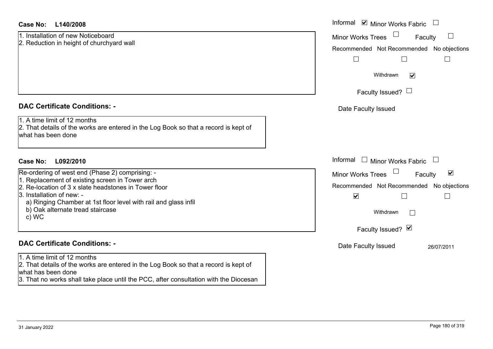## **L140/2008Case No:** Informal

- 1. Installation of new Noticeboard
- 2. Reduction in height of churchyard wall

## **DAC Certificate Conditions: -**

1. A time limit of 12 months

2. That details of the works are entered in the Log Book so that a record is kept of what has been done

## **L092/2010Case No:** Informal

Re-ordering of west end (Phase 2) comprising: -

- 1. Replacement of existing screen in Tower arch
- 2. Re-location of 3 x slate headstones in Tower floor

3. Installation of new: -

- a) Ringing Chamber at 1st floor level with rail and glass infil
- b) Oak alternate tread staircase
- c) WC

## **DAC Certificate Conditions: -**

1. A time limit of 12 months

2. That details of the works are entered in the Log Book so that a record is kept of what has been done

3. That no works shall take place until the PCC, after consultation with the Diocesan

| Informal<br>$\triangleright$ Minor Works Fabric                   |
|-------------------------------------------------------------------|
| <b>Minor Works Trees</b><br>Faculty                               |
| Recommended Not Recommended No objections                         |
| Withdrawn<br>M                                                    |
| Faculty Issued?                                                   |
| Date Faculty Issued                                               |
|                                                                   |
| Informal<br>$\Box$ Minor Works Fabric                             |
| ⊻<br><b>Minor Works Trees</b><br>Faculty                          |
| Recommended Not Recommended No objections<br>$\blacktriangledown$ |
| Withdrawn                                                         |
| Faculty Issued? Ø                                                 |
| Date Faculty Issued<br>26/07/2011                                 |
|                                                                   |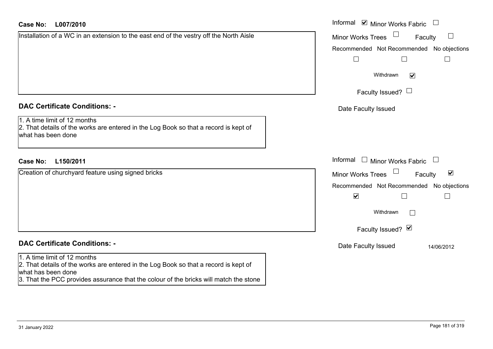## **L007/2010Case No:** Informal

| Installation of a WC in an extension to the east end of the vestry off the North Aisle |  |  |  |  |
|----------------------------------------------------------------------------------------|--|--|--|--|
|                                                                                        |  |  |  |  |
|                                                                                        |  |  |  |  |
|                                                                                        |  |  |  |  |
|                                                                                        |  |  |  |  |
|                                                                                        |  |  |  |  |
|                                                                                        |  |  |  |  |
|                                                                                        |  |  |  |  |
|                                                                                        |  |  |  |  |
|                                                                                        |  |  |  |  |
|                                                                                        |  |  |  |  |
| $\mathsf{PAC}$ $\mathsf{C}$ -uificate $\mathsf{C}$ caditional                          |  |  |  |  |

### **DAC Certificate Conditions: -**

| 1. A time limit of 12 months              |  |
|-------------------------------------------|--|
| $\Omega$ That details of the weaker and a |  |

2. That details of the works are entered in the Log Book so that a record is kept of what has been done

# **L150/2011Case No:** Informal

Creation of churchyard feature using signed bricks

# **DAC Certificate Conditions: -**

#### 1. A time limit of 12 months

2. That details of the works are entered in the Log Book so that a record is kept of what has been done

3. That the PCC provides assurance that the colour of the bricks will match the stone

| Informal<br>Minor Works Fabric                  |
|-------------------------------------------------|
| <b>Minor Works Trees</b><br>Faculty             |
| Recommended Not Recommended No objections       |
|                                                 |
| Withdrawn<br>V                                  |
| Faculty Issued?                                 |
| Date Faculty Issued                             |
|                                                 |
|                                                 |
|                                                 |
| Informal<br>$\Box$<br><b>Minor Works Fabric</b> |
| ☑<br><b>Minor Works Trees</b><br>Faculty        |
| Recommended Not Recommended No objections       |
| $\blacktriangledown$                            |
| Withdrawn                                       |
| Faculty Issued? Ø                               |
| Date Faculty Issued<br>14/06/2012               |
|                                                 |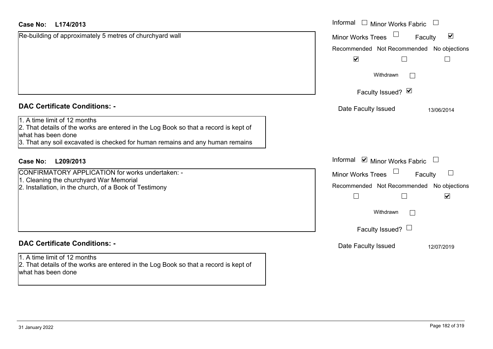| <b>Case No:</b><br>L174/2013                                                                                                                                                                                                | Informal<br>$\Box$ Minor Works Fabric $\;\cup\;$                                                                   |
|-----------------------------------------------------------------------------------------------------------------------------------------------------------------------------------------------------------------------------|--------------------------------------------------------------------------------------------------------------------|
| Re-building of approximately 5 metres of churchyard wall                                                                                                                                                                    | $\blacktriangledown$<br><b>Minor Works Trees</b><br>Faculty                                                        |
|                                                                                                                                                                                                                             | Recommended Not Recommended No objections<br>$\blacktriangledown$<br>$\vert \ \ \vert$                             |
|                                                                                                                                                                                                                             | Withdrawn                                                                                                          |
|                                                                                                                                                                                                                             | Faculty Issued? Ø                                                                                                  |
| <b>DAC Certificate Conditions: -</b>                                                                                                                                                                                        | Date Faculty Issued<br>13/06/2014                                                                                  |
| 1. A time limit of 12 months<br>2. That details of the works are entered in the Log Book so that a record is kept of<br>what has been done<br>3. That any soil excavated is checked for human remains and any human remains |                                                                                                                    |
| <b>Case No:</b><br>L209/2013                                                                                                                                                                                                | Informal Ø Minor Works Fabric U                                                                                    |
| CONFIRMATORY APPLICATION for works undertaken: -<br>1. Cleaning the churchyard War Memorial<br>2. Installation, in the church, of a Book of Testimony                                                                       | <b>Minor Works Trees</b><br>Faculty<br>Recommended Not Recommended No objections<br>$\blacktriangledown$<br>$\Box$ |
|                                                                                                                                                                                                                             | Withdrawn                                                                                                          |
|                                                                                                                                                                                                                             | Faculty Issued? $\Box$                                                                                             |
| <b>DAC Certificate Conditions: -</b>                                                                                                                                                                                        | Date Faculty Issued<br>12/07/2019                                                                                  |
| 1. A time limit of 12 months<br>2. That details of the works are entered in the Log Book so that a record is kept of<br>what has been done                                                                                  |                                                                                                                    |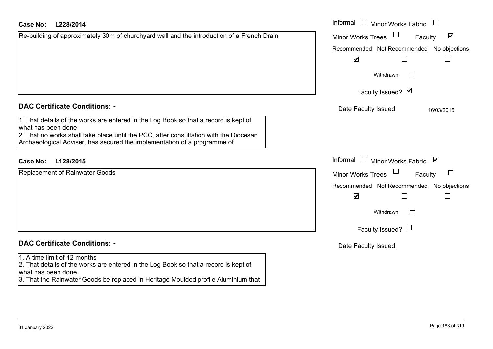| <b>Case No:</b> | L228/2014 |
|-----------------|-----------|
|-----------------|-----------|

| Re-building of approximately 30m of churchyard wall and the introduction of a French Drain                                                                                                                                       | $\blacktriangledown$<br><b>Minor Works Trees</b><br>Faculty |
|----------------------------------------------------------------------------------------------------------------------------------------------------------------------------------------------------------------------------------|-------------------------------------------------------------|
|                                                                                                                                                                                                                                  | No objections<br>Recommended Not Recommended                |
|                                                                                                                                                                                                                                  | $\blacktriangledown$                                        |
|                                                                                                                                                                                                                                  | Withdrawn<br>$\mathbb{R}^n$                                 |
|                                                                                                                                                                                                                                  | Faculty Issued? Ø                                           |
| <b>DAC Certificate Conditions: -</b>                                                                                                                                                                                             | Date Faculty Issued<br>16/03/2015                           |
| 1. That details of the works are entered in the Log Book so that a record is kept of<br>what has been done                                                                                                                       |                                                             |
| 2. That no works shall take place until the PCC, after consultation with the Diocesan<br>Archaeological Adviser, has secured the implementation of a programme of                                                                |                                                             |
| L128/2015<br><b>Case No:</b>                                                                                                                                                                                                     | Informal<br>$\Box$ Minor Works Fabric<br>⊻                  |
| Replacement of Rainwater Goods                                                                                                                                                                                                   | <b>Minor Works Trees</b><br>Faculty                         |
|                                                                                                                                                                                                                                  | Recommended Not Recommended No objections                   |
|                                                                                                                                                                                                                                  | $\blacktriangledown$                                        |
|                                                                                                                                                                                                                                  | Withdrawn<br>$\Box$                                         |
|                                                                                                                                                                                                                                  | Faculty Issued? $\Box$                                      |
| <b>DAC Certificate Conditions: -</b>                                                                                                                                                                                             | Date Faculty Issued                                         |
| 1. A time limit of 12 months<br>2. That details of the works are entered in the Log Book so that a record is kept of<br>what has been done<br>3. That the Rainwater Goods be replaced in Heritage Moulded profile Aluminium that |                                                             |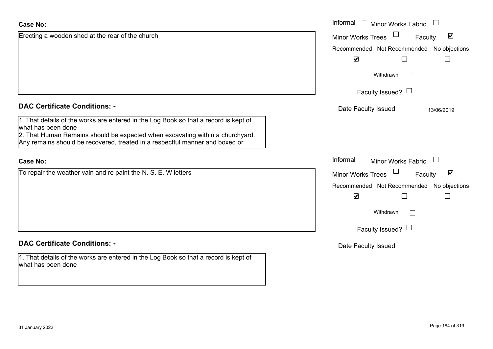| <b>Case No:</b>                                                                                                                                               | Informal $\Box$ Minor Works Fabric $\Box$                   |
|---------------------------------------------------------------------------------------------------------------------------------------------------------------|-------------------------------------------------------------|
| Erecting a wooden shed at the rear of the church                                                                                                              | $\blacktriangledown$<br><b>Minor Works Trees</b><br>Faculty |
|                                                                                                                                                               | Recommended Not Recommended No objections                   |
|                                                                                                                                                               | $\blacktriangledown$                                        |
|                                                                                                                                                               | Withdrawn<br>$\mathbb{R}$                                   |
|                                                                                                                                                               | Faculty Issued? $\Box$                                      |
| <b>DAC Certificate Conditions: -</b>                                                                                                                          | Date Faculty Issued<br>13/06/2019                           |
| 1. That details of the works are entered in the Log Book so that a record is kept of<br>what has been done                                                    |                                                             |
| 2. That Human Remains should be expected when excavating within a churchyard.<br>Any remains should be recovered, treated in a respectful manner and boxed or |                                                             |
| <b>Case No:</b>                                                                                                                                               | Informal<br>$\Box$ Minor Works Fabric<br>$\Box$             |
| To repair the weather vain and re paint the N. S. E. W letters                                                                                                | $\blacktriangledown$<br><b>Minor Works Trees</b><br>Faculty |
|                                                                                                                                                               | Recommended Not Recommended No objections                   |
|                                                                                                                                                               | $\blacktriangledown$                                        |
|                                                                                                                                                               | Withdrawn<br>$\Box$                                         |
|                                                                                                                                                               | Faculty Issued? $\Box$                                      |
| <b>DAC Certificate Conditions: -</b>                                                                                                                          | Date Faculty Issued                                         |
| 1. That details of the works are entered in the Log Book so that a record is kept of<br>what has been done                                                    |                                                             |
|                                                                                                                                                               |                                                             |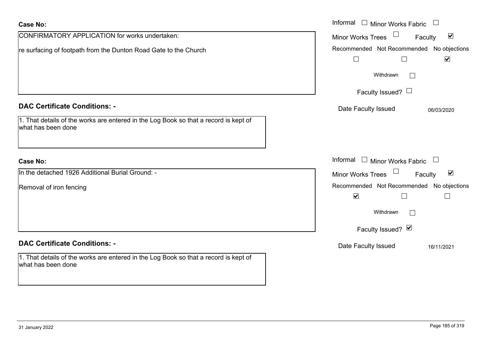| <b>Case No:</b>                                                                                            | Informal $\Box$ Minor Works Fabric $\Box$                                             |
|------------------------------------------------------------------------------------------------------------|---------------------------------------------------------------------------------------|
| CONFIRMATORY APPLICATION for works undertaken:                                                             | $\blacktriangledown$<br><b>Minor Works Trees</b><br>Faculty                           |
| re surfacing of footpath from the Dunton Road Gate to the Church                                           | Recommended Not Recommended No objections<br>$\Box$<br>$\blacktriangledown$<br>$\Box$ |
|                                                                                                            | Withdrawn                                                                             |
|                                                                                                            | Faculty Issued? $\Box$                                                                |
| <b>DAC Certificate Conditions: -</b>                                                                       | Date Faculty Issued<br>06/03/2020                                                     |
| 1. That details of the works are entered in the Log Book so that a record is kept of<br>what has been done |                                                                                       |
|                                                                                                            |                                                                                       |
| <b>Case No:</b>                                                                                            | Informal $\Box$ Minor Works Fabric $\Box$                                             |
| In the detached 1926 Additional Burial Ground: -                                                           | $\blacktriangledown$<br><b>Minor Works Trees</b><br>Faculty                           |
| Removal of iron fencing                                                                                    | Recommended Not Recommended No objections<br>$\blacktriangledown$<br>$\Box$<br>$\Box$ |
|                                                                                                            | Withdrawn<br>$\mathbf{1}$                                                             |
|                                                                                                            | Faculty Issued? Ø                                                                     |
| <b>DAC Certificate Conditions: -</b>                                                                       | Date Faculty Issued<br>16/11/2021                                                     |
| 1. That details of the works are entered in the Log Book so that a record is kept of<br>what has been done |                                                                                       |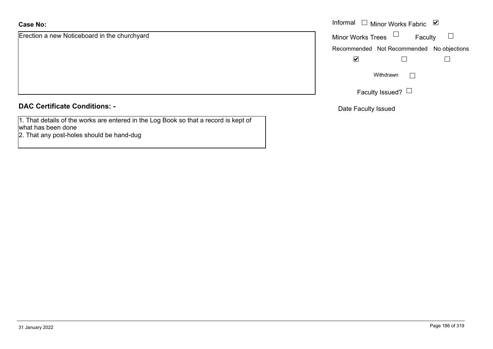# **Case No:**

Erection a new Noticeboard in the churchyard

### **DAC Certificate Conditions: -**

1. That details of the works are entered in the Log Book so that a record is kept of what has been done

2. That any post-holes should be hand-dug

|                                     |                          | Informal $\Box$ Minor Works Fabric $\Box$ |  |
|-------------------------------------|--------------------------|-------------------------------------------|--|
| a new Noticeboard in the churchyard | Minor Works Trees $\Box$ | Faculty                                   |  |
|                                     |                          | Recommended Not Recommended No objections |  |
|                                     | $\overline{\mathbf{v}}$  |                                           |  |
|                                     |                          | Withdrawn                                 |  |
|                                     |                          | Faculty Issued? $\Box$                    |  |

Date Faculty Issued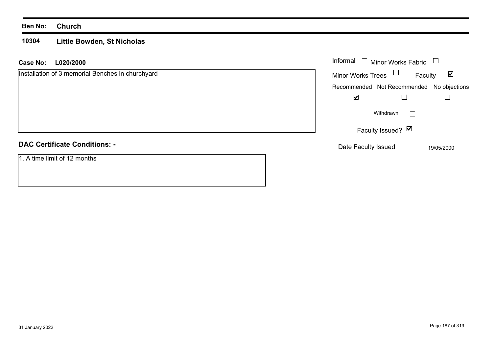#### **10304 Little Bowden, St Nicholas**

### **L020/2000 Case No:** Informal

| Installation of 3 memorial Benches in churchyard | <b>Minor Works Trees</b> | Faculty                                   | ⊻          |
|--------------------------------------------------|--------------------------|-------------------------------------------|------------|
|                                                  |                          | Recommended Not Recommended No objections |            |
|                                                  | ☑                        |                                           |            |
|                                                  |                          | Withdrawn<br>$\perp$                      |            |
|                                                  |                          | Faculty Issued? Ø                         |            |
| <b>DAC Certificate Conditions: -</b>             | Date Faculty Issued      |                                           | 19/05/2000 |
| 1. A time limit of 12 months                     |                          |                                           |            |

Minor Works Fabric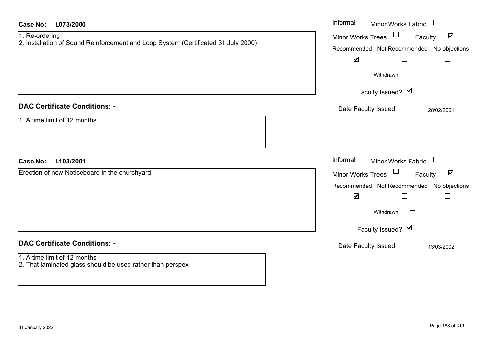| <b>Case No:</b><br>L073/2000<br>1. Re-ordering<br>2. Installation of Sound Reinforcement and Loop System (Certificated 31 July 2000) | Informal $\Box$ Minor Works Fabric $\Box$<br>Minor Works Trees <sup>1</sup><br>$\blacktriangledown$<br>Faculty<br>Recommended Not Recommended No objections<br>$\blacktriangledown$<br>$\Box$<br>$\Box$<br>Withdrawn<br>$\Box$                                  |
|--------------------------------------------------------------------------------------------------------------------------------------|-----------------------------------------------------------------------------------------------------------------------------------------------------------------------------------------------------------------------------------------------------------------|
| <b>DAC Certificate Conditions: -</b><br>1. A time limit of 12 months                                                                 | Faculty Issued? Ø<br>Date Faculty Issued<br>28/02/2001                                                                                                                                                                                                          |
| L103/2001<br><b>Case No:</b><br>Erection of new Noticeboard in the churchyard                                                        | Informal $\Box$ Minor Works Fabric $\Box$<br>$\Box$<br>$\blacktriangledown$<br><b>Minor Works Trees</b><br>Faculty<br>Recommended Not Recommended No objections<br>$\blacktriangledown$<br>$\Box$<br>$\overline{\phantom{a}}$<br>Withdrawn<br>Faculty Issued? Ø |
| <b>DAC Certificate Conditions: -</b><br>1. A time limit of 12 months<br>2. That laminated glass should be used rather than perspex   | Date Faculty Issued<br>13/03/2002                                                                                                                                                                                                                               |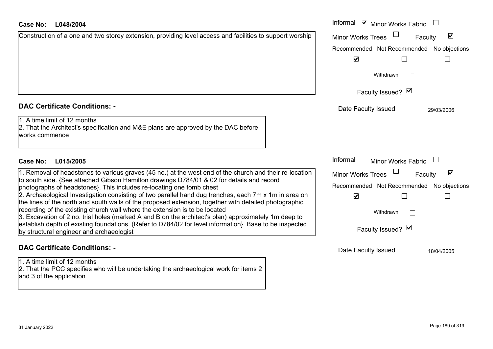### **L048/2004Case No:** Informal

Construction of a one and two storey extension, providing level access and facilities to support worship

## **DAC Certificate Conditions: -**

1. A time limit of 12 months

2. That the Architect's specification and M&E plans are approved by the DAC before works commence

1. Removal of headstones to various graves (45 no.) at the west end of the church and their re-location to south side. {See attached Gibson Hamilton drawings D784/01 & 02 for details and record photographs of headstones}. This includes re-locating one tomb chest 2. Archaeological Investigation consisting of two parallel hand dug trenches, each 7m x 1m in area on the lines of the north and south walls of the proposed extension, together with detailed photographic recording of the existing church wall where the extension is to be located 3. Excavation of 2 no. trial holes (marked A and B on the architect's plan) approximately 1m deep to establish depth of existing foundations. {Refer to D784/02 for level information}. Base to be inspected by structural engineer and archaeologist

## **DAC Certificate Conditions: -**

1. A time limit of 12 months2. That the PCC specifies who will be undertaking the archaeological work for items 2 and 3 of the application

Informal  $\vee$  Minor Works Fabric  $\Box$  $\blacktriangledown$ Faculty Minor Works Trees Recommended Not Recommended No objections  $\overline{\mathbf{v}}$  $\Box$  $\Box$ Withdrawn $\Box$ Faculty Issued?  $\boxtimes$ Date Faculty Issued 29/03/2006 Informal  $\Box$  Minor Works Fabric  $\Box$ **L015/2005Case No:** Informal  $\overline{\mathbf{v}}$ Faculty Minor Works Trees Recommended Not Recommended No objections  $\overline{\mathbf{v}}$  $\Box$  $\Box$ Withdrawn $\Box$ Faculty Issued? Ø Date Faculty Issued 18/04/2005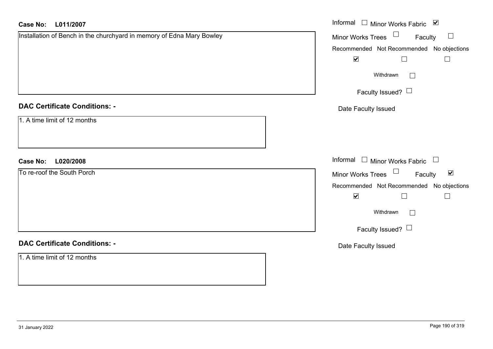| <b>Case No:</b><br>L011/2007                                          | Informal $\Box$ Minor Works Fabric $\Box$            |
|-----------------------------------------------------------------------|------------------------------------------------------|
| Installation of Bench in the churchyard in memory of Edna Mary Bowley | Minor Works Trees $\Box$<br>Faculty<br>$\Box$        |
|                                                                       | Recommended Not Recommended No objections            |
|                                                                       | $\blacktriangledown$<br>$\Box$<br>$\Box$             |
|                                                                       | Withdrawn<br>$\Box$                                  |
|                                                                       | Faculty Issued? $\Box$                               |
| <b>DAC Certificate Conditions: -</b>                                  | Date Faculty Issued                                  |
| 1. A time limit of 12 months                                          |                                                      |
| <b>Case No:</b><br>L020/2008                                          | Informal □ Minor Works Fabric □                      |
| To re-roof the South Porch                                            | Minor Works Trees<br>$\blacktriangledown$<br>Faculty |
|                                                                       | Recommended Not Recommended No objections            |
|                                                                       | $\blacktriangledown$<br>$\Box$<br>$\Box$             |
|                                                                       | Withdrawn<br>$\Box$                                  |
|                                                                       | Faculty Issued?                                      |
| <b>DAC Certificate Conditions: -</b>                                  | Date Faculty Issued                                  |
| 1. A time limit of 12 months                                          |                                                      |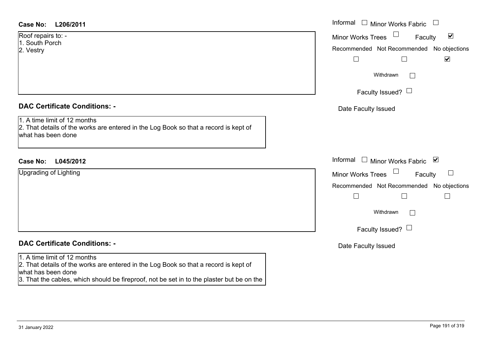| Case No: | L206/2011 |
|----------|-----------|
|----------|-----------|

| Roof repairs to: -   |
|----------------------|
| 1. South Porch       |
| $0 \sqrt{2 \cdot 1}$ |

2. Vestry

## **DAC Certificate Conditions: -**

# **DAC Certificate Conditions: -**

#### 1. A time limit of 12 months

2. That details of the works are entered in the Log Book so that a record is kept of what has been done

3. That the cables, which should be fireproof, not be set in to the plaster but be on the

| <b>Case No:</b><br>L206/2011                                                                                                                                                       | Informal $\Box$ Minor Works Fabric                                                                                                         |
|------------------------------------------------------------------------------------------------------------------------------------------------------------------------------------|--------------------------------------------------------------------------------------------------------------------------------------------|
| Roof repairs to: -<br>1. South Porch<br>2. Vestry                                                                                                                                  | $\Box$<br>$\blacktriangledown$<br>Faculty<br><b>Minor Works Trees</b><br>Recommended Not Recommended No objections<br>$\blacktriangledown$ |
|                                                                                                                                                                                    | Withdrawn<br>$\sim$<br>Faculty Issued? $\Box$                                                                                              |
| <b>DAC Certificate Conditions: -</b><br>1. A time limit of 12 months<br>2. That details of the works are entered in the Log Book so that a record is kept of<br>what has been done | Date Faculty Issued                                                                                                                        |
| L045/2012<br><b>Case No:</b>                                                                                                                                                       | Informal □ Minor Works Fabric ⊠                                                                                                            |
| <b>Upgrading of Lighting</b>                                                                                                                                                       | Minor Works Trees<br>$\Box$<br>Faculty<br>Recommended Not Recommended No objections<br>Withdrawn<br>$\Box$                                 |
| <b>DAC Certificate Conditions: -</b>                                                                                                                                               | Faculty Issued? $\Box$<br>Date Faculty Issued                                                                                              |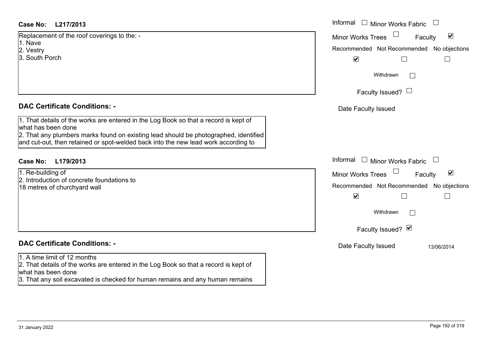#### **L217/2013Case No:**

| <b>Case No:</b><br>L217/2013                                                                                                                                               | Informal |
|----------------------------------------------------------------------------------------------------------------------------------------------------------------------------|----------|
| Replacement of the roof coverings to the: -                                                                                                                                | Minor W  |
| 1. Nave<br>2. Vestry                                                                                                                                                       | Recomm   |
| 3. South Porch                                                                                                                                                             |          |
|                                                                                                                                                                            |          |
|                                                                                                                                                                            |          |
| <b>DAC Certificate Conditions: -</b>                                                                                                                                       | Date I   |
| 1. That details of the works are entered in the Log Book so that a record is kept of<br>what has been done                                                                 |          |
| 2. That any plumbers marks found on existing lead should be photographed, identified<br>and cut-out, then retained or spot-welded back into the new lead work according to |          |
| <b>Case No:</b><br>L179/2013                                                                                                                                               | Informal |
| 1. Re-building of                                                                                                                                                          | Minor W  |
| 2. Introduction of concrete foundations to                                                                                                                                 | Recomm   |
| 18 metres of churchyard wall                                                                                                                                               |          |
|                                                                                                                                                                            |          |
|                                                                                                                                                                            |          |
|                                                                                                                                                                            |          |

### **DAC Certificate Conditions: -**

#### 1. A time limit of 12 months

2. That details of the works are entered in the Log Book so that a record is kept of what has been done

3. That any soil excavated is checked for human remains and any human remains

| Informal $\square$<br><b>Minor Works Fabric</b>                   |
|-------------------------------------------------------------------|
| $\blacktriangledown$<br><b>Minor Works Trees</b><br>Faculty       |
| Recommended Not Recommended No objections<br>$\blacktriangledown$ |
| Withdrawn                                                         |
| Faculty Issued?                                                   |
| Date Faculty Issued                                               |
|                                                                   |
|                                                                   |
| Informal<br>Minor Works Fabric                                    |
| ☑<br><b>Minor Works Trees</b><br>Faculty                          |
| Recommended Not Recommended No objections<br>$\blacktriangledown$ |
| Withdrawn                                                         |
| Faculty Issued? Ø                                                 |
| Date Faculty Issued<br>13/06/2014                                 |
|                                                                   |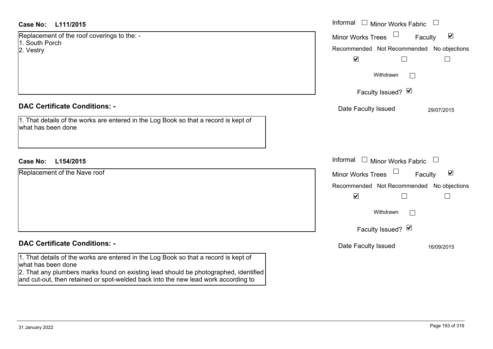| <b>Case No:</b><br>L111/2015                                                                                                                                                                       | Informal □ Minor Works Fabric<br>$\overline{\phantom{a}}$   |
|----------------------------------------------------------------------------------------------------------------------------------------------------------------------------------------------------|-------------------------------------------------------------|
| Replacement of the roof coverings to the: -                                                                                                                                                        | $\blacktriangledown$<br><b>Minor Works Trees</b><br>Faculty |
| 1. South Porch<br>2. Vestry                                                                                                                                                                        | Recommended Not Recommended No objections                   |
|                                                                                                                                                                                                    | $\blacktriangledown$                                        |
|                                                                                                                                                                                                    | Withdrawn<br>$\mathbf{I}$                                   |
|                                                                                                                                                                                                    | Faculty Issued? Ø                                           |
| <b>DAC Certificate Conditions: -</b>                                                                                                                                                               | Date Faculty Issued<br>29/07/2015                           |
| 1. That details of the works are entered in the Log Book so that a record is kept of<br>what has been done                                                                                         |                                                             |
| <b>Case No:</b><br>L154/2015                                                                                                                                                                       | Informal $\Box$ Minor Works Fabric $\Box$                   |
| Replacement of the Nave roof                                                                                                                                                                       | $\blacktriangledown$<br>Minor Works Trees<br>Faculty        |
|                                                                                                                                                                                                    | Recommended Not Recommended No objections                   |
|                                                                                                                                                                                                    | $\blacktriangledown$                                        |
|                                                                                                                                                                                                    | Withdrawn<br>$\mathbf{L}$                                   |
|                                                                                                                                                                                                    | Faculty Issued? Ø                                           |
| <b>DAC Certificate Conditions: -</b>                                                                                                                                                               | Date Faculty Issued<br>16/09/2015                           |
| 1. That details of the works are entered in the Log Book so that a record is kept of<br>what has been done<br>2. That any plumbers marks found on existing lead should be photographed, identified |                                                             |

and cut-out, then retained or spot-welded back into the new lead work according to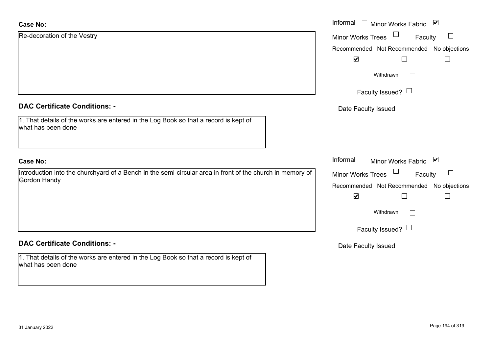| <b>Case No:</b>                                                                                                           | Informal □ Minor Works Fabric ☑                 |
|---------------------------------------------------------------------------------------------------------------------------|-------------------------------------------------|
| Re-decoration of the Vestry                                                                                               | $\Box$<br>Minor Works Trees<br>Faculty          |
|                                                                                                                           | Recommended Not Recommended No objections       |
|                                                                                                                           | $\blacktriangledown$<br>Г                       |
|                                                                                                                           | Withdrawn                                       |
|                                                                                                                           | Faculty Issued? $\Box$                          |
| <b>DAC Certificate Conditions: -</b>                                                                                      | Date Faculty Issued                             |
| 1. That details of the works are entered in the Log Book so that a record is kept of<br>what has been done                |                                                 |
| <b>Case No:</b>                                                                                                           | Informal $\Box$ Minor Works Fabric $\Box$       |
| Introduction into the churchyard of a Bench in the semi-circular area in front of the church in memory of<br>Gordon Handy | <b>Minor Works Trees</b><br>Faculty<br>$\sqcup$ |
|                                                                                                                           | Recommended Not Recommended No objections       |
|                                                                                                                           | $\blacktriangledown$<br>$\Box$                  |
|                                                                                                                           | Withdrawn                                       |
|                                                                                                                           | Faculty Issued? $\Box$                          |
| <b>DAC Certificate Conditions: -</b>                                                                                      | Date Faculty Issued                             |
| 1. That details of the works are entered in the Log Book so that a record is kept of<br>what has been done                |                                                 |
|                                                                                                                           |                                                 |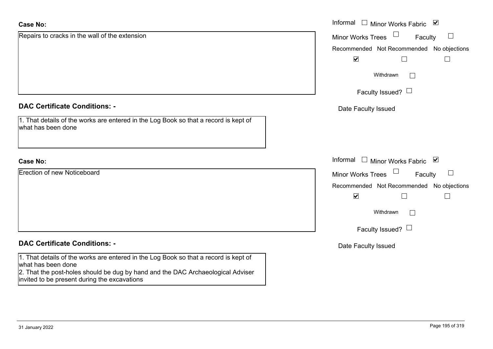| <b>Case No:</b>                                                                                                                                                                                                                               | Informal □ Minor Works Fabric ☑                         |
|-----------------------------------------------------------------------------------------------------------------------------------------------------------------------------------------------------------------------------------------------|---------------------------------------------------------|
| Repairs to cracks in the wall of the extension                                                                                                                                                                                                | $\Box$<br>Minor Works Trees<br>Faculty                  |
|                                                                                                                                                                                                                                               | Recommended Not Recommended No objections               |
|                                                                                                                                                                                                                                               | $\blacktriangledown$                                    |
|                                                                                                                                                                                                                                               | Withdrawn<br>$\mathbf{I}$                               |
|                                                                                                                                                                                                                                               | Faculty Issued? $\Box$                                  |
| <b>DAC Certificate Conditions: -</b>                                                                                                                                                                                                          | Date Faculty Issued                                     |
| 1. That details of the works are entered in the Log Book so that a record is kept of<br>what has been done                                                                                                                                    |                                                         |
| <b>Case No:</b>                                                                                                                                                                                                                               | Informal<br>$\Box$ Minor Works Fabric $\Box$            |
| Erection of new Noticeboard                                                                                                                                                                                                                   | $\Box$<br><b>Minor Works Trees</b><br>Faculty<br>$\Box$ |
|                                                                                                                                                                                                                                               | Recommended Not Recommended No objections               |
|                                                                                                                                                                                                                                               | $\blacktriangledown$                                    |
|                                                                                                                                                                                                                                               | Withdrawn                                               |
|                                                                                                                                                                                                                                               | Faculty Issued? $\Box$                                  |
| <b>DAC Certificate Conditions: -</b>                                                                                                                                                                                                          | Date Faculty Issued                                     |
| 1. That details of the works are entered in the Log Book so that a record is kept of<br>what has been done<br>2. That the post-holes should be dug by hand and the DAC Archaeological Adviser<br>invited to be present during the excavations |                                                         |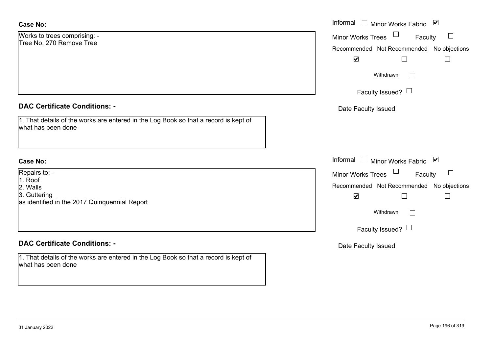| Informal $\square$<br>Minor Works Fabric ⊠               |
|----------------------------------------------------------|
| $\overline{\phantom{a}}$<br>Minor Works Trees<br>Faculty |
| Recommended Not Recommended No objections                |
| $\blacktriangledown$                                     |
| Withdrawn<br>$\sqrt{2}$                                  |
| Faculty Issued? $\Box$                                   |
| Date Faculty Issued                                      |
|                                                          |
| Informal □ Minor Works Fabric ⊠                          |
| Minor Works Trees<br>$\Box$<br>Faculty                   |
| Recommended Not Recommended No objections                |
| $\blacktriangledown$                                     |
| Withdrawn<br>$\Box$                                      |
|                                                          |
| Faculty Issued? $\Box$                                   |
| Date Faculty Issued                                      |
|                                                          |
|                                                          |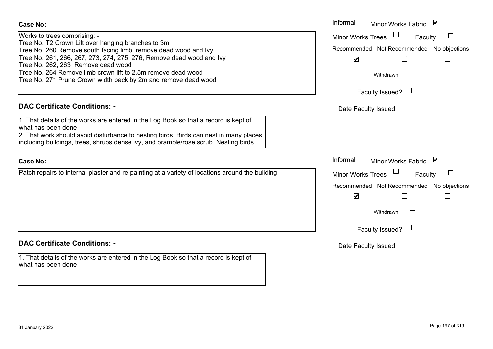| Works to trees comprising: -                                         |
|----------------------------------------------------------------------|
| Tree No. T2 Crown Lift over hanging branches to 3m                   |
| Tree No. 260 Remove south facing limb, remove dead wood and Ivy      |
| Tree No. 261, 266, 267, 273, 274, 275, 276, Remove dead wood and Ivy |
| Tree No. 262, 263 Remove dead wood                                   |
| Tree No. 264 Remove limb crown lift to 2.5m remove dead wood         |
| Tree No. 271 Prune Crown width back by 2m and remove dead wood       |
|                                                                      |

### **DAC Certificate Conditions: -**

1. That details of the works are entered in the Log Book so that a record is kept of what has been done

2. That work should avoid disturbance to nesting birds. Birds can nest in many places including buildings, trees, shrubs dense ivy, and bramble/rose scrub. Nesting birds

### **Case No:**

Patch repairs to internal plaster and re-painting at a variety of locations around the building

# **DAC Certificate Conditions: -**

1. That details of the works are entered in the Log Book so that a record is kept of what has been done

|                                                                                                                                                                                                                                                       | Informal $\square$<br>Minor Works Fabric ⊠                           |
|-------------------------------------------------------------------------------------------------------------------------------------------------------------------------------------------------------------------------------------------------------|----------------------------------------------------------------------|
| trees comprising: -                                                                                                                                                                                                                                   | <b>Minor Works Trees</b><br>Faculty                                  |
| T2 Crown Lift over hanging branches to 3m<br>260 Remove south facing limb, remove dead wood and lvy<br>261, 266, 267, 273, 274, 275, 276, Remove dead wood and lvy<br>262, 263 Remove dead wood                                                       | Recommended Not Recommended No objections<br>$\blacktriangledown$    |
| 264 Remove limb crown lift to 2.5m remove dead wood<br>271 Prune Crown width back by 2m and remove dead wood                                                                                                                                          | Withdrawn                                                            |
|                                                                                                                                                                                                                                                       | Faculty Issued? $\Box$                                               |
| rtificate Conditions: -                                                                                                                                                                                                                               | Date Faculty Issued                                                  |
| etails of the works are entered in the Log Book so that a record is kept of<br>been done<br>ork should avoid disturbance to nesting birds. Birds can nest in many places<br>buildings, trees, shrubs dense ivy, and bramble/rose scrub. Nesting birds |                                                                      |
|                                                                                                                                                                                                                                                       | Informal<br>□ Minor Works Fabric                                     |
| pairs to internal plaster and re-painting at a variety of locations around the building                                                                                                                                                               | Minor Works Trees<br>Faculty                                         |
|                                                                                                                                                                                                                                                       | Recommended Not Recommended No objections<br>$\overline{\mathbf{v}}$ |
|                                                                                                                                                                                                                                                       | Withdrawn<br>$\mathbf{I}$                                            |
|                                                                                                                                                                                                                                                       | Faculty Issued? $\Box$                                               |
| rtificate Conditions: -                                                                                                                                                                                                                               | Date Faculty Issued                                                  |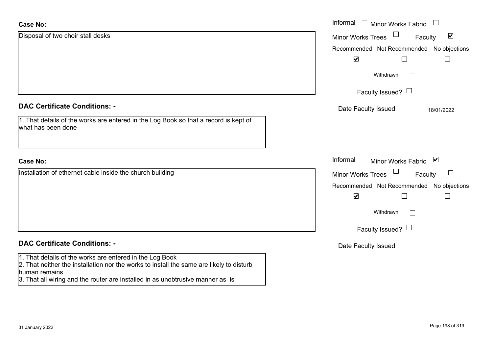| <b>Case No:</b>                                                                                                                                                                                                                                         | Informal $\Box$ Minor Works Fabric $\Box$                   |
|---------------------------------------------------------------------------------------------------------------------------------------------------------------------------------------------------------------------------------------------------------|-------------------------------------------------------------|
| Disposal of two choir stall desks                                                                                                                                                                                                                       | $\blacktriangledown$<br><b>Minor Works Trees</b><br>Faculty |
|                                                                                                                                                                                                                                                         | Recommended Not Recommended No objections                   |
|                                                                                                                                                                                                                                                         | $\blacktriangledown$                                        |
|                                                                                                                                                                                                                                                         | Withdrawn<br>$\mathbf{I}$                                   |
|                                                                                                                                                                                                                                                         | Faculty Issued? $\Box$                                      |
| <b>DAC Certificate Conditions: -</b>                                                                                                                                                                                                                    | Date Faculty Issued<br>18/01/2022                           |
| 1. That details of the works are entered in the Log Book so that a record is kept of<br>what has been done                                                                                                                                              |                                                             |
| <b>Case No:</b>                                                                                                                                                                                                                                         | Informal<br>$\mathbf{1}$<br>Minor Works Fabric ⊠            |
| Installation of ethernet cable inside the church building                                                                                                                                                                                               | $\Box$<br>$\sqcup$<br><b>Minor Works Trees</b><br>Faculty   |
|                                                                                                                                                                                                                                                         | Recommended Not Recommended No objections                   |
|                                                                                                                                                                                                                                                         | $\blacktriangledown$                                        |
|                                                                                                                                                                                                                                                         | Withdrawn                                                   |
|                                                                                                                                                                                                                                                         | Faculty Issued? $\Box$                                      |
| <b>DAC Certificate Conditions: -</b>                                                                                                                                                                                                                    | Date Faculty Issued                                         |
| 1. That details of the works are entered in the Log Book<br>2. That neither the installation nor the works to install the same are likely to disturb<br>human remains<br>3. That all wiring and the router are installed in as unobtrusive manner as is |                                                             |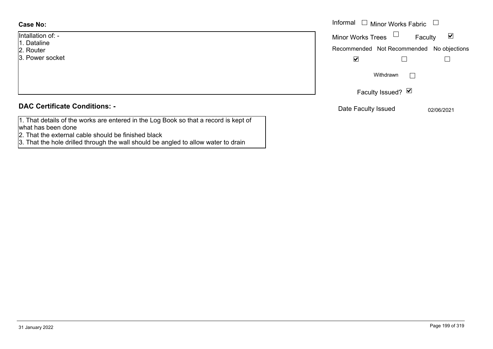# **Case No:**

- Intallation of: -
- 1. Dataline
- 2. Router
- 3. Power socket

### **DAC Certificate Conditions: -**

- 1. That details of the works are entered in the Log Book so that a record is kept of what has been done
- 2. That the external cable should be finished black
- 3. That the hole drilled through the wall should be angled to allow water to drain

|                         | Informal $\Box$ Minor Works Fabric $\Box$                   |
|-------------------------|-------------------------------------------------------------|
| า of: -<br>۱e           | Minor Works Trees $\Box$<br>Faculty<br>$\blacktriangledown$ |
|                         | Recommended Not Recommended No objections                   |
| socket                  | $\blacktriangledown$                                        |
|                         | Withdrawn<br>$\mathbf{L}$                                   |
|                         | Faculty Issued? $\Box$                                      |
| rtificate Conditions: - | Date Faculty Issued<br>02/06/2021                           |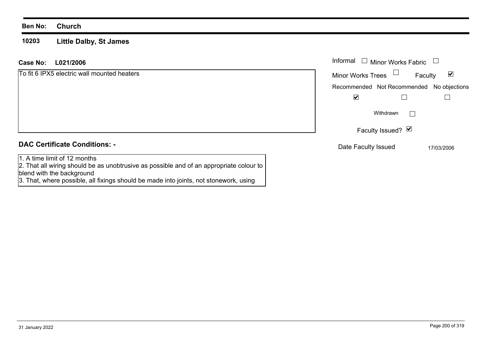#### **10203Little Dalby, St James**

### **L021/2006 Case No:** Informal

| To fit 6 IPX5 electric wall mounted heaters | <b>Minor Works Trees</b> | Faculty                                   | ☑          |
|---------------------------------------------|--------------------------|-------------------------------------------|------------|
|                                             |                          | Recommended Not Recommended No objections |            |
|                                             | ⊻                        |                                           |            |
|                                             |                          | Withdrawn                                 |            |
|                                             |                          | Faculty Issued? Ø                         |            |
| <b>DAC Certificate Conditions: -</b>        | Date Faculty Issued      |                                           | 17/03/2006 |
| 1. A time limit of 12 months                |                          |                                           |            |

1. A time limit of 12 months 2. That all wiring should be as unobtrusive as possible and of an appropriate colour to blend with the background

3. That, where possible, all fixings should be made into joints, not stonework, using

Minor Works Fabric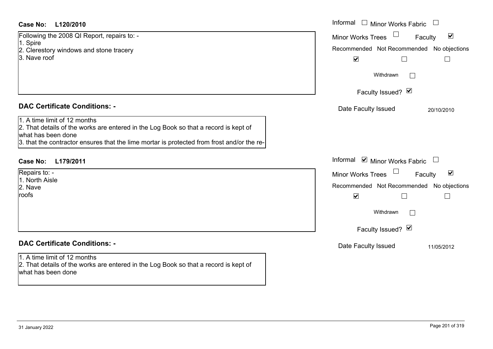| Case No:<br>L120/2010                                                                                                                                                                                                                    | Informal $\Box$ Minor Works Fabric $\Box$                                    |
|------------------------------------------------------------------------------------------------------------------------------------------------------------------------------------------------------------------------------------------|------------------------------------------------------------------------------|
| Following the 2008 QI Report, repairs to: -<br>1. Spire                                                                                                                                                                                  | $\Box$<br>$\blacktriangledown$<br><b>Minor Works Trees</b><br>Faculty        |
| 2. Clerestory windows and stone tracery<br>3. Nave roof                                                                                                                                                                                  | Recommended Not Recommended No objections<br>$\blacktriangledown$<br>$\perp$ |
|                                                                                                                                                                                                                                          | Withdrawn                                                                    |
|                                                                                                                                                                                                                                          | Faculty Issued? Ø                                                            |
| <b>DAC Certificate Conditions: -</b>                                                                                                                                                                                                     | Date Faculty Issued<br>20/10/2010                                            |
| 1. A time limit of 12 months<br>2. That details of the works are entered in the Log Book so that a record is kept of<br>what has been done<br>3. that the contractor ensures that the lime mortar is protected from frost and/or the re- |                                                                              |
| L179/2011<br><b>Case No:</b>                                                                                                                                                                                                             | Informal Ø Minor Works Fabric U                                              |
| Repairs to: -<br>1. North Aisle                                                                                                                                                                                                          | $\blacktriangledown$<br><b>Minor Works Trees</b><br>Faculty                  |
| 2. Nave                                                                                                                                                                                                                                  | Recommended Not Recommended No objections                                    |
| roofs                                                                                                                                                                                                                                    | $\blacktriangledown$                                                         |
|                                                                                                                                                                                                                                          | Withdrawn                                                                    |
|                                                                                                                                                                                                                                          | Faculty Issued? Ø                                                            |
| <b>DAC Certificate Conditions: -</b>                                                                                                                                                                                                     | Date Faculty Issued<br>11/05/2012                                            |
| 1. A time limit of 12 months<br>2. That details of the works are entered in the Log Book so that a record is kept of<br>what has been done                                                                                               |                                                                              |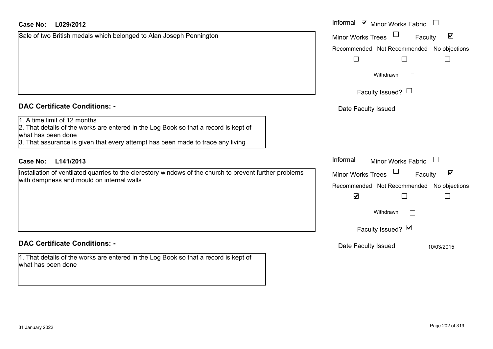| <b>Case No:</b> | L029/2012 |
|-----------------|-----------|
|-----------------|-----------|

# **DAC Certificate Conditions: -**

# **DAC Certificate Conditions: -**

1. That details of the works are entered in the Log Book so that a record is kept of what has been done

| <b>Case No:</b><br>L029/2012                                                                                                                                                                                                  | Informal <b>☑</b> Minor Works Fabric                        |
|-------------------------------------------------------------------------------------------------------------------------------------------------------------------------------------------------------------------------------|-------------------------------------------------------------|
| Sale of two British medals which belonged to Alan Joseph Pennington                                                                                                                                                           | $\blacktriangledown$<br><b>Minor Works Trees</b><br>Faculty |
|                                                                                                                                                                                                                               | Recommended Not Recommended No objections                   |
|                                                                                                                                                                                                                               |                                                             |
|                                                                                                                                                                                                                               | Withdrawn<br>$\mathbf{L}$                                   |
|                                                                                                                                                                                                                               | Faculty Issued? $\Box$                                      |
| <b>DAC Certificate Conditions: -</b>                                                                                                                                                                                          | Date Faculty Issued                                         |
| 1. A time limit of 12 months<br>2. That details of the works are entered in the Log Book so that a record is kept of<br>what has been done<br>3. That assurance is given that every attempt has been made to trace any living |                                                             |
| L141/2013<br><b>Case No:</b>                                                                                                                                                                                                  | Informal $\Box$ Minor Works Fabric                          |
| Installation of ventilated quarries to the clerestory windows of the church to prevent further problems                                                                                                                       | $\blacktriangledown$<br>Minor Works Trees<br>Faculty        |
| with dampness and mould on internal walls                                                                                                                                                                                     | Recommended Not Recommended No objections                   |
|                                                                                                                                                                                                                               | $\blacktriangledown$                                        |
|                                                                                                                                                                                                                               | Withdrawn<br>$\mathbf{L}$                                   |
|                                                                                                                                                                                                                               | Faculty Issued? Ø                                           |
| <b>DAC Certificate Conditions: -</b>                                                                                                                                                                                          | Date Faculty Issued<br>10/03/2015                           |
| 1. That details of the works are entered in the Log Book so that a record is kept of                                                                                                                                          |                                                             |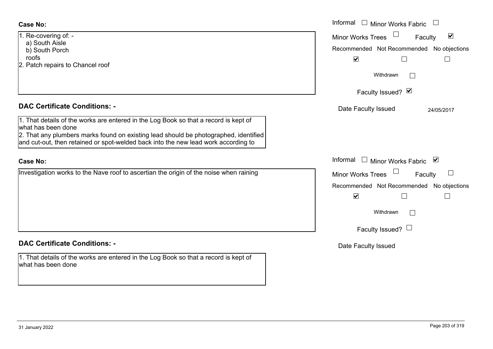### **Case No:**

| a) South Aisle                   |  |  |
|----------------------------------|--|--|
| b) South Porch                   |  |  |
| roofs                            |  |  |
| 2. Patch repairs to Chancel roof |  |  |

### **DAC Certificate Conditions: -**

1. That details of the works are entered in the Log Book so that a record is kept of what has been done

2. That any plumbers marks found on existing lead should be photographed, identified and cut-out, then retained or spot-welded back into the new lead work according to

#### **Case No:**

Investigation works to the Nave roof to ascertian the origin of the noise when raining

## **DAC Certificate Conditions: -**

1. That details of the works are entered in the Log Book so that a record is kept of what has been done

|                                                                                                                                                           | Informal □ Minor Works Fabric                                     |
|-----------------------------------------------------------------------------------------------------------------------------------------------------------|-------------------------------------------------------------------|
| vering of: -<br>th Aisle                                                                                                                                  | $\blacktriangledown$<br>Minor Works Trees<br>Faculty              |
| th Porch                                                                                                                                                  | Recommended Not Recommended No objections                         |
| repairs to Chancel roof                                                                                                                                   | $\blacktriangledown$                                              |
|                                                                                                                                                           | Withdrawn<br>$\mathbb{R}$                                         |
|                                                                                                                                                           | Faculty Issued? Ø                                                 |
| rtificate Conditions: -                                                                                                                                   | Date Faculty Issued<br>24/05/2017                                 |
| etails of the works are entered in the Log Book so that a record is kept of<br>been done                                                                  |                                                                   |
| ny plumbers marks found on existing lead should be photographed, identified<br>out, then retained or spot-welded back into the new lead work according to |                                                                   |
|                                                                                                                                                           | Informal □ Minor Works Fabric ⊠                                   |
| tion works to the Nave roof to ascertian the origin of the noise when raining                                                                             | $\sqcup$<br><b>Minor Works Trees</b><br>Faculty                   |
|                                                                                                                                                           | Recommended Not Recommended No objections<br>$\blacktriangledown$ |
|                                                                                                                                                           | Withdrawn<br>$\mathbb{R}$                                         |
|                                                                                                                                                           | Faculty Issued? $\Box$                                            |
| ulifiaata Canditiana.                                                                                                                                     |                                                                   |

Date Faculty Issued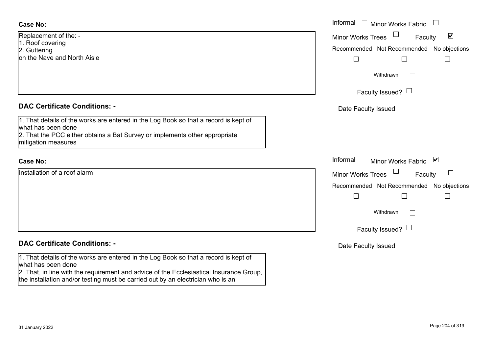### **DAC Certificate Conditions: -**

1. That details of the works are entered in the Log Book so that a record is kept of what has been done 2. That the PCC either obtains a Bat Survey or implements other appropriate mitigation measures

#### **Case No:**

Installation of a roof alarm

# **DAC Certificate Conditions: -**

1. That details of the works are entered in the Log Book so that a record is kept of what has been done

2. That, in line with the requirement and advice of the Ecclesiastical Insurance Group, the installation and/or testing must be carried out by an electrician who is an

|                                                                                                                                                                             | Informal $\Box$ Minor Works Fabric $\Box$                                                         |
|-----------------------------------------------------------------------------------------------------------------------------------------------------------------------------|---------------------------------------------------------------------------------------------------|
| nent of the: -<br>overing<br>ing<br>ave and North Aisle                                                                                                                     | $\blacktriangledown$<br>Minor Works Trees<br>Faculty<br>Recommended Not Recommended No objections |
|                                                                                                                                                                             | Withdrawn<br>Faculty Issued? $\Box$                                                               |
| rtificate Conditions: -                                                                                                                                                     | Date Faculty Issued                                                                               |
| etails of the works are entered in the Log Book so that a record is kept of<br>been done<br>e PCC either obtains a Bat Survey or implements other appropriate<br>า measures |                                                                                                   |
|                                                                                                                                                                             | Informal □ Minor Works Fabric ⊠                                                                   |
| on of a roof alarm                                                                                                                                                          | Minor Works Trees<br>Faculty                                                                      |
|                                                                                                                                                                             | Recommended Not Recommended No objections<br>$\Box$                                               |
|                                                                                                                                                                             | Withdrawn                                                                                         |
|                                                                                                                                                                             | Faculty Issued? $\Box$                                                                            |
| rtificate Conditions: -                                                                                                                                                     | Date Faculty Issued                                                                               |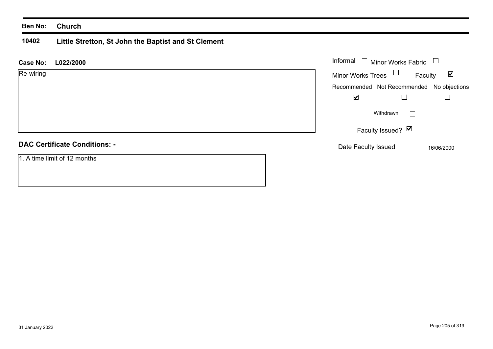#### **10402 Little Stretton, St John the Baptist and St Clement**

| Case No:<br>L022/2000                | Informal $\Box$ Minor Works Fabric        |                           |                      |
|--------------------------------------|-------------------------------------------|---------------------------|----------------------|
| Re-wiring                            | Minor Works Trees $\Box$                  | Faculty                   | $\blacktriangledown$ |
|                                      | Recommended Not Recommended No objections |                           |                      |
|                                      | $\blacktriangledown$                      |                           |                      |
|                                      |                                           | Withdrawn<br>$\mathbb{R}$ |                      |
|                                      |                                           | Faculty Issued? Ø         |                      |
| <b>DAC Certificate Conditions: -</b> | Date Faculty Issued                       |                           | 16/06/2000           |
| 1. A time limit of 12 months         |                                           |                           |                      |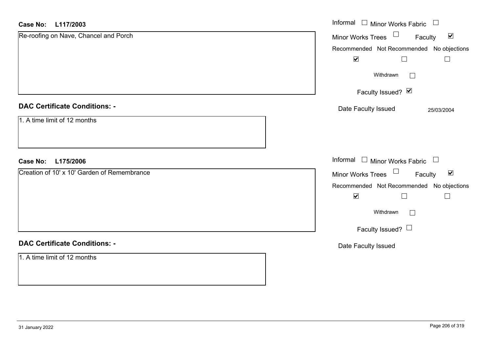#### **L117/2003Case No:**

| <b>Case No:</b><br>L117/2003                | Informal $\Box$ Minor Works Fabric $\Box$                         |
|---------------------------------------------|-------------------------------------------------------------------|
| Re-roofing on Nave, Chancel and Porch       | Minor Works Trees <sup>1</sup><br>$\blacktriangledown$<br>Faculty |
|                                             | Recommended Not Recommended No objections                         |
|                                             | $\blacktriangledown$<br>$\Box$                                    |
|                                             | Withdrawn<br>$\vert \ \ \vert$                                    |
|                                             | Faculty Issued? Ø                                                 |
| <b>DAC Certificate Conditions: -</b>        | Date Faculty Issued<br>25/03/2004                                 |
| 1. A time limit of 12 months                |                                                                   |
| L175/2006<br><b>Case No:</b>                | Informal $\Box$ Minor Works Fabric $\Box$                         |
| Creation of 10' x 10' Garden of Remembrance | Minor Works Trees $\Box$<br>$\blacktriangledown$<br>Faculty       |
|                                             | Recommended Not Recommended No objections                         |
|                                             | $\blacktriangledown$<br>П                                         |
|                                             | Withdrawn<br>$\vert \ \ \vert$                                    |
|                                             | Faculty Issued? $\Box$                                            |
| <b>DAC Certificate Conditions: -</b>        | Date Faculty Issued                                               |
| 1. A time limit of 12 months                |                                                                   |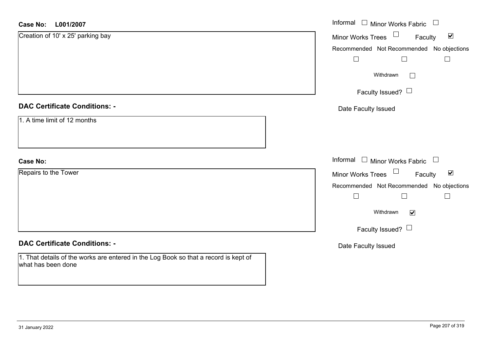| <b>Case No:</b><br>L001/2007                                                                               | Informal □ Minor Works Fabric                                  |
|------------------------------------------------------------------------------------------------------------|----------------------------------------------------------------|
| Creation of 10' x 25' parking bay                                                                          | $\blacktriangledown$<br>Minor Works Trees<br>Faculty           |
|                                                                                                            | Recommended Not Recommended No objections                      |
|                                                                                                            | $\Box$                                                         |
|                                                                                                            | Withdrawn<br>$\vert \ \ \vert$                                 |
|                                                                                                            | Faculty Issued?                                                |
| <b>DAC Certificate Conditions: -</b>                                                                       | Date Faculty Issued                                            |
| 1. A time limit of 12 months                                                                               |                                                                |
| <b>Case No:</b>                                                                                            | Informal $\Box$ Minor Works Fabric $\Box$                      |
| Repairs to the Tower                                                                                       | $\Box$<br>$\blacktriangledown$<br>Minor Works Trees<br>Faculty |
|                                                                                                            | Recommended Not Recommended No objections                      |
|                                                                                                            | $\Box$                                                         |
|                                                                                                            | Withdrawn<br>$\blacktriangledown$                              |
|                                                                                                            | Faculty Issued? $\Box$                                         |
| <b>DAC Certificate Conditions: -</b>                                                                       | Date Faculty Issued                                            |
| 1. That details of the works are entered in the Log Book so that a record is kept of<br>what has been done |                                                                |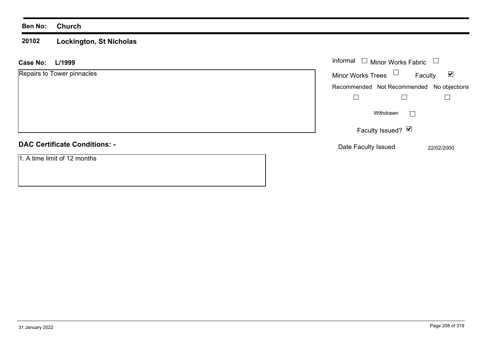#### **20102 Lockington, St Nicholas**

| L/1999<br><b>Case No:</b>            | Informal $\Box$ Minor Works Fabric                          |
|--------------------------------------|-------------------------------------------------------------|
| Repairs to Tower pinnacles           | Minor Works Trees $\Box$<br>$\blacktriangledown$<br>Faculty |
|                                      | Recommended Not Recommended No objections                   |
|                                      |                                                             |
|                                      | Withdrawn<br>$\vert \ \ \vert$                              |
|                                      | Faculty Issued? $\vee$                                      |
| <b>DAC Certificate Conditions: -</b> | Date Faculty Issued<br>22/02/2000                           |
| 1. A time limit of 12 months         |                                                             |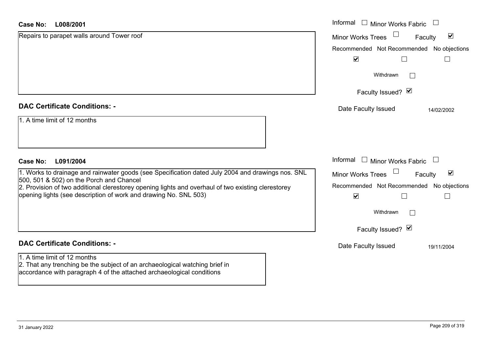#### **L008/2001Case No:**

| <b>Case No:</b><br>L008/2001                                                                                                                                                                                                                                                                                            | Informal<br><b>Minor Works Fabric</b>                                                                                               |
|-------------------------------------------------------------------------------------------------------------------------------------------------------------------------------------------------------------------------------------------------------------------------------------------------------------------------|-------------------------------------------------------------------------------------------------------------------------------------|
| Repairs to parapet walls around Tower roof                                                                                                                                                                                                                                                                              | $\blacktriangledown$<br><b>Minor Works Trees</b><br>Faculty                                                                         |
|                                                                                                                                                                                                                                                                                                                         | Recommended Not Recommended No objections                                                                                           |
|                                                                                                                                                                                                                                                                                                                         | $\blacktriangledown$                                                                                                                |
|                                                                                                                                                                                                                                                                                                                         | Withdrawn                                                                                                                           |
|                                                                                                                                                                                                                                                                                                                         | Faculty Issued? Ø                                                                                                                   |
| <b>DAC Certificate Conditions: -</b>                                                                                                                                                                                                                                                                                    | Date Faculty Issued<br>14/02/2002                                                                                                   |
| 1. A time limit of 12 months                                                                                                                                                                                                                                                                                            |                                                                                                                                     |
| L091/2004<br><b>Case No:</b>                                                                                                                                                                                                                                                                                            | Informal □ Minor Works Fabric<br>$\overline{\phantom{a}}$                                                                           |
| 1. Works to drainage and rainwater goods (see Specification dated July 2004 and drawings nos. SNL<br>500, 501 & 502) on the Porch and Chancel<br>2. Provision of two additional clerestorey opening lights and overhaul of two existing clerestorey<br>opening lights (see description of work and drawing No. SNL 503) | $\blacktriangledown$<br><b>Minor Works Trees</b><br>Faculty<br>Recommended Not Recommended<br>No objections<br>$\blacktriangledown$ |
|                                                                                                                                                                                                                                                                                                                         | Withdrawn                                                                                                                           |
|                                                                                                                                                                                                                                                                                                                         | Faculty Issued? Ø                                                                                                                   |
| <b>DAC Certificate Conditions: -</b>                                                                                                                                                                                                                                                                                    | Date Faculty Issued<br>19/11/2004                                                                                                   |
| 1. A time limit of 12 months<br>2. That any trenching be the subject of an archaeological watching brief in<br>accordance with paragraph 4 of the attached archaeological conditions                                                                                                                                    |                                                                                                                                     |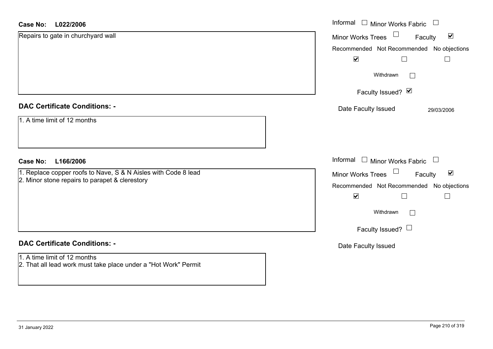#### **L022/2006Case No:**

| <b>Case No:</b><br>L022/2006                                                                    | Informal $\Box$ Minor Works Fabric $\Box$                      |
|-------------------------------------------------------------------------------------------------|----------------------------------------------------------------|
| Repairs to gate in churchyard wall                                                              | $\Box$<br>$\blacktriangledown$<br>Minor Works Trees<br>Faculty |
|                                                                                                 | Recommended Not Recommended No objections                      |
|                                                                                                 | $\blacktriangledown$                                           |
|                                                                                                 | Withdrawn<br>$\mathbf{I}$                                      |
|                                                                                                 | Faculty Issued? Ø                                              |
| <b>DAC Certificate Conditions: -</b>                                                            | Date Faculty Issued<br>29/03/2006                              |
| 1. A time limit of 12 months                                                                    |                                                                |
| <b>Case No:</b><br>L166/2006                                                                    | Informal $\Box$ Minor Works Fabric $\Box$                      |
| 1. Replace copper roofs to Nave, S & N Aisles with Code 8 lead                                  | $\Box$<br>$\blacktriangledown$<br>Minor Works Trees<br>Faculty |
| 2. Minor stone repairs to parapet & clerestory                                                  | Recommended Not Recommended No objections                      |
|                                                                                                 | $\blacktriangledown$<br>$\Box$<br>$\Box$                       |
|                                                                                                 | Withdrawn<br>Г                                                 |
|                                                                                                 | Faculty Issued? $\Box$                                         |
| <b>DAC Certificate Conditions: -</b>                                                            | Date Faculty Issued                                            |
| 1. A time limit of 12 months<br>2. That all lead work must take place under a "Hot Work" Permit |                                                                |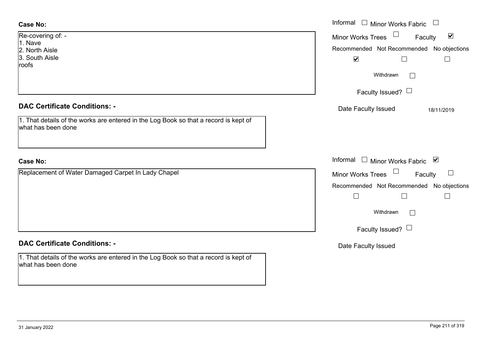| <b>Case No:</b>                                                                                            | Informal $\Box$ Minor Works Fabric $\Box$                   |
|------------------------------------------------------------------------------------------------------------|-------------------------------------------------------------|
| Re-covering of: -<br>1. Nave                                                                               | $\blacktriangledown$<br><b>Minor Works Trees</b><br>Faculty |
| 2. North Aisle                                                                                             | Recommended Not Recommended No objections                   |
| 3. South Aisle                                                                                             | $\blacktriangledown$<br>$\Box$                              |
| roofs                                                                                                      |                                                             |
|                                                                                                            | Withdrawn                                                   |
|                                                                                                            | Faculty Issued? $\Box$                                      |
| <b>DAC Certificate Conditions: -</b>                                                                       | Date Faculty Issued<br>18/11/2019                           |
| 1. That details of the works are entered in the Log Book so that a record is kept of<br>what has been done |                                                             |
|                                                                                                            |                                                             |
| <b>Case No:</b>                                                                                            | Informal □ Minor Works Fabric ⊠                             |
| Replacement of Water Damaged Carpet In Lady Chapel<br>Minor Works Trees<br>Faculty                         |                                                             |
|                                                                                                            | Recommended Not Recommended No objections                   |
|                                                                                                            | $\Box$<br>$\Box$                                            |
|                                                                                                            | Withdrawn                                                   |
|                                                                                                            | Faculty Issued? $\Box$                                      |
| <b>DAC Certificate Conditions: -</b>                                                                       | Date Faculty Issued                                         |
| 1. That details of the works are entered in the Log Book so that a record is kept of<br>what has been done |                                                             |
|                                                                                                            |                                                             |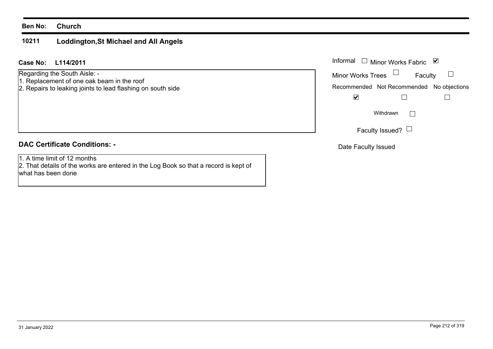#### **10211Loddington,St Michael and All Angels**

**L114/2011Case No:** Informal

Regarding the South Aisle: -

- 1. Replacement of one oak beam in the roof
- 2. Repairs to leaking joints to lead flashing on south side

# **DAC Certificate Conditions: -**

1. A time limit of 12 months

2. That details of the works are entered in the Log Book so that a record is kept of what has been done

|                          | Informal $\Box$ Minor Works Fabric        | ⊻       |
|--------------------------|-------------------------------------------|---------|
| <b>Minor Works Trees</b> |                                           | Faculty |
|                          | Recommended Not Recommended No objections |         |
|                          |                                           |         |
|                          | Withdrawn                                 |         |
|                          | Faculty Issued? $\Box$                    |         |

Date Faculty Issued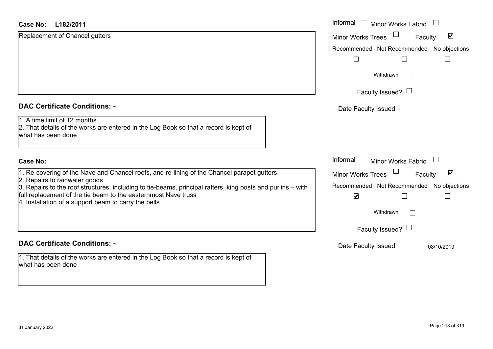| <b>Case No:</b><br>L182/2011                                                                                                                 | Informal<br>$\mathbb{Z}$<br><b>Minor Works Fabric</b>       |
|----------------------------------------------------------------------------------------------------------------------------------------------|-------------------------------------------------------------|
| Replacement of Chancel gutters                                                                                                               | $\blacktriangledown$<br><b>Minor Works Trees</b><br>Faculty |
|                                                                                                                                              | Recommended Not Recommended No objections                   |
|                                                                                                                                              |                                                             |
|                                                                                                                                              | Withdrawn<br>$\Box$                                         |
|                                                                                                                                              | Faculty Issued? $\Box$                                      |
| <b>DAC Certificate Conditions: -</b>                                                                                                         | Date Faculty Issued                                         |
| 1. A time limit of 12 months<br>2. That details of the works are entered in the Log Book so that a record is kept of<br>what has been done   |                                                             |
| <b>Case No:</b>                                                                                                                              | Informal □ Minor Works Fabric<br>$\Box$                     |
| 1. Re-covering of the Nave and Chancel roofs, and re-lining of the Chancel parapet gutters                                                   | $\blacktriangledown$<br><b>Minor Works Trees</b><br>Faculty |
| 2. Repairs to rainwater goods<br>3. Repairs to the roof structures, including to tie-beams, principal rafters, king posts and purlins – with | Recommended Not Recommended No objections                   |
| full replacement of the tie beam to the easternmost Nave truss<br>4. Installation of a support beam to carry the bells                       | $\blacktriangledown$                                        |
|                                                                                                                                              | Withdrawn<br>$\Box$                                         |
|                                                                                                                                              | Faculty Issued? $\Box$                                      |
| <b>DAC Certificate Conditions: -</b>                                                                                                         | Date Faculty Issued<br>08/10/2019                           |
| 1. That details of the works are entered in the Log Book so that a record is kept of<br>what has been done                                   |                                                             |

 $\sim$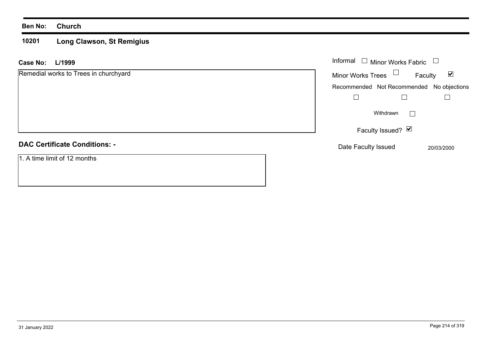#### **10201 Long Clawson, St Remigius**

| Case No:<br>L/1999 | Informal |
|--------------------|----------|
|--------------------|----------|

| Remedial works to Trees in churchyard | <b>Minor Works Trees</b> | Faculty                     | $\blacktriangledown$ |
|---------------------------------------|--------------------------|-----------------------------|----------------------|
|                                       |                          | Recommended Not Recommended | No objections        |
|                                       |                          |                             |                      |
|                                       |                          | Withdrawn                   |                      |
|                                       |                          | Faculty Issued? Ø           |                      |
| <b>DAC Certificate Conditions: -</b>  |                          | Date Faculty Issued         | 20/03/2000           |
| 1. A time limit of 12 months          |                          |                             |                      |

Minor Works Fabric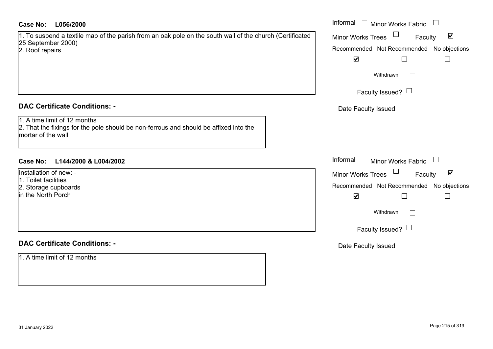# **DAC Certificate Conditions: -**

# **L144/2000 & L004/2002Case No:** Informal

# **DAC Certificate Conditions: -**

| <b>Case No:</b><br>L056/2000                                                                                                                                                        | Informal $\Box$ Minor Works Fabric $\Box$                                                                                                                                             |
|-------------------------------------------------------------------------------------------------------------------------------------------------------------------------------------|---------------------------------------------------------------------------------------------------------------------------------------------------------------------------------------|
| 1. To suspend a textile map of the parish from an oak pole on the south wall of the church (Certificated<br>25 September 2000)<br>2. Roof repairs                                   | Minor Works Trees <sup>1</sup><br>$\blacktriangledown$<br>Faculty<br>Recommended Not Recommended No objections<br>$\blacktriangledown$<br>$\perp$                                     |
|                                                                                                                                                                                     | Withdrawn<br>Faculty Issued? $\Box$                                                                                                                                                   |
| <b>DAC Certificate Conditions: -</b><br>1. A time limit of 12 months<br>2. That the fixings for the pole should be non-ferrous and should be affixed into the<br>mortar of the wall | Date Faculty Issued                                                                                                                                                                   |
| Case No: L144/2000 & L004/2002                                                                                                                                                      | Informal $\Box$ Minor Works Fabric $\Box$                                                                                                                                             |
| Installation of new: -<br>1. Toilet facilities<br>2. Storage cupboards<br>in the North Porch                                                                                        | Minor Works Trees<br>$\blacktriangledown$<br>Faculty<br>Recommended Not Recommended No objections<br>$\blacktriangledown$<br>$\Box$<br>$\perp$<br>Withdrawn<br>Faculty Issued? $\Box$ |
| <b>DAC Certificate Conditions: -</b>                                                                                                                                                | Date Faculty Issued                                                                                                                                                                   |
| 1. A time limit of 12 months                                                                                                                                                        |                                                                                                                                                                                       |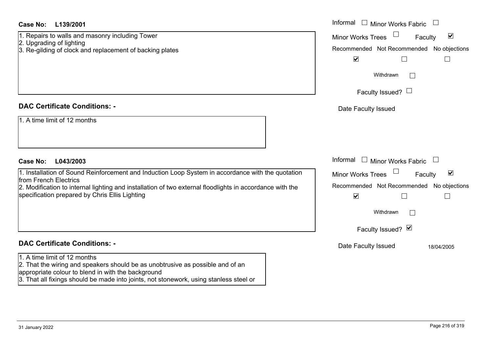| 1. Repairs to walls and masonry including Tower |  |
|-------------------------------------------------|--|
| 2. Upgrading of lighting                        |  |
|                                                 |  |

# **DAC Certificate Conditions: -**

|  |  |  |  |  |  | 1. A time limit of 12 months |
|--|--|--|--|--|--|------------------------------|
|--|--|--|--|--|--|------------------------------|

# **DAC Certificate Conditions: -**

## 1. A time limit of 12 months

2. That the wiring and speakers should be as unobtrusive as possible and of an appropriate colour to blend in with the background

3. That all fixings should be made into joints, not stonework, using stanless steel or

| <b>Case No:</b><br>L139/2001                                                                                                                                                                                                                                                             | Informal $\Box$ Minor Works Fabric $\Box$                                                                                        |
|------------------------------------------------------------------------------------------------------------------------------------------------------------------------------------------------------------------------------------------------------------------------------------------|----------------------------------------------------------------------------------------------------------------------------------|
| 1. Repairs to walls and masonry including Tower<br>2. Upgrading of lighting<br>3. Re-gilding of clock and replacement of backing plates                                                                                                                                                  | $\blacktriangledown$<br><b>Minor Works Trees</b><br>Faculty<br>Recommended Not Recommended No objections<br>$\blacktriangledown$ |
|                                                                                                                                                                                                                                                                                          | Withdrawn<br>$\mathcal{L}^{\mathcal{A}}$<br>Faculty Issued? $\Box$                                                               |
| <b>DAC Certificate Conditions: -</b>                                                                                                                                                                                                                                                     | Date Faculty Issued                                                                                                              |
| 1. A time limit of 12 months                                                                                                                                                                                                                                                             |                                                                                                                                  |
| <b>Case No:</b><br>L043/2003                                                                                                                                                                                                                                                             | Informal $\Box$ Minor Works Fabric $\Box$                                                                                        |
| 1. Installation of Sound Reinforcement and Induction Loop System in accordance with the quotation<br>from French Electrics<br>2. Modification to internal lighting and installation of two external floodlights in accordance with the<br>specification prepared by Chris Ellis Lighting | $\blacktriangledown$<br>Minor Works Trees<br>Faculty<br>Recommended Not Recommended No objections<br>$\blacktriangledown$        |
|                                                                                                                                                                                                                                                                                          | Withdrawn<br>$\Box$                                                                                                              |
|                                                                                                                                                                                                                                                                                          | Faculty Issued? Ø                                                                                                                |
| <b>DAC Certificate Conditions: -</b>                                                                                                                                                                                                                                                     | Date Faculty Issued<br>18/04/2005                                                                                                |
| 1. A time limit of 12 months                                                                                                                                                                                                                                                             |                                                                                                                                  |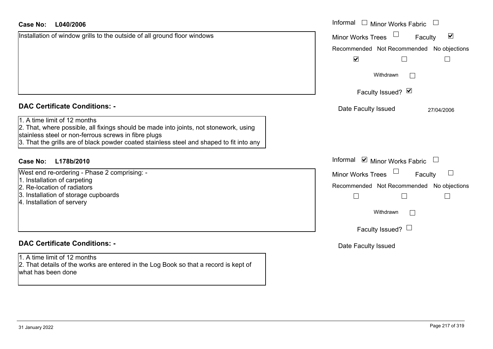| <b>Case No:</b><br>L040/2006                                                                                                                                                                                                                                              | Informal $\Box$ Minor Works Fabric                              |
|---------------------------------------------------------------------------------------------------------------------------------------------------------------------------------------------------------------------------------------------------------------------------|-----------------------------------------------------------------|
| Installation of window grills to the outside of all ground floor windows                                                                                                                                                                                                  | $\blacktriangledown$<br><b>Minor Works Trees</b><br>Faculty     |
|                                                                                                                                                                                                                                                                           | Recommended Not Recommended No objections                       |
|                                                                                                                                                                                                                                                                           | $\blacktriangledown$                                            |
|                                                                                                                                                                                                                                                                           | Withdrawn                                                       |
|                                                                                                                                                                                                                                                                           | Faculty Issued? Ø                                               |
| <b>DAC Certificate Conditions: -</b>                                                                                                                                                                                                                                      | Date Faculty Issued<br>27/04/2006                               |
| 1. A time limit of 12 months<br>2. That, where possible, all fixings should be made into joints, not stonework, using<br>stainless steel or non-ferrous screws in fibre plugs<br>3. That the grills are of black powder coated stainless steel and shaped to fit into any |                                                                 |
| <b>Case No:</b><br>L178b/2010                                                                                                                                                                                                                                             | Informal <b>v</b> Minor Works Fabric                            |
| West end re-ordering - Phase 2 comprising: -                                                                                                                                                                                                                              | <b>Minor Works Trees</b><br>$\overline{\phantom{a}}$<br>Faculty |
| 1. Installation of carpeting<br>2. Re-location of radiators                                                                                                                                                                                                               | Recommended Not Recommended No objections                       |
| 3. Installation of storage cupboards<br>4. Installation of servery                                                                                                                                                                                                        |                                                                 |
|                                                                                                                                                                                                                                                                           | Withdrawn                                                       |
|                                                                                                                                                                                                                                                                           | Faculty Issued? $\Box$                                          |
| <b>DAC Certificate Conditions: -</b>                                                                                                                                                                                                                                      | Date Faculty Issued                                             |
| 1. A time limit of 12 months<br>2. That details of the works are entered in the Log Book so that a record is kept of<br>what has been done                                                                                                                                |                                                                 |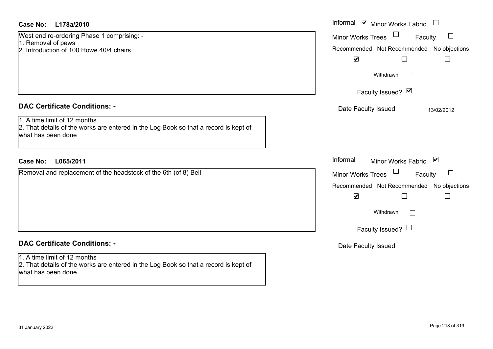| <b>Case No:</b> | L178a/2010 |
|-----------------|------------|
|-----------------|------------|

West end re-ordering Phase 1 comprising: -1. Removal of pews

2. Introduction of 100 Howe 40/4 chairs

#### **DAC Certificate Conditions: -**

1. A time limit of 12 months

2. That details of the works are entered in the Log Book so that a record is kept of what has been done

#### **L065/2011Case No:** Informal

Removal and replacement of the headstock of the 6th (of 8) Bell

### **DAC Certificate Conditions: -**

1. A time limit of 12 months 2. That details of the works are entered in the Log Book so that a record is kept of what has been done

| L178a/2010                                                                                                     | Informal Ø Minor Works Fabric □                                                                             |
|----------------------------------------------------------------------------------------------------------------|-------------------------------------------------------------------------------------------------------------|
| I re-ordering Phase 1 comprising: -<br>val of pews<br>uction of 100 Howe 40/4 chairs                           | Minor Works Trees<br>$\Box$<br>Faculty<br>Recommended Not Recommended No objections<br>$\blacktriangledown$ |
|                                                                                                                | Withdrawn<br>Faculty Issued? Ø                                                                              |
| rtificate Conditions: -                                                                                        | Date Faculty Issued<br>13/02/2012                                                                           |
| limit of 12 months<br>etails of the works are entered in the Log Book so that a record is kept of<br>been done |                                                                                                             |
| L065/2011                                                                                                      | Informal □ Minor Works Fabric ⊠                                                                             |
| and replacement of the headstock of the 6th (of 8) Bell                                                        | Minor Works Trees<br>Faculty<br>$\Box$<br>Recommended Not Recommended No objections<br>$\blacktriangledown$ |
|                                                                                                                | Withdrawn                                                                                                   |
|                                                                                                                | Faculty Issued? $\Box$                                                                                      |
| rtificate Conditions: -                                                                                        | Date Faculty Issued                                                                                         |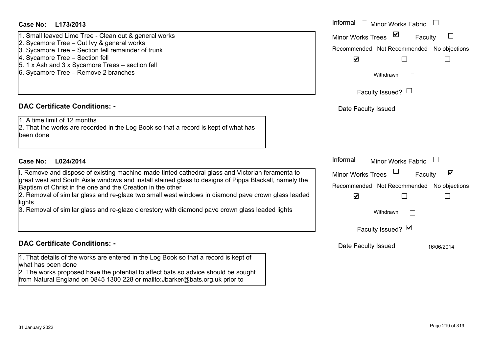- 1. Small leaved Lime Tree Clean out & general works
- 2. Sycamore Tree Cut Ivy & general works
- 3. Sycamore Tree Section fell remainder of trunk
- 4. Sycamore Tree Section fell
- 5. 1 x Ash and 3 x Sycamore Trees section fell
- 6. Sycamore Tree Remove 2 branches

#### **DAC Certificate Conditions**

|                                                                                                                                                                                                                                                                                  | Faculty Issued? Ø   |                 |  |
|----------------------------------------------------------------------------------------------------------------------------------------------------------------------------------------------------------------------------------------------------------------------------------|---------------------|-----------------|--|
| <b>DAC Certificate Conditions: -</b>                                                                                                                                                                                                                                             | Date Faculty Issued | 16/06/2014      |  |
| 1. That details of the works are entered in the Log Book so that a record is kept of<br>what has been done<br>2. The works proposed have the potential to affect bats so advice should be sought<br>from Natural England on 0845 1300 228 or mailto:Jbarker@bats.org.uk prior to |                     |                 |  |
| 31 January 2022                                                                                                                                                                                                                                                                  |                     | Page 219 of 319 |  |

| Case No:<br>L173/2013                                                                                                                                                                                                                                                                    | Informal $\Box$ Minor Works Fabric $\Box$                                                                                                                              |
|------------------------------------------------------------------------------------------------------------------------------------------------------------------------------------------------------------------------------------------------------------------------------------------|------------------------------------------------------------------------------------------------------------------------------------------------------------------------|
| 1. Small leaved Lime Tree - Clean out & general works<br>2. Sycamore Tree - Cut Ivy & general works<br>3. Sycamore Tree - Section fell remainder of trunk<br>4. Sycamore Tree - Section fell<br>5. 1 x Ash and 3 x Sycamore Trees - section fell<br>6. Sycamore Tree - Remove 2 branches | ⊻<br><b>Minor Works Trees</b><br>Faculty<br>Recommended Not Recommended No objections<br>$\blacktriangledown$<br>Withdrawn<br>$\mathbb{R}^n$<br>Faculty Issued? $\Box$ |
| <b>DAC Certificate Conditions: -</b><br>1. A time limit of 12 months<br>2. That the works are recorded in the Log Book so that a record is kept of what has<br>been done                                                                                                                 | Date Faculty Issued                                                                                                                                                    |
| <b>Case No:</b><br>L024/2014<br>I. Remove and dispose of existing machine-made tinted cathedral glass and Victorian feramenta to<br>great west and South Aisle windows and install stained glass to designs of Pippa Blackall, namely the                                                | Informal<br>$\Box$<br><b>Minor Works Fabric</b><br>$\blacktriangledown$<br>Minor Works Trees<br>Faculty                                                                |
| Baptism of Christ in the one and the Creation in the other<br>2. Removal of similar glass and re-glaze two small west windows in diamond pave crown glass leaded<br>lights<br>3. Removal of similar glass and re-glaze clerestory with diamond pave crown glass leaded lights            | Recommended Not Recommended No objections<br>$\blacktriangledown$<br>$\perp$<br>$\overline{\phantom{a}}$<br>Withdrawn<br>Faculty Issued? Ø                             |
| <b>DAC Certificate Conditions: -</b>                                                                                                                                                                                                                                                     | Date Faculty Issued<br>16/06/2014                                                                                                                                      |
| 1 That details of the works are entered in the Log Book so that a record is kent of                                                                                                                                                                                                      |                                                                                                                                                                        |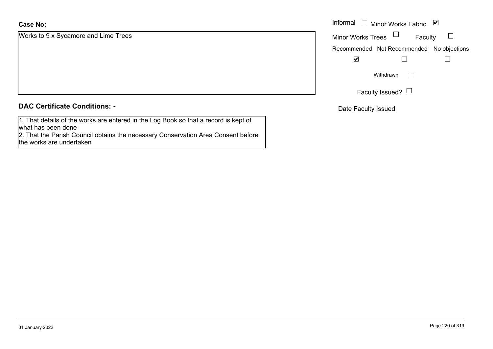#### **Case No:**

Works to 9 x Sycamore and Lime Trees

#### **DAC Certificate Conditions: -**

1. That details of the works are entered in the Log Book so that a record is kept of what has been done 2. That the Parish Council obtains the necessary Conservation Area Consent before the works are undertaken

|                             | Informal $\Box$ Minor Works Fabric $\Box$ |                                           |  |
|-----------------------------|-------------------------------------------|-------------------------------------------|--|
| 9 x Sycamore and Lime Trees | Minor Works Trees $\Box$                  | Faculty                                   |  |
|                             |                                           | Recommended Not Recommended No objections |  |
|                             | ⊻                                         |                                           |  |
|                             | Withdrawn                                 |                                           |  |
|                             |                                           | Faculty Issued? $\Box$                    |  |

Date Faculty Issued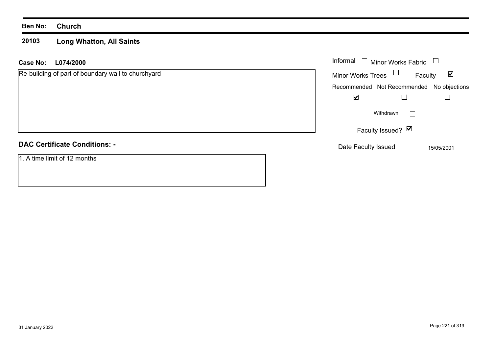#### **Ben No: Church**

#### **20103 Long Whatton, All Saints**

#### **L074/2000 Case No:** Informal

| Re-building of part of boundary wall to churchyard | Minor Works Trees $\Box$ | Faculty                                   | ☑          |
|----------------------------------------------------|--------------------------|-------------------------------------------|------------|
|                                                    |                          | Recommended Not Recommended No objections |            |
|                                                    | $\blacktriangledown$     |                                           |            |
|                                                    |                          | Withdrawn<br>$\mathbf{I}$                 |            |
|                                                    |                          | Faculty Issued? Ø                         |            |
| <b>DAC Certificate Conditions: -</b>               | Date Faculty Issued      |                                           | 15/05/2001 |
| 1. A time limit of 12 months                       |                          |                                           |            |

Minor Works Fabric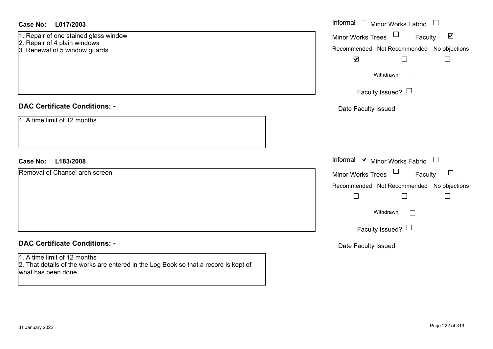| <b>Case No:</b><br>L017/2003                                                                                                               | Informal $\Box$ Minor Works Fabric $\Box$                                                         |
|--------------------------------------------------------------------------------------------------------------------------------------------|---------------------------------------------------------------------------------------------------|
| 1. Repair of one stained glass window<br>2. Repair of 4 plain windows<br>3. Renewal of 5 window guards                                     | Minor Works Trees<br>$\blacktriangledown$<br>Faculty<br>Recommended Not Recommended No objections |
|                                                                                                                                            | $\blacktriangledown$<br>$\Box$<br>$\Box$                                                          |
|                                                                                                                                            | Withdrawn                                                                                         |
|                                                                                                                                            | Faculty Issued? $\Box$                                                                            |
| <b>DAC Certificate Conditions: -</b>                                                                                                       | Date Faculty Issued                                                                               |
| 1. A time limit of 12 months                                                                                                               |                                                                                                   |
| <b>Case No:</b><br>L183/2008                                                                                                               | Informal $\blacksquare$ Minor Works Fabric $\Box$                                                 |
| Removal of Chancel arch screen                                                                                                             | Minor Works Trees $\Box$<br>Faculty<br>$\Box$                                                     |
|                                                                                                                                            | Recommended Not Recommended No objections                                                         |
|                                                                                                                                            | $\Box$<br>$\Box$<br>$\vert \ \ \vert$                                                             |
|                                                                                                                                            | Withdrawn                                                                                         |
|                                                                                                                                            | Faculty Issued? $\Box$                                                                            |
| <b>DAC Certificate Conditions: -</b>                                                                                                       | Date Faculty Issued                                                                               |
| 1. A time limit of 12 months<br>2. That details of the works are entered in the Log Book so that a record is kept of<br>what has been done |                                                                                                   |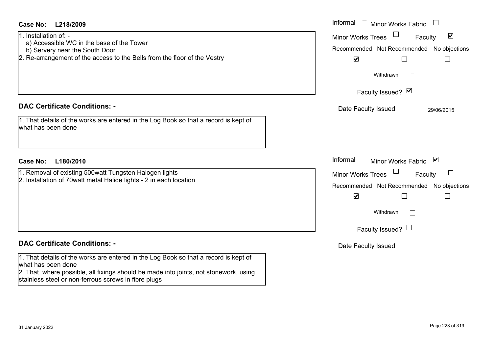| Case No:<br>L218/2009                                                                                                                                                                                                                                       | Informal<br>$\Box$ Minor Works Fabric $\Box$                                                                                                                                         |
|-------------------------------------------------------------------------------------------------------------------------------------------------------------------------------------------------------------------------------------------------------------|--------------------------------------------------------------------------------------------------------------------------------------------------------------------------------------|
| 1. Installation of: -<br>a) Accessible WC in the base of the Tower<br>b) Servery near the South Door<br>2. Re-arrangement of the access to the Bells from the floor of the Vestry                                                                           | $\blacktriangledown$<br><b>Minor Works Trees</b><br>Faculty<br>Recommended Not Recommended No objections<br>$\blacktriangledown$<br>Withdrawn<br>$\mathbb{R}^n$<br>Faculty Issued? Ø |
| <b>DAC Certificate Conditions: -</b>                                                                                                                                                                                                                        | Date Faculty Issued<br>29/06/2015                                                                                                                                                    |
| 1. That details of the works are entered in the Log Book so that a record is kept of<br>what has been done                                                                                                                                                  |                                                                                                                                                                                      |
| <b>Case No:</b><br>L180/2010                                                                                                                                                                                                                                | Informal<br>□ Minor Works Fabric $\vert \mathbf{v} \vert$                                                                                                                            |
| 1. Removal of existing 500watt Tungsten Halogen lights<br>2. Installation of 70 watt metal Halide lights - 2 in each location                                                                                                                               | <b>Minor Works Trees</b><br>Faculty<br>⊔                                                                                                                                             |
|                                                                                                                                                                                                                                                             | Recommended Not Recommended No objections                                                                                                                                            |
|                                                                                                                                                                                                                                                             | $\blacktriangledown$<br>Withdrawn<br>$\Box$<br>Faculty Issued? $\Box$                                                                                                                |
| <b>DAC Certificate Conditions: -</b>                                                                                                                                                                                                                        | Date Faculty Issued                                                                                                                                                                  |
| 1. That details of the works are entered in the Log Book so that a record is kept of<br>what has been done<br>2. That, where possible, all fixings should be made into joints, not stonework, using<br>stainless steel or non-ferrous screws in fibre plugs |                                                                                                                                                                                      |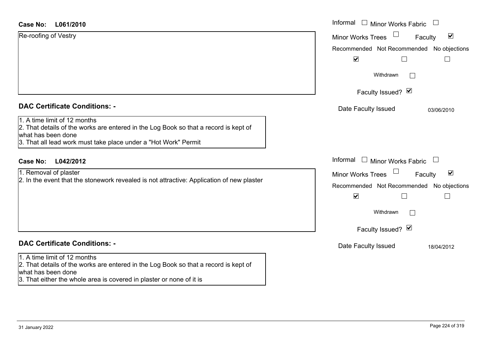| Case No: |  | L061/2010 |
|----------|--|-----------|
|----------|--|-----------|

| <b>Case No:</b><br>L061/2010                                                                                                                                                                                  | Informal<br>$\Box$<br>Minor Works Fabric                                                 |
|---------------------------------------------------------------------------------------------------------------------------------------------------------------------------------------------------------------|------------------------------------------------------------------------------------------|
| Re-roofing of Vestry                                                                                                                                                                                          | $\blacktriangledown$<br><b>Minor Works Trees</b><br>Faculty                              |
|                                                                                                                                                                                                               | Recommended Not Recommended No objections                                                |
|                                                                                                                                                                                                               | $\blacktriangledown$                                                                     |
|                                                                                                                                                                                                               | Withdrawn<br>$\mathbf{L}$                                                                |
|                                                                                                                                                                                                               | Faculty Issued? Ø                                                                        |
| <b>DAC Certificate Conditions: -</b>                                                                                                                                                                          | Date Faculty Issued<br>03/06/2010                                                        |
| 1. A time limit of 12 months<br>2. That details of the works are entered in the Log Book so that a record is kept of<br>what has been done<br>3. That all lead work must take place under a "Hot Work" Permit |                                                                                          |
| L042/2012<br><b>Case No:</b>                                                                                                                                                                                  | Informal<br>$\mathbf{1}$<br>Minor Works Fabric<br>$\begin{array}{c} \square \end{array}$ |
| 1. Removal of plaster                                                                                                                                                                                         | $\blacktriangledown$<br><b>Minor Works Trees</b><br>Faculty                              |
| 2. In the event that the stonework revealed is not attractive: Application of new plaster                                                                                                                     | Recommended Not Recommended No objections                                                |
|                                                                                                                                                                                                               | $\blacktriangledown$                                                                     |
|                                                                                                                                                                                                               | Withdrawn                                                                                |
|                                                                                                                                                                                                               | Faculty Issued? Ø                                                                        |
| <b>DAC Certificate Conditions: -</b>                                                                                                                                                                          | Date Faculty Issued<br>18/04/2012                                                        |
| 1. A time limit of 12 months<br>2. That details of the works are entered in the Log Book so that a record is kept of                                                                                          |                                                                                          |

what has been done 3. That either the whole area is covered in plaster or none of it is

 $\overline{\phantom{0}}$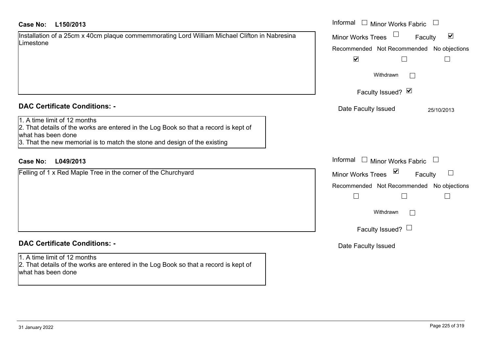| Installation of a 25cm x 40cm plaque commemmorating Lord William Michael Clifton in Nabresina |  |
|-----------------------------------------------------------------------------------------------|--|
| Limestone                                                                                     |  |

1. A time limit of 12 months

2. That details of the works are entered in the Log Book so that a record is kept of what has been done

3. That the new memorial is to match the stone and design of the existing

#### **L049/2013Case No:** Informal

Felling of 1 x Red Maple Tree in the corner of the Churchyard

### **DAC Certificate Conditions: -**

1. A time limit of 12 months

2. That details of the works are entered in the Log Book so that a record is kept of what has been done

| L150/2013                                                                                                                                                                         | Informal $\Box$ Minor Works Fabric $\Box$                                                                                               |
|-----------------------------------------------------------------------------------------------------------------------------------------------------------------------------------|-----------------------------------------------------------------------------------------------------------------------------------------|
| on of a 25cm x 40cm plaque commemmorating Lord William Michael Clifton in Nabresina<br>e                                                                                          | $\blacktriangledown$<br><b>Minor Works Trees</b><br>Faculty<br>Recommended Not Recommended No objections<br>$\blacktriangledown$        |
|                                                                                                                                                                                   | Withdrawn<br>$\mathbb{R}^n$<br>Faculty Issued? Ø                                                                                        |
| rtificate Conditions: -                                                                                                                                                           | Date Faculty Issued<br>25/10/2013                                                                                                       |
| limit of 12 months<br>etails of the works are entered in the Log Book so that a record is kept of<br>been done<br>e new memorial is to match the stone and design of the existing |                                                                                                                                         |
| L049/2013                                                                                                                                                                         | Informal<br>$\Box$ Minor Works Fabric $\Box$                                                                                            |
| 1 x Red Maple Tree in the corner of the Churchyard                                                                                                                                | Minor Works Trees<br>$\Box$<br>Faculty<br>Recommended Not Recommended No objections<br>$\Box$<br>H<br>$\Box$<br>Withdrawn<br>$\sqrt{2}$ |
|                                                                                                                                                                                   | Faculty Issued? $\Box$                                                                                                                  |
| rtificate Conditions: -                                                                                                                                                           | Date Faculty Issued                                                                                                                     |
| limit of 12 months                                                                                                                                                                |                                                                                                                                         |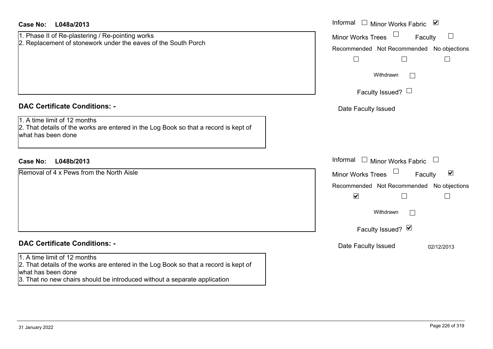| <b>Case No:</b><br>L048a/2013                                                                                                                                                                                           | Informal $\Box$ Minor Works Fabric $\Box$                                                                                                                                                                                             |
|-------------------------------------------------------------------------------------------------------------------------------------------------------------------------------------------------------------------------|---------------------------------------------------------------------------------------------------------------------------------------------------------------------------------------------------------------------------------------|
| 1. Phase II of Re-plastering / Re-pointing works<br>2. Replacement of stonework under the eaves of the South Porch                                                                                                      | <b>Minor Works Trees</b><br>$\sqcup$<br>Faculty<br>Recommended Not Recommended No objections<br>$\Box$<br>$\Box$<br>$\Box$<br>Withdrawn<br>Faculty Issued? $\Box$                                                                     |
| <b>DAC Certificate Conditions: -</b><br>1. A time limit of 12 months<br>2. That details of the works are entered in the Log Book so that a record is kept of<br>what has been done                                      | Date Faculty Issued                                                                                                                                                                                                                   |
| <b>Case No:</b><br>L048b/2013                                                                                                                                                                                           | Informal<br>$\Box$ Minor Works Fabric                                                                                                                                                                                                 |
| Removal of 4 x Pews from the North Aisle                                                                                                                                                                                | $\blacktriangledown$<br><b>Minor Works Trees</b><br>Faculty<br>Recommended Not Recommended No objections<br>$\blacktriangledown$<br>$\overline{\phantom{a}}$<br>$\mathbb{R}^n$<br>Withdrawn<br>$\vert \ \ \vert$<br>Faculty Issued? Ø |
| <b>DAC Certificate Conditions: -</b>                                                                                                                                                                                    | Date Faculty Issued<br>02/12/2013                                                                                                                                                                                                     |
| 1. A time limit of 12 months<br>2. That details of the works are entered in the Log Book so that a record is kept of<br>what has been done<br>3. That no new chairs should be introduced without a separate application |                                                                                                                                                                                                                                       |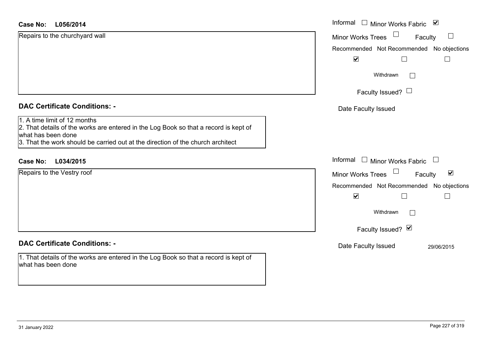| L056/2014<br><b>Case No:</b>                                                                                                                                                                                                  | Informal □ Minor Works Fabric ⊠                      |
|-------------------------------------------------------------------------------------------------------------------------------------------------------------------------------------------------------------------------------|------------------------------------------------------|
| Repairs to the churchyard wall                                                                                                                                                                                                | $\Box$<br>$\Box$<br>Minor Works Trees<br>Faculty     |
|                                                                                                                                                                                                                               | Recommended Not Recommended No objections            |
|                                                                                                                                                                                                                               | $\blacktriangledown$<br>$\Box$<br>$\Box$             |
|                                                                                                                                                                                                                               | Withdrawn<br>$\Box$                                  |
|                                                                                                                                                                                                                               | Faculty Issued? $\Box$                               |
| <b>DAC Certificate Conditions: -</b>                                                                                                                                                                                          | Date Faculty Issued                                  |
| 1. A time limit of 12 months<br>2. That details of the works are entered in the Log Book so that a record is kept of<br>what has been done<br>3. That the work should be carried out at the direction of the church architect |                                                      |
| <b>Case No:</b><br>L034/2015                                                                                                                                                                                                  | Informal<br>$\Box$ Minor Works Fabric $\Box$         |
| Repairs to the Vestry roof                                                                                                                                                                                                    | Minor Works Trees<br>$\blacktriangledown$<br>Faculty |
|                                                                                                                                                                                                                               | Recommended Not Recommended No objections            |
|                                                                                                                                                                                                                               | $\blacktriangledown$                                 |
|                                                                                                                                                                                                                               | Withdrawn                                            |
|                                                                                                                                                                                                                               | Faculty Issued? Ø                                    |
| <b>DAC Certificate Conditions: -</b>                                                                                                                                                                                          | Date Faculty Issued<br>29/06/2015                    |
| 1. That details of the works are entered in the Log Book so that a record is kept of<br>what has been done                                                                                                                    |                                                      |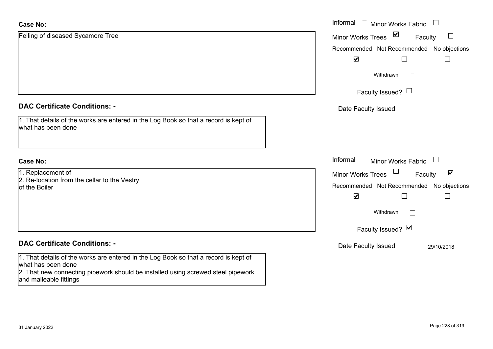| <b>Case No:</b>                                                                                                | Informal $\square$<br><b>Minor Works Fabric</b>                        |
|----------------------------------------------------------------------------------------------------------------|------------------------------------------------------------------------|
| Felling of diseased Sycamore Tree                                                                              | $\sum$<br>$\Box$<br><b>Minor Works Trees</b><br>Faculty                |
|                                                                                                                | Recommended Not Recommended No objections                              |
|                                                                                                                | $\blacktriangledown$                                                   |
|                                                                                                                | Withdrawn<br>$\Box$                                                    |
|                                                                                                                | Faculty Issued? $\Box$                                                 |
| <b>DAC Certificate Conditions: -</b>                                                                           | Date Faculty Issued                                                    |
| 1. That details of the works are entered in the Log Book so that a record is kept of<br>what has been done     |                                                                        |
| <b>Case No:</b>                                                                                                | Informal □ Minor Works Fabric<br>$\begin{array}{c} \hline \end{array}$ |
| 1. Replacement of                                                                                              | Minor Works Trees<br>$\blacktriangledown$<br>Faculty                   |
| 2. Re-location from the cellar to the Vestry<br>of the Boiler                                                  | Recommended Not Recommended No objections                              |
|                                                                                                                | $\blacktriangledown$                                                   |
|                                                                                                                | Withdrawn<br>$\Box$                                                    |
|                                                                                                                | Faculty Issued? Ø                                                      |
| <b>DAC Certificate Conditions: -</b>                                                                           | Date Faculty Issued<br>29/10/2018                                      |
| $ 1$ . That details of the works are entered in the Log Book so that a record is kept of<br>what has been done |                                                                        |
| 2. That new connecting pipework should be installed using screwed steel pipework<br>and malleable fittings     |                                                                        |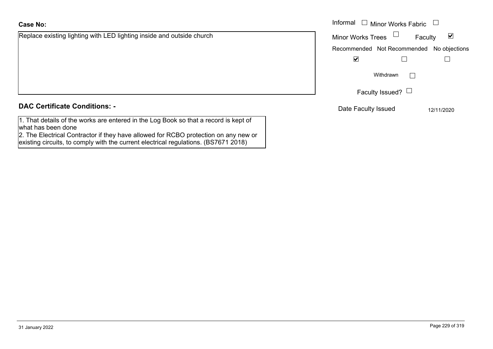# Replace existing lighting with LED lighting inside and outside church

**Case No:**

#### **DAC Certificate Conditions: -**

1. That details of the works are entered in the Log Book so that a record is kept of what has been done

2. The Electrical Contractor if they have allowed for RCBO protection on any new or existing circuits, to comply with the current electrical regulations. (BS7671 2018)

|                                                               | Informal $\square$<br>Minor Works Fabric $\Box$             |
|---------------------------------------------------------------|-------------------------------------------------------------|
| existing lighting with LED lighting inside and outside church | Minor Works Trees $\Box$<br>$\blacktriangledown$<br>Faculty |
|                                                               | Recommended Not Recommended No objections                   |
|                                                               | $\blacktriangledown$                                        |
|                                                               | Withdrawn                                                   |
|                                                               | Faculty Issued? $\Box$                                      |
| rtificate Conditions: -                                       | Date Faculty Issued<br>12/11/2020                           |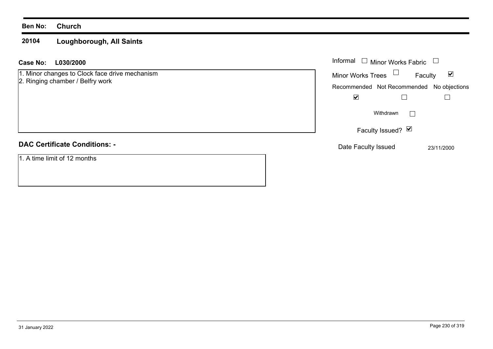#### **Ben No: Church**

#### **20104 Loughborough, All Saints**

| L030/2000<br>Case No:                                                              | Informal<br>$\Box$ Minor Works Fabric     |                      |
|------------------------------------------------------------------------------------|-------------------------------------------|----------------------|
| 1. Minor changes to Clock face drive mechanism<br>2. Ringing chamber / Belfry work | Minor Works Trees $\Box$<br>Faculty       | $\blacktriangledown$ |
|                                                                                    | Recommended Not Recommended No objections |                      |
|                                                                                    | $\blacktriangledown$                      |                      |
|                                                                                    | Withdrawn                                 |                      |
|                                                                                    | Faculty Issued? $\vee$                    |                      |
| <b>DAC Certificate Conditions: -</b>                                               | Date Faculty Issued                       | 23/11/2000           |
| 1. A time limit of 12 months                                                       |                                           |                      |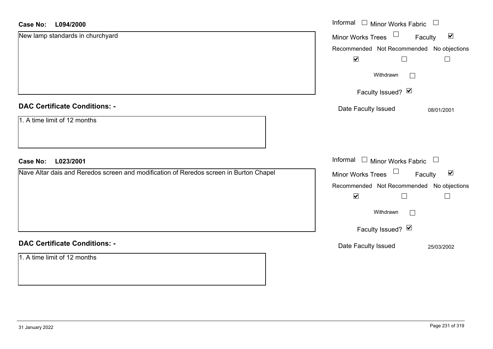#### **L094/2000Case No:**

| <b>Case No:</b><br>L094/2000                                                           | Informal $\Box$ Minor Works Fabric $\Box$                   |
|----------------------------------------------------------------------------------------|-------------------------------------------------------------|
| New lamp standards in churchyard                                                       | Minor Works Trees<br>$\blacktriangledown$<br>Faculty        |
|                                                                                        | Recommended Not Recommended No objections                   |
|                                                                                        | $\blacktriangledown$<br>$\Box$                              |
|                                                                                        | Withdrawn                                                   |
|                                                                                        | Faculty Issued? Ø                                           |
| <b>DAC Certificate Conditions: -</b>                                                   | Date Faculty Issued<br>08/01/2001                           |
| 1. A time limit of 12 months                                                           |                                                             |
| L023/2001<br><b>Case No:</b>                                                           | Informal $\Box$ Minor Works Fabric $\Box$                   |
| Nave Altar dais and Reredos screen and modification of Reredos screen in Burton Chapel | Minor Works Trees $\Box$<br>$\blacktriangledown$<br>Faculty |
|                                                                                        | Recommended Not Recommended No objections                   |
|                                                                                        | $\blacktriangledown$<br>$\perp$                             |
|                                                                                        | Withdrawn                                                   |
|                                                                                        | Faculty Issued? Ø                                           |
| <b>DAC Certificate Conditions: -</b>                                                   | Date Faculty Issued<br>25/03/2002                           |
| 1. A time limit of 12 months                                                           |                                                             |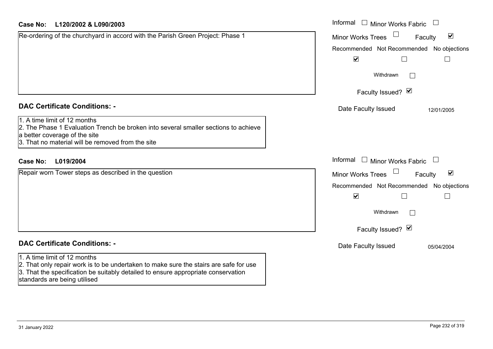| Case No:<br>L120/2002 & L090/2003 |
|-----------------------------------|
|-----------------------------------|

| Case No:<br>L120/2002 & L090/2003                                                                                                                                                                         | Informal □ Minor Works Fabric                               |
|-----------------------------------------------------------------------------------------------------------------------------------------------------------------------------------------------------------|-------------------------------------------------------------|
| Re-ordering of the churchyard in accord with the Parish Green Project: Phase 1                                                                                                                            | $\blacktriangledown$<br><b>Minor Works Trees</b><br>Faculty |
|                                                                                                                                                                                                           | Recommended Not Recommended No objections                   |
|                                                                                                                                                                                                           | $\blacktriangledown$<br>$\Box$                              |
|                                                                                                                                                                                                           | Withdrawn                                                   |
|                                                                                                                                                                                                           | Faculty Issued? Ø                                           |
| <b>DAC Certificate Conditions: -</b>                                                                                                                                                                      | Date Faculty Issued<br>12/01/2005                           |
| 1. A time limit of 12 months<br>2. The Phase 1 Evaluation Trench be broken into several smaller sections to achieve<br>a better coverage of the site<br>3. That no material will be removed from the site |                                                             |
| L019/2004<br><b>Case No:</b>                                                                                                                                                                              | Informal<br>Minor Works Fabric                              |
| Repair worn Tower steps as described in the question                                                                                                                                                      | $\blacktriangledown$<br>Minor Works Trees<br>Faculty        |
|                                                                                                                                                                                                           | Recommended Not Recommended No objections                   |
|                                                                                                                                                                                                           | $\blacktriangledown$                                        |
|                                                                                                                                                                                                           | Withdrawn                                                   |
|                                                                                                                                                                                                           | Faculty Issued? Ø                                           |
| <b>DAC Certificate Conditions: -</b>                                                                                                                                                                      | Date Faculty Issued<br>05/04/2004                           |
| 1. A time limit of 12 months                                                                                                                                                                              |                                                             |
| 2. That only repair work is to be undertaken to make sure the stairs are safe for use                                                                                                                     |                                                             |

3. That the specification be suitably detailed to ensure appropriate conservation standards are being utilised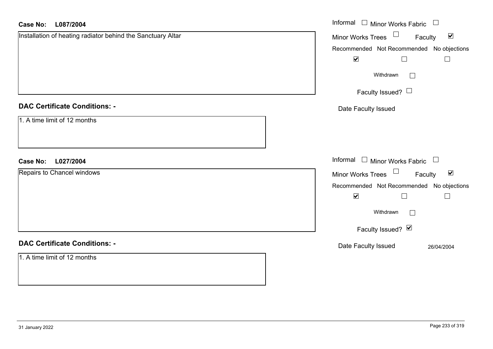| <b>Case No:</b><br>L087/2004                                | Informal □ Minor Works Fabric □                             |
|-------------------------------------------------------------|-------------------------------------------------------------|
| Installation of heating radiator behind the Sanctuary Altar | Minor Works Trees $\Box$<br>Faculty<br>$\blacktriangledown$ |
|                                                             | Recommended Not Recommended No objections                   |
|                                                             | $\blacktriangledown$<br>$\Box$<br>$\Box$                    |
|                                                             | Withdrawn<br>$\Box$                                         |
|                                                             | Faculty Issued? $\Box$                                      |
| <b>DAC Certificate Conditions: -</b>                        | Date Faculty Issued                                         |
| 1. A time limit of 12 months                                |                                                             |
| L027/2004<br><b>Case No:</b>                                | Informal $\Box$ Minor Works Fabric $\Box$                   |
| Repairs to Chancel windows                                  | Minor Works Trees $\Box$<br>$\blacktriangledown$<br>Faculty |
|                                                             | Recommended Not Recommended No objections                   |
|                                                             | $\blacktriangledown$<br>$\Box$<br>$\Box$                    |
|                                                             | Withdrawn<br>$\Box$                                         |
|                                                             | Faculty Issued? Ø                                           |
| <b>DAC Certificate Conditions: -</b>                        | Date Faculty Issued<br>26/04/2004                           |
| 1. A time limit of 12 months                                |                                                             |
|                                                             |                                                             |
|                                                             |                                                             |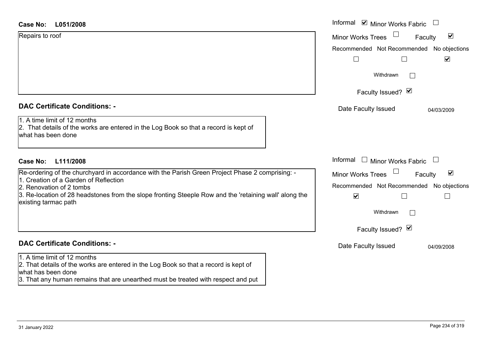| Case No: |  | L051/2008 |
|----------|--|-----------|
|----------|--|-----------|

| <b>Case No:</b><br>L051/2008                                                                                                                                                                                                                                                                           | Informal ⊠ Minor Works Fabric                                                          |
|--------------------------------------------------------------------------------------------------------------------------------------------------------------------------------------------------------------------------------------------------------------------------------------------------------|----------------------------------------------------------------------------------------|
| Repairs to roof                                                                                                                                                                                                                                                                                        | <b>Minor Works Trees</b><br>Fac<br>Recommended Not Recommended<br>Withdrawn            |
|                                                                                                                                                                                                                                                                                                        | Faculty Issued? Ø                                                                      |
| <b>DAC Certificate Conditions: -</b>                                                                                                                                                                                                                                                                   | Date Faculty Issued                                                                    |
| 1. A time limit of 12 months<br>2. That details of the works are entered in the Log Book so that a record is kept of<br>what has been done                                                                                                                                                             |                                                                                        |
| Case No:<br>L111/2008                                                                                                                                                                                                                                                                                  | Informal<br><b>Minor Works Fabric</b>                                                  |
| Re-ordering of the churchyard in accordance with the Parish Green Project Phase 2 comprising: -<br>1. Creation of a Garden of Reflection<br>2. Renovation of 2 tombs<br>3. Re-location of 28 headstones from the slope fronting Steeple Row and the 'retaining wall' along the<br>existing tarmac path | <b>Minor Works Trees</b><br>Fac<br>Recommended Not Recommended<br>$\blacktriangledown$ |
|                                                                                                                                                                                                                                                                                                        | Withdrawn                                                                              |
|                                                                                                                                                                                                                                                                                                        |                                                                                        |

#### 1. A time limit of 12 months 2. That details of the works are entered in the Log Book so that a record is kept of what has been done

3. That any human remains that are unearthed must be treated with respect and put

 $\blacktriangledown$ Faculty nded No objections  $\blacktriangledown$ 04/03/2009 Minor Works Fabric  $\blacktriangledown$ Faculty nded No objections  $\Box$ Faculty Issued? Ø

Date Faculty Issued 04/09/2008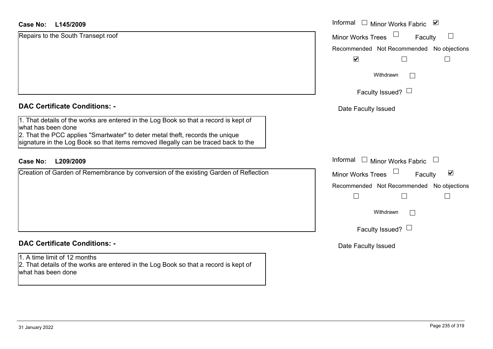#### **L145/2009Case No:**

| <b>Case No:</b><br>L145/2009                                                                                                                                                                                                                                                       | Informal $\square$<br>Minor Works Fabric ⊠                  |
|------------------------------------------------------------------------------------------------------------------------------------------------------------------------------------------------------------------------------------------------------------------------------------|-------------------------------------------------------------|
| Repairs to the South Transept roof                                                                                                                                                                                                                                                 | Minor Works Trees<br>Faculty                                |
|                                                                                                                                                                                                                                                                                    | Recommended Not Recommended No objections                   |
|                                                                                                                                                                                                                                                                                    | $\blacktriangledown$                                        |
|                                                                                                                                                                                                                                                                                    | Withdrawn<br>$\overline{\phantom{a}}$                       |
|                                                                                                                                                                                                                                                                                    | Faculty Issued? $\Box$                                      |
| <b>DAC Certificate Conditions: -</b>                                                                                                                                                                                                                                               | Date Faculty Issued                                         |
| 1. That details of the works are entered in the Log Book so that a record is kept of<br>what has been done<br>2. That the PCC applies "Smartwater" to deter metal theft, records the unique<br>signature in the Log Book so that items removed illegally can be traced back to the |                                                             |
| <b>Case No:</b><br>L209/2009                                                                                                                                                                                                                                                       | Informal $\square$<br>Minor Works Fabric<br>$\Box$          |
| Creation of Garden of Remembrance by conversion of the existing Garden of Reflection                                                                                                                                                                                               | $\blacktriangledown$<br><b>Minor Works Trees</b><br>Faculty |
|                                                                                                                                                                                                                                                                                    | Recommended Not Recommended No objections                   |
|                                                                                                                                                                                                                                                                                    | Withdrawn<br>$\Box$                                         |
|                                                                                                                                                                                                                                                                                    | Faculty Issued? $\Box$                                      |
| <b>DAC Certificate Conditions: -</b>                                                                                                                                                                                                                                               | Date Faculty Issued                                         |
| 1. A time limit of 12 months<br>2. That details of the works are entered in the Log Book so that a record is kept of<br>what has been done                                                                                                                                         |                                                             |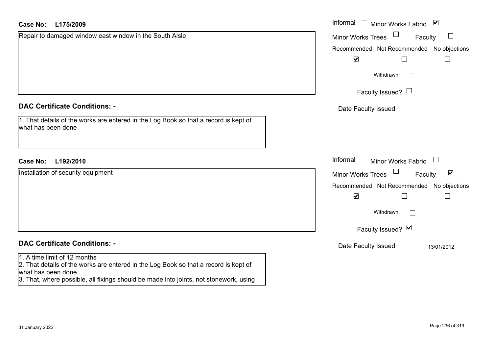| <b>Case No:</b><br>L175/2009                                                                               | Informal |
|------------------------------------------------------------------------------------------------------------|----------|
| Repair to damaged window east window in the South Aisle                                                    | Minor W  |
|                                                                                                            | Recomm   |
|                                                                                                            | ŀ        |
|                                                                                                            |          |
|                                                                                                            |          |
|                                                                                                            |          |
| <b>DAC Certificate Conditions: -</b>                                                                       | Date I   |
| 1. That details of the works are entered in the Log Book so that a record is kept of<br>what has been done |          |
| Case No: L192/2010                                                                                         | Informal |
| Installation of security equipment                                                                         | Minor W  |
|                                                                                                            | Recomm   |
|                                                                                                            | ŀ        |
|                                                                                                            |          |
|                                                                                                            |          |
|                                                                                                            |          |

#### 1. A time limit of 12 months

2. That details of the works are entered in the Log Book so that a record is kept of what has been done 3. That, where possible, all fixings should be made into joints, not stonework, using

| Informal $\square$<br>$\blacktriangledown$<br><b>Minor Works Fabric</b><br><b>Minor Works Trees</b><br>Faculty<br>Recommended Not Recommended No objections<br>$\blacktriangledown$<br>Withdrawn<br>Faculty Issued? $\Box$ |  |
|----------------------------------------------------------------------------------------------------------------------------------------------------------------------------------------------------------------------------|--|
| Date Faculty Issued                                                                                                                                                                                                        |  |
| Informal<br><b>Minor Works Fabric</b>                                                                                                                                                                                      |  |
| ☑<br><b>Minor Works Trees</b><br>Faculty                                                                                                                                                                                   |  |
| Recommended Not Recommended No objections<br>$\blacktriangledown$<br>Withdrawn                                                                                                                                             |  |
| Faculty Issued? Ø                                                                                                                                                                                                          |  |
| Date Faculty Issued<br>13/01/2012                                                                                                                                                                                          |  |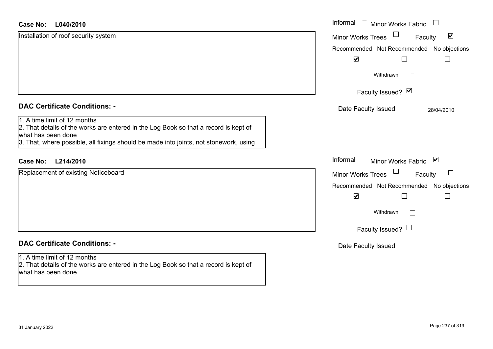| L040/2010<br><b>Case No:</b>                                                                                                                                                                                                        | Informal<br>$\Box$<br><b>Minor Works Fabric</b>             |
|-------------------------------------------------------------------------------------------------------------------------------------------------------------------------------------------------------------------------------------|-------------------------------------------------------------|
| Installation of roof security system                                                                                                                                                                                                | $\blacktriangledown$<br><b>Minor Works Trees</b><br>Faculty |
|                                                                                                                                                                                                                                     | Recommended Not Recommended No objections                   |
|                                                                                                                                                                                                                                     | $\blacktriangledown$<br>$\Box$                              |
|                                                                                                                                                                                                                                     | Withdrawn<br>$\mathbb{R}^n$                                 |
|                                                                                                                                                                                                                                     | Faculty Issued? Ø                                           |
| <b>DAC Certificate Conditions: -</b>                                                                                                                                                                                                | Date Faculty Issued<br>28/04/2010                           |
| 1. A time limit of 12 months<br>2. That details of the works are entered in the Log Book so that a record is kept of<br>what has been done<br>3. That, where possible, all fixings should be made into joints, not stonework, using |                                                             |
| <b>Case No:</b><br>L214/2010                                                                                                                                                                                                        | Informal<br>Minor Works Fabric ⊠                            |
| Replacement of existing Noticeboard                                                                                                                                                                                                 | Minor Works Trees<br>$\Box$<br>Faculty                      |
|                                                                                                                                                                                                                                     | Recommended Not Recommended No objections                   |
|                                                                                                                                                                                                                                     | $\blacktriangledown$<br>$\Box$                              |
|                                                                                                                                                                                                                                     | Withdrawn<br>$\mathbb{R}^n$                                 |
|                                                                                                                                                                                                                                     | Faculty Issued? $\Box$                                      |
| <b>DAC Certificate Conditions: -</b>                                                                                                                                                                                                | Date Faculty Issued                                         |
| 1. A time limit of 12 months<br>2. That details of the works are entered in the Log Book so that a record is kept of<br>what has been done                                                                                          |                                                             |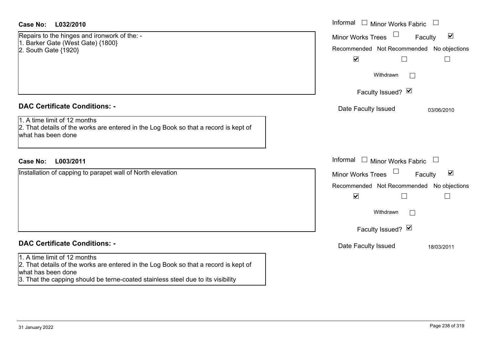#### **L032/2010Case No:** Informal

Repairs to the hinges and ironwork of the: - 1. Barker Gate (West Gate) {1800} 2. South Gate  $\{1920\}$ 

#### **DAC Certificate Conditions: -**

1. A time limit of 12 months2. That details of the works are entered in the Log Book so that a record is kept of what has been done

#### **L003/2011Case No:** Informal

Installation of capping to parapet wall of North elevation

## **DAC Certificate Conditions: -**

#### 1. A time limit of 12 months

2. That details of the works are entered in the Log Book so that a record is kept of what has been done

3. That the capping should be terne-coated stainless steel due to its visibility

| Informal<br><b>Minor Works Fabric</b>                          |  |
|----------------------------------------------------------------|--|
| $\overline{\mathbf{v}}$<br><b>Minor Works Trees</b><br>Faculty |  |
| Recommended Not Recommended No objections                      |  |
| $\blacktriangledown$                                           |  |
| Withdrawn                                                      |  |
| Faculty Issued? M                                              |  |
| Date Faculty Issued<br>03/06/2010                              |  |
|                                                                |  |
|                                                                |  |
|                                                                |  |
| Informal<br>$\Box$ Minor Works Fabric                          |  |
| ⊻<br><b>Minor Works Trees</b><br>Faculty                       |  |
| Recommended Not Recommended No objections                      |  |
| V                                                              |  |
| Withdrawn                                                      |  |
| Faculty Issued? Ø                                              |  |
| Date Faculty Issued<br>18/03/2011                              |  |
|                                                                |  |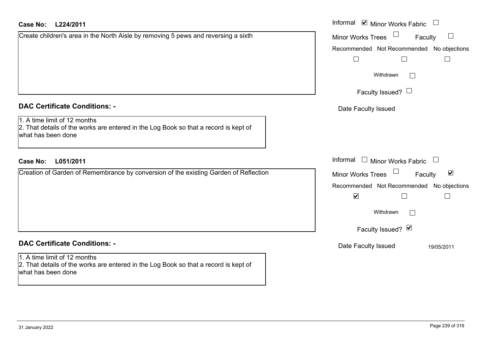#### **L224/2011Case No:** Informal

| Create children's area in the North Aisle by removing 5 pews and reversing a sixth |  |
|------------------------------------------------------------------------------------|--|
|                                                                                    |  |
|                                                                                    |  |
|                                                                                    |  |
|                                                                                    |  |
|                                                                                    |  |

#### **DAC Certificate Conditions: -**

### 1. A time limit of 12 months

2. That details of the works are entered in the Log Book so that a record is kept of what has been done

#### **L051/2011Case No:** Informal

Creation of Garden of Remembrance by conversion of the existing Garden of Reflection

## **DAC Certificate Conditions: -**

1. A time limit of 12 months 2. That details of the works are entered in the Log Book so that a record is kept of what has been done

| Informal<br>$\blacksquare$ Minor Works Fabric                  |
|----------------------------------------------------------------|
| <b>Minor Works Trees</b><br>Faculty                            |
| Recommended Not Recommended No objections                      |
|                                                                |
| Withdrawn                                                      |
| Faculty Issued?                                                |
| Date Faculty Issued                                            |
|                                                                |
|                                                                |
|                                                                |
| Informal<br><b>Minor Works Fabric</b>                          |
| $\vert\mathcal{V}\vert$<br><b>Minor Works Trees</b><br>Faculty |
| Recommended Not Recommended No objections                      |
| V                                                              |
| Withdrawn                                                      |
| Faculty Issued? Ø                                              |
| Date Faculty Issued<br>19/05/2011                              |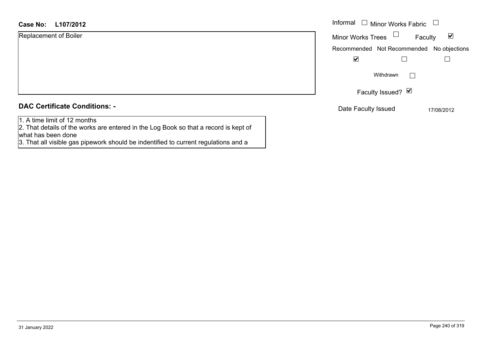|  |  | <b>DAC Certificate Conditions: -</b> |  |
|--|--|--------------------------------------|--|
|--|--|--------------------------------------|--|

1. A time limit of 12 months

2. That details of the works are entered in the Log Book so that a record is kept of what has been done

3. That all visible gas pipework should be indentified to current regulations and a

| Informal<br>$\Box$ Minor Works Fabric     |         |            |  |
|-------------------------------------------|---------|------------|--|
| <b>Minor Works Trees</b>                  | Faculty |            |  |
| Recommended Not Recommended No objections |         |            |  |
|                                           |         |            |  |
| Withdrawn                                 |         |            |  |
| Faculty Issued? Ø                         |         |            |  |
| Date Faculty Issued                       |         | 17/08/2012 |  |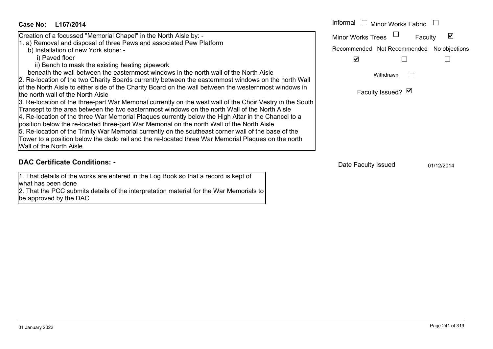|                                                                                                                                                                                                                                                                                                                                                                                                                                                                                                                                                                                                                                                                                                                                                                                                                                                                                                                                                                                                                                                                                                                                                                                                                                                                    |                                                                                                                                 | Informal $\Box$ Minor Works Fabric |  |
|--------------------------------------------------------------------------------------------------------------------------------------------------------------------------------------------------------------------------------------------------------------------------------------------------------------------------------------------------------------------------------------------------------------------------------------------------------------------------------------------------------------------------------------------------------------------------------------------------------------------------------------------------------------------------------------------------------------------------------------------------------------------------------------------------------------------------------------------------------------------------------------------------------------------------------------------------------------------------------------------------------------------------------------------------------------------------------------------------------------------------------------------------------------------------------------------------------------------------------------------------------------------|---------------------------------------------------------------------------------------------------------------------------------|------------------------------------|--|
| Creation of a focussed "Memorial Chapel" in the North Aisle by: -<br>1. a) Removal and disposal of three Pews and associated Pew Platform<br>b) Installation of new York stone: -<br>i) Paved floor<br>ii) Bench to mask the existing heating pipework<br>beneath the wall between the easternmost windows in the north wall of the North Aisle<br>[2. Re-location of the two Charity Boards currently between the easternmost windows on the north Wall<br>of the North Aisle to either side of the Charity Board on the wall between the westernmost windows in<br>the north wall of the North Aisle<br>3. Re-location of the three-part War Memorial currently on the west wall of the Choir Vestry in the South<br>Transept to the area between the two easternmost windows on the north Wall of the North Aisle<br>4. Re-location of the three War Memorial Plaques currently below the High Altar in the Chancel to a<br>position below the re-located three-part War Memorial on the north Wall of the North Aisle<br>5. Re-location of the Trinity War Memorial currently on the southeast corner wall of the base of the<br>Tower to a position below the dado rail and the re-located three War Memorial Plaques on the north<br>Wall of the North Aisle | <b>Minor Works Trees</b><br>Recommended Not Recommended No objections<br>$\blacktriangledown$<br>Withdrawn<br>Faculty Issued? Ø | Faculty                            |  |

1. That details of the works are entered in the Log Book so that a record is kept of what has been done

2. That the PCC submits details of the interpretation material for the War Memorials to be approved by the DAC

Date Faculty Issued 01/12/2014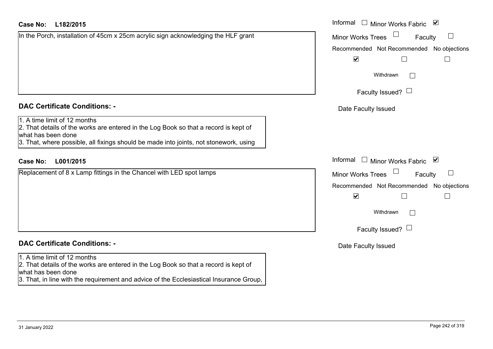#### **L182/2015Case No:** Informal

| In the Porch, installation of 45cm x 25cm acrylic sign acknowledging the HLF grant |
|------------------------------------------------------------------------------------|
|                                                                                    |
|                                                                                    |
|                                                                                    |
|                                                                                    |
|                                                                                    |
|                                                                                    |

#### **DAC Certificate Conditions: -**

#### 1. A time limit of 12 months

2. That details of the works are entered in the Log Book so that a record is kept of what has been done

3. That, where possible, all fixings should be made into joints, not stonework, using

#### **L001/2015Case No:** Informal

Replacement of 8 x Lamp fittings in the Chancel with LED spot lamps

### **DAC Certificate Conditions: -**

#### 1. A time limit of 12 months

2. That details of the works are entered in the Log Book so that a record is kept of what has been done

3. That, in line with the requirement and advice of the Ecclesiastical Insurance Group,

| Informal |                          | <b>Minor Works Fabric</b>                 | $\overline{\mathbf{v}}$ |
|----------|--------------------------|-------------------------------------------|-------------------------|
|          | <b>Minor Works Trees</b> | Faculty                                   |                         |
|          | $\blacktriangledown$     | Recommended Not Recommended No objections |                         |
|          | Withdrawn                |                                           |                         |
|          | Faculty Issued? $\Box$   |                                           |                         |
|          | Date Faculty Issued      |                                           |                         |
|          |                          |                                           |                         |
|          |                          |                                           |                         |
| Informal |                          | <b>Minor Works Fabric</b>                 | $\overline{\mathbf{v}}$ |
|          | <b>Minor Works Trees</b> | Faculty                                   |                         |
|          | $\blacktriangledown$     | Recommended Not Recommended No objections |                         |
|          | Withdrawn                |                                           |                         |
|          | Faculty Issued?          |                                           |                         |
|          | Date Faculty Issued      |                                           |                         |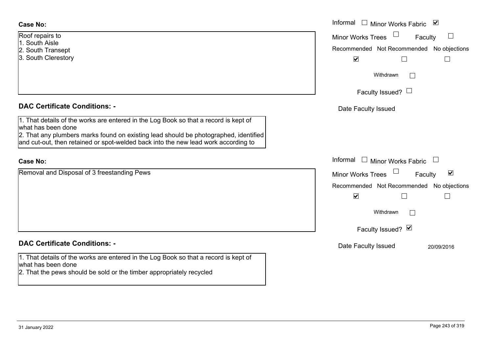#### **Case No:**

| Roof repairs to                                                                                                                                                                                                                                                                                                                                                                       |  |  |
|---------------------------------------------------------------------------------------------------------------------------------------------------------------------------------------------------------------------------------------------------------------------------------------------------------------------------------------------------------------------------------------|--|--|
| $\lambda$ $\sim$ $\lambda$ $\sim$ $\lambda$ $\sim$ $\lambda$ $\sim$ $\lambda$ $\sim$ $\lambda$ $\sim$ $\lambda$ $\sim$ $\lambda$ $\sim$ $\lambda$ $\sim$ $\lambda$ $\sim$ $\lambda$ $\sim$ $\lambda$ $\sim$ $\lambda$ $\sim$ $\lambda$ $\sim$ $\lambda$ $\sim$ $\lambda$ $\sim$ $\lambda$ $\sim$ $\lambda$ $\sim$ $\lambda$ $\sim$ $\lambda$ $\sim$ $\lambda$ $\sim$ $\lambda$ $\sim$ |  |  |

- 1. South Aisle
- 2. South Transept
- 3. South Clerestory

#### **DAC Certificate Conditions: -**

1. That details of the works are entered in the Log Book so that a record is kept of what has been done

2. That any plumbers marks found on existing lead should be photographed, identified and cut-out, then retained or spot-welded back into the new lead work according to

#### **Case No:**

Removal and Disposal of 3 freestanding Pews

#### **DAC Certificate Conditions: -**

1. That details of the works are entered in the Log Book so that a record is kept of what has been done

2. That the pews should be sold or the timber appropriately recycled

|                                                                                                                                                                                                                                                       | Informal<br>$\Box$<br>⊻<br><b>Minor Works Fabric</b>                                                                                                               |
|-------------------------------------------------------------------------------------------------------------------------------------------------------------------------------------------------------------------------------------------------------|--------------------------------------------------------------------------------------------------------------------------------------------------------------------|
| airs to<br>Aisle<br>Transept<br>Clerestory                                                                                                                                                                                                            | Minor Works Trees<br>$\Box$<br>Faculty<br>Recommended Not Recommended No objections<br>$\blacktriangledown$                                                        |
|                                                                                                                                                                                                                                                       | Withdrawn<br>Faculty Issued? $\Box$                                                                                                                                |
| rtificate Conditions: -                                                                                                                                                                                                                               | Date Faculty Issued                                                                                                                                                |
| etails of the works are entered in the Log Book so that a record is kept of<br>been done<br>ny plumbers marks found on existing lead should be photographed, identified<br>out, then retained or spot-welded back into the new lead work according to |                                                                                                                                                                    |
|                                                                                                                                                                                                                                                       | Informal<br>$\mathbf{1}$<br>Minor Works Fabric                                                                                                                     |
| and Disposal of 3 freestanding Pews                                                                                                                                                                                                                   | $\blacktriangledown$<br><b>Minor Works Trees</b><br>Faculty<br>Recommended Not Recommended No objections<br>$\blacktriangledown$<br>Withdrawn<br>Faculty Issued? Ø |
| rtificate Conditions: -                                                                                                                                                                                                                               | Date Faculty Issued<br>20/09/2016                                                                                                                                  |
| etails of the works are entered in the Log Book so that a record is kept of                                                                                                                                                                           |                                                                                                                                                                    |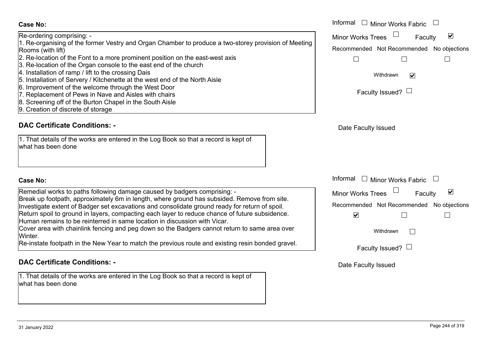| <b>Minor Works Trees</b><br>☑<br>Faculty<br>Recommended Not Recommended No object |
|-----------------------------------------------------------------------------------|
|                                                                                   |
|                                                                                   |
| Withdrawn                                                                         |
| Faculty Issued? $\Box$                                                            |
| Date Faculty Issued                                                               |
|                                                                                   |
|                                                                                   |

1. That details of the works are entered in the Log Book so that a record is kept of what has been done

Re-ordering comprising: -

Rooms (with lift)

**Case No:**

2. Re-location of the Font to a more prominent position on the east-west axis 3. Re-location of the Organ console to the east end of the church

1. Re-organising of the former Vestry and Organ Chamber to produce a two-storey provision of Meeting

Informal

- 4. Installation of ramp / lift to the crossing Dais
- 5. Installation of Servery / Kitchenette at the west end of the North Aisle
- 6. Improvement of the welcome through the West Door
- 7. Replacement of Pews in Nave and Aisles with chairs
- 8. Screening off of the Burton Chapel in the South Aisle
- 9. Creation of discrete of storage

#### $\blacktriangledown$ Faculty Minor Works Trees Recommended Not Recommended No objections

 $\Box$ 

Withdrawn $\overline{\mathbf{v}}$ 

 $\Box$ 

|  | Faculty Issued? $\Box$ |
|--|------------------------|
|--|------------------------|

Informal  $\Box$  Minor Works Fabric  $\Box$ 

Date Faculty Issued

 $\Box$ 

tions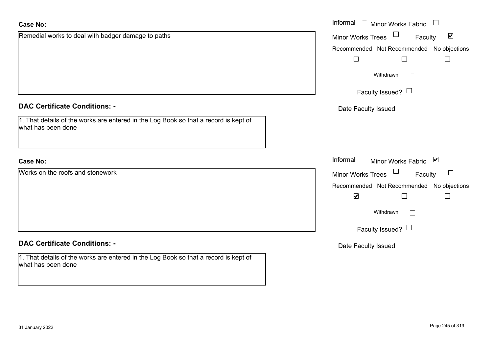| <b>Case No:</b>                                                                                            | Informal $\Box$ Minor Works Fabric $\Box$            |
|------------------------------------------------------------------------------------------------------------|------------------------------------------------------|
| Remedial works to deal with badger damage to paths                                                         | $\blacktriangledown$<br>Minor Works Trees<br>Faculty |
|                                                                                                            | Recommended Not Recommended No objections            |
|                                                                                                            | $\Box$<br>$\Box$                                     |
|                                                                                                            | Withdrawn                                            |
|                                                                                                            | Faculty Issued? $\Box$                               |
| <b>DAC Certificate Conditions: -</b>                                                                       | Date Faculty Issued                                  |
| 1. That details of the works are entered in the Log Book so that a record is kept of<br>what has been done |                                                      |
| <b>Case No:</b>                                                                                            | Informal □ Minor Works Fabric ⊠                      |
| Works on the roofs and stonework                                                                           | Minor Works Trees<br>Faculty                         |
|                                                                                                            | Recommended Not Recommended No objections            |
|                                                                                                            | $\blacktriangledown$                                 |
|                                                                                                            | Withdrawn                                            |
|                                                                                                            | Faculty Issued? $\Box$                               |
| <b>DAC Certificate Conditions: -</b>                                                                       | Date Faculty Issued                                  |
| 1. That details of the works are entered in the Log Book so that a record is kept of<br>what has been done |                                                      |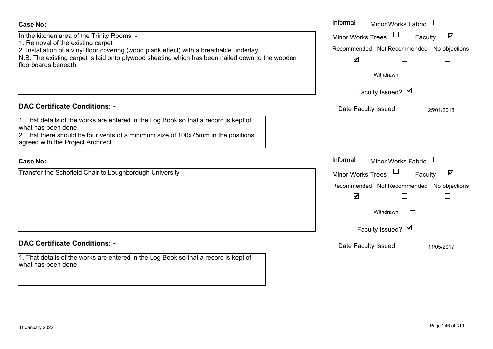| <b>Case No:</b>                                                                                                                                                                                                                                                                                        | Informal<br><b>Minor Works Fabric</b>                                                                                                                                              |
|--------------------------------------------------------------------------------------------------------------------------------------------------------------------------------------------------------------------------------------------------------------------------------------------------------|------------------------------------------------------------------------------------------------------------------------------------------------------------------------------------|
| In the kitchen area of the Trinity Rooms: -<br>1. Removal of the existing carpet<br>2. Installation of a vinyl floor covering (wood plank effect) with a breathable underlay<br>N.B. The existing carpet is laid onto plywood sheeting which has been nailed down to the wooden<br>floorboards beneath | $\blacktriangledown$<br><b>Minor Works Trees</b><br>Faculty<br>Recommended Not Recommended<br>No objections<br>$\blacktriangledown$<br>Withdrawn<br>Faculty Issued? Ø              |
| <b>DAC Certificate Conditions: -</b>                                                                                                                                                                                                                                                                   | Date Faculty Issued<br>25/01/2018                                                                                                                                                  |
| 1. That details of the works are entered in the Log Book so that a record is kept of<br>what has been done<br>2. That there should be four vents of a minimum size of 100x75mm in the positions<br>agreed with the Project Architect                                                                   |                                                                                                                                                                                    |
| <b>Case No:</b>                                                                                                                                                                                                                                                                                        | Informal<br>Minor Works Fabric<br>$\mathbf{1}$                                                                                                                                     |
| Transfer the Schofield Chair to Loughborough University                                                                                                                                                                                                                                                | $\blacktriangledown$<br><b>Minor Works Trees</b><br>Faculty<br>Recommended Not Recommended No objections<br>$\blacktriangledown$<br>Withdrawn<br>$\mathbb{R}$<br>Faculty Issued? Ø |
| <b>DAC Certificate Conditions: -</b>                                                                                                                                                                                                                                                                   | Date Faculty Issued<br>11/05/2017                                                                                                                                                  |
| 1. That details of the works are entered in the Log Book so that a record is kept of<br>what has been done                                                                                                                                                                                             |                                                                                                                                                                                    |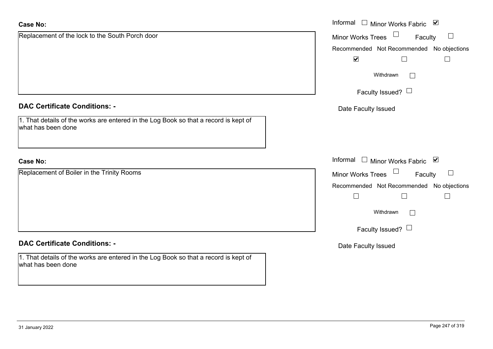| <b>Case No:</b>                                                                                            | Informal $\Box$ Minor Works Fabric $\Box$         |
|------------------------------------------------------------------------------------------------------------|---------------------------------------------------|
| Replacement of the lock to the South Porch door                                                            | $\Box$<br>Minor Works Trees<br>Faculty            |
|                                                                                                            | Recommended Not Recommended No objections         |
|                                                                                                            | $\blacktriangledown$                              |
|                                                                                                            | Withdrawn                                         |
|                                                                                                            | Faculty Issued? $\Box$                            |
| <b>DAC Certificate Conditions: -</b>                                                                       | Date Faculty Issued                               |
| 1. That details of the works are entered in the Log Book so that a record is kept of<br>what has been done |                                                   |
| <b>Case No:</b>                                                                                            | Informal<br>$\Box$ Minor Works Fabric $\boxtimes$ |
| Replacement of Boiler in the Trinity Rooms                                                                 | Minor Works Trees<br>Faculty<br>$\Box$            |
|                                                                                                            | Recommended Not Recommended No objections         |
|                                                                                                            | $\Box$                                            |
|                                                                                                            | Withdrawn                                         |
|                                                                                                            | Faculty Issued? $\Box$                            |
| <b>DAC Certificate Conditions: -</b>                                                                       | Date Faculty Issued                               |
| 1. That details of the works are entered in the Log Book so that a record is kept of<br>what has been done |                                                   |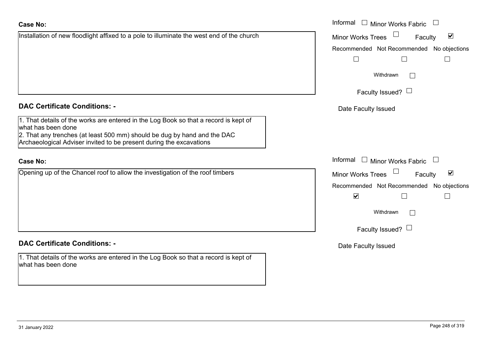| <b>Case No:</b>                                                                                            | Informal $\Box$ Minor Works Fabric $\Box$            |
|------------------------------------------------------------------------------------------------------------|------------------------------------------------------|
| Installation of new floodlight affixed to a pole to illuminate the west end of the church                  | Minor Works Trees<br>$\blacktriangledown$<br>Faculty |
|                                                                                                            | Recommended Not Recommended No objections            |
|                                                                                                            | $\Box$<br>$\Box$<br>$\Box$                           |
|                                                                                                            | Withdrawn                                            |
|                                                                                                            | Faculty Issued? $\Box$                               |
| <b>DAC Certificate Conditions: -</b>                                                                       | Date Faculty Issued                                  |
| 1. That details of the works are entered in the Log Book so that a record is kept of<br>what has been done |                                                      |
| 2. That any trenches (at least 500 mm) should be dug by hand and the DAC                                   |                                                      |
| Archaeological Adviser invited to be present during the excavations                                        |                                                      |
| <b>Case No:</b>                                                                                            | Informal $\Box$ Minor Works Fabric $\Box$            |
| Opening up of the Chancel roof to allow the investigation of the roof timbers                              | Minor Works Trees<br>$\blacktriangledown$<br>Faculty |
|                                                                                                            |                                                      |
|                                                                                                            | Recommended Not Recommended No objections            |
|                                                                                                            | $\blacktriangledown$<br>Ш                            |
|                                                                                                            | Withdrawn                                            |
|                                                                                                            | Faculty Issued? $\Box$                               |
| <b>DAC Certificate Conditions: -</b>                                                                       | Date Faculty Issued                                  |
| 1. That details of the works are entered in the Log Book so that a record is kept of<br>what has been done |                                                      |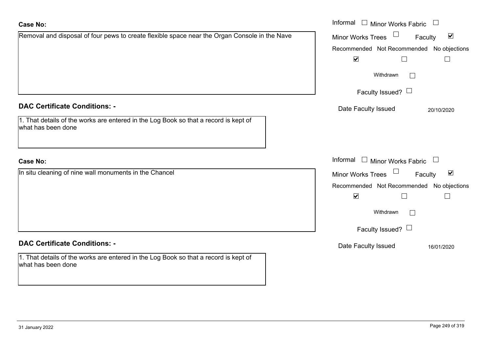| Case No:                                                                                                   | Informal<br>Minor Works Fabric $\Box$                                 |
|------------------------------------------------------------------------------------------------------------|-----------------------------------------------------------------------|
| Removal and disposal of four pews to create flexible space near the Organ Console in the Nave              | $\blacktriangledown$<br><b>Minor Works Trees</b><br>Faculty           |
|                                                                                                            | Recommended Not Recommended No objections                             |
|                                                                                                            | $\blacktriangledown$                                                  |
|                                                                                                            | Withdrawn                                                             |
|                                                                                                            | Faculty Issued? $\Box$                                                |
| <b>DAC Certificate Conditions: -</b>                                                                       | Date Faculty Issued<br>20/10/2020                                     |
| 1. That details of the works are entered in the Log Book so that a record is kept of<br>what has been done |                                                                       |
| Case No:                                                                                                   | Informal $\Box$ Minor Works Fabric $\Box$                             |
| In situ cleaning of nine wall monuments in the Chancel                                                     | $\Box$<br>$\blacktriangledown$<br><b>Minor Works Trees</b><br>Faculty |
|                                                                                                            | Recommended Not Recommended No objections                             |
|                                                                                                            | $\blacktriangledown$                                                  |
|                                                                                                            | Withdrawn                                                             |
|                                                                                                            | Faculty Issued? $\Box$                                                |
| <b>DAC Certificate Conditions: -</b>                                                                       | Date Faculty Issued<br>16/01/2020                                     |

1. That details of the works are entered in the Log Book so that a record is kept of what has been done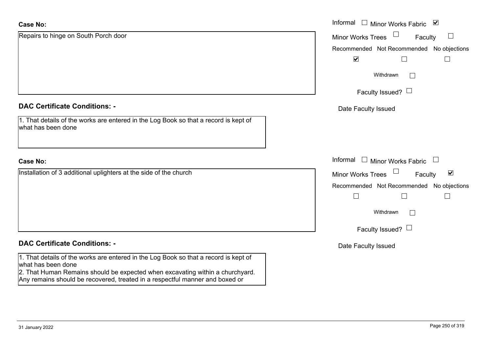| <b>Case No:</b>                                                                                                                                               | Informal $\square$<br>Minor Works Fabric ⊠                                               |
|---------------------------------------------------------------------------------------------------------------------------------------------------------------|------------------------------------------------------------------------------------------|
| Repairs to hinge on South Porch door                                                                                                                          | Minor Works Trees<br>$\Box$<br>Faculty                                                   |
|                                                                                                                                                               | Recommended Not Recommended No objections                                                |
|                                                                                                                                                               | $\blacktriangledown$                                                                     |
|                                                                                                                                                               | Withdrawn<br>$\perp$                                                                     |
|                                                                                                                                                               | Faculty Issued? $\Box$                                                                   |
| <b>DAC Certificate Conditions: -</b>                                                                                                                          | Date Faculty Issued                                                                      |
| 1. That details of the works are entered in the Log Book so that a record is kept of<br>what has been done                                                    |                                                                                          |
| <b>Case No:</b>                                                                                                                                               | Informal<br>$\Box$<br><b>Minor Works Fabric</b><br>$\begin{array}{c} \hline \end{array}$ |
| Installation of 3 additional uplighters at the side of the church                                                                                             | $\blacktriangledown$<br><b>Minor Works Trees</b><br>Faculty                              |
|                                                                                                                                                               | Recommended Not Recommended No objections                                                |
|                                                                                                                                                               | $\Box$<br>$\mathbf{L}$<br>$\mathbf{I}$                                                   |
|                                                                                                                                                               | Withdrawn<br>$\Box$                                                                      |
|                                                                                                                                                               | Faculty Issued? $\Box$                                                                   |
| <b>DAC Certificate Conditions: -</b>                                                                                                                          | Date Faculty Issued                                                                      |
| 1. That details of the works are entered in the Log Book so that a record is kept of<br>what has been done                                                    |                                                                                          |
| 2. That Human Remains should be expected when excavating within a churchyard.<br>Any remains should be recovered, treated in a respectful manner and boxed or |                                                                                          |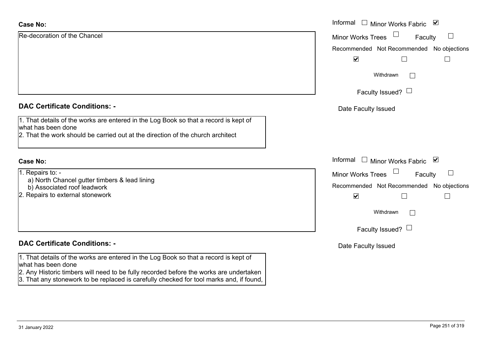| <b>Case No:</b>                                                                                                                                                                   | Informal □ Minor Works Fabric ⊠               |
|-----------------------------------------------------------------------------------------------------------------------------------------------------------------------------------|-----------------------------------------------|
| Re-decoration of the Chancel                                                                                                                                                      | Minor Works Trees<br>$\Box$<br>Faculty        |
|                                                                                                                                                                                   | Recommended Not Recommended No objections     |
|                                                                                                                                                                                   | $\overline{\mathbf{v}}$                       |
|                                                                                                                                                                                   | Withdrawn<br>$\sim$                           |
|                                                                                                                                                                                   | Faculty Issued? $\Box$                        |
| <b>DAC Certificate Conditions: -</b>                                                                                                                                              | Date Faculty Issued                           |
| 1. That details of the works are entered in the Log Book so that a record is kept of<br>what has been done                                                                        |                                               |
| 2. That the work should be carried out at the direction of the church architect                                                                                                   |                                               |
| <b>Case No:</b>                                                                                                                                                                   | Informal<br>$\Box$ Minor Works Fabric $\Box$  |
| 1. Repairs to: -                                                                                                                                                                  | <b>Minor Works Trees</b><br>$\Box$<br>Faculty |
| a) North Chancel gutter timbers & lead lining<br>b) Associated roof leadwork                                                                                                      | Recommended Not Recommended No objections     |
| 2. Repairs to external stonework                                                                                                                                                  | $\blacktriangledown$<br>$\mathbf{I}$          |
|                                                                                                                                                                                   | Withdrawn                                     |
|                                                                                                                                                                                   | Faculty Issued? $\Box$                        |
| <b>DAC Certificate Conditions: -</b>                                                                                                                                              | Date Faculty Issued                           |
| 1. That details of the works are entered in the Log Book so that a record is kept of<br>what has been done                                                                        |                                               |
| 2. Any Historic timbers will need to be fully recorded before the works are undertaken<br>3. That any stonework to be replaced is carefully checked for tool marks and, if found, |                                               |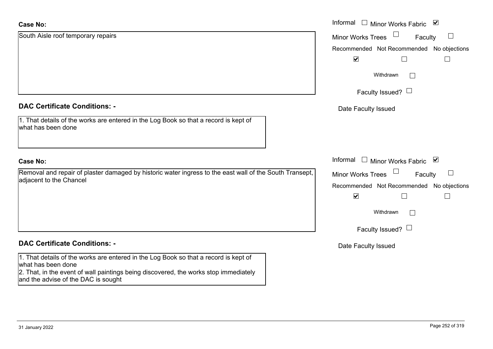| <b>Case No:</b>                                                                                                                    | Informal $\Box$ Minor Works Fabric $\Box$               |
|------------------------------------------------------------------------------------------------------------------------------------|---------------------------------------------------------|
| South Aisle roof temporary repairs                                                                                                 | $\Box$<br><b>Minor Works Trees</b><br>$\Box$<br>Faculty |
|                                                                                                                                    | Recommended Not Recommended No objections               |
|                                                                                                                                    | $\blacktriangleright$<br>П                              |
|                                                                                                                                    | Withdrawn<br>$\perp$                                    |
|                                                                                                                                    | Faculty Issued? $\Box$                                  |
| <b>DAC Certificate Conditions: -</b>                                                                                               | Date Faculty Issued                                     |
| 1. That details of the works are entered in the Log Book so that a record is kept of<br>what has been done                         |                                                         |
| <b>Case No:</b>                                                                                                                    | Informal $\Box$ Minor Works Fabric $\Box$               |
| Removal and repair of plaster damaged by historic water ingress to the east wall of the South Transept,<br>adjacent to the Chancel | Minor Works Trees<br>Faculty                            |
|                                                                                                                                    | Recommended Not Recommended No objections               |
|                                                                                                                                    | $\blacktriangledown$<br>$\Box$<br>$\Box$                |
|                                                                                                                                    | Withdrawn<br>$\Box$                                     |
|                                                                                                                                    | Faculty Issued? $\Box$                                  |
| <b>DAC Certificate Conditions: -</b>                                                                                               | Date Faculty Issued                                     |
| 1. That details of the works are entered in the Log Book so that a record is kept of<br>what has been done                         |                                                         |
| 2. That, in the event of wall paintings being discovered, the works stop immediately                                               |                                                         |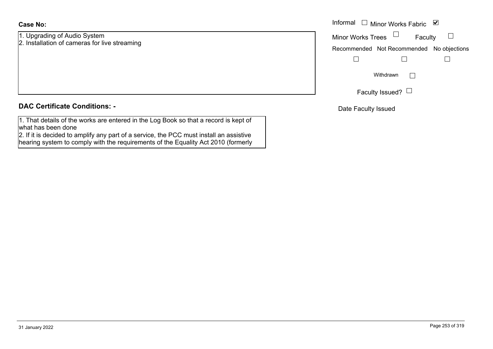### **Case No:**

1. Upgrading of Audio System 2. Installation of cameras for live streaming

|  |  | <b>DAC Certificate Conditions: -</b> |  |
|--|--|--------------------------------------|--|
|--|--|--------------------------------------|--|

1. That details of the works are entered in the Log Book so that a record is kept of what has been done

 2. If it is decided to amplify any part of a service, the PCC must install an assistive hearing system to comply with the requirements of the Equality Act 2010 (formerly

|                                     | Informal $\Box$ Minor Works Fabric $\Box$ |
|-------------------------------------|-------------------------------------------|
| ding of Audio System                | Minor Works Trees $\quad \Box$<br>Faculty |
| ation of cameras for live streaming | Recommended Not Recommended No objections |
|                                     |                                           |
|                                     | Withdrawn                                 |
|                                     | Faculty Issued? $\Box$                    |

Date Faculty Issued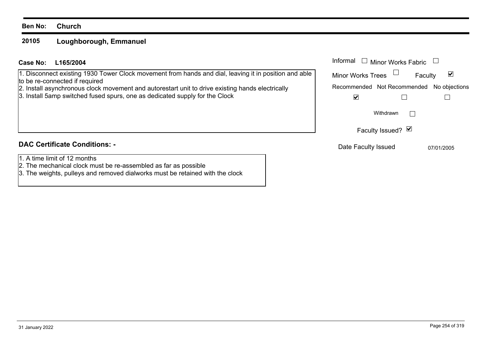#### **20105Loughborough, Emmanuel**

### **L165/2004Case No:** Informal

1. Disconnect existing 1930 Tower Clock movement from hands and dial, leaving it in position and able to be re-connected if required

2. Install asynchronous clock movement and autorestart unit to drive existing hands electrically

3. Install 5amp switched fused spurs, one as dedicated supply for the Clock

### **DAC Certificate Conditions: -**

- 1. A time limit of 12 months
- 2. The mechanical clock must be re-assembled as far as possible
- 3. The weights, pulleys and removed dialworks must be retained with the clock

| Informal<br>$\Box$ Minor Works Fabric     |                                 |
|-------------------------------------------|---------------------------------|
| <b>Minor Works Trees</b>                  | $\blacktriangledown$<br>Faculty |
| Recommended Not Recommended No objections |                                 |
|                                           |                                 |
| Withdrawn                                 |                                 |
| Faculty Issued? Ø                         |                                 |
| Date Faculty Issued                       | 07/01/2005                      |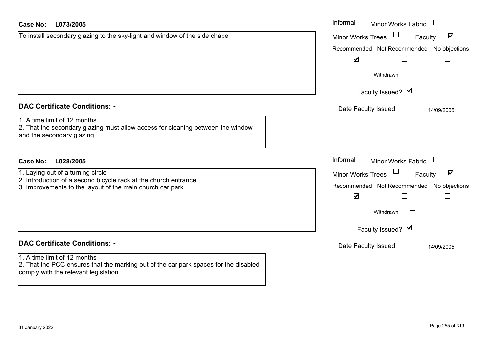| Case No:<br>L073/2005                                                                                                                        | Informal<br><b>Minor Works Fabric</b><br>$\mathbf{1}$       |
|----------------------------------------------------------------------------------------------------------------------------------------------|-------------------------------------------------------------|
| To install secondary glazing to the sky-light and window of the side chapel                                                                  | $\blacktriangledown$<br><b>Minor Works Trees</b><br>Faculty |
|                                                                                                                                              | Recommended Not Recommended No objections                   |
|                                                                                                                                              | $\blacktriangledown$<br>$\Box$                              |
|                                                                                                                                              | Withdrawn                                                   |
|                                                                                                                                              | Faculty Issued? Ø                                           |
| <b>DAC Certificate Conditions: -</b>                                                                                                         | Date Faculty Issued<br>14/09/2005                           |
| 1. A time limit of 12 months<br>2. That the secondary glazing must allow access for cleaning between the window<br>and the secondary glazing |                                                             |
| <b>Case No:</b><br>L028/2005                                                                                                                 | Informal<br>Minor Works Fabric                              |
| 1. Laying out of a turning circle                                                                                                            | $\blacktriangledown$<br><b>Minor Works Trees</b><br>Faculty |
| 2. Introduction of a second bicycle rack at the church entrance<br>3. Improvements to the layout of the main church car park                 | Recommended Not Recommended No objections                   |
|                                                                                                                                              | $\blacktriangledown$                                        |
|                                                                                                                                              | Withdrawn                                                   |
|                                                                                                                                              | Faculty Issued? Ø                                           |
| <b>DAC Certificate Conditions: -</b>                                                                                                         | Date Faculty Issued<br>14/09/2005                           |
| 1. A time limit of 12 months                                                                                                                 |                                                             |
| 2. That the PCC ensures that the marking out of the car park spaces for the disabled<br>comply with the relevant legislation                 |                                                             |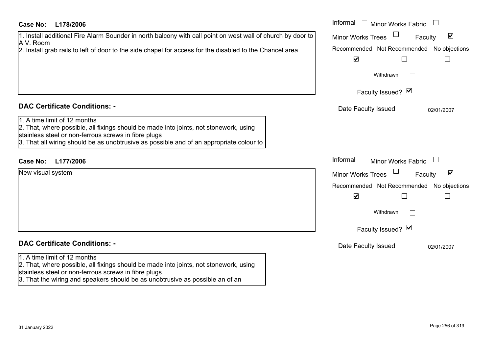| <b>Case No:</b><br>L178/2006                                                                                                                                                                                                                                             | Informal<br>$\mathbf{1}$<br>Minor Works Fabric                    |
|--------------------------------------------------------------------------------------------------------------------------------------------------------------------------------------------------------------------------------------------------------------------------|-------------------------------------------------------------------|
| 1. Install additional Fire Alarm Sounder in north balcony with call point on west wall of church by door to                                                                                                                                                              | $\blacktriangledown$<br><b>Minor Works Trees</b><br>Faculty       |
| A.V. Room<br>2. Install grab rails to left of door to the side chapel for access for the disabled to the Chancel area                                                                                                                                                    | Recommended Not Recommended No objections<br>$\blacktriangledown$ |
|                                                                                                                                                                                                                                                                          | Withdrawn<br>$\Box$                                               |
|                                                                                                                                                                                                                                                                          | Faculty Issued? Ø                                                 |
| <b>DAC Certificate Conditions: -</b>                                                                                                                                                                                                                                     | Date Faculty Issued<br>02/01/2007                                 |
| 1. A time limit of 12 months<br>2. That, where possible, all fixings should be made into joints, not stonework, using<br>stainless steel or non-ferrous screws in fibre plugs<br>3. That all wiring should be as unobtrusive as possible and of an appropriate colour to |                                                                   |
| <b>Case No:</b><br>L177/2006                                                                                                                                                                                                                                             | Informal<br>Minor Works Fabric                                    |
| New visual system                                                                                                                                                                                                                                                        | $\blacktriangledown$<br>Minor Works Trees<br>Faculty              |
|                                                                                                                                                                                                                                                                          | Recommended Not Recommended No objections                         |
|                                                                                                                                                                                                                                                                          | $\blacktriangledown$                                              |
|                                                                                                                                                                                                                                                                          | Withdrawn<br>$\mathbb{R}^n$                                       |
|                                                                                                                                                                                                                                                                          | Faculty Issued? Ø                                                 |
| <b>DAC Certificate Conditions: -</b>                                                                                                                                                                                                                                     | Date Faculty Issued<br>02/01/2007                                 |
| 1. A time limit of 12 months<br>2. That, where possible, all fixings should be made into joints, not stonework, using<br>stainless steel or non-ferrous screws in fibre plugs<br>3. That the wiring and speakers should be as unobtrusive as possible an of an           |                                                                   |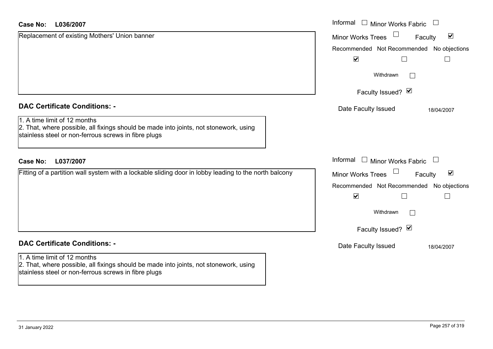#### **L036/2007Case No:**

| <b>Case No:</b><br>L036/2007                                                                                                                                                  | Informal □ Minor Works Fabric                               |
|-------------------------------------------------------------------------------------------------------------------------------------------------------------------------------|-------------------------------------------------------------|
| Replacement of existing Mothers' Union banner                                                                                                                                 | $\blacktriangledown$<br><b>Minor Works Trees</b><br>Faculty |
|                                                                                                                                                                               | Recommended Not Recommended No objections                   |
|                                                                                                                                                                               | $\blacktriangledown$<br>$\Box$<br>$\Box$                    |
|                                                                                                                                                                               | Withdrawn                                                   |
|                                                                                                                                                                               | Faculty Issued? Ø                                           |
| <b>DAC Certificate Conditions: -</b>                                                                                                                                          | Date Faculty Issued<br>18/04/2007                           |
| 1. A time limit of 12 months<br>2. That, where possible, all fixings should be made into joints, not stonework, using<br>stainless steel or non-ferrous screws in fibre plugs |                                                             |
| L037/2007<br><b>Case No:</b>                                                                                                                                                  | Informal $\Box$ Minor Works Fabric                          |
| Fitting of a partition wall system with a lockable sliding door in lobby leading to the north balcony                                                                         | $\blacktriangledown$<br><b>Minor Works Trees</b><br>Faculty |
|                                                                                                                                                                               | Recommended Not Recommended No objections                   |
|                                                                                                                                                                               | $\blacktriangledown$<br>$\Box$<br>$\Box$                    |
|                                                                                                                                                                               | Withdrawn                                                   |
|                                                                                                                                                                               | Faculty Issued? Ø                                           |
| <b>DAC Certificate Conditions: -</b>                                                                                                                                          | Date Faculty Issued<br>18/04/2007                           |
| 1. A time limit of 12 months<br>2. That, where possible, all fixings should be made into joints, not stonework, using<br>stainless steel or non-ferrous screws in fibre plugs |                                                             |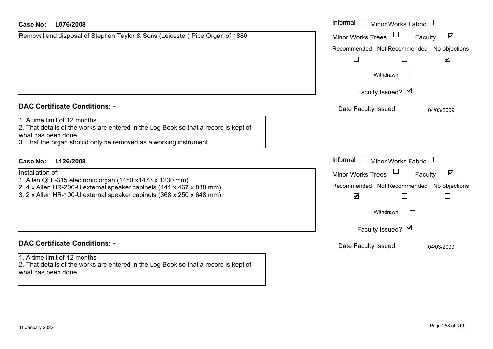| <b>Case No:</b><br>L076/2008                                                                                                                                                                                   | Informal<br>$\Box$<br><b>Minor Works Fabric</b>                   |
|----------------------------------------------------------------------------------------------------------------------------------------------------------------------------------------------------------------|-------------------------------------------------------------------|
| Removal and disposal of Stephen Taylor & Sons (Leicester) Pipe Organ of 1880                                                                                                                                   | $\blacktriangledown$<br><b>Minor Works Trees</b><br>Faculty       |
|                                                                                                                                                                                                                | Recommended Not Recommended No objections                         |
|                                                                                                                                                                                                                | $\Box$<br>$\blacktriangledown$                                    |
|                                                                                                                                                                                                                | Withdrawn                                                         |
|                                                                                                                                                                                                                | Faculty Issued? Ø                                                 |
| <b>DAC Certificate Conditions: -</b>                                                                                                                                                                           | Date Faculty Issued<br>04/03/2009                                 |
| 1. A time limit of 12 months<br>2. That details of the works are entered in the Log Book so that a record is kept of<br>what has been done<br>3. That the organ should only be removed as a working instrument |                                                                   |
| <b>Case No:</b><br>L126/2008                                                                                                                                                                                   | Informal<br>$\Box$ Minor Works Fabric                             |
| Installation of: -                                                                                                                                                                                             | $\blacktriangledown$<br><b>Minor Works Trees</b><br>Faculty       |
| 1. Allen QLF-315 electronic organ (1480 x1473 x 1230 mm)<br>$2.4$ x Allen HR-200-U external speaker cabinets (441 x 467 x 838 mm)<br>$3.2$ x Allen HR-100-U external speaker cabinets (368 x 250 x 648 mm)     | Recommended Not Recommended No objections<br>$\blacktriangledown$ |
|                                                                                                                                                                                                                | Withdrawn<br>$\overline{\phantom{a}}$                             |
|                                                                                                                                                                                                                | Faculty Issued? Ø                                                 |
| <b>DAC Certificate Conditions: -</b>                                                                                                                                                                           | Date Faculty Issued<br>04/03/2009                                 |
| 1. A time limit of 12 months                                                                                                                                                                                   |                                                                   |
| 2. That details of the works are entered in the Log Book so that a record is kept of                                                                                                                           |                                                                   |

what has been done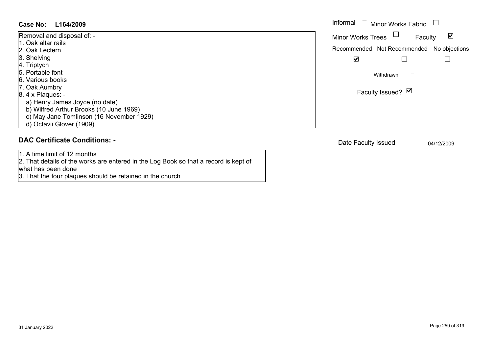### **L164/2009Case No:** Informal

| Removal and disposal of: -               |
|------------------------------------------|
| 1. Oak altar rails                       |
| 2. Oak Lectern                           |
| 3. Shelving                              |
| 4. Triptych                              |
| 5. Portable font                         |
| l6. Various books                        |
| 7. Oak Aumbry                            |
| 8. 4 x Plaques: -                        |
| a) Henry James Joyce (no date)           |
| b) Wilfred Arthur Brooks (10 June 1969)  |
| c) May Jane Tomlinson (16 November 1929) |
| d) Octavii Glover (1909)                 |
|                                          |

### **DAC Certificate Conditions: -**

1. A time limit of 12 months

 2. That details of the works are entered in the Log Book so that a record is kept of what has been done

3. That the four plaques should be retained in the church

| Informal<br>$\Box$ Minor Works Fabric     |                      |
|-------------------------------------------|----------------------|
| <b>Minor Works Trees</b><br>Faculty       | $\blacktriangledown$ |
| Recommended Not Recommended No objections |                      |
| V                                         |                      |
| Withdrawn                                 |                      |
| Faculty Issued? Ø                         |                      |
|                                           |                      |
|                                           |                      |
|                                           |                      |

Date Faculty Issued 04/12/2009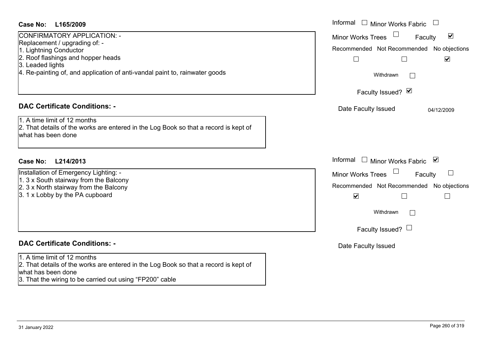### **L165/2009Case No:** Informal

CONFIRMATORY APPLICATION: -

Replacement / upgrading of: -

- 1. Lightning Conductor
- 2. Roof flashings and hopper heads
- 3. Leaded lights
- 4. Re-painting of, and application of anti-vandal paint to, rainwater goods

### **DAC Certificate Conditions: -**

1. A time limit of 12 months2. That details of the works are entered in the Log Book so that a record is kept of what has been done

### **L214/2013Case No:** Informal

Installation of Emergency Lighting: - 1. 3 x South stairway from the Balcony

- 2. 3 x North stairway from the Balcony
- 3. 1 x Lobby by the PA cupboard

### **DAC Certificate Conditions: -**

1. A time limit of 12 months

2. That details of the works are entered in the Log Book so that a record is kept of what has been done

3. That the wiring to be carried out using "FP200" cable

| Informal<br><b>Minor Works Fabric</b>                             |
|-------------------------------------------------------------------|
| ☑<br><b>Minor Works Trees</b><br>Faculty                          |
| Recommended Not Recommended No objections<br>$\blacktriangledown$ |
| Withdrawn                                                         |
| Faculty Issued? Ø                                                 |
| Date Faculty Issued<br>04/12/2009                                 |
|                                                                   |
| Informal<br>⊻<br><b>Minor Works Fabric</b>                        |
| <b>Minor Works Trees</b><br>Faculty                               |
| Recommended Not Recommended No objections<br>$\blacktriangledown$ |
| Withdrawn                                                         |
| Faculty Issued? $\Box$                                            |
| Date Faculty Issued                                               |
|                                                                   |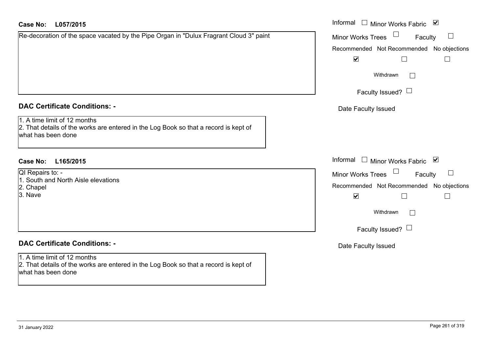### **L057/2015Case No:** Informal

| Re-decoration of the space vacated by the Pipe Organ in "Dulux Fragrant Cloud 3" paint |  |
|----------------------------------------------------------------------------------------|--|
|                                                                                        |  |
|                                                                                        |  |
|                                                                                        |  |
|                                                                                        |  |
|                                                                                        |  |

### **DAC Certificate Conditions: -**

| 1. A time limit of 12 months |  |  |  |  |  |  |  |
|------------------------------|--|--|--|--|--|--|--|
|------------------------------|--|--|--|--|--|--|--|

 2. That details of the works are entered in the Log Book so that a record is kept of what has been done

### **L165/2015Case No:** Informal

- QI Repairs to: -
- 1. South and North Aisle elevations
- 2. Chapel
- 3. Nave

### **DAC Certificate Conditions: -**

### 1. A time limit of 12 months

2. That details of the works are entered in the Log Book so that a record is kept of what has been done

| Informal<br><b>Minor Works Fabric</b>                                 | $\blacktriangledown$ |
|-----------------------------------------------------------------------|----------------------|
| <b>Minor Works Trees</b><br>Recommended Not Recommended No objections | Faculty              |
| $\overline{\mathbf{v}}$                                               |                      |
| Withdrawn                                                             |                      |
| Faculty Issued? $\Box$                                                |                      |
| Date Faculty Issued                                                   |                      |
|                                                                       |                      |
|                                                                       |                      |
| Informal<br>Minor Works Fabric ⊠                                      |                      |
| <b>Minor Works Trees</b>                                              | Faculty              |
| Recommended Not Recommended No objections<br>$\blacktriangledown$     |                      |
| Withdrawn                                                             |                      |
| Faculty Issued?                                                       |                      |
| Date Faculty Issued                                                   |                      |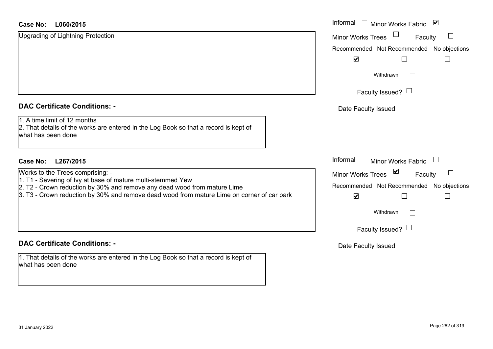### **L060/2015Case No:** Informal

Upgrading of Lightning Protection

### **DAC Certificate Conditions: -**

1. A time limit of 12 months

2. That details of the works are entered in the Log Book so that a record is kept of what has been done

### **L267/2015Case No:** Informal

Works to the Trees comprising: -

- 1. T1 Severing of Ivy at base of mature multi-stemmed Yew
- 2. T2 Crown reduction by 30% and remove any dead wood from mature Lime
- 3. T3 Crown reduction by 30% and remove dead wood from mature Lime on corner of car park

### **DAC Certificate Conditions: -**

1. That details of the works are entered in the Log Book so that a record is kept of what has been done

| Informal<br>⊻<br>Minor Works Fabric       |
|-------------------------------------------|
| <b>Minor Works Trees</b><br>Faculty       |
| Recommended Not Recommended No objections |
| ⊻                                         |
| Withdrawn                                 |
| Faculty Issued? $\Box$                    |
| Date Faculty Issued                       |
|                                           |
|                                           |
| Informal<br><b>Minor Works Fabric</b>     |
| ⊻<br><b>Minor Works Trees</b><br>Faculty  |
| Recommended Not Recommended No objections |
| $\blacktriangledown$                      |
| Withdrawn                                 |
| Faculty Issued?                           |
| Date Faculty Issued                       |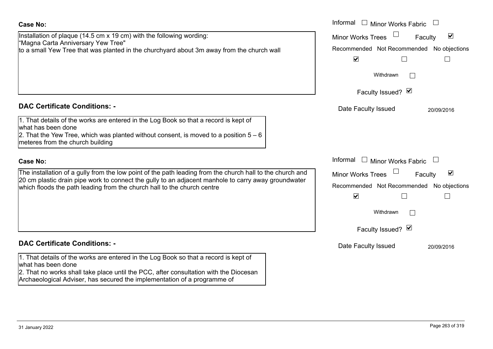| <b>Case No:</b>                                                                                                                                                                                       | Informal $\Box$ Minor Works Fabric                          |
|-------------------------------------------------------------------------------------------------------------------------------------------------------------------------------------------------------|-------------------------------------------------------------|
| Installation of plaque (14.5 cm $x$ 19 cm) with the following wording:                                                                                                                                | $\blacktriangledown$<br><b>Minor Works Trees</b><br>Faculty |
| "Magna Carta Anniversary Yew Tree"<br>to a small Yew Tree that was planted in the churchyard about 3m away from the church wall                                                                       | Recommended Not Recommended No objections                   |
|                                                                                                                                                                                                       | $\blacktriangledown$                                        |
|                                                                                                                                                                                                       | Withdrawn                                                   |
|                                                                                                                                                                                                       | Faculty Issued? Ø                                           |
| <b>DAC Certificate Conditions: -</b>                                                                                                                                                                  | Date Faculty Issued<br>20/09/2016                           |
| 1. That details of the works are entered in the Log Book so that a record is kept of<br>what has been done<br>2. That the Yew Tree, which was planted without consent, is moved to a position $5 - 6$ |                                                             |
| meteres from the church building                                                                                                                                                                      |                                                             |
| <b>Case No:</b>                                                                                                                                                                                       | Informal<br>$\Box$ Minor Works Fabric                       |
| The installation of a gully from the low point of the path leading from the church hall to the church and                                                                                             | $\blacktriangledown$<br><b>Minor Works Trees</b><br>Faculty |
| 20 cm plastic drain pipe work to connect the gully to an adjacent manhole to carry away groundwater                                                                                                   | Recommended Not Recommended No objections                   |
| which floods the path leading from the church hall to the church centre                                                                                                                               | $\blacktriangledown$<br>Г                                   |
|                                                                                                                                                                                                       | Withdrawn                                                   |
|                                                                                                                                                                                                       | Faculty Issued? Ø                                           |
| <b>DAC Certificate Conditions: -</b>                                                                                                                                                                  | Date Faculty Issued<br>20/09/2016                           |
| 1. That details of the works are entered in the Log Book so that a record is kept of<br>what has been done                                                                                            |                                                             |
| 2. That no works shall take place until the PCC, after consultation with the Diocesan<br>Archaeological Adviser, has secured the implementation of a programme of                                     |                                                             |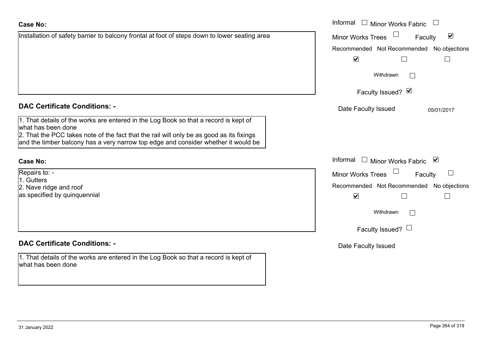# $\overline{\mathbf{v}}$ **DAC Certificate Conditions: -**Date Faculty Issued 05/01/2017 1. That details of the works are entered in the Log Book so that a record is kept of what has been done 2. That the PCC takes note of the fact that the rail will only be as good as its fixings and the timber balcony has a very narrow top edge and consider whether it would be Informal **Case No:**Repairs to: - Minor Works Trees 1. Gutters $Re$ 2. Nave ridge and roof as specified by quinquennial  $\overline{\mathbf{v}}$ **DAC Certificate Conditions: -**1. That details of the works are entered in the Log Book so that a record is kept of what has been done

Installation of safety barrier to balcony frontal at foot of steps down to lower seating area

Informal  $\Box$  Minor Works Fabric  $\Box$  Informal  $\blacktriangledown$ Faculty Minor Works Trees Recommended Not Recommended No objections  $\Box$  $\Box$ Withdrawn $\Box$ Faculty Issued? Ø

Informal  $\Box$  Minor Works Fabric  $\Box$ 

| טטטוו שוושו וטווו<br>r avany |                                          |  |
|------------------------------|------------------------------------------|--|
|                              | ecommended Not Recommended No objections |  |

Faculty

 $\Box$ 

 $\Box$ 

 $\Box$ 

Withdrawn $\Box$ 

Faculty Issued?  $\Box$ 

Date Faculty Issued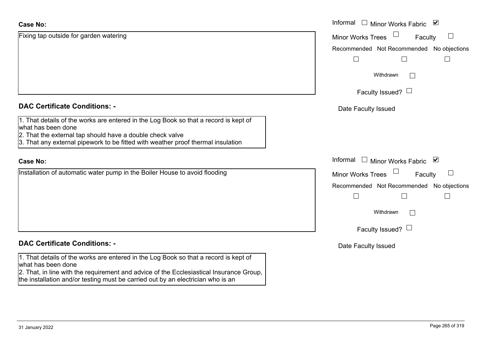| <b>Case No:</b>                                                                                                                                                                                                                                             | Informal □ Minor Works Fabric<br>$\overline{\mathbf{v}}$    |
|-------------------------------------------------------------------------------------------------------------------------------------------------------------------------------------------------------------------------------------------------------------|-------------------------------------------------------------|
| Fixing tap outside for garden watering                                                                                                                                                                                                                      | <b>Minor Works Trees</b><br>$\mathbb{R}^n$<br>Faculty       |
|                                                                                                                                                                                                                                                             | Recommended Not Recommended No objections                   |
|                                                                                                                                                                                                                                                             | $\Box$                                                      |
|                                                                                                                                                                                                                                                             | Withdrawn<br>$\mathbb{R}^n$                                 |
|                                                                                                                                                                                                                                                             | Faculty Issued? $\Box$                                      |
| <b>DAC Certificate Conditions: -</b>                                                                                                                                                                                                                        | Date Faculty Issued                                         |
| 1. That details of the works are entered in the Log Book so that a record is kept of<br>what has been done<br>2. That the external tap should have a double check valve<br>3. That any external pipework to be fitted with weather proof thermal insulation |                                                             |
| <b>Case No:</b>                                                                                                                                                                                                                                             | Informal $\Box$ Minor Works Fabric $\Box$                   |
| Installation of automatic water pump in the Boiler House to avoid flooding                                                                                                                                                                                  | Minor Works Trees<br>$\mathcal{L}_{\mathcal{A}}$<br>Faculty |
|                                                                                                                                                                                                                                                             | Recommended Not Recommended No objections                   |
|                                                                                                                                                                                                                                                             | $\perp$                                                     |
|                                                                                                                                                                                                                                                             | Withdrawn<br>$\mathbb{R}^n$                                 |
|                                                                                                                                                                                                                                                             | Faculty Issued? $\Box$                                      |
| <b>DAC Certificate Conditions: -</b>                                                                                                                                                                                                                        | Date Faculty Issued                                         |
| 1. That details of the works are entered in the Log Book so that a record is kept of<br>what has been done<br>2. That, in line with the requirement and advice of the Ecclesiastical Insurance Group,                                                       |                                                             |

the installation and/or testing must be carried out by an electrician who is an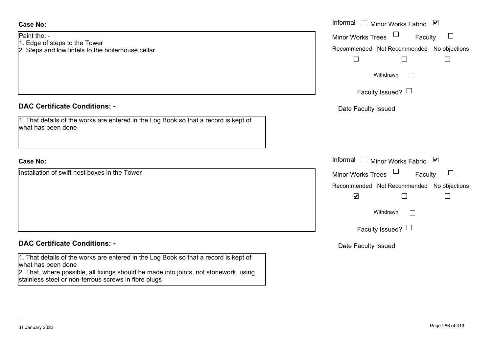| <b>DAC Certificate Conditions: -</b>                                                                       | Date Faculty Issued        |
|------------------------------------------------------------------------------------------------------------|----------------------------|
| 1. That details of the works are entered in the Log Book so that a record is kept of<br>what has been done |                            |
| Case No:                                                                                                   | Informal<br>Minor Works Fa |
| Installation of swift nest boxes in the Tower                                                              | <b>Minor Works Trees</b>   |
|                                                                                                            | Recommended Not Recomme    |
|                                                                                                            | $\blacktriangledown$       |
|                                                                                                            | Withdrawn                  |
|                                                                                                            | Faculty Issued? $\Box$     |
| <b>DAC Certificate Conditions: -</b>                                                                       | Date Faculty Issued        |
| 1. That details of the works are entered in the Log Book so that a record is kept of<br>what has been done |                            |
| 2. That, where possible, all fixings should be made into joints, not stonework, using                      |                            |

1. Edge of steps to the Tower

Paint the: -

**Case No:**

2. Steps and low lintels to the boilerhouse cellar

### **Case No:**

### **DAC Certificate Conditions: -**

2. That, where possible, all fixings should be made into joints, not stonework, using stainless steel or non-ferrous screws in fibre plugs

|                                                                                          | Informal $\Box$<br>Minor Works Fabric ⊠              |
|------------------------------------------------------------------------------------------|------------------------------------------------------|
| of steps to the Tower                                                                    | Minor Works Trees $\Box$<br>$\Box$<br>Faculty        |
| and low lintels to the boilerhouse cellar                                                | Recommended Not Recommended No objections            |
|                                                                                          |                                                      |
|                                                                                          | Withdrawn                                            |
|                                                                                          | Faculty Issued? $\Box$                               |
| rtificate Conditions: -                                                                  | Date Faculty Issued                                  |
| etails of the works are entered in the Log Book so that a record is kept of<br>been done |                                                      |
|                                                                                          | Informal $\square$<br>⊻<br><b>Minor Works Fabric</b> |
| on of swift nest boxes in the Tower                                                      | Minor Works Trees<br>$\Box$<br>Faculty               |
|                                                                                          | Recommended Not Recommended No objections            |

 $\Box$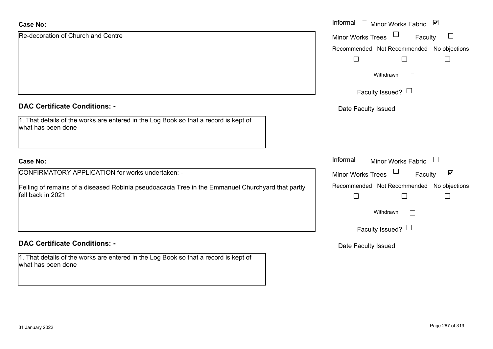| <b>Case No:</b>                                                                                                        | Informal $\square$<br>Minor Works Fabric ⊠                              |
|------------------------------------------------------------------------------------------------------------------------|-------------------------------------------------------------------------|
| Re-decoration of Church and Centre                                                                                     | $\Box$<br><b>Minor Works Trees</b><br>$\Box$<br>Faculty                 |
|                                                                                                                        | Recommended Not Recommended No objections                               |
|                                                                                                                        | $\Box$<br>П                                                             |
|                                                                                                                        | Withdrawn                                                               |
|                                                                                                                        | Faculty Issued? $\Box$                                                  |
| <b>DAC Certificate Conditions: -</b>                                                                                   | Date Faculty Issued                                                     |
| 1. That details of the works are entered in the Log Book so that a record is kept of<br>what has been done             |                                                                         |
| <b>Case No:</b>                                                                                                        | Informal<br>$\Box$<br><b>Minor Works Fabric</b><br>$\Box$               |
| CONFIRMATORY APPLICATION for works undertaken: -                                                                       | $\blacktriangledown$<br><b>Minor Works Trees</b><br>Faculty             |
| Felling of remains of a diseased Robinia pseudoacacia Tree in the Emmanuel Churchyard that partly<br>fell back in 2021 | Recommended Not Recommended No objections<br>$\Box$<br>$\Box$<br>$\Box$ |
|                                                                                                                        | Withdrawn<br>$\Box$                                                     |
|                                                                                                                        | Faculty Issued? $\Box$                                                  |
| <b>DAC Certificate Conditions: -</b>                                                                                   | Date Faculty Issued                                                     |
| 1. That details of the works are entered in the Log Book so that a record is kept of<br>what has been done             |                                                                         |
|                                                                                                                        |                                                                         |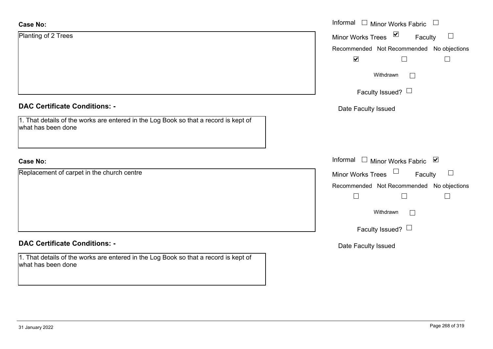| <b>Case No:</b>                                                                                            | Informal $\square$<br>Minor Works Fabric $\Box$                |
|------------------------------------------------------------------------------------------------------------|----------------------------------------------------------------|
| Planting of 2 Trees                                                                                        | $\blacktriangledown$<br>Minor Works Trees<br>$\Box$<br>Faculty |
|                                                                                                            | Recommended Not Recommended No objections                      |
|                                                                                                            | $\blacktriangledown$<br>$\Box$                                 |
|                                                                                                            | Withdrawn<br>$\perp$                                           |
|                                                                                                            | Faculty Issued? $\Box$                                         |
| <b>DAC Certificate Conditions: -</b>                                                                       | Date Faculty Issued                                            |
| 1. That details of the works are entered in the Log Book so that a record is kept of<br>what has been done |                                                                |
| <b>Case No:</b>                                                                                            | Informal<br>$\Box$<br>Minor Works Fabric ⊠                     |
| Replacement of carpet in the church centre                                                                 | Minor Works Trees<br>Faculty<br>$\Box$                         |
|                                                                                                            | Recommended Not Recommended No objections                      |
|                                                                                                            | $\Box$<br>$\Box$                                               |
|                                                                                                            | Withdrawn<br>$\perp$                                           |
|                                                                                                            | Faculty Issued? $\Box$                                         |
| <b>DAC Certificate Conditions: -</b>                                                                       | Date Faculty Issued                                            |
| 1. That details of the works are entered in the Log Book so that a record is kept of<br>what has been done |                                                                |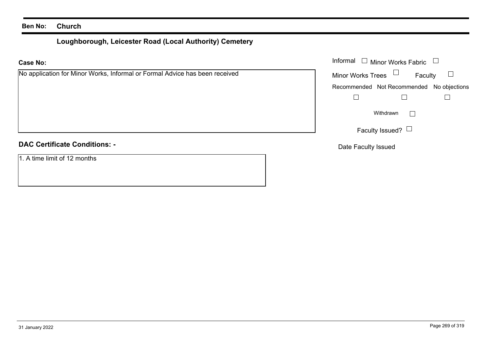# **Loughborough, Leicester Road (Local Authority) Cemetery**

| <b>Case No:</b>                                                             | Informal $\square$<br>Minor Works Fabric  |
|-----------------------------------------------------------------------------|-------------------------------------------|
| No application for Minor Works, Informal or Formal Advice has been received | Minor Works Trees $\Box$<br>Faculty       |
|                                                                             | Recommended Not Recommended No objections |
|                                                                             |                                           |
|                                                                             | Withdrawn<br>$\mathbf{I}$                 |
|                                                                             | Faculty Issued? $\Box$                    |
| <b>DAC Certificate Conditions: -</b>                                        | Date Faculty Issued                       |
| 1. A time limit of 12 months                                                |                                           |
|                                                                             |                                           |
|                                                                             |                                           |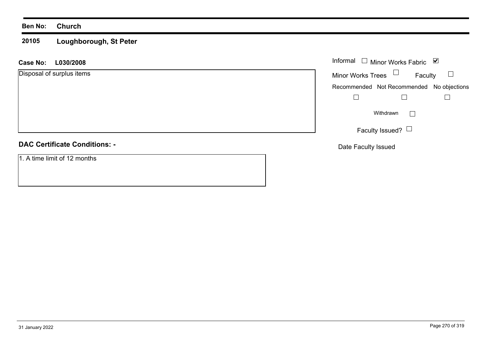### **20105Loughborough, St Peter**

### **L030/2008 Case No:** Informal

Disposal of surplus items

### **DAC Certificate Conditions: -**

1. A time limit of 12 months

| Informal                 | $\Box$ Minor Works Fabric                 | ⊻ |
|--------------------------|-------------------------------------------|---|
| <b>Minor Works Trees</b> | Faculty                                   |   |
|                          | Recommended Not Recommended No objections |   |
|                          |                                           |   |
|                          | Withdrawn                                 |   |
|                          | Faculty Issued?                           |   |

Date Faculty Issued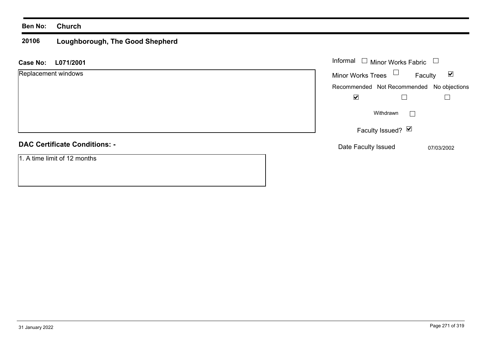### **20106 Loughborough, The Good Shepherd**

| L071/2001<br><b>Case No:</b>         | Informal<br>$\Box$ Minor Works Fabric     |                                    |
|--------------------------------------|-------------------------------------------|------------------------------------|
| Replacement windows                  | Minor Works Trees $\Box$                  | $\overline{\mathbf{v}}$<br>Faculty |
|                                      | Recommended Not Recommended No objections |                                    |
|                                      | $\blacktriangledown$                      |                                    |
|                                      | Withdrawn                                 |                                    |
|                                      | Faculty Issued? Ø                         |                                    |
| <b>DAC Certificate Conditions: -</b> | Date Faculty Issued                       | 07/03/2002                         |
| 1. A time limit of 12 months         |                                           |                                    |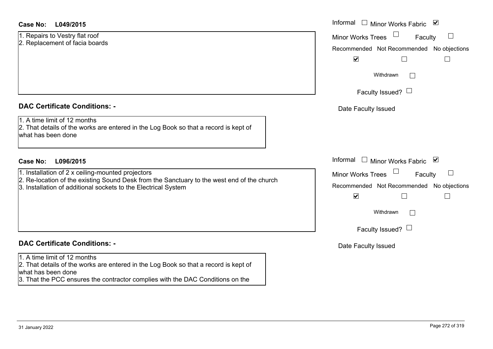### **DAC Certificate Conditions: -**

## **DAC Certificate Conditions: -**

### 1. A time limit of 12 months

2. That details of the works are entered in the Log Book so that a record is kept of what has been done

3. That the PCC ensures the contractor complies with the DAC Conditions on the

| <b>Case No:</b><br>L049/2015                                                                                                                                                                                      | Informal □ Minor Works Fabric ⊠                                                                                                          |
|-------------------------------------------------------------------------------------------------------------------------------------------------------------------------------------------------------------------|------------------------------------------------------------------------------------------------------------------------------------------|
| 1. Repairs to Vestry flat roof<br>2. Replacement of facia boards                                                                                                                                                  | $\Box$<br>Minor Works Trees<br>Faculty<br>Recommended Not Recommended No objections                                                      |
|                                                                                                                                                                                                                   | $\blacktriangledown$<br>Withdrawn<br>Faculty Issued? $\Box$                                                                              |
| <b>DAC Certificate Conditions: -</b>                                                                                                                                                                              | Date Faculty Issued                                                                                                                      |
| 1. A time limit of 12 months<br>2. That details of the works are entered in the Log Book so that a record is kept of<br>what has been done                                                                        |                                                                                                                                          |
| Case No:<br>L096/2015                                                                                                                                                                                             | Informal □ Minor Works Fabric ⊠                                                                                                          |
| 1. Installation of 2 x ceiling-mounted projectors<br>2. Re-location of the existing Sound Desk from the Sanctuary to the west end of the church<br>3. Installation of additional sockets to the Electrical System | Minor Works Trees<br>Faculty<br>Recommended Not Recommended No objections<br>$\blacktriangledown$<br>Withdrawn<br>Faculty Issued? $\Box$ |
| <b>DAC Certificate Conditions: -</b>                                                                                                                                                                              | Date Faculty Issued                                                                                                                      |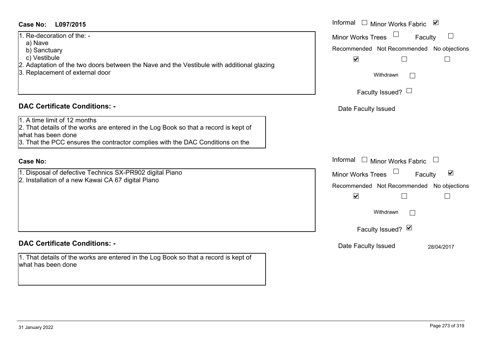### **L097/2015Case No:** Informal

1. Re-decoration of the: -

- a) Nave
- b) Sanctuary
- c) Vestibule
- 2. Adaptation of the two doors between the Nave and the Vestibule with additional glazing
- 3. Replacement of external door

### **DAC Certificate Conditions: -**

- 1. A time limit of 12 months
- 2. That details of the works are entered in the Log Book so that a record is kept of what has been done
- 3. That the PCC ensures the contractor complies with the DAC Conditions on the

### **Case No:**

1. Disposal of defective Technics SX-PR902 digital Piano 2. Installation of a new Kawai CA 67 digital Piano

### **DAC Certificate Conditions: -**

1. That details of the works are entered in the Log Book so that a record is kept of what has been done

| L097/2015                                                                                                                                                                               | Informal $\Box$ Minor Works Fabric<br>$\blacktriangledown$                                                                                                  |
|-----------------------------------------------------------------------------------------------------------------------------------------------------------------------------------------|-------------------------------------------------------------------------------------------------------------------------------------------------------------|
| coration of the: -<br>e<br>ctuary                                                                                                                                                       | <b>Minor Works Trees</b><br>Faculty<br>Recommended Not Recommended No objections                                                                            |
| tibule<br>ation of the two doors between the Nave and the Vestibule with additional glazing<br>cement of external door                                                                  | $\blacktriangledown$<br>П<br>Withdrawn<br>Faculty Issued? $\Box$                                                                                            |
| rtificate Conditions: -                                                                                                                                                                 | Date Faculty Issued                                                                                                                                         |
| limit of 12 months<br>etails of the works are entered in the Log Book so that a record is kept of<br>been done<br>ne PCC ensures the contractor complies with the DAC Conditions on the |                                                                                                                                                             |
|                                                                                                                                                                                         | Informal $\Box$ Minor Works Fabric $\Box$                                                                                                                   |
| al of defective Technics SX-PR902 digital Piano<br>ation of a new Kawai CA 67 digital Piano                                                                                             | $\blacktriangledown$<br>Minor Works Trees<br>Faculty<br>Recommended Not Recommended No objections<br>$\blacktriangledown$<br>Withdrawn<br>Faculty Issued? Ø |
| rtificate Conditions: -                                                                                                                                                                 | Date Faculty Issued<br>28/04/2017                                                                                                                           |
| etails of the works are entered in the Log Book so that a record is kept of                                                                                                             |                                                                                                                                                             |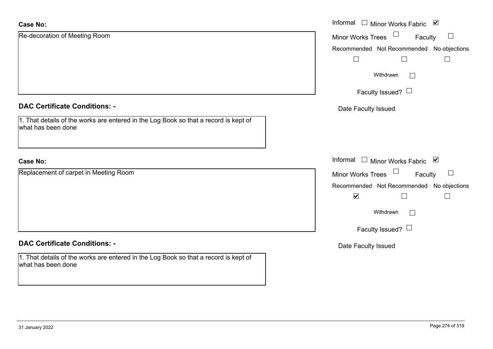| <b>Case No:</b>                                                                                            | Informal $\Box$<br>Minor Works Fabric ⊠   |
|------------------------------------------------------------------------------------------------------------|-------------------------------------------|
| Re-decoration of Meeting Room                                                                              | Minor Works Trees<br>$\Box$<br>Faculty    |
|                                                                                                            | Recommended Not Recommended No objections |
|                                                                                                            | $\Box$                                    |
|                                                                                                            | Withdrawn<br>$\Box$                       |
|                                                                                                            | Faculty Issued? $\Box$                    |
| <b>DAC Certificate Conditions: -</b>                                                                       | Date Faculty Issued                       |
| 1. That details of the works are entered in the Log Book so that a record is kept of<br>what has been done |                                           |
|                                                                                                            |                                           |
| <b>Case No:</b>                                                                                            | Informal □ Minor Works Fabric ⊠           |
| Replacement of carpet in Meeting Room                                                                      | Minor Works Trees<br>Faculty              |
|                                                                                                            | Recommended Not Recommended No objections |
|                                                                                                            | $\blacktriangledown$<br>$\Box$<br>⊔       |
|                                                                                                            | Withdrawn<br>$\sqrt{2}$                   |
|                                                                                                            | Faculty Issued? $\Box$                    |
| <b>DAC Certificate Conditions: -</b>                                                                       | Date Faculty Issued                       |
| 1. That details of the works are entered in the Log Book so that a record is kept of<br>what has been done |                                           |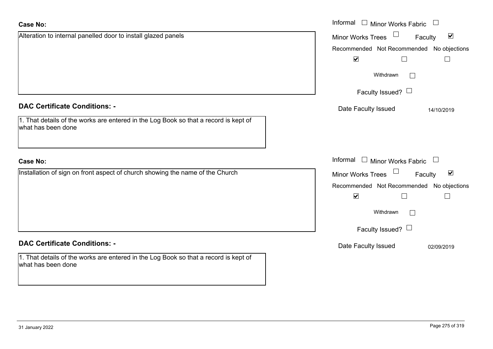| <b>Case No:</b>                                                                                            | Informal $\Box$ Minor Works Fabric                   |
|------------------------------------------------------------------------------------------------------------|------------------------------------------------------|
| Alteration to internal panelled door to install glazed panels                                              | $\blacktriangledown$<br>Minor Works Trees<br>Faculty |
|                                                                                                            | Recommended Not Recommended No objections            |
|                                                                                                            | $\blacktriangledown$<br>$\vert \ \ \vert$            |
|                                                                                                            | Withdrawn                                            |
|                                                                                                            | Faculty Issued? $\Box$                               |
| <b>DAC Certificate Conditions: -</b>                                                                       | Date Faculty Issued<br>14/10/2019                    |
| 1. That details of the works are entered in the Log Book so that a record is kept of<br>what has been done |                                                      |
| <b>Case No:</b>                                                                                            | Informal $\Box$ Minor Works Fabric $\Box$            |
| Installation of sign on front aspect of church showing the name of the Church                              | $\blacktriangledown$<br>Minor Works Trees<br>Faculty |
|                                                                                                            | Recommended Not Recommended No objections            |
|                                                                                                            | $\blacktriangledown$<br>$\Box$                       |
|                                                                                                            | Withdrawn<br>$\Box$                                  |
|                                                                                                            | Faculty Issued? $\Box$                               |
| <b>DAC Certificate Conditions: -</b>                                                                       | Date Faculty Issued<br>02/09/2019                    |
| 1. That details of the works are entered in the Log Book so that a record is kept of<br>what has been done |                                                      |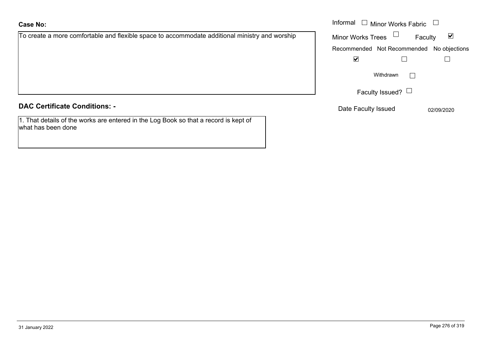**Case No:**

## **DAC Certificate Conditions: -**

1. That details of the works are entered in the Log Book so that a record is kept of what has been done

To create a more comfortable and flexible space to accommodate additional ministry and worship

Informal  $\Box$  Minor Works Fabric  $\Box$  Informal Faculty  $\blacktriangledown$ Minor Works Trees Recommended Not Recommended No objections  $\blacktriangledown$  $\Box$  $\Box$  $\Box$ Withdrawn Faculty Issued?  $\Box$ 

Date Faculty Issued 02/09/2020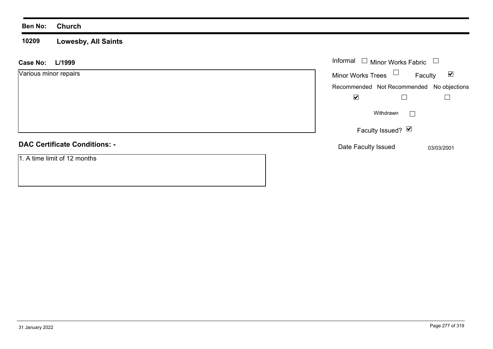**10209 Lowesby, All Saints**

| <b>Case No:</b><br>L/1999            | Informal<br>$\Box$ Minor Works Fabric $\Box$ |                |                      |
|--------------------------------------|----------------------------------------------|----------------|----------------------|
| Various minor repairs                | Minor Works Trees $\Box$                     | Faculty        | $\blacktriangledown$ |
|                                      | Recommended Not Recommended No objections    |                |                      |
|                                      | $\blacktriangledown$                         |                |                      |
|                                      | Withdrawn                                    | $\mathbb{R}^n$ |                      |
|                                      | Faculty Issued? Ø                            |                |                      |
| <b>DAC Certificate Conditions: -</b> | Date Faculty Issued                          |                | 03/03/2001           |
| 1. A time limit of 12 months         |                                              |                |                      |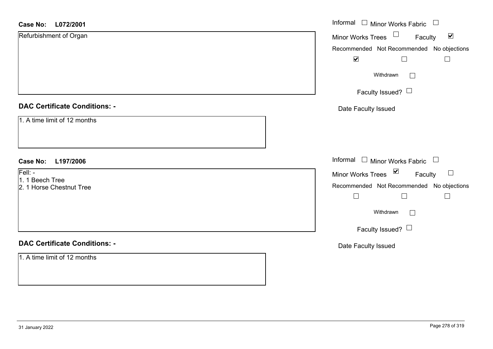| L072/2001<br><b>Case No:</b>         | Informal $\Box$ Minor Works Fabric $\Box$            |
|--------------------------------------|------------------------------------------------------|
| Refurbishment of Organ               | Minor Works Trees<br>$\blacktriangledown$<br>Faculty |
|                                      | Recommended Not Recommended No objections            |
|                                      | $\blacktriangledown$<br>$\Box$                       |
|                                      | Withdrawn<br>$\Box$                                  |
|                                      | Faculty Issued?                                      |
| <b>DAC Certificate Conditions: -</b> | Date Faculty Issued                                  |
| 1. A time limit of 12 months         |                                                      |
| <b>Case No:</b><br>L197/2006         | Informal □ Minor Works Fabric □                      |
| Fell: -<br>1. 1 Beech Tree           | Minor Works Trees $\Box$<br>Faculty<br>$\Box$        |
| 2. 1 Horse Chestnut Tree             | Recommended Not Recommended No objections            |
|                                      | $\Box$<br>$\Box$<br>$\overline{\phantom{a}}$         |
|                                      | Withdrawn<br>$\Box$                                  |
|                                      | Faculty Issued? $\Box$                               |
| <b>DAC Certificate Conditions: -</b> | Date Faculty Issued                                  |
| 1. A time limit of 12 months         |                                                      |
|                                      |                                                      |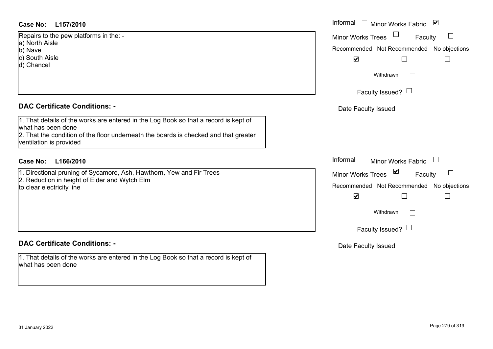### **L157/2010Case No:** Informal

Repairs to the pew platforms in the: a) North Aisle b) Nave c) South Aisle d) Chancel

### **DAC Certificate Conditions: -**

1. That details of the works are entered in the Log Book so that a record is kept of what has been done 2. That the condition of the floor underneath the boards is checked and that greater ventilation is provided

### **L166/2010Case No:** Informal

1. Directional pruning of Sycamore, Ash, Hawthorn, Yew and Fir Trees 2. Reduction in height of Elder and Wytch Elm to clear electricity line

### **DAC Certificate Conditions: -**

1. That details of the works are entered in the Log Book so that a record is kept of what has been done

| Informal |                          | Minor Works Fabric ⊠      |                                           |
|----------|--------------------------|---------------------------|-------------------------------------------|
|          | <b>Minor Works Trees</b> | Faculty                   |                                           |
|          |                          |                           | Recommended Not Recommended No objections |
|          | $\blacktriangledown$     |                           |                                           |
|          | Withdrawn                |                           |                                           |
|          | Faculty Issued?          |                           |                                           |
|          | Date Faculty Issued      |                           |                                           |
|          |                          |                           |                                           |
|          |                          |                           |                                           |
| Informal |                          | $\Box$ Minor Works Fabric | $\Box$                                    |
|          | <b>Minor Works Trees</b> | ⊻<br>Faculty              |                                           |
|          |                          |                           | Recommended Not Recommended No objections |
|          | $\blacktriangledown$     |                           |                                           |
|          | Withdrawn                |                           |                                           |
|          | Faculty Issued?          |                           |                                           |
|          | Date Faculty Issued      |                           |                                           |
|          |                          |                           |                                           |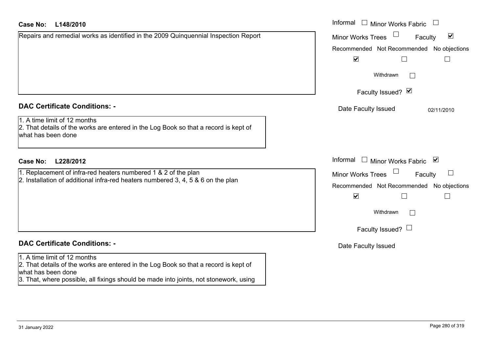### **L148/2010Case No:** Informal

| Repairs and remedial works as identified in the 2009 Quinquennial Inspection Report |  |
|-------------------------------------------------------------------------------------|--|
|                                                                                     |  |
|                                                                                     |  |
|                                                                                     |  |
|                                                                                     |  |
|                                                                                     |  |
| <b>DAC Cortificato Conditions: -</b>                                                |  |

### **DAC Certificate Conditions: -**

1. A time limit of 12 months

 2. That details of the works are entered in the Log Book so that a record is kept of what has been done

### **L228/2012Case No:** Informal

1. Replacement of infra-red heaters numbered 1 & 2 of the plan 2. Installation of additional infra-red heaters numbered 3, 4, 5 & 6 on the plan

### **DAC Certificate Conditions: -**

### 1. A time limit of 12 months

2. That details of the works are entered in the Log Book so that a record is kept of what has been done

3. That, where possible, all fixings should be made into joints, not stonework, using

| Informal<br><b>Minor Works Fabric</b>                             |
|-------------------------------------------------------------------|
| $\blacktriangledown$<br><b>Minor Works Trees</b><br>Faculty       |
| Recommended Not Recommended No objections<br>$\blacktriangledown$ |
| Withdrawn                                                         |
| Faculty Issued? Ø                                                 |
| Date Faculty Issued<br>02/11/2010                                 |
|                                                                   |
| Informal<br>⊻<br><b>Minor Works Fabric</b>                        |
| <b>Minor Works Trees</b><br>Faculty                               |
| Recommended Not Recommended No objections<br>$\blacktriangledown$ |
| Withdrawn                                                         |
| Faculty Issued?                                                   |
| Date Faculty Issued                                               |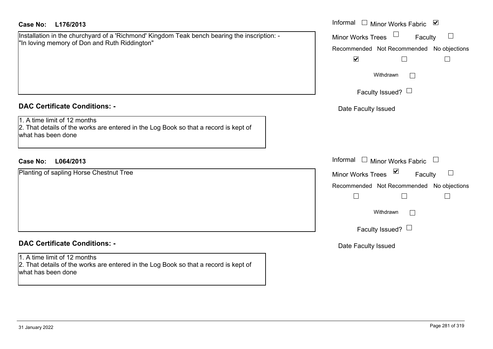| "In loving memory of Don and Ruth Riddington" |  | Installation in the churchyard of a 'Richmond' Kingdom Teak bench bearing the inscription: - |
|-----------------------------------------------|--|----------------------------------------------------------------------------------------------|
|                                               |  |                                                                                              |
|                                               |  |                                                                                              |
|                                               |  |                                                                                              |
|                                               |  |                                                                                              |
|                                               |  |                                                                                              |
|                                               |  |                                                                                              |
|                                               |  |                                                                                              |
|                                               |  |                                                                                              |
|                                               |  |                                                                                              |

### **DAC Certificate Conditions: -**

### **L064/2013Case No:** Informal

## **DAC Certificate Conditions: -**

1. A time limit of 12 months 2. That details of the works are entered in the Log Book so that a record is kept of what has been done

| Case No:<br>L176/2013                                                                                                                         | Informal $\Box$ Minor Works Fabric $\Box$        |
|-----------------------------------------------------------------------------------------------------------------------------------------------|--------------------------------------------------|
| Installation in the churchyard of a 'Richmond' Kingdom Teak bench bearing the inscription: -<br>"In loving memory of Don and Ruth Riddington" | <b>Minor Works Trees</b><br>⊔<br>Faculty         |
|                                                                                                                                               | Recommended Not Recommended No objections        |
|                                                                                                                                               | $\blacktriangledown$                             |
|                                                                                                                                               | Withdrawn                                        |
|                                                                                                                                               | Faculty Issued? $\Box$                           |
| <b>DAC Certificate Conditions: -</b>                                                                                                          | Date Faculty Issued                              |
| 1. A time limit of 12 months<br>2. That details of the works are entered in the Log Book so that a record is kept of<br>what has been done    |                                                  |
| Case No:<br>L064/2013                                                                                                                         | Informal $\Box$ Minor Works Fabric $\Box$        |
| Planting of sapling Horse Chestnut Tree                                                                                                       | $\sum$<br>Minor Works Trees<br>$\Box$<br>Faculty |
|                                                                                                                                               | Recommended Not Recommended No objections        |
|                                                                                                                                               |                                                  |
|                                                                                                                                               | Withdrawn                                        |
|                                                                                                                                               | Faculty Issued? $\Box$                           |
| <b>DAC Certificate Conditions: -</b>                                                                                                          | Date Faculty Issued                              |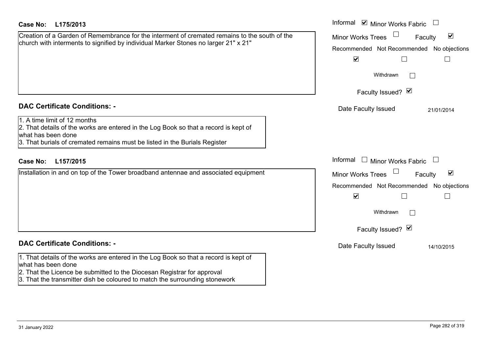| Case No:<br>L175/2013                                                                                                                                                                                                                                                | Informal ⊠ Minor Works Fabric                                                                                                                                  |
|----------------------------------------------------------------------------------------------------------------------------------------------------------------------------------------------------------------------------------------------------------------------|----------------------------------------------------------------------------------------------------------------------------------------------------------------|
| Creation of a Garden of Remembrance for the interment of cremated remains to the south of the<br>church with interments to signified by individual Marker Stones no larger 21" x 21"                                                                                 | $\blacktriangledown$<br><b>Minor Works Trees</b><br>Faculty<br>Recommended Not Recommended No objections<br>$\blacktriangledown$                               |
|                                                                                                                                                                                                                                                                      | Withdrawn<br>Faculty Issued? Ø                                                                                                                                 |
| <b>DAC Certificate Conditions: -</b><br>1. A time limit of 12 months<br>2. That details of the works are entered in the Log Book so that a record is kept of<br>what has been done<br>3. That burials of cremated remains must be listed in the Burials Register     | Date Faculty Issued<br>21/01/2014                                                                                                                              |
| <b>Case No:</b><br>L157/2015                                                                                                                                                                                                                                         | Informal<br>$\Box$<br><b>Minor Works Fabric</b>                                                                                                                |
| Installation in and on top of the Tower broadband antennae and associated equipment                                                                                                                                                                                  | $\blacktriangledown$<br>Minor Works Trees<br>Faculty<br>Recommended Not Recommended<br>No objections<br>$\blacktriangledown$<br>Withdrawn<br>Faculty Issued? Ø |
| <b>DAC Certificate Conditions: -</b>                                                                                                                                                                                                                                 | Date Faculty Issued<br>14/10/2015                                                                                                                              |
| 1. That details of the works are entered in the Log Book so that a record is kept of<br>what has been done<br>2. That the Licence be submitted to the Diocesan Registrar for approval<br>3. That the transmitter dish be coloured to match the surrounding stonework |                                                                                                                                                                |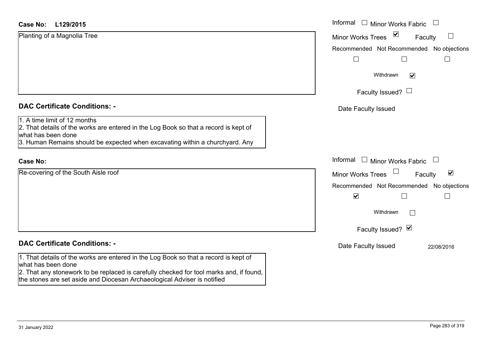#### **L129/2015Case No:**

| <b>Case No:</b><br>L129/2015                                                                                                                                                                                               | Informal □ Minor Works Fabric<br>$\Box$                     |
|----------------------------------------------------------------------------------------------------------------------------------------------------------------------------------------------------------------------------|-------------------------------------------------------------|
| Planting of a Magnolia Tree                                                                                                                                                                                                | $\sum$<br>Minor Works Trees<br>$\Box$<br>Faculty            |
|                                                                                                                                                                                                                            | Recommended Not Recommended No objections                   |
|                                                                                                                                                                                                                            | $\Box$                                                      |
|                                                                                                                                                                                                                            | $\blacktriangledown$<br>Withdrawn                           |
|                                                                                                                                                                                                                            | Faculty Issued? $\Box$                                      |
| <b>DAC Certificate Conditions: -</b>                                                                                                                                                                                       | Date Faculty Issued                                         |
| 1. A time limit of 12 months<br>2. That details of the works are entered in the Log Book so that a record is kept of<br>what has been done<br>3. Human Remains should be expected when excavating within a churchyard. Any |                                                             |
| <b>Case No:</b>                                                                                                                                                                                                            | Informal $\Box$ Minor Works Fabric                          |
| Re-covering of the South Aisle roof                                                                                                                                                                                        | $\blacktriangledown$<br><b>Minor Works Trees</b><br>Faculty |
|                                                                                                                                                                                                                            | Recommended Not Recommended No objections                   |
|                                                                                                                                                                                                                            | $\blacktriangledown$<br>$\Box$<br>$\mathbf{L}$              |
|                                                                                                                                                                                                                            | Withdrawn<br>$\mathbf{L}$                                   |
|                                                                                                                                                                                                                            | Faculty Issued? Ø                                           |
| <b>DAC Certificate Conditions: -</b>                                                                                                                                                                                       | Date Faculty Issued<br>22/08/2016                           |
| 1. That details of the works are entered in the Log Book so that a record is kept of<br>what has been done<br>2. That any stonework to be replaced is carefully checked for tool marks and, if found,                      |                                                             |

the stones are set aside and Diocesan Archaeological Adviser is notified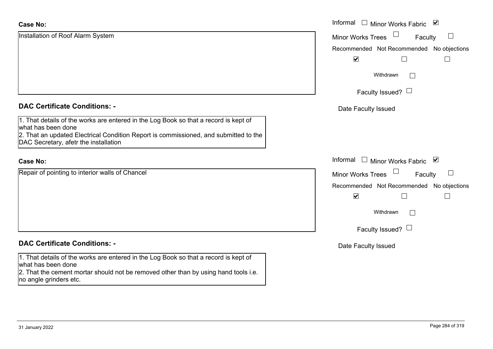| <b>Case No:</b>                                                                                                                                                                                                                             | Informal □ Minor Works Fabric ⊠               |
|---------------------------------------------------------------------------------------------------------------------------------------------------------------------------------------------------------------------------------------------|-----------------------------------------------|
| Installation of Roof Alarm System                                                                                                                                                                                                           | $\Box$<br><b>Minor Works Trees</b><br>Faculty |
|                                                                                                                                                                                                                                             | Recommended Not Recommended No objections     |
|                                                                                                                                                                                                                                             | $\blacktriangledown$                          |
|                                                                                                                                                                                                                                             | Withdrawn                                     |
|                                                                                                                                                                                                                                             | Faculty Issued? $\Box$                        |
| <b>DAC Certificate Conditions: -</b>                                                                                                                                                                                                        | Date Faculty Issued                           |
| 1. That details of the works are entered in the Log Book so that a record is kept of<br>what has been done<br>2. That an updated Electrical Condition Report is commissioned, and submitted to the<br>DAC Secretary, afetr the installation |                                               |
| <b>Case No:</b>                                                                                                                                                                                                                             | Informal □ Minor Works Fabric ⊠               |
| Repair of pointing to interior walls of Chancel                                                                                                                                                                                             | Minor Works Trees<br>ப<br>Faculty             |
|                                                                                                                                                                                                                                             | Recommended Not Recommended No objections     |
|                                                                                                                                                                                                                                             | $\blacktriangledown$                          |
|                                                                                                                                                                                                                                             | Withdrawn<br>$\vert \ \ \vert$                |
|                                                                                                                                                                                                                                             | Faculty Issued? $\Box$                        |
| <b>DAC Certificate Conditions: -</b>                                                                                                                                                                                                        | Date Faculty Issued                           |
| 1. That details of the works are entered in the Log Book so that a record is kept of<br>what has been done<br>2. That the cement mortar should not be removed other than by using hand tools i.e.<br>no angle grinders etc.                 |                                               |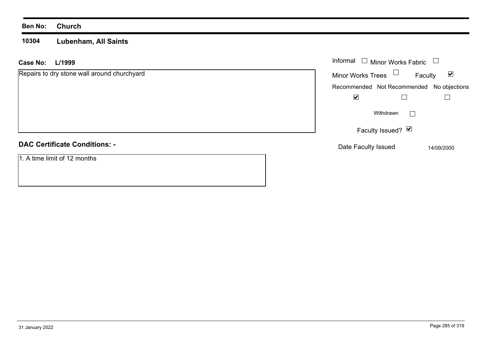### **10304 Lubenham, All Saints**

| L/1999<br>Case No:                          |  | Informal $\Box$ Minor Works Fabric        |                |                      |
|---------------------------------------------|--|-------------------------------------------|----------------|----------------------|
| Repairs to dry stone wall around churchyard |  | Minor Works Trees $\Box$                  | Faculty        | $\blacktriangledown$ |
|                                             |  | Recommended Not Recommended No objections |                |                      |
|                                             |  | $\blacktriangledown$                      |                |                      |
|                                             |  | Withdrawn                                 | $\mathbb{R}^n$ |                      |
|                                             |  | Faculty Issued? Ø                         |                |                      |
| <b>DAC Certificate Conditions: -</b>        |  | Date Faculty Issued                       |                | 14/09/2000           |
| 1. A time limit of 12 months                |  |                                           |                |                      |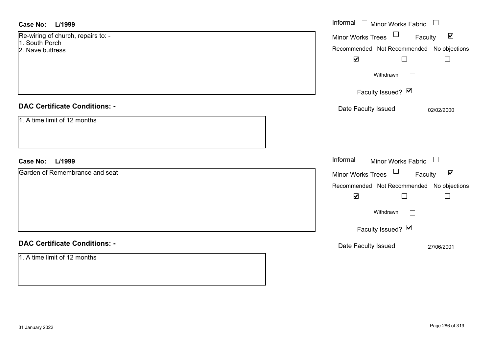| <b>Case No:</b><br>L/1999                            | Informal □ Minor Works Fabric                                         |
|------------------------------------------------------|-----------------------------------------------------------------------|
| Re-wiring of church, repairs to: -<br>1. South Porch | Minor Works Trees<br>$\blacktriangledown$<br>Faculty                  |
| 2. Nave buttress                                     | Recommended Not Recommended No objections                             |
|                                                      | $\blacktriangledown$<br>$\Box$<br>$\Box$                              |
|                                                      | Withdrawn<br>$\Box$                                                   |
|                                                      | Faculty Issued? Ø                                                     |
| <b>DAC Certificate Conditions: -</b>                 | Date Faculty Issued<br>02/02/2000                                     |
| 1. A time limit of 12 months                         |                                                                       |
|                                                      |                                                                       |
|                                                      |                                                                       |
|                                                      |                                                                       |
| L/1999<br><b>Case No:</b>                            | Informal □ Minor Works Fabric                                         |
| Garden of Remembrance and seat                       | $\blacktriangledown$<br>$\Box$<br><b>Minor Works Trees</b><br>Faculty |
|                                                      | Recommended Not Recommended No objections                             |
|                                                      | $\blacktriangledown$<br>$\Box$<br>$\Box$                              |
|                                                      | Withdrawn<br>$\Box$                                                   |
|                                                      | Faculty Issued? Ø                                                     |
| <b>DAC Certificate Conditions: -</b>                 | Date Faculty Issued<br>27/06/2001                                     |
| 1. A time limit of 12 months                         |                                                                       |
|                                                      |                                                                       |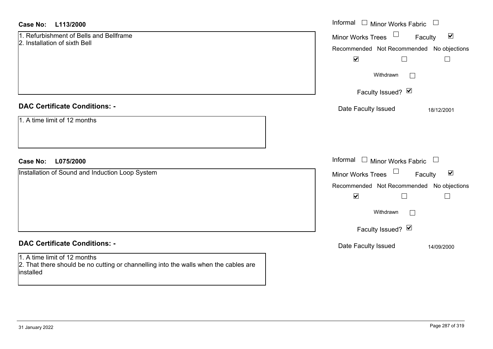#### **L113/2000Case No:**

| <b>Case No:</b><br>L113/2000                                                                                                      | Informal □ Minor Works Fabric                                         |  |
|-----------------------------------------------------------------------------------------------------------------------------------|-----------------------------------------------------------------------|--|
| 1. Refurbishment of Bells and Bellframe                                                                                           | $\Box$<br>$\blacktriangledown$<br>Minor Works Trees<br>Faculty        |  |
| 2. Installation of sixth Bell                                                                                                     | Recommended Not Recommended No objections                             |  |
|                                                                                                                                   | $\blacktriangledown$<br>$\Box$                                        |  |
|                                                                                                                                   | Withdrawn<br>$\Box$                                                   |  |
|                                                                                                                                   | Faculty Issued? Ø                                                     |  |
| <b>DAC Certificate Conditions: -</b>                                                                                              | Date Faculty Issued<br>18/12/2001                                     |  |
| 1. A time limit of 12 months                                                                                                      |                                                                       |  |
|                                                                                                                                   |                                                                       |  |
|                                                                                                                                   |                                                                       |  |
| <b>Case No:</b><br>L075/2000                                                                                                      | Informal<br>$\Box$ Minor Works Fabric                                 |  |
| Installation of Sound and Induction Loop System                                                                                   | $\Box$<br>$\blacktriangledown$<br>Faculty<br><b>Minor Works Trees</b> |  |
|                                                                                                                                   | Recommended Not Recommended No objections                             |  |
|                                                                                                                                   | $\blacktriangledown$<br>$\mathcal{L}_{\mathcal{A}}$                   |  |
|                                                                                                                                   | Withdrawn                                                             |  |
|                                                                                                                                   | Faculty Issued? Ø                                                     |  |
| <b>DAC Certificate Conditions: -</b>                                                                                              | Date Faculty Issued<br>14/09/2000                                     |  |
| 1. A time limit of 12 months<br>2. That there should be no cutting or channelling into the walls when the cables are<br>installed |                                                                       |  |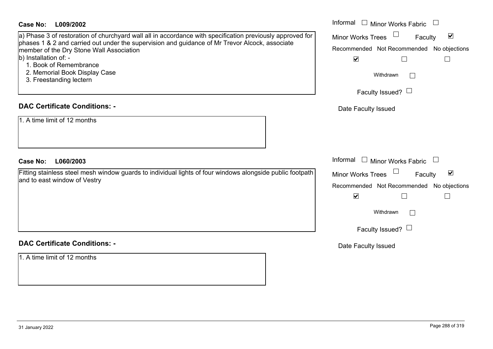| Case No:<br>L009/2002                                                                                                                      | Informal $\Box$ Minor Works Fabric                          |
|--------------------------------------------------------------------------------------------------------------------------------------------|-------------------------------------------------------------|
| a) Phase 3 of restoration of churchyard wall all in accordance with specification previously approved for                                  | $\blacktriangledown$<br><b>Minor Works Trees</b><br>Faculty |
| phases 1 & 2 and carried out under the supervision and guidance of Mr Trevor Alcock, associate<br>member of the Dry Stone Wall Association | Recommended Not Recommended No objections                   |
| b) Installation of: -                                                                                                                      | $\blacktriangledown$<br>$\Box$<br>$\overline{\phantom{a}}$  |
| 1. Book of Remembrance                                                                                                                     |                                                             |
| 2. Memorial Book Display Case<br>3. Freestanding lectern                                                                                   | Withdrawn<br>$\sim$                                         |
|                                                                                                                                            |                                                             |
|                                                                                                                                            | Faculty Issued? $\Box$                                      |
| <b>DAC Certificate Conditions: -</b>                                                                                                       | Date Faculty Issued                                         |
| 1. A time limit of 12 months                                                                                                               |                                                             |
|                                                                                                                                            |                                                             |
|                                                                                                                                            |                                                             |
|                                                                                                                                            |                                                             |
| L060/2003<br><b>Case No:</b>                                                                                                               | Informal<br>$\Box$<br><b>Minor Works Fabric</b><br>$\Box$   |
| Fitting stainless steel mesh window guards to individual lights of four windows alongside public footpath                                  | $\blacktriangledown$<br><b>Minor Works Trees</b><br>Faculty |
| and to east window of Vestry                                                                                                               | Recommended Not Recommended<br>No objections                |
|                                                                                                                                            | $\blacktriangledown$<br>$\Box$<br>$\Box$                    |
|                                                                                                                                            |                                                             |
|                                                                                                                                            | Withdrawn                                                   |
|                                                                                                                                            | Faculty Issued? $\Box$                                      |
| <b>DAC Certificate Conditions: -</b>                                                                                                       |                                                             |
|                                                                                                                                            | Date Faculty Issued                                         |
| 1. A time limit of 12 months                                                                                                               |                                                             |
|                                                                                                                                            |                                                             |
|                                                                                                                                            |                                                             |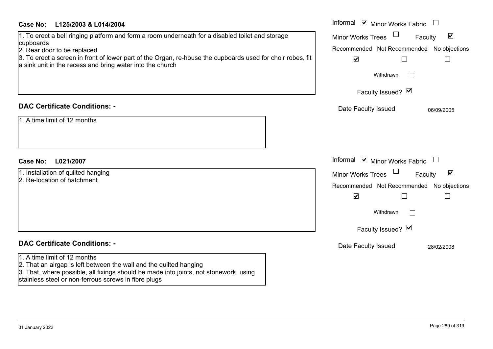| Case No:<br>L125/2003 & L014/2004 |  |
|-----------------------------------|--|
|-----------------------------------|--|

| Case No: L125/2003 & L014/2004                                                                                                                                                                                                                      | Informal Ø Minor Works Fabric □                             |
|-----------------------------------------------------------------------------------------------------------------------------------------------------------------------------------------------------------------------------------------------------|-------------------------------------------------------------|
| 1. To erect a bell ringing platform and form a room underneath for a disabled toilet and storage<br>cupboards                                                                                                                                       | $\blacktriangledown$<br><b>Minor Works Trees</b><br>Faculty |
| 2. Rear door to be replaced                                                                                                                                                                                                                         | Recommended Not Recommended No objections                   |
| 3. To erect a screen in front of lower part of the Organ, re-house the cupboards used for choir robes, fit<br>a sink unit in the recess and bring water into the church                                                                             | $\blacktriangledown$                                        |
|                                                                                                                                                                                                                                                     | Withdrawn                                                   |
|                                                                                                                                                                                                                                                     | Faculty Issued? Ø                                           |
| <b>DAC Certificate Conditions: -</b>                                                                                                                                                                                                                | Date Faculty Issued<br>06/09/2005                           |
| 1. A time limit of 12 months                                                                                                                                                                                                                        |                                                             |
| <b>Case No:</b><br>L021/2007                                                                                                                                                                                                                        | Informal ☑ Minor Works Fabric                               |
| 1. Installation of quilted hanging<br>2. Re-location of hatchment                                                                                                                                                                                   | $\blacktriangledown$<br><b>Minor Works Trees</b><br>Faculty |
|                                                                                                                                                                                                                                                     | Recommended Not Recommended No objections                   |
|                                                                                                                                                                                                                                                     | $\blacktriangledown$                                        |
|                                                                                                                                                                                                                                                     | Withdrawn                                                   |
|                                                                                                                                                                                                                                                     | Faculty Issued? Ø                                           |
| <b>DAC Certificate Conditions: -</b>                                                                                                                                                                                                                | Date Faculty Issued<br>28/02/2008                           |
| 1. A time limit of 12 months<br>2. That an airgap is left between the wall and the quilted hanging<br>3. That, where possible, all fixings should be made into joints, not stonework, using<br>stainless steel or non-ferrous screws in fibre plugs |                                                             |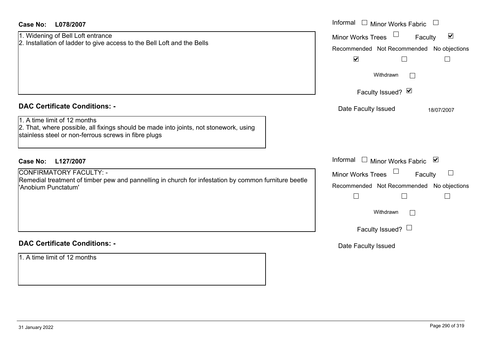| <b>Case No:</b><br>L078/2007                                                                                                                                                                                          | Informal<br>$\Box$ Minor Works Fabric                                                                                                                                                                                      |
|-----------------------------------------------------------------------------------------------------------------------------------------------------------------------------------------------------------------------|----------------------------------------------------------------------------------------------------------------------------------------------------------------------------------------------------------------------------|
| 1. Widening of Bell Loft entrance<br>2. Installation of ladder to give access to the Bell Loft and the Bells                                                                                                          | $\blacktriangledown$<br><b>Minor Works Trees</b><br>Faculty<br>Recommended Not Recommended No objections<br>$\blacktriangledown$<br>$\Box$<br>$\Box$<br>Withdrawn<br>$\Box$                                                |
| <b>DAC Certificate Conditions: -</b><br>1. A time limit of 12 months<br>2. That, where possible, all fixings should be made into joints, not stonework, using<br>stainless steel or non-ferrous screws in fibre plugs | Faculty Issued? Ø<br>Date Faculty Issued<br>18/07/2007                                                                                                                                                                     |
| L127/2007<br><b>Case No:</b><br>CONFIRMATORY FACULTY: -<br>Remedial treatment of timber pew and pannelling in church for infestation by common furniture beetle<br>'Anobium Punctatum'                                | Informal<br>$\Box$ Minor Works Fabric $\Box$<br><b>Minor Works Trees</b><br>$\mathbf{L}$<br>Faculty<br>Recommended Not Recommended No objections<br>$\Box$<br>$\Box$<br>$\Box$<br>Withdrawn<br>$\mathcal{L}^{\mathcal{A}}$ |
| <b>DAC Certificate Conditions: -</b><br>1. A time limit of 12 months                                                                                                                                                  | Faculty Issued? $\Box$<br>Date Faculty Issued                                                                                                                                                                              |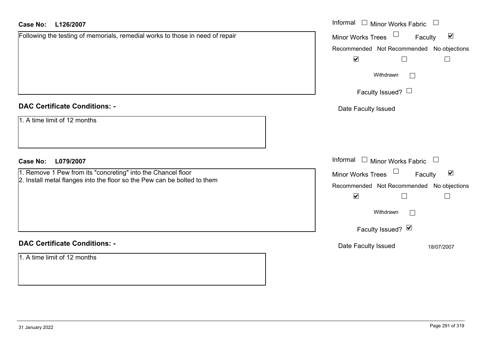| <b>Case No:</b><br>L126/2007                                                  | Informal $\Box$ Minor Works Fabric $\Box$                         |
|-------------------------------------------------------------------------------|-------------------------------------------------------------------|
| Following the testing of memorials, remedial works to those in need of repair | Minor Works Trees <sup>1</sup><br>$\blacktriangledown$<br>Faculty |
|                                                                               | Recommended Not Recommended No objections                         |
|                                                                               | $\blacktriangledown$<br>$\Box$<br>$\Box$                          |
|                                                                               | Withdrawn                                                         |
|                                                                               | Faculty Issued? $\Box$                                            |
| <b>DAC Certificate Conditions: -</b>                                          | Date Faculty Issued                                               |
| 1. A time limit of 12 months                                                  |                                                                   |
| L079/2007<br><b>Case No:</b>                                                  | Informal $\Box$ Minor Works Fabric $\Box$                         |
| 1. Remove 1 Pew from its "concreting" into the Chancel floor                  | Minor Works Trees<br>$\blacktriangledown$<br>Faculty              |
| 2. Install metal flanges into the floor so the Pew can be bolted to them      | Recommended Not Recommended No objections                         |
|                                                                               | $\blacktriangledown$<br>$\Box$<br>$\Box$                          |
|                                                                               | Withdrawn                                                         |
|                                                                               | Faculty Issued? Ø                                                 |
| <b>DAC Certificate Conditions: -</b>                                          | Date Faculty Issued<br>18/07/2007                                 |
| 1. A time limit of 12 months                                                  |                                                                   |
|                                                                               |                                                                   |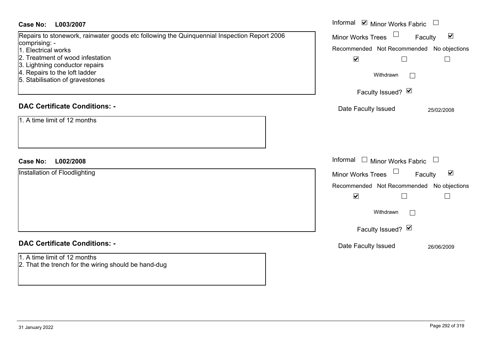| <b>Case No:</b><br>L003/2007                                                                                                                                                                                                                                                                                                                          | Informal ⊠ Minor Works Fabric □                                                                                                                                                                                                     |
|-------------------------------------------------------------------------------------------------------------------------------------------------------------------------------------------------------------------------------------------------------------------------------------------------------------------------------------------------------|-------------------------------------------------------------------------------------------------------------------------------------------------------------------------------------------------------------------------------------|
| Repairs to stonework, rainwater goods etc following the Quinquennial Inspection Report 2006<br>comprising: -<br>1. Electrical works<br>2. Treatment of wood infestation<br>3. Lightning conductor repairs<br>4. Repairs to the loft ladder<br>5. Stabilisation of gravestones<br><b>DAC Certificate Conditions: -</b><br>1. A time limit of 12 months | $\blacktriangledown$<br><b>Minor Works Trees</b><br>Faculty<br>Recommended Not Recommended No objections<br>$\blacktriangledown$<br>$\Box$<br>$\mathbb{R}^n$<br>Withdrawn<br>Faculty Issued? Ø<br>Date Faculty Issued<br>25/02/2008 |
| L002/2008<br><b>Case No:</b>                                                                                                                                                                                                                                                                                                                          | Informal $\Box$ Minor Works Fabric                                                                                                                                                                                                  |
| Installation of Floodlighting                                                                                                                                                                                                                                                                                                                         | $\blacktriangledown$<br>Minor Works Trees<br>Faculty<br>Recommended Not Recommended No objections<br>$\blacktriangledown$<br>⊔<br>$\mathbb{R}^n$<br>Withdrawn<br>Faculty Issued? Ø                                                  |
| <b>DAC Certificate Conditions: -</b>                                                                                                                                                                                                                                                                                                                  | Date Faculty Issued<br>26/06/2009                                                                                                                                                                                                   |
| 1. A time limit of 12 months<br>2. That the trench for the wiring should be hand-dug                                                                                                                                                                                                                                                                  |                                                                                                                                                                                                                                     |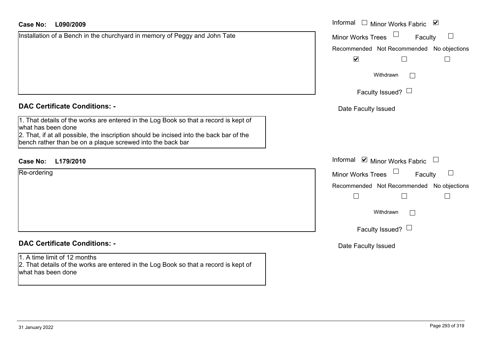| <b>Case No:</b> | L090/2009 |
|-----------------|-----------|
|-----------------|-----------|

Installation of a Bench in the churchyard in memory of Peggy and John Tate

#### **DAC Certificate Conditions: -**

1. That details of the works are entered in the Log Book so that a record is kept of what has been done 2. That, if at all possible, the inscription should be incised into the back bar of the

bench rather than be on a plaque screwed into the back bar

# **L179/2010Case No:** Informal

| Re-ordering |  |  |
|-------------|--|--|
|             |  |  |
|             |  |  |
|             |  |  |
|             |  |  |
|             |  |  |

# **DAC Certificate Conditions: -**

#### 1. A time limit of 12 months

2. That details of the works are entered in the Log Book so that a record is kept of what has been done

| L090/2009                                                                                                                           | Informal $\square$<br>$\blacktriangledown$<br>Minor Works Fabric |
|-------------------------------------------------------------------------------------------------------------------------------------|------------------------------------------------------------------|
| on of a Bench in the churchyard in memory of Peggy and John Tate                                                                    | <b>Minor Works Trees</b><br>Faculty                              |
|                                                                                                                                     | Recommended Not Recommended No objections                        |
|                                                                                                                                     | $\blacktriangledown$                                             |
|                                                                                                                                     | Withdrawn<br>$\mathbb{R}^n$                                      |
|                                                                                                                                     | Faculty Issued? $\Box$                                           |
| rtificate Conditions: -                                                                                                             | Date Faculty Issued                                              |
| etails of the works are entered in the Log Book so that a record is kept of                                                         |                                                                  |
| been done                                                                                                                           |                                                                  |
| f at all possible, the inscription should be incised into the back bar of the<br>ther than be on a plaque screwed into the back bar |                                                                  |
|                                                                                                                                     |                                                                  |
| L179/2010                                                                                                                           | Informal $\blacksquare$ Minor Works Fabric $\blacksquare$        |
| ing                                                                                                                                 | Minor Works Trees<br>Faculty                                     |
|                                                                                                                                     | No objections<br>Recommended Not Recommended                     |
|                                                                                                                                     | $\mathsf{L}$                                                     |
|                                                                                                                                     | Withdrawn<br>$\mathbf{L}$                                        |
|                                                                                                                                     | Faculty Issued? $\Box$                                           |
| rtificate Conditions: -                                                                                                             | Date Faculty Issued                                              |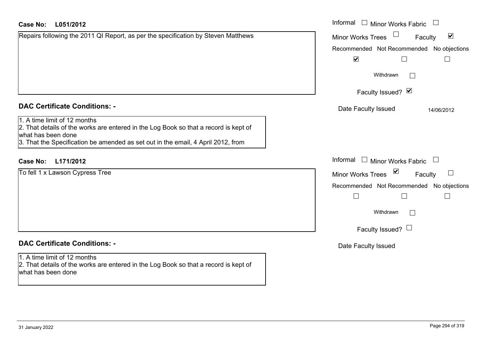#### **L051/2012Case No:**

| Case No:<br>L051/2012                                                                                                                                                                                                          | Informal □ Minor Works Fabric                               |
|--------------------------------------------------------------------------------------------------------------------------------------------------------------------------------------------------------------------------------|-------------------------------------------------------------|
| Repairs following the 2011 QI Report, as per the specification by Steven Matthews                                                                                                                                              | $\blacktriangledown$<br><b>Minor Works Trees</b><br>Faculty |
|                                                                                                                                                                                                                                | Recommended Not Recommended No objections                   |
|                                                                                                                                                                                                                                | $\blacktriangledown$                                        |
|                                                                                                                                                                                                                                | Withdrawn                                                   |
|                                                                                                                                                                                                                                | Faculty Issued? Ø                                           |
| <b>DAC Certificate Conditions: -</b>                                                                                                                                                                                           | Date Faculty Issued<br>14/06/2012                           |
| 1. A time limit of 12 months<br>2. That details of the works are entered in the Log Book so that a record is kept of<br>what has been done<br>3. That the Specification be amended as set out in the email, 4 April 2012, from |                                                             |
| <b>Case No:</b><br>L171/2012                                                                                                                                                                                                   | Informal $\Box$ Minor Works Fabric $\Box$                   |
| To fell 1 x Lawson Cypress Tree                                                                                                                                                                                                | Minor Works Trees ⊠<br>$\Box$<br>Faculty                    |
|                                                                                                                                                                                                                                | Recommended Not Recommended No objections<br>$\Box$         |
|                                                                                                                                                                                                                                | Withdrawn                                                   |
|                                                                                                                                                                                                                                | Faculty Issued? $\Box$                                      |
| <b>DAC Certificate Conditions: -</b>                                                                                                                                                                                           | Date Faculty Issued                                         |
| 1. A time limit of 12 months<br>2. That details of the works are entered in the Log Book so that a record is kept of<br>what has been done                                                                                     |                                                             |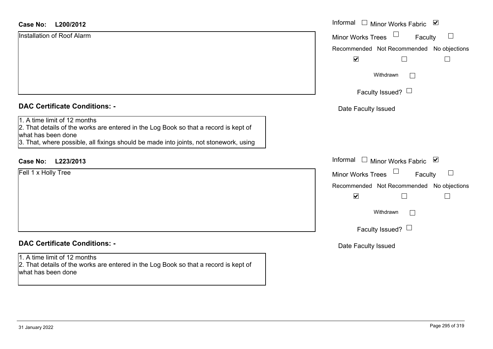# **L200/2012Case No:** Informal Installation of Roof Alarm

| <b>DAC Certificate Conditions: -</b> |  |
|--------------------------------------|--|
|--------------------------------------|--|

1. A time limit of 12 months

2. That details of the works are entered in the Log Book so that a record is kept of what has been done

3. That, where possible, all fixings should be made into joints, not stonework, using

# **L223/2013Case No:** Informal

Fell 1 x Holly Tree

# **DAC Certificate Conditions: -**

1. A time limit of 12 months

2. That details of the works are entered in the Log Book so that a record is kept of what has been done

| Informal $\square$<br>M<br><b>Minor Works Fabric</b><br><b>Minor Works Trees</b><br>Faculty<br>Recommended Not Recommended No objections<br>$\blacktriangledown$<br>Withdrawn |
|-------------------------------------------------------------------------------------------------------------------------------------------------------------------------------|
|                                                                                                                                                                               |
| Faculty Issued? $\Box$                                                                                                                                                        |
| Date Faculty Issued                                                                                                                                                           |
| Informal<br>$\overline{\mathbf{v}}$<br><b>Minor Works Fabric</b>                                                                                                              |
| <b>Minor Works Trees</b><br>Faculty                                                                                                                                           |
| Recommended Not Recommended No objections<br>$\blacktriangledown$<br>Withdrawn                                                                                                |
| Faculty Issued? $\Box$                                                                                                                                                        |
| Date Faculty Issued                                                                                                                                                           |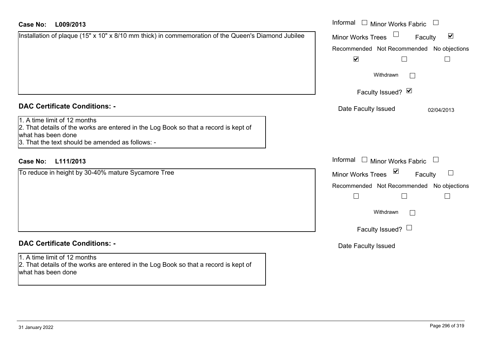| <b>Case No:</b><br>L009/2013                                                                                                                                                                   | Informal □ Minor Works Fabric                                                                                                                                           |
|------------------------------------------------------------------------------------------------------------------------------------------------------------------------------------------------|-------------------------------------------------------------------------------------------------------------------------------------------------------------------------|
| Installation of plaque (15" x 10" x 8/10 mm thick) in commemoration of the Queen's Diamond Jubilee                                                                                             | $\blacktriangledown$<br><b>Minor Works Trees</b><br>Faculty<br>Recommended Not Recommended No objections<br>$\blacktriangledown$<br>П<br>Withdrawn<br>Faculty Issued? Ø |
| <b>DAC Certificate Conditions: -</b>                                                                                                                                                           | Date Faculty Issued<br>02/04/2013                                                                                                                                       |
| 1. A time limit of 12 months<br>2. That details of the works are entered in the Log Book so that a record is kept of<br>what has been done<br>3. That the text should be amended as follows: - |                                                                                                                                                                         |
| <b>Case No:</b><br>L111/2013                                                                                                                                                                   | Informal $\Box$ Minor Works Fabric                                                                                                                                      |
| To reduce in height by 30-40% mature Sycamore Tree                                                                                                                                             | $\vee$<br><b>Minor Works Trees</b><br>Faculty<br>Recommended Not Recommended No objections<br>$\Box$<br>$\Box$<br>$\Box$<br>Withdrawn<br>Faculty Issued? $\Box$         |
| <b>DAC Certificate Conditions: -</b>                                                                                                                                                           | Date Faculty Issued                                                                                                                                                     |
| 1. A time limit of 12 months<br>2. That details of the works are entered in the Log Book so that a record is kept of<br>what has been done                                                     |                                                                                                                                                                         |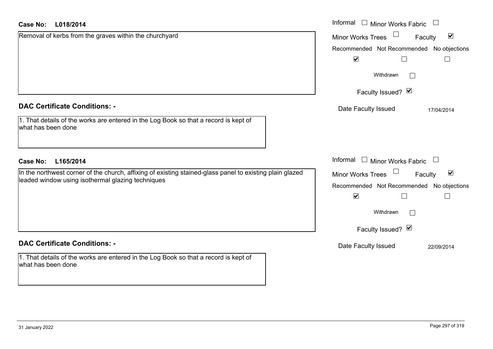| <b>Case No:</b><br>L018/2014                                                                               | Informal □ Minor Works Fabric                        |
|------------------------------------------------------------------------------------------------------------|------------------------------------------------------|
| Removal of kerbs from the graves within the churchyard                                                     | $\blacktriangledown$<br>Minor Works Trees<br>Faculty |
|                                                                                                            | Recommended Not Recommended No objections            |
|                                                                                                            | $\blacktriangledown$                                 |
|                                                                                                            | Withdrawn                                            |
|                                                                                                            | Faculty Issued? Ø                                    |
| <b>DAC Certificate Conditions: -</b>                                                                       | Date Faculty Issued<br>17/04/2014                    |
| 1. That details of the works are entered in the Log Book so that a record is kept of<br>what has been done |                                                      |
| <b>Case No:</b><br>L165/2014                                                                               | Informal $\Box$ Minor Works Fabric $\Box$            |
| In the northwest corner of the church, affixing of existing stained-glass panel to existing plain glazed   | Minor Works Trees<br>$\blacktriangledown$<br>Faculty |
| leaded window using isothermal glazing techniques                                                          | Recommended Not Recommended No objections            |
|                                                                                                            | $\blacktriangledown$                                 |
|                                                                                                            | Withdrawn                                            |
|                                                                                                            | Faculty Issued? Ø                                    |
| <b>DAC Certificate Conditions: -</b>                                                                       | Date Faculty Issued<br>22/09/2014                    |
| 1. That details of the works are entered in the Log Book so that a record is kept of<br>what has been done |                                                      |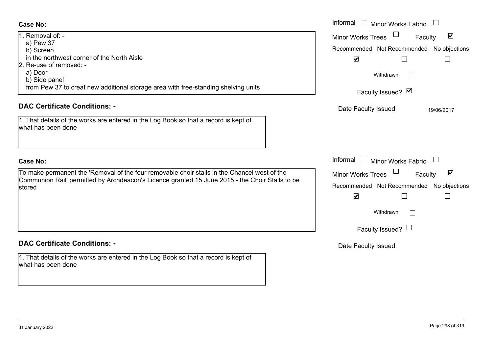#### **Case No:**

| 11. Removal of: -                                                                  |
|------------------------------------------------------------------------------------|
| a) Pew 37                                                                          |
| b) Screen                                                                          |
| in the northwest corner of the North Aisle                                         |
| 2. Re-use of removed: -                                                            |
| a) Door                                                                            |
| b) Side panel                                                                      |
| from Pew 37 to creat new additional storage area with free-standing shelving units |
|                                                                                    |

#### **DAC Certificate Conditions: -**

1. That details of the works are entered in the Log Book so that a record is kept of what has been done

#### **Case No:**

To make permanent the 'Removal of the four removable choir stalls in the Chancel west of the Communion Rail' permitted by Archdeacon's Licence granted 15 June 2015 - the Choir Stalls to be stored

#### **DAC Certificate Conditions: -**

1. That details of the works are entered in the Log Book so that a record is kept of what has been done

|                                                                                                                                                                                   | Informal<br><b>Minor Works Fabric</b><br>$\mathbf{1}$                                                                                                                   |
|-----------------------------------------------------------------------------------------------------------------------------------------------------------------------------------|-------------------------------------------------------------------------------------------------------------------------------------------------------------------------|
| val of: -<br>37 /                                                                                                                                                                 | $\blacktriangledown$<br><b>Minor Works Trees</b><br>Faculty                                                                                                             |
| een<br>northwest corner of the North Aisle<br>e of removed: -                                                                                                                     | Recommended Not Recommended No objections<br>$\blacktriangledown$                                                                                                       |
| e panel<br>ew 37 to creat new additional storage area with free-standing shelving units                                                                                           | Withdrawn                                                                                                                                                               |
|                                                                                                                                                                                   | Faculty Issued? M                                                                                                                                                       |
| rtificate Conditions: -                                                                                                                                                           | Date Faculty Issued<br>19/06/2017                                                                                                                                       |
| etails of the works are entered in the Log Book so that a record is kept of<br>been done                                                                                          |                                                                                                                                                                         |
|                                                                                                                                                                                   | Informal<br>Minor Works Fabric $\Box$<br>$\sim 10^{-1}$                                                                                                                 |
| permanent the 'Removal of the four removable choir stalls in the Chancel west of the<br>ion Rail' permitted by Archdeacon's Licence granted 15 June 2015 - the Choir Stalls to be | $\blacktriangledown$<br><b>Minor Works Trees</b><br>Faculty<br>Recommended Not Recommended No objections<br>$\blacktriangledown$<br>Withdrawn<br>Faculty Issued? $\Box$ |
| لمعرم الماله مركبه منهم المالك                                                                                                                                                    |                                                                                                                                                                         |

Date Faculty Issued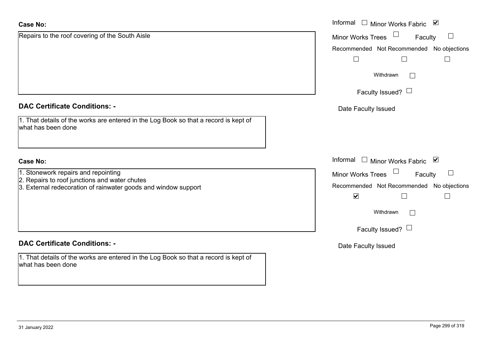| <b>Case No:</b>                                                                                                 | Informal<br>Minor Works Fabric ⊠              |
|-----------------------------------------------------------------------------------------------------------------|-----------------------------------------------|
| Repairs to the roof covering of the South Aisle                                                                 | Minor Works Trees<br>$\Box$<br>Faculty        |
|                                                                                                                 | Recommended Not Recommended No objections     |
|                                                                                                                 | $\perp$                                       |
|                                                                                                                 | Withdrawn<br>$\Box$                           |
|                                                                                                                 | Faculty Issued? $\Box$                        |
| <b>DAC Certificate Conditions: -</b>                                                                            | Date Faculty Issued                           |
| 1. That details of the works are entered in the Log Book so that a record is kept of<br>what has been done      |                                               |
| <b>Case No:</b>                                                                                                 | Informal<br>$\Box$<br>Minor Works Fabric ⊠    |
| 1. Stonework repairs and repointing                                                                             | $\Box$<br><b>Minor Works Trees</b><br>Faculty |
| 2. Repairs to roof junctions and water chutes<br>3. External redecoration of rainwater goods and window support | Recommended Not Recommended No objections     |
|                                                                                                                 | $\blacktriangledown$<br>L                     |
|                                                                                                                 | Withdrawn<br>$\vert \ \ \vert$                |
|                                                                                                                 | Faculty Issued? $\Box$                        |
| <b>DAC Certificate Conditions: -</b>                                                                            | Date Faculty Issued                           |
| 1. That details of the works are entered in the Log Book so that a record is kept of<br>what has been done      |                                               |
|                                                                                                                 |                                               |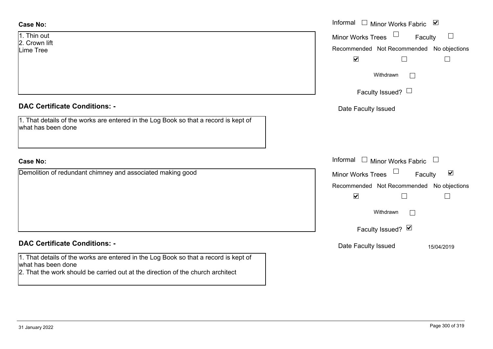| <b>Case No:</b>                                                                                                                                                                               | Informal □ Minor Works Fabric ⊠                                                                                                                                                 |
|-----------------------------------------------------------------------------------------------------------------------------------------------------------------------------------------------|---------------------------------------------------------------------------------------------------------------------------------------------------------------------------------|
| 1. Thin out<br>2. Crown lift<br>ime Tree                                                                                                                                                      | $\Box$<br><b>Minor Works Trees</b><br>Faculty<br>Recommended Not Recommended No objections<br>$\blacktriangledown$                                                              |
|                                                                                                                                                                                               | Withdrawn<br>$\Box$                                                                                                                                                             |
|                                                                                                                                                                                               | Faculty Issued? $\Box$                                                                                                                                                          |
| <b>DAC Certificate Conditions: -</b>                                                                                                                                                          | Date Faculty Issued                                                                                                                                                             |
| 1. That details of the works are entered in the Log Book so that a record is kept of<br>what has been done                                                                                    |                                                                                                                                                                                 |
| <b>Case No:</b>                                                                                                                                                                               | Informal $\Box$ Minor Works Fabric $\Box$                                                                                                                                       |
| Demolition of redundant chimney and associated making good                                                                                                                                    | $\blacktriangledown$<br>Minor Works Trees<br>Faculty<br>Recommended Not Recommended No objections<br>$\blacktriangledown$<br>$\Box$<br>Withdrawn<br>$\Box$<br>Faculty Issued? V |
| <b>DAC Certificate Conditions: -</b>                                                                                                                                                          | Date Faculty Issued<br>15/04/2019                                                                                                                                               |
| 1. That details of the works are entered in the Log Book so that a record is kept of<br>what has been done<br>2. That the work should be carried out at the direction of the church architect |                                                                                                                                                                                 |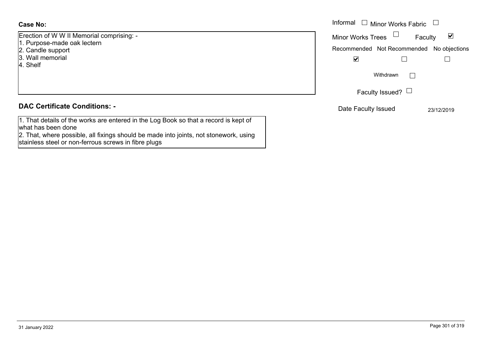#### **Case No:**

Erection of W W II Memorial comprising: -

- 1. Purpose-made oak lectern
- 2. Candle support
- 3. Wall memorial
- 4. Shelf

#### **DAC Certificate Conditions: -**

1. That details of the works are entered in the Log Book so that a record is kept of what has been done

2. That, where possible, all fixings should be made into joints, not stonework, using stainless steel or non-ferrous screws in fibre plugs

|                                                                                  | Informal $\Box$<br>Minor Works Fabric $\Box$                                                                                     |
|----------------------------------------------------------------------------------|----------------------------------------------------------------------------------------------------------------------------------|
| of W W II Memorial comprising: -<br>se-made oak lectern<br>e support<br>ıemorial | <b>Minor Works Trees</b><br>$\blacktriangledown$<br>Faculty<br>Recommended Not Recommended No objections<br>$\blacktriangledown$ |
|                                                                                  | Withdrawn                                                                                                                        |
|                                                                                  | Faculty Issued? $\Box$                                                                                                           |
| rtificate Conditions: -                                                          | Date Faculty Issued<br>23/12/2019                                                                                                |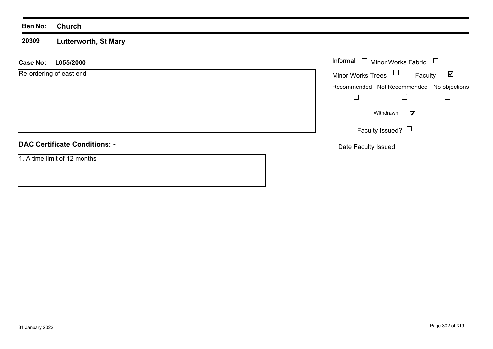#### **Ben No: Church**

#### **20309Lutterworth, St Mary**

| Case No: | L055/2000 |  | Informal |
|----------|-----------|--|----------|
|          |           |  |          |

Re-ordering of east end

#### **DAC Certificate Conditions: -**

1. A time limit of 12 months

| Informal<br>$\Box$ Minor Works Fabric |                                           |   |
|---------------------------------------|-------------------------------------------|---|
| <b>Minor Works Trees</b>              | Faculty                                   | M |
|                                       | Recommended Not Recommended No objections |   |
|                                       |                                           |   |
|                                       | Withdrawn                                 |   |
|                                       | Faculty Issued?                           |   |

Date Faculty Issued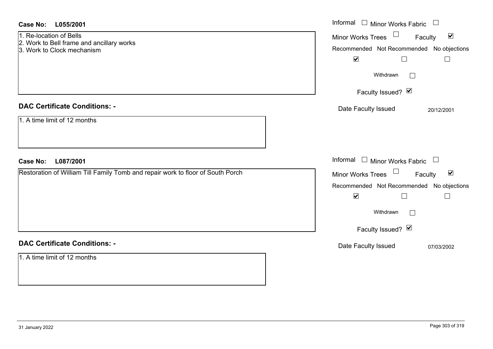| <b>Case No:</b><br>L055/2001                                                                       | Informal $\Box$ Minor Works Fabric                                                                                                            |
|----------------------------------------------------------------------------------------------------|-----------------------------------------------------------------------------------------------------------------------------------------------|
| 1. Re-location of Bells<br>2. Work to Bell frame and ancillary works<br>3. Work to Clock mechanism | Minor Works Trees<br>$\blacktriangledown$<br>Faculty<br>Recommended Not Recommended No objections<br>$\blacktriangledown$<br>$\Box$<br>$\Box$ |
|                                                                                                    | Withdrawn<br>Faculty Issued? Ø                                                                                                                |
| <b>DAC Certificate Conditions: -</b>                                                               | Date Faculty Issued<br>20/12/2001                                                                                                             |
| 1. A time limit of 12 months                                                                       |                                                                                                                                               |
| <b>Case No:</b><br>L087/2001                                                                       | Informal $\Box$ Minor Works Fabric $\Box$                                                                                                     |
| Restoration of William Till Family Tomb and repair work to floor of South Porch                    | Minor Works Trees<br>$\blacktriangledown$<br>Faculty                                                                                          |
|                                                                                                    | Recommended Not Recommended No objections                                                                                                     |
|                                                                                                    | $\blacktriangledown$<br>$\Box$<br>$\Box$<br>Withdrawn<br>Faculty Issued? Ø                                                                    |
| <b>DAC Certificate Conditions: -</b>                                                               |                                                                                                                                               |
| 1. A time limit of 12 months                                                                       | Date Faculty Issued<br>07/03/2002                                                                                                             |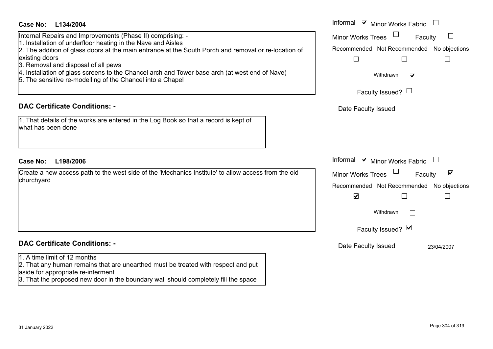| <b>Case No:</b><br>L134/2004                                                                                                                                         | Informal <b>v</b> Minor Works Fabric                        |
|----------------------------------------------------------------------------------------------------------------------------------------------------------------------|-------------------------------------------------------------|
| Internal Repairs and Improvements (Phase II) comprising: -                                                                                                           | <b>Minor Works Trees</b><br>Faculty                         |
| 1. Installation of underfloor heating in the Nave and Aisles<br>2. The addition of glass doors at the main entrance at the South Porch and removal or re-location of | Recommended Not Recommended No objections                   |
| existing doors                                                                                                                                                       | $\Box$<br>$\overline{\phantom{a}}$                          |
| 3. Removal and disposal of all pews<br>4. Installation of glass screens to the Chancel arch and Tower base arch (at west end of Nave)                                |                                                             |
| 5. The sensitive re-modelling of the Chancel into a Chapel                                                                                                           | Withdrawn<br>$\blacktriangledown$                           |
|                                                                                                                                                                      | Faculty Issued? $\Box$                                      |
| <b>DAC Certificate Conditions: -</b>                                                                                                                                 |                                                             |
|                                                                                                                                                                      | Date Faculty Issued                                         |
| 1. That details of the works are entered in the Log Book so that a record is kept of<br>what has been done                                                           |                                                             |
|                                                                                                                                                                      |                                                             |
|                                                                                                                                                                      |                                                             |
|                                                                                                                                                                      |                                                             |
| <b>Case No:</b><br>L198/2006                                                                                                                                         | Informal Ø Minor Works Fabric □                             |
| Create a new access path to the west side of the 'Mechanics Institute' to allow access from the old<br>churchyard                                                    | $\blacktriangledown$<br><b>Minor Works Trees</b><br>Faculty |
|                                                                                                                                                                      | Recommended Not Recommended No objections                   |
|                                                                                                                                                                      | $\blacktriangledown$<br>$\Box$<br>$\mathbb{R}^n$            |
|                                                                                                                                                                      | Withdrawn                                                   |
|                                                                                                                                                                      | Faculty Issued? Ø                                           |
| <b>DAC Certificate Conditions: -</b>                                                                                                                                 | Date Faculty Issued<br>23/04/2007                           |
| 1. A time limit of 12 months                                                                                                                                         |                                                             |
| 2. That any human remains that are unearthed must be treated with respect and put<br>aside for appropriate re-interment                                              |                                                             |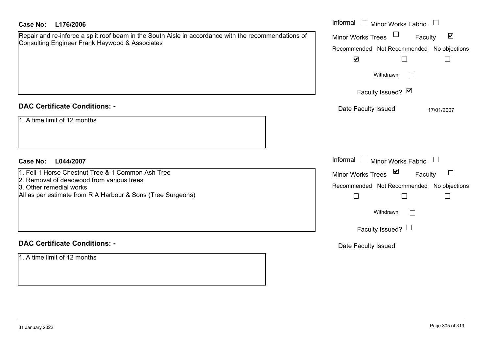| <b>Case No:</b><br>L176/2006                                                                                                                           | Informal □ Minor Works Fabric                               |
|--------------------------------------------------------------------------------------------------------------------------------------------------------|-------------------------------------------------------------|
| Repair and re-inforce a split roof beam in the South Aisle in accordance with the recommendations of<br>Consulting Engineer Frank Haywood & Associates | $\blacktriangledown$<br><b>Minor Works Trees</b><br>Faculty |
|                                                                                                                                                        | Recommended Not Recommended No objections                   |
|                                                                                                                                                        | $\blacktriangledown$<br>$\Box$<br>$\Box$                    |
|                                                                                                                                                        | Withdrawn<br>$\Box$                                         |
|                                                                                                                                                        | Faculty Issued? Ø                                           |
| <b>DAC Certificate Conditions: -</b>                                                                                                                   | Date Faculty Issued<br>17/01/2007                           |
| 1. A time limit of 12 months                                                                                                                           |                                                             |
| <b>Case No:</b><br>L044/2007                                                                                                                           | Informal $\Box$ Minor Works Fabric $\Box$                   |
| 1. Fell 1 Horse Chestnut Tree & 1 Common Ash Tree                                                                                                      | Minor Works Trees $\boxed{\triangleright}$<br>Faculty       |
| 2. Removal of deadwood from various trees<br>3. Other remedial works                                                                                   | Recommended Not Recommended No objections                   |
| All as per estimate from R A Harbour & Sons (Tree Surgeons)                                                                                            | $\Box$<br>$\Box$<br>$\overline{\phantom{a}}$                |
|                                                                                                                                                        | Withdrawn<br>$\Box$                                         |
|                                                                                                                                                        | Faculty Issued? $\Box$                                      |
| <b>DAC Certificate Conditions: -</b>                                                                                                                   | Date Faculty Issued                                         |
| 1. A time limit of 12 months                                                                                                                           |                                                             |
|                                                                                                                                                        |                                                             |
|                                                                                                                                                        |                                                             |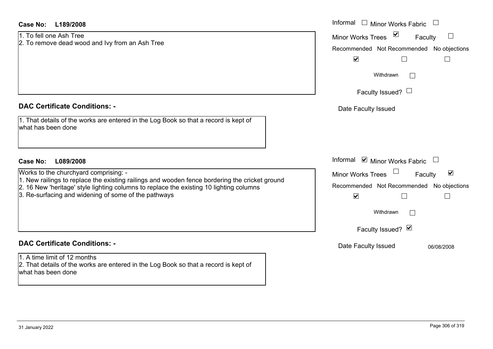# 1. To fell one Ash Tree

#### **DAC Certificate Conditions: -**

- $\vert$ 1. New railings to replace the existing railings and wooden fence bordering the cricket gr
- 2. 16 New 'heritage' style lighting columns to replace the existing 10 lighting columns
- 3. Re-surfacing and widening of some of the pathways

# **DAC Certificate Conditions: -**

1. A time limit of 12 months2. That details of the works are entered in the Log Book so that a record is kept of what has been done

| <b>Case No:</b><br>L189/2008                                                                                                                                                                                                                                                               | Informal $\Box$ Minor Works Fabric $\Box$                                                                                 |
|--------------------------------------------------------------------------------------------------------------------------------------------------------------------------------------------------------------------------------------------------------------------------------------------|---------------------------------------------------------------------------------------------------------------------------|
| 1. To fell one Ash Tree<br>2. To remove dead wood and Ivy from an Ash Tree                                                                                                                                                                                                                 | $\blacktriangledown$<br>Minor Works Trees<br>Faculty<br>Recommended Not Recommended No objections<br>$\blacktriangledown$ |
|                                                                                                                                                                                                                                                                                            | Withdrawn<br>Faculty Issued? $\Box$                                                                                       |
| <b>DAC Certificate Conditions: -</b>                                                                                                                                                                                                                                                       | Date Faculty Issued                                                                                                       |
| 1. That details of the works are entered in the Log Book so that a record is kept of<br>what has been done                                                                                                                                                                                 |                                                                                                                           |
| <b>Case No:</b><br>L089/2008                                                                                                                                                                                                                                                               | Informal ⊠ Minor Works Fabric $\Box$                                                                                      |
| Works to the churchyard comprising: -<br>1. New railings to replace the existing railings and wooden fence bordering the cricket ground<br>2. 16 New 'heritage' style lighting columns to replace the existing 10 lighting columns<br>3. Re-surfacing and widening of some of the pathways | $\blacktriangledown$<br>Minor Works Trees<br>Faculty<br>Recommended Not Recommended No objections<br>$\blacktriangledown$ |
|                                                                                                                                                                                                                                                                                            | Withdrawn                                                                                                                 |
|                                                                                                                                                                                                                                                                                            | Faculty Issued? Ø                                                                                                         |
| <b>DAC Certificate Conditions: -</b>                                                                                                                                                                                                                                                       | Date Faculty Issued<br>06/08/2008                                                                                         |
| 1. A time limit of 12 months                                                                                                                                                                                                                                                               |                                                                                                                           |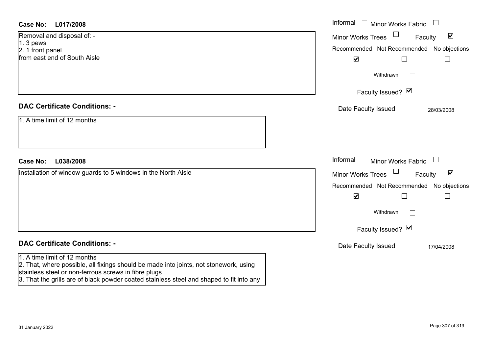| <b>Case No:</b><br>L017/2008                                                                                                                                                                                                                                              | Informal $\Box$ Minor Works Fabric $\Box$                                                                                                                                                                   |
|---------------------------------------------------------------------------------------------------------------------------------------------------------------------------------------------------------------------------------------------------------------------------|-------------------------------------------------------------------------------------------------------------------------------------------------------------------------------------------------------------|
| Removal and disposal of: -<br>$1.3$ pews<br>2. 1 front panel<br>from east end of South Aisle                                                                                                                                                                              | $\blacktriangledown$<br><b>Minor Works Trees</b><br>Faculty<br>Recommended Not Recommended No objections<br>$\blacktriangledown$<br>$\Box$<br>$\Box$<br>Withdrawn                                           |
|                                                                                                                                                                                                                                                                           | Faculty Issued? Ø                                                                                                                                                                                           |
| <b>DAC Certificate Conditions: -</b><br>1. A time limit of 12 months                                                                                                                                                                                                      | Date Faculty Issued<br>28/03/2008                                                                                                                                                                           |
| <b>Case No:</b><br>L038/2008                                                                                                                                                                                                                                              | Informal<br>$\Box$ Minor Works Fabric $\Box$                                                                                                                                                                |
| Installation of window guards to 5 windows in the North Aisle                                                                                                                                                                                                             | $\blacktriangledown$<br><b>Minor Works Trees</b><br>Faculty<br>Recommended Not Recommended No objections<br>$\blacktriangledown$<br>$\Box$<br>$\Box$<br>Withdrawn<br>$\vert \ \ \vert$<br>Faculty Issued? Ø |
| <b>DAC Certificate Conditions: -</b>                                                                                                                                                                                                                                      | Date Faculty Issued<br>17/04/2008                                                                                                                                                                           |
| 1. A time limit of 12 months<br>2. That, where possible, all fixings should be made into joints, not stonework, using<br>stainless steel or non-ferrous screws in fibre plugs<br>3. That the grills are of black powder coated stainless steel and shaped to fit into any |                                                                                                                                                                                                             |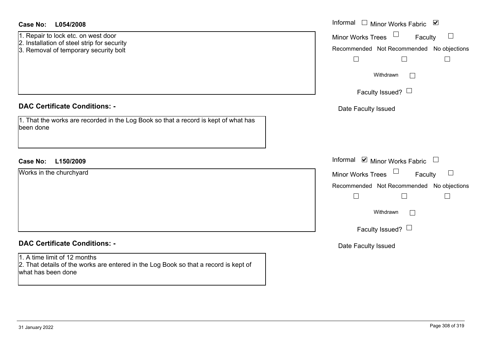| <b>Case No:</b><br>L054/2008                                                                                                               | Informal $\Box$ Minor Works Fabric $\Box$           |
|--------------------------------------------------------------------------------------------------------------------------------------------|-----------------------------------------------------|
| 1. Repair to lock etc. on west door<br>2. Installation of steel strip for security                                                         | Minor Works Trees <sup>1</sup><br>Faculty<br>$\Box$ |
| 3. Removal of temporary security bolt                                                                                                      | Recommended Not Recommended No objections           |
|                                                                                                                                            | $\Box$<br>$\Box$<br>$\Box$                          |
|                                                                                                                                            | Withdrawn<br>$\Box$                                 |
|                                                                                                                                            | Faculty Issued? $\Box$                              |
| <b>DAC Certificate Conditions: -</b>                                                                                                       | Date Faculty Issued                                 |
| 1. That the works are recorded in the Log Book so that a record is kept of what has<br>been done                                           |                                                     |
| <b>Case No:</b><br>L150/2009                                                                                                               | Informal $\blacksquare$ Minor Works Fabric $\Box$   |
| Works in the churchyard                                                                                                                    | Minor Works Trees<br>Faculty<br>$\Box$              |
|                                                                                                                                            | Recommended Not Recommended No objections           |
|                                                                                                                                            | $\Box$<br>$\Box$<br>$\mathbb{R}^n$                  |
|                                                                                                                                            | Withdrawn<br>$\Box$                                 |
|                                                                                                                                            | Faculty Issued? $\Box$                              |
| <b>DAC Certificate Conditions: -</b>                                                                                                       | Date Faculty Issued                                 |
| 1. A time limit of 12 months<br>2. That details of the works are entered in the Log Book so that a record is kept of<br>what has been done |                                                     |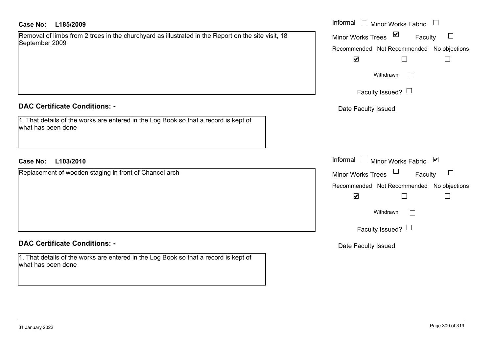#### **L185/2009Case No:** Informal

Removal of limbs from 2 trees in the churchyard as illustrated in the Report on the site visit, 18 September 2009

#### **DAC Certificate Conditions: -**

1. That details of the works are entered in the Log Book so that a record is kept of what has been done

#### **L103/2010Case No:** Informal

Replacement of wooden staging in front of Chancel arch

#### **DAC Certificate Conditions: -**

1. That details of the works are entered in the Log Book so that a record is kept of what has been done

| Informal<br>Minor Works Fabric             |
|--------------------------------------------|
| ⊻<br><b>Minor Works Trees</b><br>Faculty   |
| Recommended Not Recommended No objections  |
| ⊻                                          |
| Withdrawn                                  |
| Faculty Issued? $\Box$                     |
| Date Faculty Issued                        |
|                                            |
|                                            |
|                                            |
| Informal<br>⊻<br><b>Minor Works Fabric</b> |
| <b>Minor Works Trees</b><br>Faculty        |
| Recommended Not Recommended No objections  |
| $\blacktriangledown$                       |
| Withdrawn                                  |
| Faculty Issued?                            |
| Date Faculty Issued                        |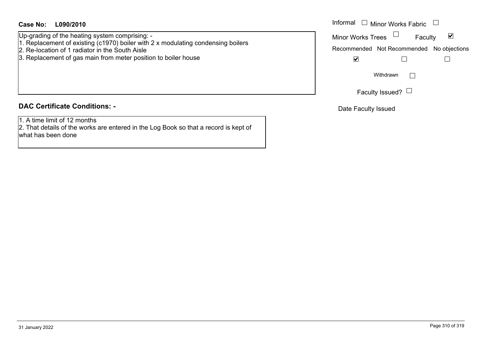Up-grading of the heating system comprising: -

- 1. Replacement of existing (c1970) boiler with 2 x modulating condensing boilers
- 2. Re-location of 1 radiator in the South Aisle
- 3. Replacement of gas main from meter position to boiler house

### **DAC Certificate Conditions: -**

1. A time limit of 12 months

2. That details of the works are entered in the Log Book so that a record is kept of what has been done

| Informal $\Box$ Minor Works Fabric |                                           |   |
|------------------------------------|-------------------------------------------|---|
| <b>Minor Works Trees</b>           | Faculty                                   | V |
|                                    | Recommended Not Recommended No objections |   |
|                                    |                                           |   |
|                                    | Withdrawn                                 |   |
|                                    | Faculty Issued?                           |   |

Date Faculty Issued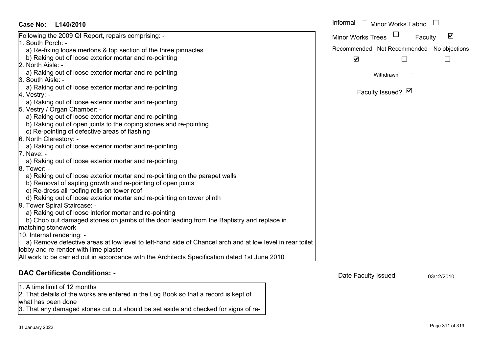| <b>Case No:</b><br>L140/2010                                                                                                            | Informal □ Minor Works Fabric                               |
|-----------------------------------------------------------------------------------------------------------------------------------------|-------------------------------------------------------------|
| Following the 2009 QI Report, repairs comprising: -                                                                                     | $\blacktriangledown$<br><b>Minor Works Trees</b><br>Faculty |
| 1. South Porch: -                                                                                                                       |                                                             |
| a) Re-fixing loose merlons & top section of the three pinnacles                                                                         | Recommended Not Recommended No objections                   |
| b) Raking out of loose exterior mortar and re-pointing                                                                                  | $\blacktriangledown$<br>$\Box$                              |
| 2. North Aisle: -                                                                                                                       |                                                             |
| a) Raking out of loose exterior mortar and re-pointing                                                                                  | Withdrawn                                                   |
| 3. South Aisle: -                                                                                                                       |                                                             |
| a) Raking out of loose exterior mortar and re-pointing                                                                                  |                                                             |
| 4. Vestry: -                                                                                                                            | Faculty Issued? Ø                                           |
| a) Raking out of loose exterior mortar and re-pointing                                                                                  |                                                             |
| 5. Vestry / Organ Chamber: -                                                                                                            |                                                             |
| a) Raking out of loose exterior mortar and re-pointing                                                                                  |                                                             |
| b) Raking out of open joints to the coping stones and re-pointing                                                                       |                                                             |
| c) Re-pointing of defective areas of flashing                                                                                           |                                                             |
| 6. North Clerestory: -                                                                                                                  |                                                             |
| a) Raking out of loose exterior mortar and re-pointing                                                                                  |                                                             |
| 7. Nave: -                                                                                                                              |                                                             |
| a) Raking out of loose exterior mortar and re-pointing                                                                                  |                                                             |
| 8. Tower: -                                                                                                                             |                                                             |
| a) Raking out of loose exterior mortar and re-pointing on the parapet walls                                                             |                                                             |
| b) Removal of sapling growth and re-pointing of open joints                                                                             |                                                             |
| c) Re-dress all roofing rolls on tower roof                                                                                             |                                                             |
| d) Raking out of loose exterior mortar and re-pointing on tower plinth                                                                  |                                                             |
| 9. Tower Spiral Staircase: -                                                                                                            |                                                             |
| a) Raking out of loose interior mortar and re-pointing                                                                                  |                                                             |
| b) Chop out damaged stones on jambs of the door leading from the Baptistry and replace in                                               |                                                             |
| matching stonework                                                                                                                      |                                                             |
| 10. Internal rendering: -                                                                                                               |                                                             |
| a) Remove defective areas at low level to left-hand side of Chancel arch and at low level in rear toilet                                |                                                             |
| lobby and re-render with lime plaster<br>All work to be carried out in accordance with the Architects Specification dated 1st June 2010 |                                                             |
|                                                                                                                                         |                                                             |
| <b>DAC Certificate Conditions: -</b>                                                                                                    | Date Faculty Issued<br>03/12/2010                           |
| 1. A time limit of 12 months                                                                                                            |                                                             |
| 2. That details of the works are entered in the Log Book so that a record is kept of                                                    |                                                             |
| what has been done                                                                                                                      |                                                             |
| 3. That any damaged stones cut out should be set aside and checked for signs of re-                                                     |                                                             |
|                                                                                                                                         |                                                             |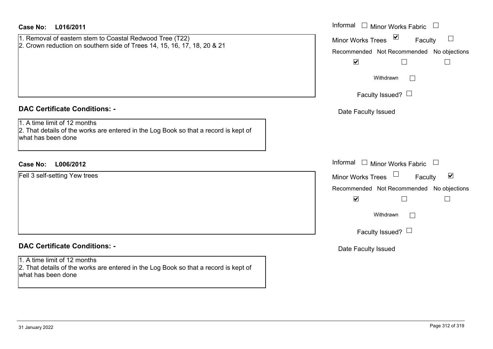| L016/2011<br><b>Case No:</b>                                                                                                               | Informal □ Minor Works Fabric                                                                                                                             |
|--------------------------------------------------------------------------------------------------------------------------------------------|-----------------------------------------------------------------------------------------------------------------------------------------------------------|
| 1. Removal of eastern stem to Coastal Redwood Tree (T22)<br>2. Crown reduction on southern side of Trees 14, 15, 16, 17, 18, 20 & 21       | Minor Works Trees ⊠<br>$\Box$<br>Faculty<br>Recommended Not Recommended No objections<br>$\blacktriangledown$<br>$\Box$<br>$\Box$<br>Withdrawn<br>$\perp$ |
|                                                                                                                                            | Faculty Issued? $\Box$                                                                                                                                    |
| <b>DAC Certificate Conditions: -</b>                                                                                                       | Date Faculty Issued                                                                                                                                       |
| 1. A time limit of 12 months<br>2. That details of the works are entered in the Log Book so that a record is kept of<br>what has been done |                                                                                                                                                           |
| <b>Case No:</b><br>L006/2012                                                                                                               | Informal $\Box$ Minor Works Fabric                                                                                                                        |
| Fell 3 self-setting Yew trees                                                                                                              | $\blacktriangledown$<br>Faculty<br><b>Minor Works Trees</b>                                                                                               |
|                                                                                                                                            | Recommended Not Recommended No objections<br>$\blacktriangledown$<br>$\Box$<br>$\Box$                                                                     |
|                                                                                                                                            | Withdrawn<br>$\perp$                                                                                                                                      |
|                                                                                                                                            | Faculty Issued? $\Box$                                                                                                                                    |
| <b>DAC Certificate Conditions: -</b>                                                                                                       | Date Faculty Issued                                                                                                                                       |
| 1. A time limit of 12 months<br>2. That details of the works are entered in the Log Book so that a record is kept of<br>what has been done |                                                                                                                                                           |
|                                                                                                                                            |                                                                                                                                                           |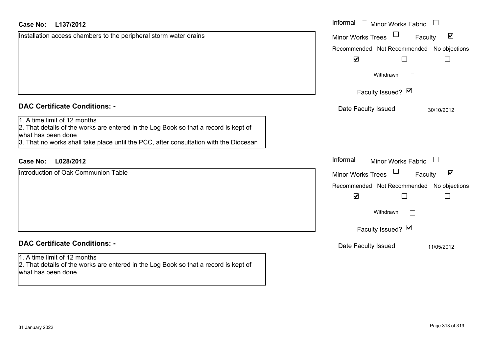| Case No:<br>L137/2012                                                                                                                                                                                                               | Informal $\Box$ Minor Works Fabric $\Box$            |
|-------------------------------------------------------------------------------------------------------------------------------------------------------------------------------------------------------------------------------------|------------------------------------------------------|
| Installation access chambers to the peripheral storm water drains                                                                                                                                                                   | $\blacktriangledown$<br>Minor Works Trees<br>Faculty |
|                                                                                                                                                                                                                                     | Recommended Not Recommended No objections            |
|                                                                                                                                                                                                                                     | $\blacktriangledown$                                 |
|                                                                                                                                                                                                                                     | Withdrawn                                            |
|                                                                                                                                                                                                                                     | Faculty Issued? Ø                                    |
| <b>DAC Certificate Conditions: -</b>                                                                                                                                                                                                | Date Faculty Issued<br>30/10/2012                    |
| 1. A time limit of 12 months<br>2. That details of the works are entered in the Log Book so that a record is kept of<br>what has been done<br>3. That no works shall take place until the PCC, after consultation with the Diocesan |                                                      |
| L028/2012<br><b>Case No:</b>                                                                                                                                                                                                        | Informal $\Box$ Minor Works Fabric $\Box$            |
| Introduction of Oak Communion Table                                                                                                                                                                                                 | Minor Works Trees<br>$\blacktriangledown$<br>Faculty |
|                                                                                                                                                                                                                                     | Recommended Not Recommended No objections            |
|                                                                                                                                                                                                                                     | $\blacktriangledown$                                 |
|                                                                                                                                                                                                                                     | Withdrawn                                            |
|                                                                                                                                                                                                                                     | Faculty Issued? Ø                                    |
| <b>DAC Certificate Conditions: -</b>                                                                                                                                                                                                | Date Faculty Issued<br>11/05/2012                    |
| 1. A time limit of 12 months<br>2. That details of the works are entered in the Log Book so that a record is kept of<br>what has been done                                                                                          |                                                      |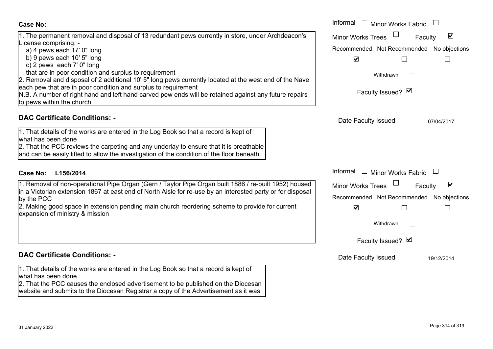| <b>Case No:</b>                                                                                                                                                                                                                                                                                                                                                        | Informal $\Box$ Minor Works Fabric                                                                                                         |
|------------------------------------------------------------------------------------------------------------------------------------------------------------------------------------------------------------------------------------------------------------------------------------------------------------------------------------------------------------------------|--------------------------------------------------------------------------------------------------------------------------------------------|
| 1. The permanent removal and disposal of 13 redundant pews currently in store, under Archdeacon's<br>-icense comprising: -                                                                                                                                                                                                                                             | $\blacktriangledown$<br><b>Minor Works Trees</b><br>Faculty<br>Recommended Not Recommended No objections                                   |
| a) 4 pews each 17' 0" long<br>b) 9 pews each 10' 5" long<br>c) 2 pews each 7' 0" long                                                                                                                                                                                                                                                                                  | $\blacktriangledown$<br>$\vert \ \ \vert$                                                                                                  |
| that are in poor condition and surplus to requirement<br>2. Removal and disposal of 2 additional 10' 5" long pews currently located at the west end of the Nave                                                                                                                                                                                                        | Withdrawn                                                                                                                                  |
| each pew that are in poor condition and surplus to requirement<br>N.B. A number of right hand and left hand carved pew ends will be retained against any future repairs<br>to pews within the church                                                                                                                                                                   | Faculty Issued? Ø                                                                                                                          |
| <b>DAC Certificate Conditions: -</b>                                                                                                                                                                                                                                                                                                                                   | Date Faculty Issued<br>07/04/2017                                                                                                          |
| 1. That details of the works are entered in the Log Book so that a record is kept of<br>what has been done<br>2. That the PCC reviews the carpeting and any underlay to ensure that it is breathable<br>and can be easily lifted to allow the investigation of the condition of the floor beneath                                                                      |                                                                                                                                            |
| <b>Case No:</b><br>L156/2014                                                                                                                                                                                                                                                                                                                                           | Informal $\Box$ Minor Works Fabric                                                                                                         |
| 1. Removal of non-operational Pipe Organ (Gern / Taylor Pipe Organ built 1886 / re-built 1952) housed<br>in a Victorian extension 1867 at east end of North Aisle for re-use by an interested party or for disposal<br>by the PCC<br>2. Making good space in extension pending main church reordering scheme to provide for current<br>expansion of ministry & mission | $\blacktriangledown$<br><b>Minor Works Trees</b><br>Faculty<br>Recommended Not Recommended No objections<br>$\blacktriangledown$<br>$\Box$ |
|                                                                                                                                                                                                                                                                                                                                                                        | Withdrawn<br>$\mathbf{L}$                                                                                                                  |
|                                                                                                                                                                                                                                                                                                                                                                        | Faculty Issued? Ø                                                                                                                          |
| <b>DAC Certificate Conditions: -</b>                                                                                                                                                                                                                                                                                                                                   | Date Faculty Issued<br>19/12/2014                                                                                                          |
| 1. That details of the works are entered in the Log Book so that a record is kept of<br>what has been done<br>2. That the PCC causes the enclosed advertisement to be published on the Diocesan<br>website and submits to the Diocesan Registrar a copy of the Advertisement as it was                                                                                 |                                                                                                                                            |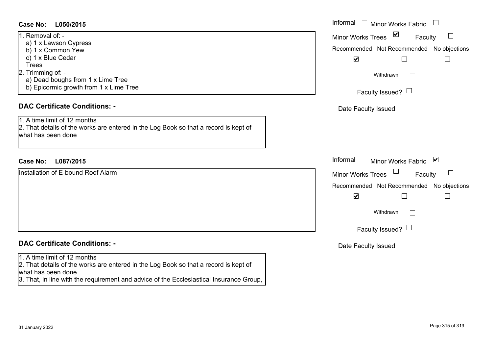#### **L050/2015Case No:** Informal

| 1. Removal of: -                       |
|----------------------------------------|
| a) 1 x Lawson Cypress                  |
| b) 1 x Common Yew                      |
| c) 1 x Blue Cedar                      |
| <b>Trees</b>                           |
| 2. Trimming of: -                      |
| a) Dead boughs from 1 x Lime Tree      |
| b) Epicormic growth from 1 x Lime Tree |

# **DAC Certificate Conditions: -**

1. A time limit of 12 months2. That details of the works are entered in the Log Book so that a record is kept of what has been done

### **L087/2015Case No:** Informal

Installation of E-bound Roof Alarm

# **DAC Certificate Conditions: -**

#### 1. A time limit of 12 months

2. That details of the works are entered in the Log Book so that a record is kept of what has been done

3. That, in line with the requirement and advice of the Ecclesiastical Insurance Group,

| Informal<br><b>Minor Works Fabric</b>      |
|--------------------------------------------|
| ⊻<br><b>Minor Works Trees</b><br>Faculty   |
| Recommended Not Recommended No objections  |
| $\blacktriangledown$                       |
| Withdrawn                                  |
| Faculty Issued? $\Box$                     |
| Date Faculty Issued                        |
|                                            |
|                                            |
| Informal<br>⊻<br><b>Minor Works Fabric</b> |
| <b>Minor Works Trees</b><br>Faculty        |
| Recommended Not Recommended No objections  |
| $\blacktriangledown$                       |
| Withdrawn                                  |
| Faculty Issued?                            |
| Date Faculty Issued                        |
|                                            |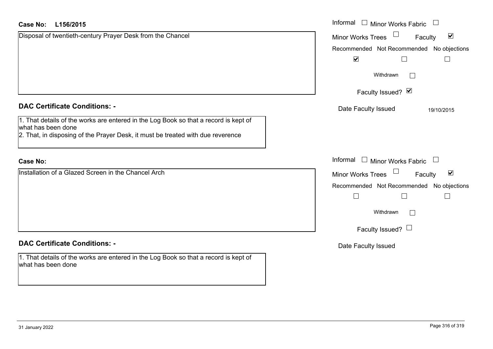| <b>Case No:</b><br>L156/2015                                                                               | Informal<br>$\overline{\phantom{a}}$ Minor Works Fabric $\phantom{a}\overline{\phantom{a}}$ |
|------------------------------------------------------------------------------------------------------------|---------------------------------------------------------------------------------------------|
| Disposal of twentieth-century Prayer Desk from the Chancel                                                 | $\Box$<br>$\blacktriangledown$<br><b>Minor Works Trees</b><br>Faculty                       |
|                                                                                                            | Recommended Not Recommended No objections                                                   |
|                                                                                                            | $\blacktriangledown$<br>$\Box$                                                              |
|                                                                                                            | Withdrawn                                                                                   |
|                                                                                                            | Faculty Issued? Ø                                                                           |
| <b>DAC Certificate Conditions: -</b>                                                                       | Date Faculty Issued<br>19/10/2015                                                           |
| 1. That details of the works are entered in the Log Book so that a record is kept of<br>what has been done |                                                                                             |
| 2. That, in disposing of the Prayer Desk, it must be treated with due reverence                            |                                                                                             |
| <b>Case No:</b>                                                                                            | Informal<br>$\Box$ Minor Works Fabric $\Box$                                                |
| Installation of a Glazed Screen in the Chancel Arch                                                        | Minor Works Trees<br>$\blacktriangledown$<br>Faculty                                        |
|                                                                                                            | Recommended Not Recommended No objections                                                   |
|                                                                                                            | $\Box$<br>П                                                                                 |
|                                                                                                            | Withdrawn                                                                                   |
|                                                                                                            | Faculty Issued? $\Box$                                                                      |
| <b>DAC Certificate Conditions: -</b>                                                                       | Date Faculty Issued                                                                         |
| 1. That details of the works are entered in the Log Book so that a record is kept of<br>what has been done |                                                                                             |
|                                                                                                            |                                                                                             |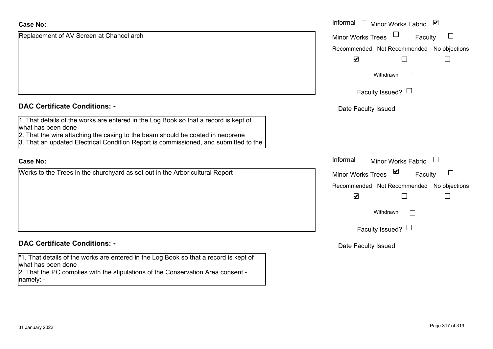| <b>Case No:</b>                                                                                                                                                                              | Informal $\Box$ Minor Works Fabric<br>$\blacktriangledown$  |
|----------------------------------------------------------------------------------------------------------------------------------------------------------------------------------------------|-------------------------------------------------------------|
| Replacement of AV Screen at Chancel arch                                                                                                                                                     | Minor Works Trees<br>Faculty                                |
|                                                                                                                                                                                              | Recommended Not Recommended No objections                   |
|                                                                                                                                                                                              | $\blacktriangledown$                                        |
|                                                                                                                                                                                              | Withdrawn<br>$\perp$                                        |
|                                                                                                                                                                                              | Faculty Issued? $\Box$                                      |
| <b>DAC Certificate Conditions: -</b>                                                                                                                                                         | Date Faculty Issued                                         |
| 1. That details of the works are entered in the Log Book so that a record is kept of<br>what has been done<br>2. That the wire attaching the casing to the beam should be coated in neoprene |                                                             |
| 3. That an updated Electrical Condition Report is commissioned, and submitted to the                                                                                                         |                                                             |
| <b>Case No:</b>                                                                                                                                                                              | Informal<br>$\mathbf{1}$<br>Minor Works Fabric<br>$\Box$    |
| Works to the Trees in the churchyard as set out in the Arboricultural Report                                                                                                                 | $\blacktriangledown$<br><b>Minor Works Trees</b><br>Faculty |
|                                                                                                                                                                                              | Recommended Not Recommended No objections                   |
|                                                                                                                                                                                              | $\blacktriangledown$<br>H                                   |
|                                                                                                                                                                                              | Withdrawn<br>$\Box$                                         |
|                                                                                                                                                                                              | Faculty Issued? $\Box$                                      |
| <b>DAC Certificate Conditions: -</b>                                                                                                                                                         | Date Faculty Issued                                         |
| "1. That details of the works are entered in the Log Book so that a record is kept of<br>what has been done                                                                                  |                                                             |
| 2. That the PC complies with the stipulations of the Conservation Area consent -<br>namely: -                                                                                                |                                                             |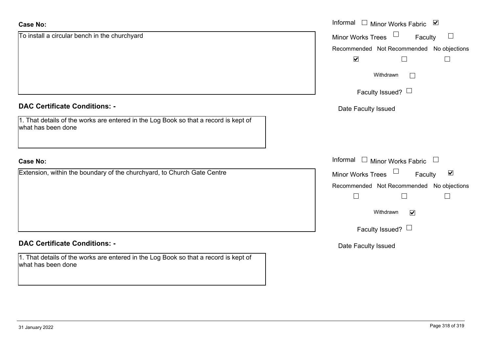| <b>Case No:</b>                                                                                            | Informal $\Box$ Minor Works Fabric $\Box$               |
|------------------------------------------------------------------------------------------------------------|---------------------------------------------------------|
| To install a circular bench in the churchyard                                                              | $\Box$<br>$\Box$<br><b>Minor Works Trees</b><br>Faculty |
|                                                                                                            | Recommended Not Recommended No objections               |
|                                                                                                            | $\blacktriangledown$                                    |
|                                                                                                            | Withdrawn<br>$\Box$                                     |
|                                                                                                            | Faculty Issued? $\Box$                                  |
| <b>DAC Certificate Conditions: -</b>                                                                       | Date Faculty Issued                                     |
| 1. That details of the works are entered in the Log Book so that a record is kept of<br>what has been done |                                                         |
| <b>Case No:</b>                                                                                            | Informal<br>$\Box$ Minor Works Fabric                   |
| Extension, within the boundary of the churchyard, to Church Gate Centre                                    | Minor Works Trees<br>$\blacktriangledown$<br>Faculty    |
|                                                                                                            | Recommended Not Recommended No objections               |
|                                                                                                            | $\perp$<br>$\Box$                                       |
|                                                                                                            | Withdrawn<br>$\overline{\mathbf{v}}$                    |
|                                                                                                            | Faculty Issued? $\Box$                                  |
| <b>DAC Certificate Conditions: -</b>                                                                       | Date Faculty Issued                                     |
| 1. That details of the works are entered in the Log Book so that a record is kept of<br>what has been done |                                                         |